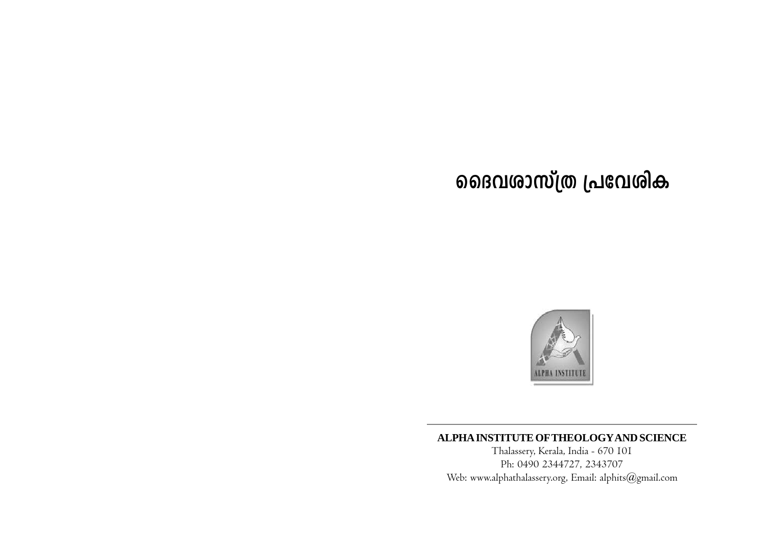

# ALPHA INSTITUTE OF THEOLOGY AND SCIENCE

Thalassery, Kerala, India - 670 101 Ph: 0490 2344727, 2343707 Web: www.alphathalassery.org, Email: alphits@gmail.com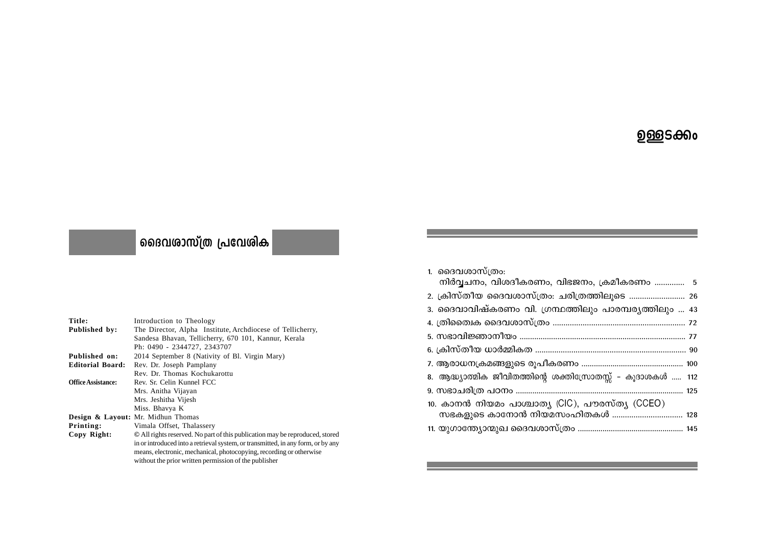# <u>ഉള്</u>ളടക്കം

# | ദൈവ**ശാസ്ത്ര പ്രവേ**ശിക

| Title:                    | Introduction to Theology                                                         |
|---------------------------|----------------------------------------------------------------------------------|
| Published by:             | The Director, Alpha Institute, Archdiocese of Tellicherry,                       |
|                           | Sandesa Bhavan, Tellicherry, 670 101, Kannur, Kerala                             |
|                           | Ph: 0490 - 2344727, 2343707                                                      |
| Published on:             | 2014 September 8 (Nativity of Bl. Virgin Mary)                                   |
| <b>Editorial Board:</b>   | Rev. Dr. Joseph Pamplany                                                         |
|                           | Rev. Dr. Thomas Kochukarottu                                                     |
| <b>Office Assistance:</b> | Rev. Sr. Celin Kunnel FCC                                                        |
|                           | Mrs. Anitha Vijayan                                                              |
|                           | Mrs. Jeshitha Vijesh                                                             |
|                           | Miss. Bhavya K                                                                   |
|                           | Design & Layout: Mr. Midhun Thomas                                               |
| Printing:                 | Vimala Offset, Thalassery                                                        |
| Copy Right:               | © All rights reserved. No part of this publication may be reproduced, stored     |
|                           | in or introduced into a retrieval system, or transmitted, in any form, or by any |
|                           | means, electronic, mechanical, photocopying, recording or otherwise              |
|                           | without the prior written permission of the publisher                            |

| 1. ദൈവശാസ്ത്രം:                                             |
|-------------------------------------------------------------|
| നിർവ്വചനം, വിശദീകരണം, വിഭജനം, ക്രമീകരണം  5                  |
| 2. ക്രിസ്തീയ ദൈവശാസ്ത്രം: ചരിത്രത്തിലൂടെ  26                |
| 3. ദൈവാവിഷ്കരണം വി. ഗ്രന്ഥത്തിലും പാരമ്പര്യത്തിലും  43      |
|                                                             |
|                                                             |
|                                                             |
|                                                             |
| 8. ആദ്ധ്യാത്മിക ജീവിതത്തിന്റെ ശക്തിസ്രോതസ്സ് - കൂദാശകൾ  112 |
|                                                             |
| 10. കാനൻ നിയമം പാശ്ചാത്യ (CIC), പൗരസ്ത്യ (CCEO)             |
| സഭകളുടെ കാനോൻ നിയമസംഹിതകൾ  128                              |
|                                                             |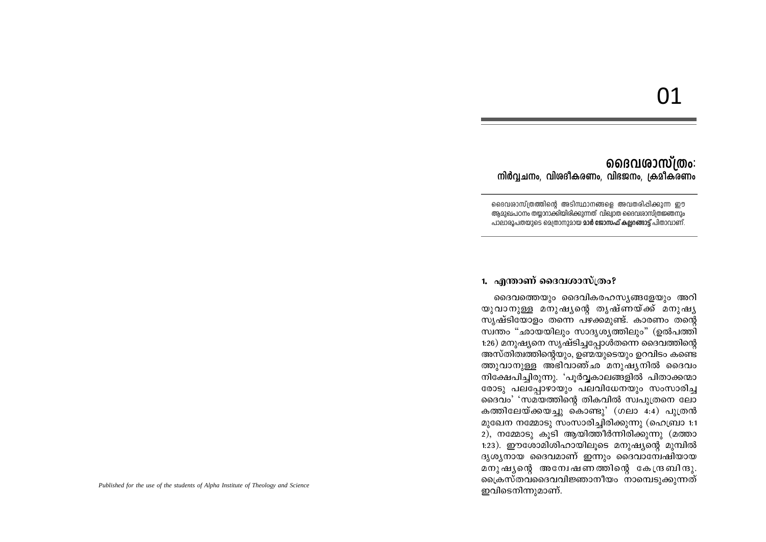# <u>01</u>

**ൈവ**ശാസ്ത്രം: നിർവ്വചനം, വിശദീകരണം, വിഭജനം, ക്രമീകരണം

ദൈവശാസ്ത്രത്തിന്റെ അടിസ്ഥാനങ്ങളെ അവതരിപ്പിക്കുന്ന ഈ അമാഖപഠനം തയാറാക്കിയിരിക്കാന്നത് വിഖാത ദൈവശാസ്ത്രജ്ഞനാം പാലാരൂപതയുടെ മെത്രാനുമായ **മാർ ജോസഫ് കല്ലറങ്ങാട്ട്** പിതാവാണ്.

### 1. എന്താണ് ദൈവശാസ്ത്രം?

ദൈവത്തെയും ദൈവികരഹസ്യങ്ങളേയും അറി യുവാനുള്ള മനുഷൃന്റെ തൃഷ്ണയ്ക്ക് മനുഷൃ സൃഷ്ടിയോളം തന്നെ പഴക്കമുണ്ട്. കാരണം തന്റെ സ്വന്തം "ഛായയിലും സാദൃശ്യത്തിലും" (ഉൽപത്തി 1:26) മനുഷ്യനെ സൃഷ്ടിച്ചപ്പോൾതന്നെ ദൈവത്തിന്റെ അസ്തിത്വത്തിന്റെയും, ഉണ്മയുടെയും ഉറവിടം കണ്ടെ ത്തുവാനുള്ള അഭിവാഞ്ഛ മനുഷൃനിൽ ദൈവം നിക്ഷേപിച്ചിരുന്നു. 'പൂർവ്വകാലങ്ങളിൽ പിതാക്കന്മാ രോടു പലപ്പോഴായും പലവിധേനയും സംസാരിച്ച ദൈവം' 'സമയത്തിന്റെ തികവിൽ സ്വപുത്രനെ ലോ കത്തിലേയ്ക്കയച്ചു കൊണ്ടു' (ഗലാ 4:4) പുത്രൻ മുഖേന നമ്മോടു സംസാരിച്ചിരിക്കുന്നു (ഹെബ്രാ 1:1 2), നമ്മോടു കൂടി ആയിത്തീർന്നിരിക്കുന്നു (മത്താ 1:23). ഈശോമിശിഹായിലൂടെ മനുഷ്യന്റെ മുമ്പിൽ ദൃശ്യനായ ദൈവമാണ് ഇന്നും ദൈവാമ്പേഷിയായ മനുഷ്യന്റെ അന്വേഷണത്തിന്റെ കേന്ദ്രബിന്ദു ക്രൈസ്തവദൈവവിജ്ഞാനീയം നാമ്പെടുക്കുന്നത് ഇവിടെനിന്നുമാണ്.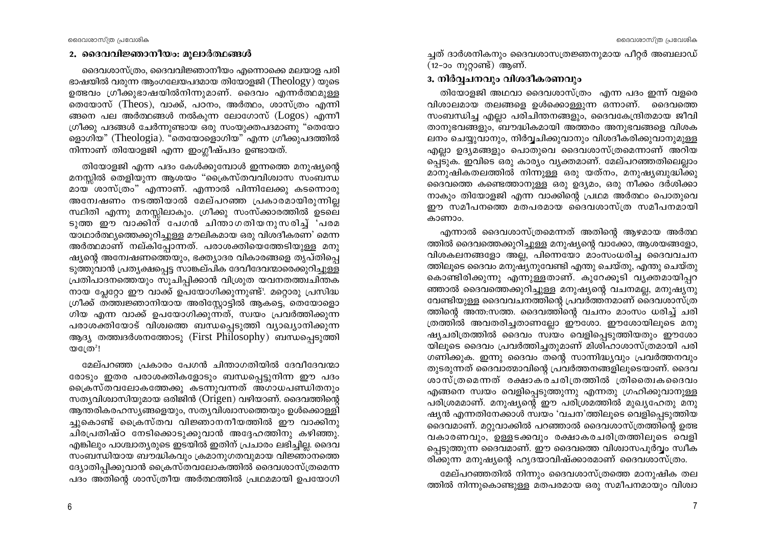### 2. ദൈവവിജ്ഞാനീയം: മൂലാർത്ഥങ്ങൾ

ദൈവശാസ്ത്രം, ദൈവവിജ്ഞാനീയം എന്നൊക്കെ മലയാള പരി ഭാഷയിൽ വരുന്ന ആംഗലേയപദമായ തിയോളജി ( $Theology$ ) യുടെ ഉത്ഭവം ഗ്രീക്കുഭാഷയിൽനിന്നുമാണ്. ദൈവം എന്നർത്ഥമുള്ള തെയോസ് (Theos), വാക്ക്, പഠനം, അർത്ഥം, ശാസ്ത്രം എന്നി ങ്ങനെ പല അർത്ഥങ്ങൾ നൽകുന്ന ലോഗോസ്  $(Logos)$  എന്നീ ഗ്രീക്കു പദങ്ങൾ ചേർന്നുണ്ടായ ഒരു സംയുക്തപദമാണു "തെയോ ളൊഗിയ" (Theologia). "തെയോളൊഗിയ" എന്ന ഗ്രീക്കുപദത്തിൽ നിന്നാണ് തിയോളജി എന്ന ഇംഗ്ലീഷ്പദം ഉണ്ടായത്.

തിയോളജി എന്ന പദം കേൾക്കുമ്പോൾ ഇന്നത്തെ മനുഷ്യന്റെ മനസ്സിൽ തെളിയുന്ന ആശയം "ക്രൈസ്തവവിശ്വാസ സംബന്ധ മായ ശാസ്ത്രം" എന്നാണ്. എന്നാൽ പിന്നിലേക്കു കടന്നൊരു അന്വേഷണം നടത്തിയാൽ മേല്പറഞ്ഞ പ്രകാരമായിരുന്നില്ല സ്ഥിതി എന്നു മനസ്സിലാകും. ഗ്രീക്കു സംസ്ക്കാരത്തിൽ ഉടലെ ടുത്ത ഈ വാക്കിന് പേഗൻ ചിന്താഗതിയനുസരിച്ച് 'പരമ യാഥാർത്ഥ്യത്തെക്കുറിച്ചുള്ള മൗലികമായ ഒരു വിശദീകരണ' മെന്ന അർത്ഥമാണ് നല്കിപ്പോന്നത്. പരാശക്തിയെത്തേടിയുള്ള മനു ഷ്യന്റെ അന്വേഷണത്തെയും, ഭക്ത്യാദര വികാരങ്ങളെ തൃപ്തിപ്പെ ടുത്തുവാൻ പ്രത്യക്ഷപ്പെട്ട സാങ്കല്പിക ദേവീദേവന്മാരെക്കുറിച്ചുള്ള പ്രതിപാദനത്തെയും സൂചിപ്പിക്കാൻ വിശ്രുത യവനതത്ത്വചിന്തക നായ പ്ലേറ്റോ ഈ വാക്ക് ഉപയോഗിക്കുന്നുണ്ട്'. മറ്റൊരു പ്രസിദ്ധ ഗ്രീക്ക് ത്ത്ത്വജ്ഞാനിയായ അരിസ്റ്റോട്ടിൽ ആകട്ടെ, തെയോളൊ ഗിയ എന്ന വാക്ക് ഉപയോഗിക്കുന്നത്, സ്വയം പ്രവർത്തിക്കുന്ന പരാശക്തിയോട് വിശ്വത്തെ ബന്ധപ്പെടുത്തി വ്യാഖ്യാനിക്കുന്ന ആദ്യ തത്ത്വദർശനത്തോടു (First Philosophy) ബന്ധപ്പെടുത്തി  $Q^n$ ( $Q^n$ )

മേല്പറഞ്ഞ പ്രകാരം പേഗൻ ചിന്താഗതിയിൽ ദേവീദേവന്മാ രോടും ഇതര പരാശക്തികളോടും ബന്ധപ്പെട്ടുനിന്ന ഈ പദം ക്രൈസ്തവലോകത്തേക്കു കടന്നുവന്നത് അഗാധപണ്ഡിതനും സത്യവിശ്വാസിയുമായ ഒരിജിൻ (Origen) വഴിയാണ്. ദൈവത്തിന്റെ ആന്തരികരഹസ്യങ്ങളെയും, സത്യവിശ്വാസത്തെയും ഉൾക്കൊള്ളി ച്ചുകൊണ്ട് ക്രൈസ്തവ വിജ്ഞാനനീയത്തിൽ ഈ വാക്കിനു ചിരപ്രതിഷ്ഠ നേടിക്കൊടുക്കുവാൻ അദ്ദേഹത്തിനു കഴിഞ്ഞു. എങ്കിലും പാശ്ചാതൃരുടെ ഇടയിൽ ഇതിന് പ്രചാരം ലഭിച്ചില്ല. ദൈവ സംബന്ധിയായ ബൗദ്ധികവും ക്രമാനുഗതവുമായ വിജ്ഞാനത്തെ ദ്യോതിപ്പിക്കുവാൻ ക്രൈസ്തവലോകത്തിൽ ദൈവശാസ്ത്രമെന്ന പദം അതിന്റെ ശാസ്ത്രീയ അർത്ഥത്തിൽ പ്രഥമമായി ഉപയോഗി

ച്ചത് ദാർശനികനും ദൈവശാസത്രജ്ഞനുമായ പീറ്റർ അബലാഡ് (12-ാം നൂറ്റാണ്ട്) ആണ്.

### 3. നിർവ്വചനവും വിശദീകരണവും

തിയോളജി അഥവാ ദൈവശാസ്ത്രം എന്ന പദം ഇന്ന് വളരെ വിശാലമായ തലങ്ങളെ ഉൾക്കൊള്ളുന്ന ഒന്നാണ്. ദൈവത്തെ സംബന്ധിച്ച എല്ലാ പരിചിന്തനങ്ങളും, ദൈവകേന്ദ്രിതമായ ജീവി താനുഭവങ്ങളും, ബൗദ്ധികമായി അത്തരം അനുഭവങ്ങളെ വിശക ലനം ചെയ്യവാനും, നിർവ്വചിക്കുവാനും വിശദീകരിക്കുവാനുമുള്ള എല്ലാ ഉദ്യമങ്ങളും പൊതുവെ ദൈവശാസ്ത്രമെന്നാണ് അറിയ പ്പെടുക. ഇവിടെ ഒരു കാര്യം വ്യക്തമാണ്. മേല്പറഞ്ഞതിലെല്ലാം മാനുഷികതലത്തിൽ നിന്നുള്ള ഒരു യത്നം, മനുഷൃബുദ്ധിക്കു ദൈവത്തെ കണ്ടെത്താനുള്ള ഒരു ഉദ്യമം, ഒരു നീക്കം ദർശിക്കാ നാകും തിയോളജി എന്ന വാക്കിന്റെ പ്രഥമ അർത്ഥം പൊതുവെ ഈ സമീപനത്തെ മതപരമായ ദൈവശാസ്ത്ര സമീപനമായി കാണാം.

എന്നാൽ ദൈവശാസ്ത്രമെന്നത് അതിന്റെ ആഴമായ അർത്ഥ ത്തിൽ ദൈവത്തെക്കുറിച്ചുള്ള മനുഷ്യന്റെ വാക്കോ, ആശയങ്ങളോ, വിശകലനങ്ങളോ അല്ല, പിന്നെയോ മാംസംധരിച്ച ദൈവവചന ത്തിലൂടെ ദൈവം മനുഷ്യനുവേണ്ടി എന്തു ചെയ്തു, എന്തു ചെയ്തു കൊണ്ടിരിക്കുന്നു എന്നുള്ളതാണ്. കുറേക്കൂടി വ്യക്തമായിപ്പറ ഞ്ഞാൽ ദൈവത്തെക്കുറിച്ചുള്ള മനുഷ്യന്റെ വചനമല്ല, മനുഷ്യനു വേണ്ടിയുള്ള ദൈവവചനത്തിന്റെ പ്രവർത്തനമാണ് ദൈവശാസ്ത്ര ത്തിന്റെ അന്ത:സത്ത. ദൈവത്തിന്റെ വചനം മാംസം ധരിച്ച് ചരി ത്രത്തിൽ അവതരിച്ചതാണല്ലോ ഈശോ. ഈശോയിലൂടെ മനു ഷ്യചരിത്രത്തിൽ ദൈവം സ്വയം വെളിപ്പെടുത്തിയതും ഈശോ യിലൂടെ ദൈവം പ്രവർത്തിച്ചതുമാണ് മിശിഹാശാസ്ത്രമായി പരി ഗണിക്കുക. ഇന്നു ദൈവം തന്റെ സാന്നിദ്ധ്യവും പ്രവർത്തനവും തുടരുന്നത് ദൈവാത്മാവിന്റെ പ്രവർത്തനങ്ങളിലൂടെയാണ്. ദൈവ ശാസ്ത്രമെന്നത് രക്ഷാകരചരിത്രത്തിൽ ത്രിതൈദകദൈവം എങ്ങനെ സ്വയം വെളിപ്പെടുത്തുന്നു എന്നതു ഗ്രഹിക്കുവാനുള്ള പരിശ്രമമാണ്. മനുഷ്യന്റെ ഈ പരിശ്രമത്തിൽ മുഖ്യഹേതു മനു ഷ്യൻ എന്നതിനേക്കാൾ സ്വയം 'വചന'ത്തിലൂടെ വെളിപ്പെടുത്തിയ ദൈവമാണ്. മറ്റുവാക്കിൽ പറഞ്ഞാൽ ദൈവശാസ്ത്രത്തിന്റെ ഉത്ഭ വകാരണവും, ഉള്ളടക്കവും രക്ഷാകരചരിത്രത്തിലൂടെ രവളി പ്പെടുത്തുന്ന ദൈവമാണ്. ഈ ദൈവത്തെ വിശ്വാസപൂർവ്വം സ്വീക രിക്കുന്ന മനുഷ്യന്റെ ഹൃദയാവിഷ്ക്കാരമാണ് ദൈവശാസ്ത്രം.

മേല്പറഞ്ഞതിൽ നിന്നും ദൈവശാസ്ത്രത്തെ മാനുഷിക തല ത്തിൽ നിന്നുകൊണ്ടുള്ള മതപരമായ ഒരു സമീപനമായും വിശ്വാ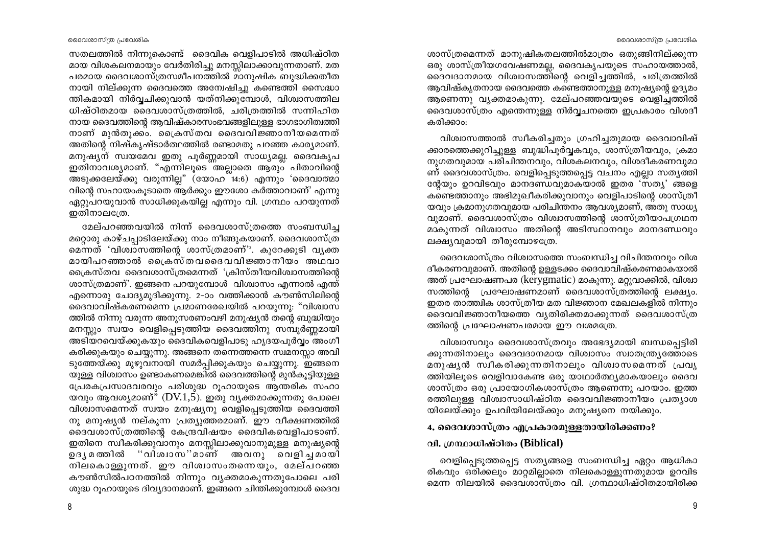ദൈവശാസ്ത്ര പ്രവേശിക

സതലത്തിൽ നിന്നുകൊണ്ട് ദൈവിക വെളിപാടിൽ അധിഷ്ഠിത മായ വിശകലനമായും വേർതിരിച്ചു മനസ്സിലാക്കാവുന്നതാണ്. മത പരമായ ദൈവശാസ്ത്രസമീപനത്തിൽ മാനുഷിക ബുദ്ധിക്കതീത നായി നില്ക്കുന്ന ദൈവത്തെ അന്വേഷിച്ചു കണ്ടെത്തി സൈദ്ധാ ന്തികമായി നിർവ്വചിക്കുവാൻ യത്നിക്കുമ്പോൾ, വിശ്വാസത്തില ധിഷ്ഠിതമായ ദൈവശാസ്ത്രത്തിൽ, ചരിത്രത്തിൽ സന്നിഹിത നായ ദൈവത്തിന്റെ ആവിഷ്കാരസംഭവങ്ങളിലുള്ള ഭാഗഭാഗിത്വത്തി നാണ് മുൻതൂക്കം. ക്രൈസ്തവ ദൈവവിജ്ഞാനീയമെന്നത് അതിന്റെ നിഷ്കൃഷ്ടാർത്ഥത്തിൽ രണ്ടാമതു പറഞ്ഞ കാര്യമാണ്. മനുഷ്യന് സ്വയമേവ ഇതു പൂർണ്ണമായി സാധ്യമല്ല. ദൈവകൃപ ഇതിനാവശ്യമാണ്. "എന്നിലൂടെ അല്ലാതെ ആരും പിതാവിന്റെ അടുക്കലേയ്ക്കു വരുന്നില്ല" (യോഹ 14:6) എന്നും 'ദൈവാത്മാ വിന്റെ സഹായംകുടാതെ ആർക്കും ഈശോ കർത്താവാണ്' എന്നു ഏറ്റുപറയുവാൻ സാധിക്കുകയില്ല എന്നും വി. ഗ്രന്ഥം പറയുന്നത് ഇതിനാലത്രേ.

മേല്പറഞ്ഞവയിൽ നിന്ന് ദൈവശാസ്ത്രത്തെ സംബന്ധിച്ച മറ്റൊരു കാഴ്ചപ്പാടിലേയ്ക്കു നാം നീങ്ങുകയാണ്. ദൈവശാസ്ത്ര മെന്നത് 'വിശ്വാസത്തിന്റെ ശാസ്ത്രമാണ്' കുറേക്കൂടി വൃക്ത മായിപറഞ്ഞാൽ ക്രൈസ്തവദൈവവിജ്ഞാനീയം അഥവാ ക്രൈസ്തവ ദൈവശാസ്ത്രമെന്നത് 'ക്രിസ്തീയവിശ്വാസത്തിന്റെ ശാസ്ത്രമാണ്'. ഇങ്ങനെ പറയുമ്പോൾ വിശ്വാസം എന്നാൽ എന്ത് എന്നൊരു ചോദ്യമുദിക്കുന്നു. 2-ാം വത്തിക്കാൻ കൗൺസിലിന്റെ ദൈവാവിഷ്കരണമെന്ന പ്രമാണരേഖയിൽ പറയുന്നു: "വിശ്വാസ ത്തിൽ നിന്നു വരുന്ന അനുസരണംവഴി മനുഷ്യൻ തന്റെ ബുദ്ധിയും മനസ്സും സ്വയം വെളിപ്പെടുത്തിയ ദൈവത്തിനു സമ്പൂർണ്ണമായി അടിയറവെയ്ക്കുകയും ദൈവികവെളിപാടു ഹൃദയപൂർവ്വം അംഗീ കരിക്കുകയും ചെയ്യുന്നു. അങ്ങനെ തന്നെത്തന്നെ സ്വമനസ്സാ അവി ടുത്തേയ്ക്കു മുഴുവനായി സമർപ്പിക്കുകയും ചെയ്യുന്നു. ഇങ്ങനെ യുള്ള വിശ്വാസം ഉണ്ടാകണമെങ്കിൽ ദൈവത്തിന്റെ മുൻകുട്ടിയുള്ള പ്രേരകപ്രസാദവരവും പരിശുദ്ധ റൂഹായുടെ ആന്തരിക സഹാ യവും ആവശ്യമാണ്" (DV.1,5). ഇതു വ്യക്തമാക്കുന്നതു പോലെ വിശ്വാസമെന്നത് സ്വയം മനുഷ്യനു വെളിപ്പെടുത്തിയ ദൈവത്തി നു മനുഷ്യൻ നല്കുന്ന പ്രത്യുത്തരമാണ്. ഈ വീക്ഷണത്തിൽ ദൈവശാസ്ത്രത്തിന്റെ കേന്ദ്രവിഷയം ദൈവികവെളിപാടാണ്. ഇതിനെ സ്ഥീകരിക്കുവാനും മനസ്സിലാക്കുവാനുമുള്ള മനുഷ്യന്റെ ഉദൃമത്തിൽ ''വിശ്വാസ''മാണ് അവനു വെളിച്ചമായി നിലകൊള്ളുന്നത്. ഈ വിശ്വാസംതന്നെയും, മേല്പറഞ്ഞ കൗൺസിൽപഠനത്തിൽ നിന്നും വ്യക്തമാകുന്നതുപോലെ പരി ശുദ്ധ റൂഹായുടെ ദിവൃദാനമാണ്. ഇങ്ങനെ ചിന്തിക്കുമ്പോൾ ദൈവ

ശാസ്ത്രമെന്നത് മാനുഷികതലത്തിൽമാത്രം ഒതുങ്ങിനില്ക്കുന്ന ഒരു ശാസ്ത്രീയഗവേഷണമല്ല, ദൈവകൃപയുടെ സഹായത്താൽ, ദൈവദാനമായ വിശ്വാസത്തിന്റെ വെളിച്ചത്തിൽ, ചരിത്രത്തിൽ ആവിഷ്കൃതനായ ദൈവത്തെ കണ്ടെത്താനുള്ള മനുഷ്യന്റെ ഉദ്യമം ആണെന്നു വൃക്തമാകുന്നു. മേല്പറഞ്ഞവയുടെ വെളിച്ചത്തിൽ ദൈവശാസ്ത്രം എന്തെന്നുള്ള നിർവ്വചനത്തെ ഇപ്രകാരം വിശദീ കരിക്കാം:

വിശ്വാസത്താൽ സ്വീകരിച്ചതും ഗ്രഹിച്ചതുമായ ദൈവാവിഷ് ക്കാരത്തെക്കുറിച്ചുള്ള ബുദ്ധിപൂർവ്വകവും, ശാസ്ത്രീയവും, ക്രമാ നുഗതവുമായ പരിചിന്തനവും, വിശകലനവും, വിശദീകരണവുമാ ണ് ദൈവശാസ്ത്രം. വെളിപ്പെടുത്തപ്പെട്ട വചനം എല്ലാ സത്യത്തി ന്റേയും ഉറവിടവും മാനദണ്ഡവുമാകയാൽ ഇതര 'സത്യ' ങ്ങളെ കണ്ടെത്താനും അഭിമുഖീകരിക്കുവാനും വെളിപാടിന്റെ ശാസ്ത്രീ യവും ക്രമാനുഗതവുമായ പരിചിന്തനം ആവശ്യമാണ്, അതു സാധ്യ വുമാണ്. ദൈവശാസ്ത്രം വിശ്വാസത്തിന്റെ ശാസ്ത്രീയാപഗ്രഥന മാകുന്നത് വിശ്വാസം അതിന്റെ അടിസ്ഥാനവും മാനദണ്ഡവും ലക്ഷ്യവുമായി തീരുമ്പോഴത്രേ.

ദൈവശാസ്ത്രം വിശ്വാസത്തെ സംബന്ധിച്ച വിചിന്തനവും വിശ ദീകരണവുമാണ്. അതിന്റെ ഉള്ളടക്കം ദൈവാവിഷ്കരണമാകയാൽ അത് പ്രഘോഷണപര (kerygmatic) മാകുന്നു. മറ്റുവാക്കിൽ, വിശ്വാ സത്തിന്റെ പ്രഘോഷണമാണ് ദൈവശാസ്ത്രത്തിന്റെ ലക്ഷ്യം. ഇതര താത്ത്വിക ശാസ്ത്രീയ മത വിജ്ഞാന മേഖലകളിൽ നിന്നും ദൈവവിജ്ഞാനീയത്തെ വൃതിരിക്തമാക്കുന്നത് ദൈവശാസ്ത്ര ത്തിന്റെ പ്രഘോഷണപരമായ ഈ വശമത്രേ.

വിശ്വാസവും ദൈവശാസ്ത്രവും അഭേദ്യമായി ബന്ധപ്പെട്ടിരി ക്കുന്നതിനാലും ദൈവദാനമായ വിശ്വാസം സ്വാതന്ത്ര്യത്തോടെ മനുഷൃൻ സ്വീകരിക്കുന്നതിനാലും വിശ്വാസമെന്നത് പ്രവൃ ത്തിയിലൂടെ വെളിവാകേണ്ട ഒരു യാഥാർത്ഥ്യമാകയാലും ദൈവ ശാസ്ത്രം ഒരു പ്രായോഗികശാസ്ത്രം ആണെന്നു പറയാം. ഇത്ത രത്തിലുള്ള വിശ്വാസാധിഷ്ഠിത ദൈവവിജ്ഞാനീയം പ്രത്യാശ യിലേയ്ക്കും ഉപവിയിലേയ്ക്കും മനുഷ്യനെ നയിക്കും.

# 4, ദൈവശാസ്ത്രം എപ്രകാരമുള്ളതായിരിക്കണം?

# വി. ഗ്രന്ഥാധിഷ്ഠിതം (Biblical)

വെളിപ്പെടുത്തപ്പെട്ട സത്യങ്ങളെ സംബന്ധിച്ച ഏറ്റം ആധികാ രികവും ഒരിക്കലും മാറ്റമില്ലാതെ നിലകൊള്ളുന്നതുമായ ഉറവിട മെന്ന നിലയിൽ ദൈവശാസ്ത്രം വി. ഗ്രന്ഥാധിഷ്ഠിതമായിരിക്ക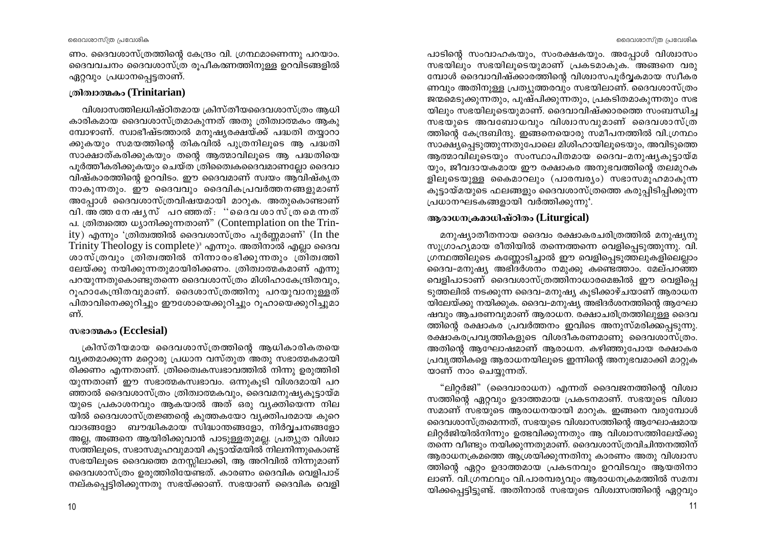ദൈവശാസ്ത്ര പ്രവേശിക

ണം. ദൈവശാസ്ത്രത്തിന്റെ കേന്ദ്രം വി. ഗ്രന്ഥമാണെന്നു പറയാം. ദൈവവചനം ദൈവശാസ്ത്ര രുപീകത്നത്തിനുള്ള ഉറവിടങ്ങളിൽ ഏറ്റവും പ്രധാനപ്പെട്ടതാണ്.

### ത്രിത്വാത്മകം (Trinitarian)

വിശ്വാസത്തിലധിഷ്ഠിതമായ ക്രിസ്തീയദൈവശാസ്ത്രം ആധി കാരികമായ ദൈവശാസ്ത്രമാകുന്നത് അതു ത്രിത്വാത്മകം ആകു മ്പോഴാണ്. സ്വാഭീഷ്ടത്താൽ മനുഷ്യരക്ഷയ്ക്ക് പദ്ധതി തയ്യാറാ ക്കുകയും സമയത്തിന്റെ തികവിൽ പുത്രനിലൂടെ ആ പദ്ധതി സാക്ഷാത്കരിക്കുകയും തന്റെ ആത്മാവിലൂടെ ആ പദ്ധതിയെ പുർത്തീകരിക്കുകയും ചെയ്ത ത്രിതൈഥക്കെദവമാണല്ലോ ദൈവാ വിഷ്കാരത്തിന്റെ ഉറവിടം. ഈ ദൈവമാണ് സ്വയം ആവിഷ്കൃത നാകുന്നതും. ഈ ദൈവവും ദൈവികപ്രവർത്തനങ്ങളുമാണ് അപ്പോൾ ദൈവശാസ്ത്രവിഷയമായി മാറുക. അതുകൊണ്ടാണ് വി.അത്തനേഷൃസ് പറഞ്ഞത്: ''ദൈവ ശാസ്ത്രമെന്നത് പ. ത്രിത്വത്തെ ധ്യാനിക്കുന്നതാണ്" (Contemplation on the Trin- $\mathbf{i}(y)$  എന്നും 'ത്രിത്വത്തിൽ ദൈവശാസ്ത്രം പൂർണ്ണമാണ്' (In the Trinity Theology is complete)<sup>3</sup> എന്നും. അതിനാൽ എല്ലാ ദൈവ ശാസ്ത്രവും ത്രിത്വത്തിൽ നിന്നാരംഭിക്കുന്നതും ത്രിത്വത്തി ലേയ്ക്കു നയിക്കുന്നതുമായിരിക്കണം. ത്രിത്വാത്മകമാണ് എന്നു പറയുന്നതുകൊണ്ടുതന്നെ ദൈവശാസ്ത്രം മിശിഹാകേന്ദ്രിതവും, റൂഹാകേന്ദ്രിതവുമാണ്. ദൈശാസ്ത്രത്തിനു പറയുവാനുള്ളത് പിതാവിനെക്കുറിച്ചും ഈശോയെക്കുറിച്ചും റുഹായെക്കുറിച്ചുമാ ണ്.

# mesomes (Ecclesial)

ക്രിസ്തീയമായ ദൈവശാസ്ത്രത്തിന്റെ ആധികാരികതയെ വ്യക്തമാക്കുന്ന മറ്റൊരു പ്രധാന വസ്തുത അതു സഭാത്മകമായി രിക്കണം എന്നതാണ്. ത്രിതൈകസ്വഭാവത്തിൽ നിന്നു ഉരുത്തിരി യുന്നതാണ് ഈ സഭാത്മകസ്വഭാവം. ഒന്നുകൂടി വിശദമായി പറ ഞ്ഞാൽ ദൈവശാസ്ത്രം ത്രിത്വാത്മകവും, ദൈവമനുഷ്യകൂട്ടായ്മ യുടെ പ്രകാശനവും ആകയാൽ അത് ഒരു വ്യക്തിയെന്ന നില യിൽ ദൈവശാസ്ത്രജ്ഞന്റെ കുത്തകയോ വ്യക്തിപരമായ കുറെ വാദങ്ങളോ ബൗദ്ധികമായ സിദ്ധാന്തങ്ങളോ, നിർവ്വചനങ്ങളോ അല്ല, അങ്ങനെ ആയിരിക്കുവാൻ പാടുള്ളതുമല്ല. പ്രത്യുത വിശ്വാ സത്തിലൂടെ, സഭാസമൂഹവുമായി കൂട്ടായ്മയിൽ നിലനിന്നുകൊണ്ട് സഭയിലൂടെ ദൈവത്തെ മനസ്സിലാക്കി, ആ അറിവിൽ നിന്നുമാണ് ദൈവശാസ്ത്രം ഉരുത്തിരിയേണ്ടത്. കാരണം ദൈവിക വെളിപാട് നല്കപ്പെട്ടിരിക്കുന്നതു സഭയ്ക്കാണ്. സഭയാണ് ദൈവിക വെളി പാടിന്റെ സംവാഹകയും, സംരക്ഷകയും. അപ്പോൾ വിശ്വാസം സഭയിലും സഭയിലുടെയുമാണ് പ്രകടമാകുക. അങ്ങനെ വരു മ്പോൾ ദൈവാവിഷ്ക്കാരത്തിന്റെ വിശ്വാസപൂർവ്വകമായ സ്വീകര ണവും അതിനുള്ള പ്രത്യുത്തരവും സഭയിലാണ്. ദൈവശാസ്ത്രം ജന്മമെടുക്കുന്നതും, പുഷ്പിക്കുന്നതും, പ്രകടിതമാകുന്നതും സഭ യിലും സഭയിലൂടെയുമാണ്. ദൈവാവിഷ്ക്കാരത്തെ സംബന്ധിച്ച സഭയുടെ അവബോധവും വിശ്വാസവുമാണ് ദൈവശാസ്ത്ര ത്തിന്റെ കേന്ദ്രബിന്ദു. ഇങ്ങനെയൊരു സമീപനത്തിൽ വി.ഗ്രന്ഥം സാക്ഷ്യപ്പെടുത്തുന്നതുപോലെ മിശിഹായിലൂടെയും, അവിടുത്തെ ആത്മാവിലുടെയും സംസ്ഥാപിതമായ ദൈവ-മനുഷ്യകൂട്ടായ്മ യും, ജീവദായകമായ ഈ രക്ഷാകര അനുഭവത്തിന്റെ തലമുറക ളിലൂടെയുള്ള കൈമാറലും (പാരമ്പര്യം) സഭാസമൂഹമാകുന്ന കുട്ടായ്മയുടെ ഫലങ്ങളും ദൈവശാസ്ത്രത്തെ കരുപ്പിടിപ്പിക്കുന്ന പ്രധാനഘടകങ്ങളായി വർത്തിക്കുന്നു<sup>4</sup>.

### ആരാധനക്രമാധിഷ്ഠിതം (Liturgical)

മനുഷ്യാതീതനായ ദൈവം രക്ഷാകരചരിത്രത്തിൽ മനുഷ്യനു സുഗ്രാഹ്യമായ രീതിയിൽ തന്നെത്തന്നെ വെളിപ്പെടുത്തുന്നു. വി. ഗ്രന്ഥത്തിലുടെ കണ്ണോടിച്ചാൽ ഈ വെളിപ്പെടുത്തലുകളിലെല്ലാം ദൈവ–മനുഷ്യ അഭിദർശനം നമുക്കു കണ്ടെത്താം. മേല്പറഞ്ഞ വെളിപാടാണ് ദൈവശാസ്ത്രത്തിനാധാരമെങ്കിൽ ഈ വെളിപ്പെ ടുത്തലിൽ നടക്കുന്ന ദൈവ-മനുഷ്യ കൂടിക്കാഴ്ചയാണ് ആരാധന യിലേയ്ക്കു നയിക്കുക. ദൈവ–മനുഷ്യ അഭിദർശനത്തിന്റെ ആഘോ ഷവും ആചരണവുമാണ് ആരാധന. രക്ഷാചരിത്രത്തിലുള്ള ദൈവ ത്തിന്റെ രക്ഷാകര പ്രവർത്തനം ഇവിടെ അനുസ്മരിക്കപ്പെടുന്നു. രക്ഷാകരപ്രവൃത്തികളുടെ വിശദീകരണമാണു ദൈവശാസ്ത്രം. അതിന്റെ ആഘോഷമാണ് ആരാധന. കഴിഞ്ഞുപോയ രക്ഷാകര പ്രവൃത്തികളെ ആരാധനയിലൂടെ ഇന്നിന്റെ അനുഭവമാക്കി മാറ്റുക യാണ് നാം ചെയ്യന്നത്.

"ലിറ്റർജി" (ദൈവാരാധന) എന്നത് ദൈവജനത്തിന്റെ വിശ്വാ സത്തിന്റെ ഏറ്റവും ഉദാത്തമായ പ്രകടനമാണ്. സഭയുടെ വിശ്വാ സമാണ് സഭയുടെ ആരാധനയായി മാറുക. ഇങ്ങനെ വരുമ്പോൾ ദൈവശാസ്ത്രമെന്നത്, സഭയുടെ വിശ്വാസത്തിന്റെ ആഘോഷമായ ലിറ്റർജിയിൽനിന്നും ഉത്ഭവിക്കുന്നതും ആ വിശ്വാസത്തിലേയ്ക്കു തന്നെ വീണ്ടും നയിക്കുന്നതുമാണ്. ദൈവശാസ്ത്രവിചിന്തനത്തിന് ആരാധനക്രമത്തെ ആശ്രയിക്കുന്നതിനു കാരണം അതു വിശ്വാസ ത്തിന്റെ ഏറ്റം ഉദാത്തമായ പ്രകടനവും ഉറവിടവും ആയതിനാ ലാണ്. വി.ഗ്രന്ഥവും വി.പാരമ്പര്യവും ആരാധനക്രമത്തിൽ സമന്വ യിക്കപ്പെട്ടിട്ടുണ്ട്. അതിനാൽ സഭയുടെ വിശ്വാസത്തിന്റെ ഏറ്റവും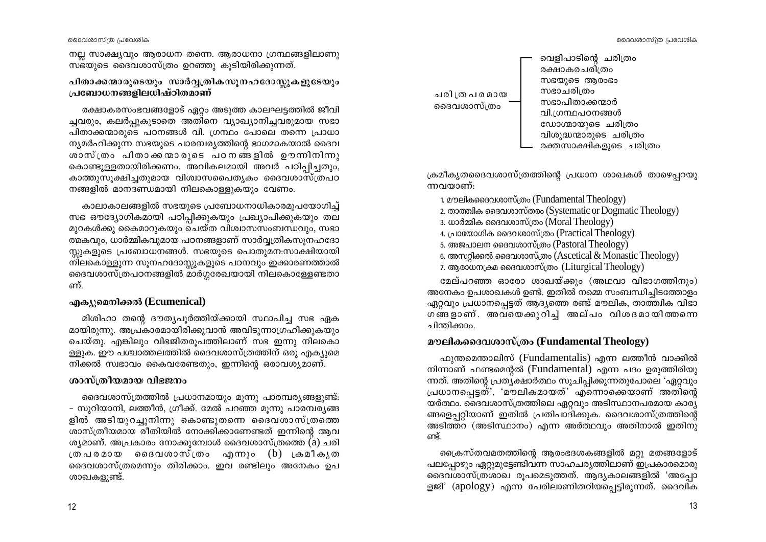നല്ല സാക്ഷ്യവും ആരാധന തന്നെ. ആരാധനാ ഗ്രന്ഥങ്ങളിലാണു സ്ഭയുടെ ദൈവശാസ്ത്രം ഉറഞ്ഞു കുടിയിരിക്കുന്നത്.

### പിതാക്കന്മാരുടെയും സാർവ്വത്രികസൂനഹദോസ്സുകളുടേയും പ്രബോധനങ്ങളിലധിഷ്ഠിതമാണ്

രക്ഷാകരസംഭവങ്ങളോട് ഏറ്റം അടുത്ത കാലഘട്ടത്തിൽ ജീവി ച്ചവരും, കലർപ്പുകൂടാതെ അതിനെ വ്യാഖ്യാനിച്ചവരുമായ സഭാ പിതാക്കന്മാരുടെ പഠനങ്ങൾ വി. ഗ്രന്ഥം പോലെ തന്നെ പ്രാധാ ന്യമർഹിക്കുന്ന സഭയുടെ പാരമ്പര്യത്തിന്റെ ഭാഗമാകയാൽ ദൈവ ശാസ്ത്രം പിതാക്കന്മാരുടെ പഠനങ്ങളിൽ ഊന്നിനിന്നു കൊണ്ടുള്ളതായിരിക്കണം. അവികലമായി അവർ പഠിപ്പിച്ചതും, കാത്തുസൂക്ഷിച്ചതുമായ വിശ്വാസപൈതൃകം ദൈവശാസ്ത്രപഠ നങ്ങളിൽ മാനദണ്ഡമായി നിലകൊള്ളുകയും വേണം.

കാലാകാലങ്ങളിൽ സഭയുടെ പ്രബോധനാധികാരമുപയോഗിച്ച് സഭ ഔദ്യോഗികമായി പഠിപ്പിക്കുകയും പ്രഖ്യാപിക്കുകയും തല മുറകൾക്കു കൈമാറുകയും ചെയ്ത വിശ്വാസസംബന്ധവും, സഭാ ത്മകവും, ധാർമ്മികവുമായ പഠനങ്ങളാണ് സാർവ്വത്രികസൂനഹദോ സ്റ്റുകളുടെ പ്രബോധനങ്ങൾ. സഭയുടെ പൊതുമന:സാക്ഷിയായി നിലകൊള്ളുന്ന സൂനഹദോസ്സുകളുടെ പഠനവും ഇക്കാരണത്താൽ ദൈവശാസ്ത്രപഠനങ്ങളിൽ മാർഗ്ഗരേഖയായി നിലകൊള്ളേണ്ടതാ ണ്.

# എക്യുമെനിക്കൽ (Ecumenical)

മിശിഹാ തന്റെ ദൗത്യപൂർത്തിയ്ക്കായി സ്ഥാപിച്ച സഭ ഏക മായിരുന്നു. അപ്രകാരമായിരിക്കുവാൻ അവിടുന്നാഗ്രഹിക്കുകയും ചെയ്തു. എങ്കിലും വിഭജിതരുപത്തിലാണ് സഭ ഇന്നു നിലകൊ ള്ളുക. ഈ പശ്ചാത്തലത്തിൽ ദൈവശാസ്ത്രത്തിന് ഒരു എക്യുമെ നിക്കൽ സ്വഭാവം കൈവരേണ്ടതും, ഇന്നിന്റെ ഒരാവശ്യമാണ്.

# ശാസ്ത്രീയമായ വിഭജനം

ദൈവശാസ്ത്രത്തിൽ പ്രധാനമായും മൂന്നു പാരമ്പര്യങ്ങളുണ്ട്: - സുറിയാനി, ലത്തീൻ, ഗ്രീക്ക്. മേൽ പറഞ്ഞ മൂന്നു പാരമ്പര്യങ്ങ ളിൽ അടിയുറച്ചുനിന്നു കൊണ്ടുതന്നെ ദൈവശാസ്ത്രത്തെ ശാസ്ത്രീയമായ രീതിയിൽ നോക്കിക്കാണേണ്ടത് ഇന്നിന്റെ ആവ ശ്യമാണ്. അപ്രകാരം നോക്കുമ്പോൾ ദൈവശാസ്ത്രത്തെ  $\tilde{a}$ ) ചരി ത്രപരമായ ദൈവശാസ്ത്രം എന്നും (b) ക്രമീകൃത ദൈവശാസ്ത്രമെന്നും തിരിക്കാം. ഇവ രണ്ടിലും അനേകം ഉപ ശാഖകളുണ്ട്.



ക്രമീകൃതദൈവശാസ്ത്രത്തിന്റെ പ്രധാന ശാഖകൾ താഴെപ്പറയു ന്നവയാണ്:

- 1. മൗലികദൈവശാസ്ത്രം (Fundamental Theology)
- 2. താത്തിക ദൈവശാസ്തരം (Systematic or Dogmatic Theology)
- 3. ധാർമ്മിക ദൈവശാസ്ത്രം (Moral Theology)
- 4. പ്രായോഗിക ദൈവശാസ്ത്രം (Practical Theology)
- 5. അജപാലന ദൈവശാസ്ത്രം (Pastoral Theology)
- 6. അസറ്റിക്കൽ ദൈവശാസ്ത്രം (Ascetical & Monastic Theology)
- 7. ആരാധനക്രമ ദൈവശാസ്ത്രം (Liturgical Theology)

മേല്പറഞ്ഞ ഓരോ ശാഖയ്ക്കും (അഥവാ വിഭാഗത്തിനും) അനേകം ഉപശാഖകൾ ഉണ്ട്. ഇതിൽ നമ്മെ സംബന്ധിച്ചിടത്തോളം ഏറ്റവും പ്രധാനപ്പെട്ടത് ആദ്യത്തെ രണ്ട് മൗലിക, താത്ത്വിക വിഭാ ഗങ്ങളാണ്. അവയെക്കുറിച്ച് അല്പം വിശദമായിത്തന്നെ ചിന്തിക്കാം.

# മൗലികദൈവശാസ്ത്രം (Fundamental Theology)

ഫുന്തമെന്താലിസ് (Fundamentalis) എന്ന ലത്തീൻ വാക്കിൽ നിന്നാണ് ഫണ്ടമെന്റൽ (Fundamental) എന്ന പദം ഉരുത്തിരിയു ന്നത്. അതിന്റെ പ്രത്യക്ഷാർത്ഥം സുചിപ്പിക്കുന്നതുപോലെ 'ഏറ്റവും പ്രധാനപ്പെട്ടത്', 'മൗലികമായത്' എന്നൊക്കെയാണ് അതിന്റെ യർത്ഥം. ദൈവശാസ്ത്രത്തിലെ ഏറ്റവും അടിസ്ഥാനപരമായ കാര്യ ങ്ങളെപ്പറ്റിയാണ് ഇതിൽ പ്രതിപാദിക്കുക. ദൈവശാസ്ത്രത്തിന്റെ അടിത്തറ (അടിസ്ഥാനം) എന്ന അർത്ഥവും അതിനാൽ ഇതിനു ണ്ട്.

പ്രൈസ്തവമതത്തിന്റെ ആരംഭദശകങ്ങളിൽ മറ്റു മതങ്ങളോട് പലപ്പോഴും ഏറ്റുമുട്ടേണ്ടിവന്ന സാഹചര്യത്തിലാണ് ഇപ്രകാരമൊരു ദൈവശാസ്ത്രശാഖ രൂപമെടുത്തത്. ആദൃകാലങ്ങളിൽ 'അപ്പോ ളജി' (apology) എന്ന പേരിലാണിതറിയപ്പെട്ടിരുന്നത്. ദൈവിക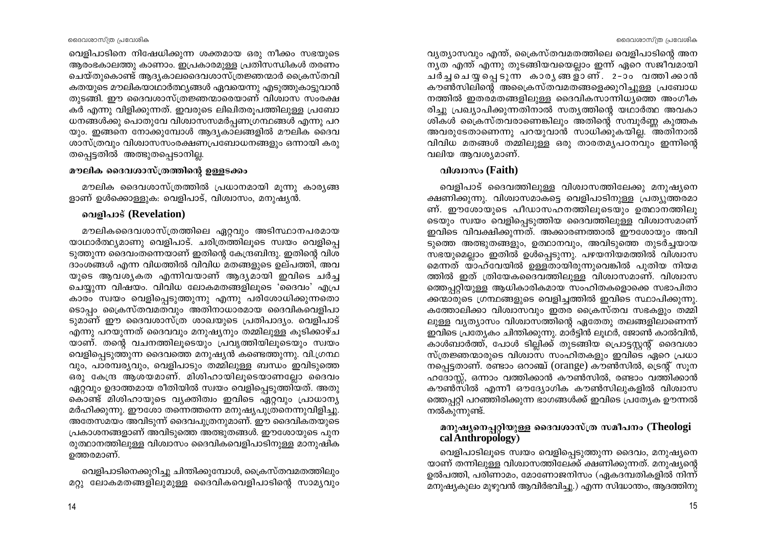വെളിപാടിനെ നിഷേധിക്കുന്ന ശക്തമായ ഒരു നീക്കം സഭയുടെ ആരംഭകാലത്തു കാണാം. ഇപ്രകാരമുള്ള പ്രതിസന്ധികൾ തരണം ചെയ്തുകൊണ്ട് ആദ്യകാലദൈവശാസ്ത്രജ്ഞന്മാർ ക്രൈസ്തവി കതയുടെ മൗലികയാഥാർത്ഥ്യങ്ങൾ ഏവയെന്നു എടുത്തുകാട്ടുവാൻ തുടങ്ങി. ഈ ദൈവശാസ്ത്രജ്ഞന്മാരെയാണ് വിശ്വാസ സംരക്ഷ കർ എന്നു വിളിക്കുന്നത്. ഇവരുടെ ലിഖിതരുപത്തിലുള്ള പ്രബോ ധനങ്ങൾക്കു പൊതുവേ വിശ്വാസസമർപ്പണഗ്രന്ഥങ്ങൾ എന്നു പറ യും. ഇങ്ങനെ നോക്കുമ്പോൾ ആദ്യകാലങ്ങളിൽ മൗലിക ദൈവ ശാസ്ത്രവും വിശ്വാസസംരക്ഷണപ്രബോധനങ്ങളും ഒന്നായി കരു തപെട്ടതിൽ അത്ഭുതപ്പെടാനില്ല.

### മൗലിക ദൈവശാസ്ത്രത്തിന്റെ ഉള്ളടക്കം

മൗലിക ദൈവശാസ്ത്രത്തിൽ പ്രധാനമായി മൂന്നു കാര്യങ്ങ ളാണ് ഉൾക്കൊള്ളുക: വെളിപാട്, വിശ്വാസം, മനുഷ്യൻ.

## വെളിപാട് (Revelation)

മൗലികദൈവശാസ്ത്രത്തിലെ ഏറ്റവും അടിസ്ഥാനപരമായ യാഥാർത്ഥ്യമാണു വെളിപാട്. ചരിത്രത്തിലുടെ സ്വയം വെളിപ്പെ ടുത്തുന്ന ദൈവംതന്നെയാണ് ഇതിന്റെ കേന്ദ്രബിന്ദു. ഇതിന്റെ വിശ ദാംശങ്ങൾ എന്ന വിധത്തിൽ വിവിധ മതങ്ങളുടെ ഉല്പത്തി, അവ യുടെ ആവശ്യകത എന്നിവയാണ് ആദ്യമായി ഇവിടെ ചർച്ച ചെയ്യുന്ന വിഷയം. വിവിധ ലോകമതങ്ങളിലൂടെ 'ദൈവം' എപ്ര കാരം സ്വയം വെളിപ്പെടുത്തുന്നു എന്നു പരിശോധിക്കുന്നതൊ ടൊപ്പം ക്രൈസ്തവമതവും അതിനാധാരമായ ദൈവികവെളിപാ ടുമാണ് ഈ ദൈവശാസ്ത്ര ശാഖയുടെ പ്രതിപാദ്യം. വെളിപാട് എന്നു പറയുന്നത് ദൈവവും മനുഷ്യനും തമ്മിലുള്ള കുടിക്കാഴ്ച യാണ്. തന്റെ വചനത്തിലൂടെയും പ്രവൃത്തിയിലൂടെയും സ്വയം വെളിപ്പെടുത്തുന്ന ദൈവത്തെ മനുഷ്യൻ കണ്ടെത്തുന്നു. വി.ഗ്രന്ഥ വും, പാരമ്പര്യവും, വെളിപാടും തമ്മിലുള്ള ബന്ധം ഇവിടുത്തെ ഒരു കേന്ദ്ര ആശയമാണ്. മിശിഹായിലൂടെയാണല്ലോ ദൈവം ഏറ്റവും ഉദാത്തമായ രീതിയിൽ സ്വയം വെളിപ്പെടുത്തിയത്. അതു കൊണ്ട് മിശിഹായുടെ വ്യക്തിത്വം ഇവിടെ ഏറ്റവും പ്രാധാന്യ മർഹിക്കുന്നു. ഈശോ തന്നെത്തന്നെ മനുഷ്യപുത്രനെന്നുവിളിച്ചു. അതേസമയം അവിടുന്ന് ദൈവപുത്രനുമാണ്. ഈ ദൈവികതയുടെ പ്രകാശനങ്ങളാണ് അവിടുത്തെ അത്ഭുതങ്ങൾ. ഈശോയുടെ പുന രുത്ഥാനത്തിലുള്ള വിശ്വാസം ദൈവികവെളിപാടിനുള്ള മാനുഷിക ഉത്തരമാണ്.

വെളിപാടിനെക്കുറിച്ചു ചിന്തിക്കുമ്പോൾ, ക്രൈസ്തവമതത്തിലും മറ്റു ലോകമതങ്ങളിലുമുള്ള ദൈവികവെളിപാടിന്റെ സാമൃവും

#### ദൈവശാസ്ത്ര പ്രവേശിക

വ്യത്യാസവും എന്ത്, ക്രൈസ്തവമതത്തിലെ വെളിപാടിന്റെ അന നൃത എന്ത് എന്നു തുടങ്ങിയവയെല്ലാം ഇന്ന് ഏറെ സജീവമായി ചർച്ച ചെയ്യ പ്പെടുന്ന കാരൃ ങ്ങള്ാണ്. 2-ാം വത്തിക്കാൻ കൗൺസിലിന്റെ അപ്രൈസ്തവമതങ്ങളെക്കുറിച്ചുള്ള പ്രബോധ നത്തിൽ ഇതരമതങ്ങളിലുള്ള ദൈവികസാന്നിധ്യത്തെ അംഗീക രിച്ചു പ്രഖ്യാപിക്കുന്നതിനാൽ സത്യത്തിന്റെ യഥാർത്ഥ അവകാ ശികൾ ക്രൈസ്തവരാണെങ്കിലും അതിന്റെ സമ്പൂർണ്ണ കുത്തക അവരുടേതാണെന്നു പറയുവാൻ സാധിക്കുകയില്ല. അതിനാൽ വിവിധ മതങ്ങൾ തമ്മിലുള്ള ഒരു താരതമ്യപഠനവും ഇന്നിന്റെ വലിയ ആവശ്യമാണ്.

# ด<sub>1</sub>000 (Faith)

വെളിപാട് ദൈവത്തിലുള്ള വിശ്വാസത്തിലേക്കു മനുഷ്യനെ ക്ഷണിക്കുന്നു. വിശ്വാസമാകട്ടെ വെളിപാടിനുള്ള പ്രത്യുത്തരമാ ണ്. ഈശോയുടെ പീഡാസഹനത്തിലുടെയും ഉത്ഥാനത്തിലു ടെയും സ്വയം വെളിപ്പെടുത്തിയ ദൈവത്തിലുള്ള വിശ്വാസമാണ് ഇവിടെ വിവക്ഷിക്കുന്നത്. അക്കാരണത്താൽ ഈശോയും അവി ടുത്തെ അത്ഭുതങ്ങളും, ഉത്ഥാനവും, അവിടുത്തെ തുടർച്ചയായ സഭയുമെല്ലാം ഇതിൽ ഉൾപ്പെടുന്നു. പഴയനിയമത്തിൽ വിശ്വാസ മെന്നത് യാഹ്വേയിൽ ഉള്ളതായിരുന്നുവെങ്കിൽ പുതിയ നിയമ ത്തിൽ ഇത് ത്രിയേകദൈവത്തിലുള്ള വിശ്വാസമാണ്. വിശ്വാസ ത്തെപ്പറ്റിയുള്ള ആധികാരികമായ സംഹിതകളൊക്കെ സഭാപിതാ ക്കന്മാരുടെ ഗ്രന്ഥങ്ങളുടെ വെളിച്ചത്തിൽ ഇവിടെ സ്ഥാപിക്കുന്നു. കത്തോലിക്കാ വിശ്വാസവും ഇതര ക്രൈസ്തവ സഭകളും തമ്മി ലുള്ള വ്യത്യാസം വിശ്വാസത്തിന്റെ ഏതേതു തലങ്ങളിലാണെന്ന് ഇവിടെ പ്രത്യേകം ചിന്തിക്കുന്നു. മാർട്ടിൻ ലൂഥർ, ജോൺ കാൽവിൻ, കാൾബാർത്ത്, പോൾ ടില്ലിക്ക് തുടങ്ങിയ പ്രൊട്ടസ്റ്റന്റ് ദൈവശാ സ്ത്രജ്ഞന്മാരുടെ വിശ്വാസ സംഹിതകളും ഇവിടെ ഏറെ പ്രധാ നപ്പെട്ടതാണ്. രണ്ടാം ഒറാഞ്ച് (orange) കൗൺസിൽ, ട്രെന്റ് സൂന ഹദോസ്സ്, ഒന്നാം വത്തിക്കാൻ കൗൺസിൽ, രണ്ടാം വത്തിക്കാൻ കൗൺസിൽ എന്നീ ഔദ്യോഗിക കൗൺസിലുകളിൽ വിശ്വാസ ത്തെപ്പറ്റി പറഞ്ഞിരിക്കുന്ന ഭാഗങ്ങൾക്ക് ഇവിടെ പ്രത്യേക ഊന്നൽ നൽകുന്നുണ്ട്.

# \_മനുഷ്യനെപ്പറ്റിയുള്ള ദൈവശാസ്ത്ര സമീപനം (Theologi cal Anthropology)

വെളിപാടിലൂടെ സ്വയം വെളിപ്പെടുത്തുന്ന ദൈവം, മനുഷ്യനെ യാണ് തന്നിലുള്ള വിശ്വാസത്തിലേക്ക് ക്ഷണിക്കുന്നത്. മനുഷ്യന്റെ ഉൽപത്തി, പരിണാമം, മോണോജനിസം (ഏകദമ്പതികളിൽ നിന്ന് മനുഷ്യകുലം മുഴുവൻ ആവിർഭവിച്ചു.) എന്ന സിദ്ധാന്തം, ആദത്തിനു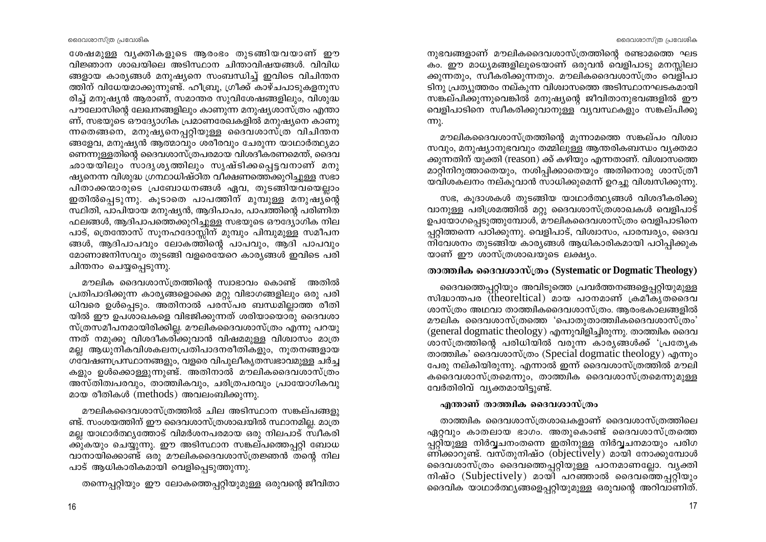നുഭവങ്ങളാണ് മൗലികദൈവശാസ്ത്രത്തിന്റെ രണ്ടാമത്തെ ഘട കം. ഈ മാധ്യമങ്ങളിലൂടെയാണ് ഒരുവൻ വെളിപാടു മനസ്സിലാ ക്കുന്നതും, സ്വീകരിക്കുന്നതും. മൗലികദൈവശാസ്ത്രം വെളിപാ ടിനു പ്രത്യുത്തരം നല്കുന്ന വിശ്വാസത്തെ അടിസ്ഥാനഘടകമായി സങ്കല്പിക്കുന്നുവെങ്കിൽ മനുഷ്യന്റെ ജീവിതാനുഭവങ്ങളിൽ ഈ . വെളിപാടിനെ സ്വീകരിക്കുവാനുള്ള<sup>്</sup>വൃവസ്ഥകളും സങ്കല്പിക്കു  $mp<sub>2</sub>$ .

മൗലികദൈവശാസ്ത്രത്തിന്റെ മുന്നാമത്തെ സങ്കല്പം വിശ്വാ സവും, മനുഷ്യാനുഭവവും തമ്മിലുള്ള ആന്തരികബന്ധം വ്യക്തമാ ക്കുന്നതിന് യുക്തി (reason) ക്ക് കഴിയും എന്നതാണ്. വിശ്വാസത്തെ മാറ്റിനിറുത്താതെയും, നശിപ്പിക്കാതെയും അതിനൊരു ശാസ്ത്രീ യവിശകലനം നല്കുവാൻ സാധിക്കുമെന്ന് ഉറച്ചു വിശ്വസിക്കുന്നു.

സഭ, കൂദാശകൾ തുടങ്ങിയ യാഥാർത്ഥ്യങ്ങൾ വിശദീകരിക്കു വാനുള്ള പരിശ്രമത്തിൽ മറ്റു ദൈവശാസ്ത്രശാഖകൾ വെളിപാട് ഉപയോഗപ്പെടുത്തുമ്പോൾ, മൗലികദൈവശാസ്ത്രം വെളിപാടിനെ പ്പറ്റിത്തന്നെ പഠിക്കുന്നു. വെളിപാട്, വിശ്വാസം, പാരമ്പര്യം, ദൈവ നിവേശനം തുടങ്ങിയ കാര്യങ്ങൾ ആധികാരികമായി പഠിപ്പിക്കുക യാണ് ഈ ശാസ്ത്രശാഖയുടെ ലക്ഷ്യം.

# താത്ത്വിക ദൈവശാസ്ത്രം (Systematic or Dogmatic Theology)

ദൈവത്തെപ്പറ്റിയും അവിടുത്തെ പ്രവർത്തനങ്ങളെപ്പറ്റിയുമുള്ള സിദ്ധാന്തപര (theoreltical) മായ പഠനമാണ് ക്രമീക്യതദൈവ ശാസ്ത്രം അഥവാ താത്തികദൈവശാസ്ത്രം. ആരംഭകാലങ്ങളിൽ മൗലിക ദൈവശാസ്ത്രത്തെ 'പൊതുതാത്ത്വികദൈവശാസ്ത്രം' (general dogmatic theology) എന്നുവിളിച്ചിരുന്നു. താത്ത്വിക ദൈവ ശാസ്ത്രത്തിന്റെ പരിധിയിൽ വരുന്ന കാര്യങ്ങൾക്ക് 'പ്രത്യേക താത്തിക' ദൈവശാസ്ത്രം (Special dogmatic theology) എന്നും പേരു നല്കിയിരുന്നു. എന്നാൽ ഇന്ന് ദൈവശാസ്ത്രത്തിൽ മൗലി കദൈവശാസ്ത്രമെന്നും, താത്ത്വിക ദൈവശാസ്ത്രമെന്നുമുള്ള വേർതിരിവ് വ്യക്തമായിട്ടുണ്ട്.

# എന്താണ് താത്ത്വിക ദൈവശാസ്ത്രം

താത്ത്വിക ദൈവശാസ്ത്രശാഖകളാണ് ദൈവശാസ്ത്രത്തിലെ ഏറ്റവും കാതലായ ഭാഗം. അതുകൊണ്ട് ദൈവശാസ്ത്രത്തെ പ്പറ്റിയുള്ള നിർവ്വചനംതന്നെ ഇതിനുള്ള നിർവ്വചനമായും പരിഗ ണിക്കാറുണ്ട്. വസ്തുനിഷ്ഠ (objectively) മായി നോക്കുമ്പോൾ ദൈവശാസ്ത്രം ദൈവത്തെപ്പറ്റിയുള്ള പഠനമാണല്ലോ. വ്യക്തി നിഷ്ഠ (Subjectively) മായി പറഞ്ഞാൽ ദൈവത്തെപ്പറ്റിയും ദൈവിക യാഥാർത്ഥ്യങ്ങളെപ്പറ്റിയുമുള്ള ഒരുവന്റെ അറിവാണിത്.

ശേഷമുള്ള വൃക്തികളുടെ ആരംഭം തുടങ്ങിയവയാണ് ഈ വിജ്ഞാന ശാഖയിലെ അടിസ്ഥാന ചിന്താവിഷയങ്ങൾ. വിവിധ ങ്ങളായ കാര്യങ്ങൾ മനുഷ്യനെ സംബന്ധിച്ച് ഇവിടെ വിചിന്തന ത്തിന് വിധേയമാക്കുന്നുണ്ട്. ഹീബ്രു, ഗ്രീക്ക് കാഴ്ചപാടുകളനുസ രിച്ച് മനുഷ്യൻ ആരാണ്, സമാന്തര സുവിശേഷങ്ങളിലും, വിശുദ്ധ പൗലോസിന്റെ ലേഖനങ്ങളിലും കാണുന്ന മനുഷ്യശാസ്ത്രം എന്താ ണ്, സഭയുടെ ഔദ്യോഗിക പ്രമാണരേഖകളിൽ മനുഷ്യനെ കാണു ന്നതെങ്ങനെ, മനുഷ്യനെപ്പറ്റിയുള്ള ദൈവശാസ്ത്ര വിചിന്തന ങ്ങളേവ, മനുഷ്യൻ ആത്മാവും ശരീരവും ചേരുന്ന യാഥാർത്ഥ്യമാ ണെന്നുള്ളതിന്റെ ദൈവശാസ്ത്രപരമായ വിശദീകരണമെന്ത്, ദൈവ ഛായയിലും സാദൂശൃത്തിലും സൃഷ്ടിക്കപ്പെട്ടവനാണ് മനു ഷ്യനെന്ന വിശുദ്ധ ഗ്രന്ഥാധിഷ്ഠിത വീക്ഷണത്തെക്കുറിച്ചുള്ള സഭാ പിതാക്കന്മാരുടെ പ്രബോധനങ്ങൾ ഏവ, തുടങ്ങിയവയെല്ലാം ഇതിൽപ്പെടുന്നു. കൂടാതെ പാപത്തിന് മുമ്പുള്ള മനുഷ്യ്ന്റെ സ്ഥിതി, പാപിയായ മനുഷ്യൻ, ആദിപാപം, പാപത്തിന്റെ പരിണിത ഫലങ്ങൾ, ആദിപാപത്തെക്കുറിച്ചുള്ള സഭയുടെ ഔദ്യോഗിക നില പാട്, ത്രെത്തോസ് സൂനഹദോസ്സിന് മുമ്പും പിമ്പുമുള്ള സമീപന ങ്ങൾ, ആദിപാപവും ലോകത്തിന്റെ പാപവും, ആദി പാപവും മോണാജനിസവും തുടങ്ങി വളരെയേറെ കാര്യങ്ങൾ ഇവിടെ പരി ചിന്തനം ചെയ്യപ്പെടുന്നു.

മൗലിക ദൈവശാസ്ത്രത്തിന്റെ സ്വാഭാവം കൊണ്ട് അതിൽ പ്രതിപാദിക്കുന്ന കാര്യങ്ങളൊക്കെ മറ്റു വിഭാഗങ്ങളിലും ഒരു പരി ധിവരെ ഉൾപ്പെടും. അതിനാൽ പരസ്പര ബന്ധമില്ലാത്ത രീതി യിൽ ഈ ഉപശാഖകളെ വിഭജിക്കുന്നത് ശരിയായൊരു ദൈവശാ സ്ത്രസമീപനമായിരിക്കില്ല. മൗലികദൈവശാസ്ത്രം എന്നു പറയു ന്നത് നമുക്കു വിശദീകരിക്കുവാൻ വിഷമമുള്ള വിശ്വാസം മാത്ര മല്ല ആധുനികവിശകലനപ്രതിപാദനരീതികളും, നൂതനങ്ങളായ ഗവേഷണപ്രസ്ഥാനങ്ങളും, വളരെ വിപുലീകൃതസ്വഭാവമുള്ള ചർച്ച കളും ഉൾക്കൊള്ളുന്നുണ്ട്. അതിനാൽ മൗലികദൈവശാസ്ത്രം അസ്തിത്വപരവും, താത്ത്വികവും, ചരിത്രപരവും പ്രായോഗികവു മായ രീതികൾ (methods) അവലംബിക്കുന്നു.

മൗലികദൈവശാസ്ത്രത്തിൽ ചില അടിസ്ഥാന സങ്കല്പങ്ങളു ണ്ട്. സംശയത്തിന് ഈ ദൈവശാസ്ത്രശാഖയിൽ സ്ഥാനമില്ല. മാത്ര മല്ല യാഥാർത്ഥ്യത്തോട് വിമർശനപരമായ ഒരു നിലപാട് സ്വീകരി ക്കുകയും ചെയ്യുന്നു. ഈ അടിസ്ഥാന സങ്കല്പത്തെപ്പറ്റി ബോധ വാനായിക്കൊണ്ട് ഒരു മൗലികദൈവശാസ്ത്രജ്ഞൻ തന്റെ നില പാട് ആധികാരികമായി വെളിപ്പെടുത്തുന്നു.

തന്നെപ്പറ്റിയും ഈ ലോകത്തെപ്പറ്റിയുമുള്ള ഒരുവന്റെ ജീവിതാ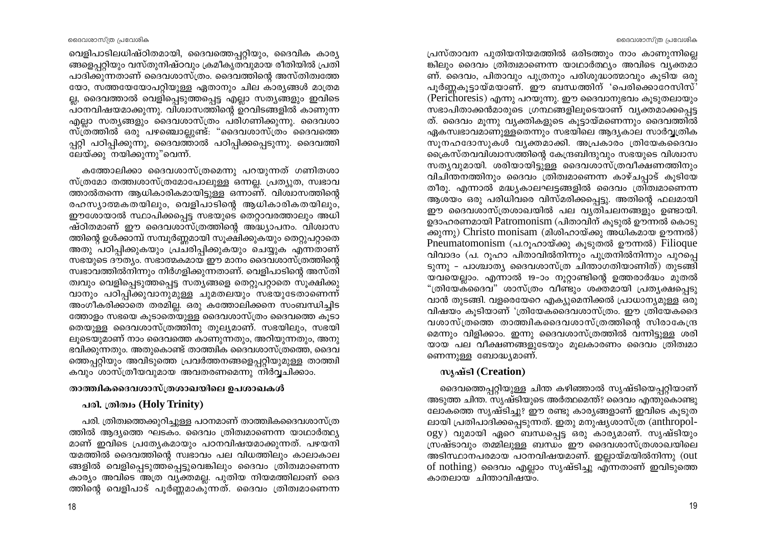പ്രസ്താവന പുതിയനിയമത്തിൽ ഒരിടത്തും നാം കാണുന്നില്ലെ ങ്കിലും ദൈവം ത്രിത്വമാണെന്ന യാഥാർത്ഥ്യം അവിടെ വ്യക്തമാ ണ്. ദൈവം, പിതാവും പൂത്രനും പരിശുദ്ധാത്മാവും കൂടിയ ഒരു പൂർണ്ണകൂട്ടായ്മയാണ്. ഈ ബന്ധത്തിന് 'പെരിക്കൊറേസിസ്' (Perichoresis) എന്നു പറയുന്നു. ഈ ദൈവാനുഭവം കൂടുതലായും സഭാപിതാക്കൻമാരുടെ ഗ്രന്ഥങ്ങളിലുടെയാണ് വ്യക്തമാക്കപ്പെട്ട ത്. ദൈവം മൂന്നു വ്യക്തികളുടെ കൂട്ടായ്മണെന്നും ദൈവത്തിൽ ഏകസ്വഭാവമാണുള്ളതെന്നും സഭയിലെ ആദ്യകാല സാർവ്വത്രിക സുനഹദോസുകൾ വ്യക്തമാക്കി. അപ്രകാരം ത്രിയേകദൈവം ക്രൈസ്തവവിശ്വാസത്തിന്റെ കേന്ദ്രബിന്ദുവും സഭയുടെ വിശ്വാസ സത്യവുമായി. ശരിയായിട്ടുള്ള ദൈവശാസ്ത്രവീക്ഷണത്തിനും വിചിന്തനത്തിനും ദൈവം ത്രിത്വമാണെന്ന കാഴ്ചപ്പാട് കുടിയേ തീരു. എന്നാൽ മദ്ധ്യകാലഘട്ടങ്ങളിൽ ദൈവം ത്രിത്വമാണെന്ന ആശയം ഒരു പരിധിവരെ വിസ്മരിക്കപ്പെട്ടു. അതിന്റെ ഫലമായി ഈ ദൈവശാസ്ത്രശാഖയിൽ പല വ്യതിചലനങ്ങളും ഉണ്ടായി. ഉദാഹരണമായി Patromonism (പിതാവിന് കൂട്ടൽ ഊന്നൽ കൊട്ടു ക്കുന്നു) Christo monisam (മിശിഹായ്ക്കു അധികമായ ഊന്നൽ) Pneumatomonism (പ.റൂഹായ്ക്കു കൂടുതൽ ഊന്നൽ) Filioque വിവാദം (പ. റുഹാ പിതാവിൽനിന്നും പുത്രനിൽനിന്നും പുറപ്പെ ടുന്നു – പാശ്ചാത്യ ദൈവശാസ്ത്ര ചിന്താഗതിയാണിത്) തുടങ്ങി യവയെല്ലാം. എന്നാൽ 19-ാം നൂറ്റാണ്ടിന്റെ ഉത്തരാർദ്ധം മുതൽ "ത്രിയേക്ദൈവ" ശാസ്ത്രം വീണ്ടും ശക്തമായി പ്രത്യക്ഷപ്പെടു വാൻ തുടങ്ങി. വളരെയേറെ എക്യുമെനിക്കൽ പ്രാധാന്യമുള്ള ഒരു വിഷയം കുടിയാണ് 'ത്രിയേകദൈവശാസ്ത്രം. ഈ ത്രിയേകദൈ വശാസ്ത്രത്തെ താത്ത്വികദൈവശാസ്ത്രത്തിന്റെ സിരാകേന്ദ്ര മെന്നും വിളിക്കാം. ഇന്നു ദൈവശാസ്ത്രത്തിൽ വന്നിട്ടുള്ള ശരി യായ പല വീക്ഷണങ്ങളുടേയും മൂലകാരണം ദൈവം ത്രിത്വമാ ണെന്നുള്ള ബോദ്ധ്യമാണ്.

# m\^ay\anga (Creation)

ദൈവത്തെപ്പറ്റിയുള്ള ചിന്ത കഴിഞ്ഞാൽ സൃഷ്ടിയെപ്പറ്റിയാണ് അടുത്ത ചിന്ത. സൃഷ്ടിയുടെ അർത്ഥമെന്ത്? ദൈവം എന്തുകൊണ്ടു ലോകത്തെ സൃഷ്ടിച്ചു? ഈ രണ്ടു കാര്യങ്ങളാണ് ഇവിടെ കുടുത ലായി പ്രതിപാദിക്കപ്പെടുന്നത്. ഇതു മനുഷൃശാസ്ത്ര (anthropology) വുമായി ഏറെ ബന്ധപ്പെട്ട ഒരു കാര്യമാണ്. സൃഷ്ടിയും സ്രഷ്ടാവും തമ്മിലുള്ള ബന്ധം ഈ ദൈവശാസ്ത്രശാഖയിലെ അടിസ്ഥാനപരമായ പഠനവിഷയമാണ്. ഇല്ലായ്മയിൽനിന്നു (out of nothing) ദൈവം എല്ലാം സൃഷ്ടിച്ചു എന്നതാണ് ഇവിടുത്തെ കാതലായ ചിന്താവിഷയം.

വെളിപാടിലധിഷ്ഠിതമായി, ദൈവത്തെപ്പറ്റിയും, ദൈവിക കാര്യ ങ്ങളെപറിയും വസ്തുനിഷ്ഠവും ക്രമീകൃതവുമായ രീതിയിൽ പ്രതി പാദിക്കുന്നതാണ് ദൈവശാസ്ത്രം. ദൈവത്തിന്റെ അസ്തിത്വത്തേ യോ, സത്തയേയോപറ്റിയുള്ള ഏതാനും ചില കാര്യങ്ങൾ മാത്രമ ല്ല, ദൈവത്താൽ വെളിപ്പെടുത്തപ്പെട്ട എല്ലാ സത്യങ്ങളും ഇവിടെ പഠനവിഷയമാക്കുന്നു. വിശ്വാസത്തിന്റെ ഉറവിടങ്ങളിൽ കാണുന്ന എല്ലാ സത്യങ്ങളും ദൈവശാസ്ത്രം പരിഗണിക്കുന്നു. ദൈവശാ സ്ത്രത്തിൽ ഒരു പഴഞ്ചൊല്ലുണ്ട്: "ദൈവശാസ്ത്രം ദൈവത്തെ പ്പറ്റി പഠിപ്പിക്കുന്നു, ദൈവത്താൽ പഠിപ്പിക്കപ്പെടുന്നു. ദൈവത്തി ലേയ്ക്കു നയിക്കുന്നു"വെന്ന്.

കത്തോലിക്കാ ദൈവശാസ്ത്രമെന്നു പറയുന്നത് ഗണിതശാ സ്ത്രമോ തത്ത്വശാസ്ത്രമോപോലുള്ള ഒന്നല്ല. പ്രത്യുത, സ്വഭാവ ത്താൽതന്നെ ആധികാരികമായിട്ടുള്ള ഒന്നാണ്. വിശ്വാസത്തിന്റെ രഹസ്യാത്മകതയിലും, വെളിപാടിന്റെ ആധികാരികതയിലും, ഈശോയാൽ സ്ഥാപിക്കപ്പെട്ട സഭയുടെ തെറ്റാവരത്താലും അധി ഷ്ഠിതമാണ് ഈ ദൈവശാസ്ത്രത്തിന്റെ അദ്ധ്യാപനം. വിശ്വാസ ത്തിന്റെ ഉൾക്കാമ്പ് സമ്പൂർണ്ണമായി സൂക്ഷിക്കുകയും തെറ്റുപറ്റാതെ അതു പഠിപ്പിക്കുകയും പ്രചരിപ്പിക്കുകയും ചെയ്യുക എന്നതാണ് സഭയുടെ ദൗത്യം. സഭാത്മകമായ ഈ മാനം ദൈവശാസ്ത്രത്തിന്റെ സ്വഭാവത്തിൽനിന്നും നിർഗളിക്കുന്നതാണ്. വെളിപാടിന്റെ അസ്തി ത്വവും വെളിപ്പെടുത്തപ്പെട്ട സത്യങ്ങളെ തെറ്റുപറ്റാതെ സുക്ഷിക്കു വാനും പഠിപ്പിക്കുവാനുമുള്ള ചുമതലയും സഭയുടേതാണെന്ന് അംഗീകരിക്കാതെ തരമില്ല. ഒരു കത്തോലിക്കനെ സംബന്ധിച്ചിട ത്തോളം സഭയെ കൂടാതെയുള്ള ദൈവശാസ്ത്രം ദൈവത്തെ കൂടാ തെയുള്ള ദൈവശാസ്ത്രത്തിനു തുല്യമാണ്. സഭയിലും, സഭയി ലുടെയുമാണ് നാം ദൈവത്തെ കാണുന്നതും, അറിയുന്നതും, അനു ഭവിക്കുന്നതും. അതുകൊണ്ട് താത്തിക ദൈവശാസ്ത്രത്തെ, ദൈവ ത്തെപ്പറ്റിയും അവിടുത്തെ പ്രവർത്തനങ്ങളെപ്പറ്റിയുമുള്ള താത്ത്വി കവും ശാസ്ത്രീയവുമായ അവതരണമെന്നു നിർവ്വചിക്കാം.

# താത്ത്വികദൈവശാസ്ത്രശാഖയിലെ ഉപശാഖകൾ

# പരി. ത്രിത്വം (Holy Trinity)

പരി. ത്രിത്വത്തെക്കുറിച്ചുള്ള പഠനമാണ് താത്തികദൈവശാസ്ത്ര ത്തിൽ ആദ്യത്തെ ഘടകം. ദൈവം ത്രിത്വമാണെന്ന യാഥാർത്ഥ്യ മാണ് ഇവിടെ പ്രത്യേകമായും പഠനവിഷയമാക്കുന്നത്. പഴയനി യമത്തിൽ ദൈവത്തിന്റെ സ്വഭാവം പല വിധത്തിലും കാലാകാല ങ്ങളിൽ വെളിപ്പെടുത്തപ്പെട്ടുവെങ്കിലും ദൈവം ത്രിത്വമാണെന്ന കാര്യം അവിടെ അത്ര വ്യക്തമല്ല. പുതിയ നിയമത്തിലാണ് ദൈ ത്തിന്റെ വെളിപാട് പൂർണ്ണമാകുന്നത്. ദൈവം ത്രിത്വമാണെന്ന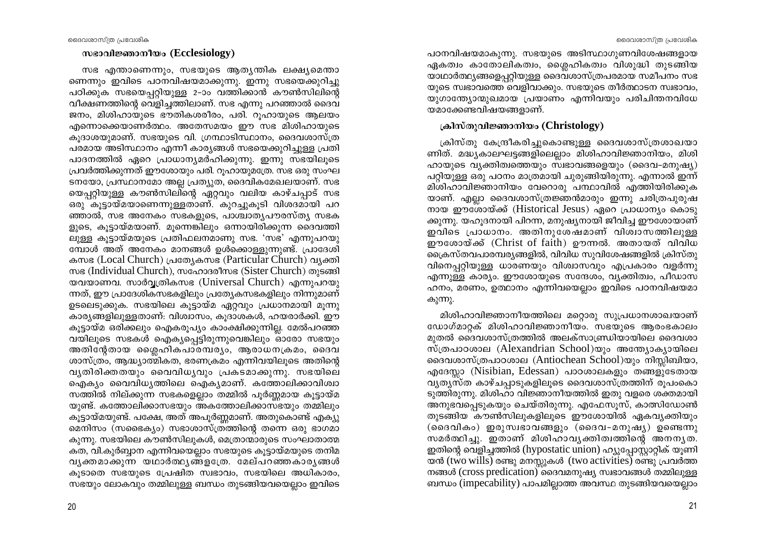### സഭാവിജ്ഞാനീയം (Ecclesiology)

സഭ എന്താണെന്നും, സഭയുടെ ആതൃന്തിക ലക്ഷ്യമെന്താ ണെന്നും ഇവിടെ പഠനവിഷയമാക്കുന്നു. ഇന്നു സഭയെക്കുറിച്ചു പഠിക്കുക സഭയെപ്പറ്റിയുള്ള 2-ാം വത്തിക്കാൻ കൗൺസിലിന്റെ വീക്ഷണത്തിന്റെ വെളിച്ചത്തിലാണ്. സഭ എന്നു പറഞ്ഞാൽ ദൈവ ജനം, മിശിഹായുടെ ഭൗതികശരീരം, പരി. റുഹായുടെ ആലയം എന്നൊക്കെയാണർത്ഥം. അതേസമയം ഈ സഭ മിശിഹായുടെ കുദാശയുമാണ്. സഭയുടെ വി. ഗ്രന്ഥാടിസ്ഥാനം, ദൈവശാസ്ത്ര പരമായ അടിസ്ഥാനം എന്നീ കാര്യങ്ങൾ സഭയെക്കുറിച്ചുള്ള പ്രതി പാദനത്തിൽ ഏറെ പ്രാധാന്യമർഹിക്കുന്നു. ഇന്നു സഭയിലൂടെ പ്രവർത്തിക്കുന്നത് ഈശോയും പരി. റൂഹായുമത്രേ. സഭ ഒരു സംഘ ടനയോ, പ്രസ്ഥാനമോ അല്ല പ്രത്യുത, ദൈവികമേഖലയാണ്. സഭ യെപ്പറ്റിയുള്ള കൗൺസിലിന്റെ ഏറ്റവും വലിയ കാഴ്ചപ്പാട് സഭ ഒരു കൂട്ടായ്മയാണെന്നുള്ളതാണ്. കുറച്ചുകൂടി വിശദമായി പറ ഞ്ഞാൽ, സഭ അനേകം സഭകളുടെ, പാശ്ചാതൃപൗരസ്ത്യ സഭക ളുടെ, കൂട്ടായ്മയാണ്. മുന്നെങ്കിലും ഒന്നായിരിക്കുന്ന ദൈവത്തി ലുള്ള കൂട്ടായ്മയുടെ പ്രതിഫലനമാണു സഭ. 'സഭ' എന്നുപറയു മ്പോൾ അത് അനേകം മാനങ്ങൾ ഉൾക്കൊള്ളുന്നുണ്ട്. പ്രാദേശി കസഭ (Local Church) പ്രത്യേകസഭ (Particular Church) വ്യക്തി സഭ (Individual Church), സഹോദരീസഭ (Sister Church) തുടങ്ങി യവയാണവ. സാർവ്വത്രികസഭ (Universal Church) എന്നുപറയു ന്നത്, ഈ പ്രാദേശികസഭകളിലും പ്രത്യേകസഭകളിലും നിന്നുമാണ് ഉടലെടുക്കുക. സഭയിലെ കുട്ടായ്മ ഏറ്റവും പ്രധാനമായി മുന്നു കാര്യങ്ങളിലുള്ളതാണ്: വിശ്വാസം, കൂദാശകൾ, ഹയരാർക്കി. ഈ കൂട്ടായ്മ ഒരിക്കലും ഐകരൂപ്യം കാംക്ഷിക്കുന്നില്ല. മേൽപറഞ്ഞ വയിലൂടെ സഭകൾ ഐക്യപ്പെട്ടിരുന്നുവെങ്കിലും ഓരോ സഭയും അതിന്റേതായ ശ്ലൈഹികപാരമ്പര്യം, ആരാധനക്രമം, ദൈവ ശാസ്ത്രം, ആദ്ധ്യാത്മികത, ഭരണക്രമം എന്നിവയിലൂടെ അതിന്റെ വൃതിരിക്തതയും വൈവിധൃവും പ്രകടമാക്കുന്നു. സഭയിലെ ഐക്യം വൈവിധ്യത്തിലെ ഐക്യമാണ്. കത്തോലിക്കാവിശ്വാ സത്തിൽ നില്ക്കുന്ന സഭകളെല്ലാം തമ്മിൽ പൂർണ്ണമായ കൂട്ടായ്മ യുണ്ട്. കത്തോലിക്കാസഭയും അകത്തോലിക്കാസഭയും തമ്മിലും കുട്ടായ്മയുണ്ട്. പക്ഷേ, അത് അപൂർണ്ണമാണ്. അതുകൊണ്ട് എക്യു മെനിസം (സഭൈക്യം) സഭാശാസ്ത്രത്തിന്റെ തന്നെ ഒരു ഭാഗമാ കുന്നു. സഭയിലെ കൗൺസിലുകൾ, മെത്രാന്മാരുടെ സംഘാതാത്മ കത, വി.കൂർബ്ബാന എന്നിവയെല്ലാം സഭയുടെ കൂട്ടായ്മയുടെ തനിമ വൃക്തമാക്കുന്ന യഥാർത്ഥൃങ്ങളത്രേ. മേല്പറഞ്ഞകാരൃങ്ങൾ കുടാതെ സഭയുടെ പ്രേഷിത സ്വഭാവം, സഭയിലെ അധികാരം, സഭയും ലോകവും തമ്മിലുള്ള ബന്ധം തുടങ്ങിയവയെല്ലാം ഇവിടെ

പഠനവിഷയമാകുന്നു. സഭയുടെ അടിസ്ഥാഗുണവിശേഷങ്ങളായ ഏകത്വം കാതോലികത്വം, ശ്രൈഹികത്വം വിശുദ്ധി തുടങ്ങിയ യാഥാർത്ഥ്യങ്ങളെപ്പറ്റിയുള്ള ദൈവശാസ്ത്രപരമായ സമീപനം സഭ യുടെ സ്വഭാവത്തെ വെളിവാക്കും. സഭയുടെ തീർത്ഥാടന സ്വഭാവം, യുഗാത്ത്യോന്മൂഖമായ പ്രയാണം എന്നിവയും പരിചിന്തനവിധേ യമാക്കേണ്ടവിഷയങ്ങളാണ്.

### ക്രിസ്തുവിജ്ഞാനിയം (Christology)

ക്രിസ്തു കേന്ദ്രീകരിച്ചുകൊണ്ടുള്ള ദൈവശാസ്ത്രശാഖയാ ണിത്. മദ്ധ്യകാലഘട്ടങ്ങളിലെല്ലാം മിശിഹാവിജ്ഞാനിയം, മിശി ഹായുടെ വ്യക്തിത്വത്തെയും സ്വഭാവങ്ങളെയും (ദൈവ-മനുഷ്യ) പറ്റിയുള്ള ഒരു പഠനം മാത്രമായി ചുരുങ്ങിയിരുന്നു. എന്നാൽ ഇന്ന് മിശിഹാവിജ്ഞാനിയം വേറൊരു പന്ഥാവിൽ എത്തിയിരിക്കുക യാണ്. എല്ലാ ദൈവശാസ്ത്രജ്ഞൻമാരും ഇന്നു ചരിത്രപുരുഷ നായ ഈശോയ്ക്ക് (Historical Jesus) ഏറെ പ്രാധാന്യം കൊടു ക്കുന്നു. യഹൂദനായി പിറന്ന, മനുഷ്യനായി ജീവിച്ച ഈശോയാണ് ഇവിടെ പ്രാധാനം. അതിനുശേഷമാണ് വിശ്വാസത്തിലുള്ള ഈശോയ്ക്ക് (Christ of faith) ഊന്നൽ. അതായത് വിവിധ ക്രൈസ്തവപാരമ്പര്യങ്ങളിൽ, വിവിധ സുവിശേഷങ്ങളിൽ ക്രിസ്തു വിനെപ്പറ്റിയുള്ള ധാരണയും വിശ്വാസവും എപ്രകാരം വളർന്നു എന്നുള്ള കാര്യം. ഈശോയുടെ സന്ദേശം, വ്യക്തിത്വം, പീഡാസ ഹനം, മരണം, ഉത്ഥാനം എന്നിവയെല്ലാം ഇവിടെ പഠനവിഷയമാ കുന്നു.

്മിശിഹാവിജ്ഞാനീയത്തിലെ മറ്റൊരു സുപ്രധാനശാഖയാണ് ഡോഗ്മാറ്റക് മിശിഹാവിജ്ഞാനീയം. സഭയുടെ ആരംഭകാലം മുതൽ ദൈവശാസ്ത്രത്തിൽ അലക്സാണ്ഡ്രിയായിലെ ദൈവശാ സ്ത്രപാഠശാല (Alexandrian School)യും അന്ത്യോക്യായിലെ ദൈവശാസ്ത്രപാഠശാല (Antiochean School)യും നിസ്സിബിയാ, എദേസ്സാ (Nisibian, Edessan) പാഠശാലകളും തങ്ങളുടേതായ വൃത്യസ്ത കാഴ്ചപ്പാടുകളിലൂടെ ദൈവശാസ്ത്രത്തിന് രൂപംകൊ ടുത്തിരുന്നു. മിശിഹാ വിജ്ഞാനീയത്തിൽ ഇതു വളരെ ശക്തമായി അനുഭവപ്പെടുകയും ചെയ്തിരുന്നു. എഫേസൂസ്, കാത്സിഡോൺ തുടങ്ങിയ കൗൺസിലുകളിലൂടെ ഈശോയിൽ ഏകവ്യക്തിയും (ദൈവികം) ഇരുസ്വഭാവങ്ങളും (ദൈവ-മനുഷ്യ) ഉണ്ടെന്നു സമർത്ഥിച്ചു. ഇതാണ് മിശിഹാവൃക്തിത്വത്തിന്റെ അനനൃത. ഇതിന്റെ വെളിച്ചത്തിൽ (hypostatic union) ഹ്യൂപ്പോസ്റ്റാറ്റിക് യൂണി യൻ (two wills) രണ്ടു മനസ്സുകൾ (two activities) രണ്ടു പ്രവർത്ത നങ്ങൾ (cross predication) ദൈവമനുഷ്യ സ്വഭാവങ്ങൾ തമ്മിലുള്ള ബന്ധം (impecability) പാപമില്ലാത്ത അവസ്ഥ തുടങ്ങിയവയെല്ലാം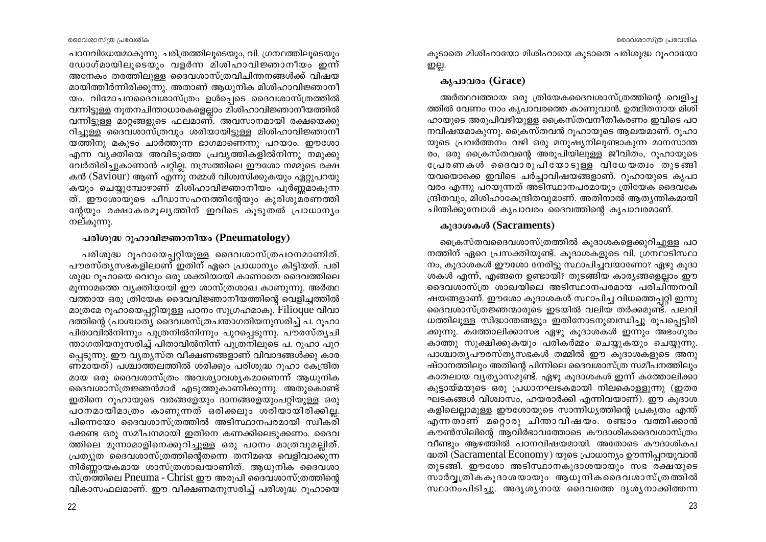പഠനവിധേയമാകുന്നു. ചരിത്രത്തിലൂടെയും, വി. ഗ്രന്ഥത്തിലൂടെയും ഡോഗ്മായിലൂടെയും വളർന്ന മിശിഹാവിജ്ഞാനീയം ഇന്ന് അനേകം തരത്തിലുള്ള ദൈവശാസ്ത്രവിചിന്തനങ്ങൾക്ക് വിഷയ മായിത്തീർന്നിരിക്കുന്നു. അതാണ് ആധുനിക മിശിഹാവിജ്ഞാനീ യം. വിമോചനദൈവശാസ്ത്രം ഉൾപ്പെടെ ദൈവശാസ്ത്രത്തിൽ വന്നിട്ടുള്ള നൂതനചിന്താധാരകളെല്ലാം മിശിഹാവിജ്ഞാനീയത്തിൽ വന്നിട്ടുള്ള മാറ്റങ്ങളുടെ ഫലമാണ്. അവസാനമായി രക്ഷയെക്കു റിച്ചുള്ള ദൈവശാസ്ത്രവും ശരിയായിട്ടുള്ള മിശിഹാവിജ്ഞാനീ യത്തിനു മകുടം ചാർത്തുന്ന ഭാഗമാണെന്നു പറയാം. ഈശോ എന്ന വ്യക്തിയെ അവിടുത്തെ പ്രവ്യത്തികളിൽനിന്നു നമുക്കു വേർതിരിച്ചുകാണാൻ പറ്റില്ല. നസ്രത്തിലെ ഈശോ നമ്മുടെ രക്ഷ കൻ (Saviour) ആണ് എന്നു നമ്മൾ വിശ്വസിക്കുകയും ഏറ്റുപറയു കയും ചെയ്യുമ്പോഴാണ് മിശിഹാവിജ്ഞാനീയം പൂർണ്ണമാകുന്ന ത്. ഈശോയുടെ പീഡാസഹനത്തിന്റേയും കുരിശുമരണത്തി ന്റേയും രക്ഷാകരമുല്യത്തിന് ഇവിടെ കൂടുതൽ പ്രാധാന്യം നല്കുന്നു.

### പരിശുദ്ധ റൂഹാവിജ്ഞാനീയം (Pneumatology)

പരിശുദ്ധ റൂഹായെപ്പറ്റിയുള്ള ദൈവശാസ്ത്രപഠനമാണിത്. പൗരസ്തൃസഭകളിലാണ് ഇതിന് ഏറെ പ്രാധാന്യം കിട്ടിയത്. പരി ശുദ്ധ റൂഹായെ വെറും ഒരു ശക്തിയായി കാണാതെ ദൈവത്തിലെ മൂന്നാമത്തെ വ്യക്തിയായി ഈ ശാസ്ത്രശാഖ കാണുന്നു. അർത്ഥ വത്തായ ഒരു ത്രിയേക ദൈവവിജ്ഞാനീയത്തിന്റെ വെളിച്ചത്തിൽ മാത്രമേ റൂഹായെപ്പറ്റിയുള്ള പഠനം സുഗ്രഹമാകൂ. Filioque വിവാ ദത്തിന്റെ (പാശ്ചാത്യ ദൈവശസ്ത്രചന്താഗതിയനുസരിച്ച് പ. റുഹാ പിതാവിൽനിന്നും പുത്രനിൽനിന്നും പുറപ്പെടുന്നു. പൗരസ്ത്യചി ന്താഗതിയനുസരിച്ച് പിതാവിൽനിന്ന് പുത്രനിലൂടെ പ. റൂഹാ പുറ പ്പെടുന്നു. ഈ വൃതൃസ്ത വീക്ഷണങ്ങളാണ് വിവാദങ്ങൾക്കു കാര ണ്മായത്) പശ്ചാത്തലത്തിൽ ശരിക്കും പരിശുദ്ധ റൂഹാ കേന്ദ്രിത മായ ഒരു ദൈവശാസ്ത്രം അവശ്യാവശ്യകമാണെന്ന് ആധുനിക ദൈവശാസ്ത്രജ്ഞൻമാർ എടുത്തുകാണിക്കുന്നു. അതുകൊണ്ട് ഇതിനെ റൂഹായുടെ വരങ്ങളേയും ദാനങ്ങളേയുംപറ്റിയുള്ള ഒരു പഠനമായിമാത്രം കാണുന്നത് ഒരിക്കലും ശരിയായിരിക്കില്ല. പിന്നെയോ ദൈവശാസ്ത്രത്തിൽ അടിസ്ഥാനപരമായി സ്വീകരി ക്കേണ്ട ഒരു സമീപനമായി ഇതിനെ കണക്കിലെടുക്കണം. ദൈവ ത്തിലെ മൂന്നാമാളിനെക്കുറിച്ചുള്ള ഒരു പഠനം മാത്രവുമല്ലിത്. പ്രത്യുത ദൈവശാസ്ത്രത്തിന്റെതന്നെ തനിമയെ വെളിവാക്കുന്ന നിർണ്ണായകമായ ശാസ്ത്രശാഖയാണിത്. ആധുനിക ദൈവശാ സ്ത്രത്തിലെ Pneuma - Christ ഈ അരൂപി ദൈവശാസ്ത്രത്തിന്റെ വികാസഫലമാണ്. ഈ വീക്ഷണമനുസരിച്ച് പരിശുദ്ധ റുഹായെ

കുടാതെ മിശിഹായോ മിശിഹായെ കുടാതെ പരിശുദ്ധ റുഹായോ றபூ.

# കൃപാവരം (Grace)

അർത്ഥവത്തായ ഒരു ത്രിയേകദൈവശാസ്ത്രത്തിന്റെ വെളിച്ച ത്തിൽ വേണം നാം കൃപാവരത്തെ കാണുവാൻ. ഉത്ഥിതനായ മിശി ഹായുടെ അരുപിവഴിയുള്ള ക്രൈസ്തവനീതീകരണം ഇവിടെ പഠ നവിഷയമാകുന്നു. ക്രൈസ്തവൻ റൂഹായുടെ ആലയമാണ്. റൂഹാ യുടെ പ്രവർത്തനം വഴി ഒരു മനുഷ്യനിലുണ്ടാകുന്ന മാനസാന്ത രം, ഒരു ക്രൈസ്തവന്റെ അരുപിയിലുള്ള ജീവിതം, റുഹായുടെ പ്രേരണകൾ ദൈവാരൂപിയോടുള്ള വിധേയത്വം തുടങ്ങി യവയൊക്കെ ഇവിടെ ചർച്ചാവിഷയങ്ങളാണ്. റുഹായുടെ കൃപാ വരം എന്നു പറയുന്നത് അടിസ്ഥാനപരമായും ത്രിയേക ദൈവകേ ന്ദ്രിതവും, മിശിഹാകേന്ദ്രിതവുമാണ്. അതിനാൽ ആത്യന്തികമായി ചിന്തിക്കുമ്പോൾ കൃപാവരം ദൈവത്തിന്റെ കൃപാവരമാണ്.

## കുദാശകൾ (Sacraments)

ക്രൈസ്തവദൈവശാസ്ത്രത്തിൽ കുദാശകളെക്കുറിച്ചുള്ള പഠ നത്തിന് ഏറെ പ്രസക്തിയുണ്ട്. കൂദാശകളുടെ വി. ഗ്രന്ഥാടിസ്ഥാ നം, കുദാശകൾ ഈശോ നേരിട്ടു സ്ഥാപിച്ചവയാണോ? ഏഴു കുദാ ശകൾ എന്ന്, എങ്ങനെ ഉണ്ടായി? തുടങ്ങിയ കാര്യങ്ങളെല്ലാം ഈ ദൈവശാസ്ത്ര ശാഖയിലെ അടിസ്ഥാനപരമായ പരിചിന്തനവി ഷയങ്ങളാണ്. ഈശോ കുദാശകൾ സ്ഥാപിച്ച വിധത്തെപ്പറ്റി ഇന്നു ദൈവശാസ്ത്രജ്ഞന്മാരുടെ ഇടയിൽ വലിയ തർക്കമുന്നു. പലവി ധത്തിലുള്ള സിദ്ധാന്തങ്ങളും ഇതിനോടനുബന്ധിച്ചു രൂപപ്പെട്ടിരി ക്കുന്നു. കത്തോലിക്കാസഭ ഏഴു കൂദാശകൾ ഇന്നും അഭംഗുരം കാത്തു സൂക്ഷിക്കുകയും പരികർമ്മം ചെയ്യുകയും ചെയ്യുന്നു. പാശ്ചാതൃപൗരസ്തൃസഭകൾ തമ്മിൽ ഈ കുദാശകളുടെ അനു ഷ്ഠാനത്തിലും അതിന്റെ പിന്നിലെ ദൈവശാസ്ത്ര സമീപനത്തിലും കാതലായ വൃത്യാസമുണ്ട്. ഏഴു കൂദാശകൾ ഇന്ന് കത്തോലിക്കാ കുട്ടായ്മയുടെ ഒരു പ്രധാനഘടകമായി നിലകൊള്ളുന്നു (ഇതര ഘടകങ്ങൾ വിശ്വാസം, ഹയരാർക്കി എന്നിവയാണ്). ഈ കൂദാശ കളിലെല്ലാമുള്ള ഈശോയുടെ സാന്നിധ്യത്തിന്റെ പ്രകൃതം എന്ത് എന്നതാണ് മറ്റൊരു ചിന്താവിഷയം. രണ്ടാം വത്തിക്കാൻ കൗൺസിലിന്റെ ആവിർഭാവത്തോടെ കൗദാശികദൈവശാസ്ത്രം വീണ്ടും ആഴത്തിൽ പഠനവിഷയമായി. അതോടെ കൗദാശികപ ദ്ധതി (Sacramental Economy) യുടെ പ്രാധാന്യം ഊന്നിപ്പറയുവാൻ തുടങ്ങി. ഈശോ അടിസ്ഥാനകൂദാശയായും സഭ രക്ഷയുടെ സാർവ്വത്രികകൂദാശയായും ആധുനികദൈവശാസ്ത്രത്തിൽ സ്ഥാനംപിടിച്ചു. അദൃശൃനായ ദൈവത്തെ ദൃശൃനാക്കിത്തന്ന

23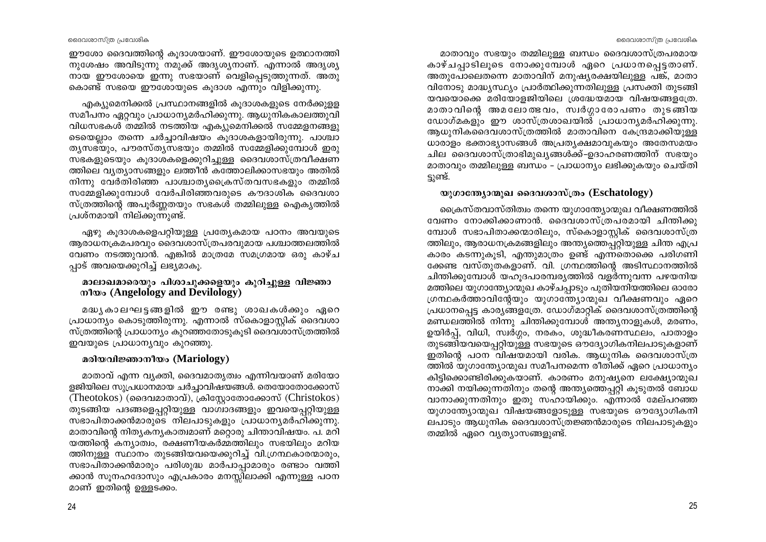ദൈവശാസ്ത്ര പ്രവേശിക

ഈശോ ദൈവത്തിന്റെ കുദാശയാണ്. ഈശോയുടെ ഉത്ഥാനത്തി നുശേഷം അവിടുന്നു നമുക്ക് അദൃശ്യനാണ്. എന്നാൽ അദൃശ്യ നായ ഈശോയെ ഇന്നു സഭയാണ് വെളിപ്പെടുത്തുന്നത്. അതു കൊണ്ട് സഭയെ ഈശോയുടെ കുദാശ എന്നും വിളിക്കുന്നു.

എക്യുമെനിക്കൽ പ്രസ്ഥാനങ്ങളിൽ കുദാശകളുടെ നേർക്കുള്ള സമീപനം ഏറ്റവും പ്രാധാന്യമർഹിക്കുന്നു. ആധുനികകാലത്തുവി വിധസഭകൾ തമ്മിൽ നടത്തിയ എക്യുമെനിക്കൽ സമ്മേളനങ്ങളു ടെയെല്ലാം തന്നെ ചർച്ചാവിഷയം കുദാശകളായിരുന്നു. പാശ്ചാ തൃസഭയും, പൗരസ്തൃസഭയും തമ്മിൽ സമ്മേളിക്കുമ്പോൾ ഇരു സഭകളുടെയും കുദാശകളെക്കുറിച്ചുള്ള ദൈവശാസ്ത്രവീക്ഷണ ത്തിലെ വ്യത്യാസങ്ങളും ലത്തീൻ കത്തോലിക്കാസഭയും അതിൽ നിന്നു വേർതിരിഞ്ഞ പാശ്ചാതൃക്രൈസ്തവസഭകളും തമ്മിൽ സമ്മേളിക്കുമ്പോൾ വേർപിരിഞ്ഞവരുടെ കൗദാശിക ദൈവശാ സ്ത്രത്തിന്റെ അപൂർണ്ണതയും സഭകൾ തമ്മിലുള്ള ഐക്യത്തിൽ പ്രശ്നമായി നില്ക്കുന്നുണ്ട്.

ഏഴു കുദാശകളെപറ്റിയുള്ള പ്രത്യേകമായ പഠനം അവയുടെ ആരാധനക്രമപരവും ദൈവശാസ്ത്രപരവുമായ പശ്ചാത്തലത്തിൽ വേണം നടത്തുവാൻ. എങ്കിൽ മാത്രമേ സമഗ്രമായ ഒരു കാഴ്ച പാട് അവയെക്കുറിച്ച് ലഭ്യമാകു.

# മാലാഖമാരെയും പിശാചുക്കളെയും കുറിച്ചുള്ള വിജ്ഞാ mlwo (Angelology and Devilology)

മദ്ധ്യകാലഘട്ടങ്ങളിൽ ഈ രണ്ടു ശാഖകൾക്കും ഏറെ പ്രാധാന്യം കൊടുത്തിരുന്നു. എന്നാൽ സ്കൊളാസ്റ്റിക് ദൈവശാ സ്ത്രത്തിന്റെ പ്രാധാന്യം കുറഞ്ഞതോടുകൂടി ദൈവശാസ്ത്രത്തിൽ ഇവയുടെ പ്രാധാന്യവും കുറഞ്ഞു.

# മരിയവിജ്ഞാനീയം (Mariology)

മാതാവ് എന്ന വ്യക്തി, ദൈവമാതൃത്വം എന്നിവയാണ് മരിയോ ളജിയിലെ സുപ്രധാനമായ ചർച്ചാവിഷയങ്ങൾ. തെയോതോക്കോസ് (Theotokos) (ദൈവമാതാവ്), ക്രിസ്റ്റോതോക്കോസ് (Christokos) തുടങ്ങിയ പദങ്ങളെപ്പറ്റിയുള്ള വാഗ്വാദങ്ങളും ഇവയെപ്പറ്റിയുള്ള സഭാപിതാക്കൻമാരുടെ നിലപാടുകളും പ്രാധാന്യമർഹിക്കുന്നു. മാതാവിന്റെ നിതൃകനൃകാത്വമാണ് മറ്റൊരു ചിന്താവിഷയം. പ. മറി യത്തിന്റെ കന്യാത്വം, രക്ഷണീയകർമ്മത്തിലും സഭയിലും മറിയ ത്തിനുള്ള സ്ഥാനം തുടങ്ങിയവയെക്കുറിച്ച് വി.ഗ്രന്ഥകാരന്മാരും, സഭാപിതാക്കൻമാരും പരിശുദ്ധ മാർപാപ്പാമാരും രണ്ടാം വത്തി ക്കാൻ സൂനഹദോസും എപ്രകാരം മനസ്സിലാക്കി എന്നുള്ള പഠന മാണ് ഇതിന്റെ ഉള്ളടക്കം.

മാതാവും സഭയും തമ്മിലുള്ള ബന്ധം ദൈവശാസ്ത്രപരമായ കാഴ്ചപാടിലൂടെ നോക്കൂമ്പോൾ ഏറെ പ്രധാനപെട്ടതാണ്. അതുപോലെതന്നെ മാതാവിന് മനുഷ്യരക്ഷയിലുള്ള പങ്ക്, മാതാ വിനോടു മാദ്ധ്യസ്ഥ്യം പ്രാർത്ഥിക്കുന്നതിലുള്ള പ്രസക്തി തുടങ്ങി യവയൊക്കെ മരിയോളജിയിലെ ശ്രദ്ധേയമായ വിഷയങ്ങളത്രേ. മാതാവിന്റെ അമലോത്ഭവം, സ്വർഗ്ഗാരോപണം തുടങ്ങിയ ഡോഗ്മകളും ഈ ശാസ്ത്രശാഖയിൽ് പ്രാധാന്യമർഹിക്കുന്നു. ആധൂനികദൈവശാസ്ത്രത്തിൽ മാതാവിനെ കേന്ദ്രമാക്കിയുള്ള ധാരാളം ഭക്താഭ്യാസങ്ങൾ അപ്രത്യക്ഷമാവുകയും അതേസമയം ചില ദൈവശാസ്ത്രാഭിമുഖ്യങ്ങൾക്ക്–ഉദാഹരണത്തിന് സഭയും മാതാവും തമ്മിലുള്ള ബന്ധം – പ്രാധാന്യം ലഭിക്കുകയും ചെയ്തി ടുണ്ട്.

# $\omega$ ) ( $\omega$ )  $\omega$ )  $\omega$ )  $\omega$  and  $\omega$  and  $\omega$  (Eschatology)

ക്രൈസ്തവാസ്തിത്വം തന്നെ യുഗാന്ത്യോന്മുഖ വീക്ഷണത്തിൽ വേണം നോക്കിക്കാണാൻ. ദൈവശാസ്ത്രപരമായി ചിന്തിക്കു മ്പോൾ സഭാപിതാക്കന്മാരിലും, സ്കൊളാസ്റ്റിക് ദൈവശാസ്ത്ര ത്തിലും, ആരാധനക്രമങ്ങളിലും അന്ത്യത്തെപ്പറ്റിയുള്ള ചിന്ത എപ്ര കാരം കടന്നുകൂടി, എന്തുമാത്രം ഉണ്ട് എന്നതൊക്കെ പരിഗണി ക്കേണ്ട വസ്തുതകളാണ്. വി. ഗ്രന്ഥത്തിന്റെ അടിസ്ഥാനത്തിൽ ചിന്തിക്കുമ്പോൾ യഹൂദപാരമ്പര്യത്തിൽ വളർന്നുവന്ന പഴയനിയ മത്തിലെ യുഗാന്ത്യോന്മുഖ കാഴ്ചപ്പാടും പുതിയനിയത്തിലെ ഓരോ ഗ്രന്ഥകർത്താവിന്റേയും യുഗാന്ത്യോന്മുഖ വീക്ഷണവും ഏറെ പ്രധാനപ്പെട്ട കാര്യങ്ങളത്രേ. ഡോഗ്മാറ്റിക് ദൈവശാസ്ത്രത്തിന്റെ മണ്ഡലത്തിൽ നിന്നു ചിന്തിക്കുമ്പോൾ അന്ത്യനാളുകൾ, മരണം, ഉയിർപ്പ്, വിധി, സ്വർഗ്ഗം, നരകം, ശുദ്ധീകരണസ്ഥലം, പാതാളം തുടങ്ങിയവയെപ്പറ്റിയുള്ള സഭയുടെ ഔദ്യോഗികനിലപാടുകളാണ് ഇതിന്റെ പഠന വിഷയമായി വരിക. ആധുനിക ദൈവശാസ്ത്ര ത്തിൽ യുഗാന്ത്യോന്മുഖ സമീപനമെന്ന രീതിക്ക് ഏറെ പ്രാധാന്യം കിട്ടിക്കൊണ്ടിരിക്കുകയാണ്. കാരണം മനുഷ്യനെ ലക്ഷ്യോന്മൂഖ നാക്കി നയിക്കുന്നതിനും തന്റെ അന്ത്യത്തെപ്പറ്റി കൂടുതൽ ബോധ വാനാക്കുന്നതിനും ഇതു സഹായിക്കും. എന്നാൽ മേല്പറഞ്ഞ യുഗാന്ത്യോന്മൂഖ വിഷയങ്ങളോടുള്ള സഭയുടെ ഔദ്യോഗികനി ലപാടും ആധുനിക ദൈവശാസ്ത്രജ്ഞൻമാരുടെ നിലപാടുകളും തമ്മിൽ ഏറെ വ്യത്യാസങ്ങളുണ്ട്.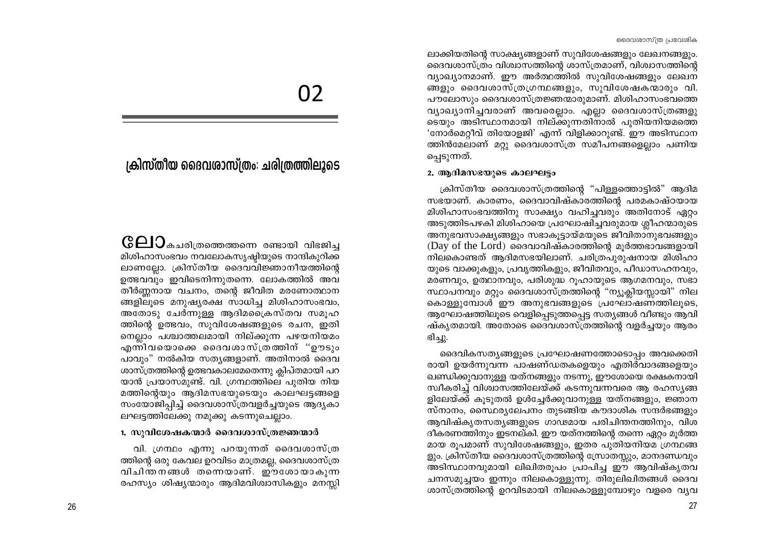ലാക്കിയതിന്റെ സാക്ഷ്യങ്ങളാണ് സുവിശേഷങ്ങളും ലേഖനങ്ങളും. ദൈവശാസ്ത്രം വിശ്വാസത്തിന്റെ ശാസ്ത്രമാണ്, വിശ്വാസത്തിന്റെ വ്യാഖ്യാനമാണ്. ഈ അർത്ഥത്തിൽ സൂവിശേഷങ്ങളും ലേഖന ങ്ങളും ദൈവശാസ്ത്രഗ്രന്ഥങ്ങളും, സുവിശേഷകന്മാരും വി. പൗലോസും ദൈവശാസ്ത്രജ്ഞന്മാരുമാണ്. മിശിഹാസംഭവത്തെ വ്യാഖ്യാനിച്ചവരാണ് അവരെല്ലാം. എല്ലാ ദൈവശാസ്ത്രങ്ങളു ടെയും അടിസ്ഥാനമായി നില്ക്കുന്നതിനാൽ പുതിയനിയമത്തെ 'നോർമെറ്റീവ് തിയോളജി' എന്ന് വിളിക്കാറുണ്ട്. ഈ അടിസ്ഥാന ത്തിൻമേലാണ് മറ്റു ദൈവശാസ്ത്ര സമീപനങ്ങളെല്ലാം പണിയ ച്ചെടുന്നത്.

### 2. ആദിമസഭയുടെ കാലഘട്ടം

ക്രിസ്തീയ ദൈവശാസ്ത്രത്തിന്റെ "പിള്ളത്തൊട്ടിൽ" ആദിമ സഭയാണ്. കാരണം, ദൈവാവിഷ്കാരത്തിന്റെ പരമകാഷ്ഠയായ മിശിഹാസംഭവത്തിനു സാക്ഷ്യം വഹിച്ചവരും അതിനോട് ഏറ്റം അടുത്തിടപഴകി മിശിഹായെ പ്രഘോഷിച്ചവരുമായ ശ്ലീഹന്മാരുടെ അനുഭവസാക്ഷ്യങ്ങളും സഭാകുട്ടായ്മയുടെ ജീവിതാനുഭവങ്ങളും (Day of the Lord) ദൈവാവിഷ്കാരത്തിന്റെ മുർത്തഭാവങ്ങളായി നിലകൊണ്ടത് ആദിമസഭയിലാണ്. ചരിത്രപുരുഷനായ മിശിഹാ യുടെ വാക്കുകളും, പ്രവൃത്തികളും, ജീവിതവും, പീഡാസഹനവും, മരണവും, ഉത്ഥാനവും, പരിശുദ്ധ റൂഹായുടെ ആഗമനവും, സഭാ സ്ഥാപനവും മറ്റും ദൈവശാസ്ത്രത്തിന്റെ "ന്യൂക്ലിയസ്സായി" നില കൊള്ളുമ്പോൾ ഈ അനുഭവങ്ങളുടെ പ്രഘോഷണത്തിലൂടെ, ആഘോഷത്തിലൂടെ വെളിപ്പെടുത്തപ്പെട്ട സത്യങ്ങൾ വീണ്ടും ആവി ഷ്കൃതമായി. അതോടെ ദൈവശാസ്ത്രത്തിന്റെ വളർച്ചയും ആരം ഭിച്ചു.

ദൈവികസത്യങ്ങളുടെ പ്രഘോഷണത്തോടൊപ്പം അവക്കെതി രായി ഉയർന്നുവന്ന പാഷണ്ഡതകളെയും എതിർവാദങ്ങളെയും ഖണ്ഡിക്കുവാനുള്ള യത്നങ്ങളും നടന്നു, ഈശോയെ രക്ഷകനായി സ്വീകരിച്ച് വിശ്വാസത്തിലേയ്ക്ക് കടന്നുവന്നവരെ ആ രഹസ്യങ്ങ ളിലേയ്ക്ക് കുടുതൽ ഉൾച്ചേർക്കുവാനുള്ള യത്നങ്ങളും, ജ്ഞാന സ്നാനം, സൈ്ഥര്യലേപനം തുടങ്ങിയ കൗദാശിക സന്ദർഭങ്ങളും ആവിഷ്കൃതസത്യങ്ങളുടെ ഗാഢമായ പരിചിന്തനത്തിനും, വിശ ദീകരണത്തിനും ഇടനല്കി. ഈ യത്നത്തിന്റെ തന്നെ ഏറ്റം മൂർത്ത മായ രൂപമാണ് സുവിശേഷങ്ങളും, ഇതര പുതിയനിയമ ഗ്രന്ഥങ്ങ ളും. ക്രിസ്തീയ ദൈവശാസ്ത്രത്തിന്റെ സ്രോതസ്സും, മാനദണ്ഡവും അടിസ്ഥാനവുമായി ലിഖിതരൂപം പ്രാപിച്ച ഈ ആവിഷ്കൃതവ ചനസമുച്ചയം ഇന്നും നിലകൊള്ളുന്നു. തിരുലിഖിതങ്ങൾ ദൈവ ശാസ്ത്രത്തിന്റെ ഉറവിടമായി നിലകൊള്ളുമ്പോഴും വളരെ വ്യവ

# 02

# ക്രിസ്തീയ ദൈവശാസ്ത്രം: ചരിത്രത്തിലൂടെ

 $\mathbb{G}\hspace{-1pt}\triangleleft\hspace{-1pt}1$ ാകചരിത്രത്തെത്തന്നെ രണ്ടായി വിഭജിച്ച മിശിഹാസംഭവം നവലോകസൃഷ്ടിയുടെ നാന്ദികുറിക്ക ലാണല്ലോ. ക്രിസ്തീയ ദൈവവിജ്ഞാനീയത്തിന്റെ ഉത്ഭവവും ഇവിടെനിന്നുതന്നെ. ലോകത്തിൽ അവ തീർണ്ണനായ വചനം, തന്റെ ജീവിത മരണോത്ഥാന ങ്ങളിലൂടെ മനുഷ്യരക്ഷ സാധിച്ച മിശിഹാസംഭവം, അതോടു ചേർന്നുള്ള ആദിമപ്രൈസ്തവ സമൂഹ ത്തിന്റെ ഉത്ഭവം, സുവിശേഷങ്ങളുടെ രചന, ഇതി നെല്ലാം പശ്ചാത്തലമായി നില്ക്കുന്ന പഴയനിയമം എന്നിവയൊക്കെ ദൈവശാസ്ത്രത്തിന് "ഊടും പാവും" നൽകിയ സത്യങ്ങളാണ്. അതിനാൽ ദൈവ ശാസ്ത്രത്തിന്റെ ഉത്ഭവകാലമേതെന്നു ക്ലിപ്തമായി പറ യാൻ പ്രയാസമുണ്ട്. വി. ഗ്രന്ഥത്തിലെ പുതിയ നിയ മത്തിന്റെയും ആദിമസഭയുടെയും കാലഘട്ടങ്ങളെ സംയോജിപ്പിച്ച് ദൈവശാസ്ത്രവളർച്ചയുടെ ആദ്യകാ ലഘട്ടത്തിലേക്കു നമുക്കു കടന്നുചെല്ലാം.

### 1. സുവിശേഷകന്മാർ ദൈവശാസ്ത്രജ്ഞന്മാർ

വി. ഗ്രന്ഥം എന്നു പറയുന്നത് ദൈവശാസ്ത്ര ത്തിന്റെ ഒരു കേവല ഉറവിടം മാത്രമല്ല, ദൈവശാസ്ത്ര വിചിന്തനങ്ങൾ തന്നെയാണ്. ഈശോയാകുന്ന രഹസ്യം ശിഷ്യന്മാരും ആദിമവിശ്വാസികളും മനസ്സി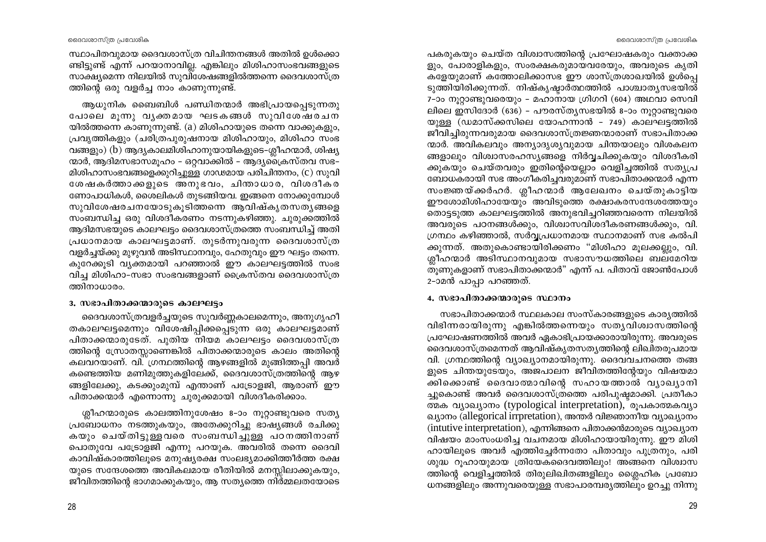പകരുകയും ചെയ്ത വിശ്വാസത്തിന്റെ പ്രഘോഷകരും വക്താക്ക ളും, പോരാളികളും, സംരക്ഷകരുമായവരേയും, അവരുടെ കൃതി കളേയുമാണ് കത്തോലിക്കാസഭ ഈ ശാസ്ത്രശാഖയിൽ ഉൾപെ ടുത്തിയിരിക്കുന്നത്. നിഷ്കൃഷ്ടാർത്ഥത്തിൽ പാശ്ചാതൃസഭയിൽ 7-ാം നൂറ്റാണ്ടുവരെയും – മഹാനായ ഗ്രിഗറി (604) അഥവാ സെവി ലിലെ ഇസിദോർ (636) - പൗരസ്ത്യസഭയിൽ 8-ാം നൂറ്റാണ്ടുവരെ യുള്ള (ഡമാസ്ക്കസിലെ യോഹന്നാൻ - 749) കാലഘട്ടത്തിൽ ജീവിച്ചിരുന്നവരുമായ ദൈവശാസ്ത്രജ്ഞന്മാരാണ് സഭാപിതാക്ക ന്മാർ. അവികലവും അന്യാദൃശ്യവുമായ ചിന്തയാലും വിശകലന ങ്ങളാലും വിശ്വാസരഹസ്യങ്ങളെ നിർവ്വചിക്കുകയും വിശദീകരി ക്കുകയും ചെയ്തവരും ഇതിന്റെയെല്ലാം വെളിച്ചത്തിൽ സത്യപ്ര ബോധകരായി സഭ അംഗീകരിച്ചവരുമാണ് സഭാപിതാക്കന്മാർ എന്ന സംജ്ഞയ്ക്കർഹർ. ശ്ലീഹന്മാർ ആലേഖനം ചെയ്തുകാട്ടിയ ഈശോമിശിഹായേയും അവിടുത്തെ രക്ഷാകരസന്ദേശത്തേയും തൊട്ടടുത്ത കാലഘട്ടത്തിൽ അനുഭവിച്ചറിഞ്ഞവരെന്ന നിലയിൽ അവരുടെ പഠനങ്ങൾക്കും, വിശ്വാസവിശദീകരണങ്ങൾക്കും, വി. ഗ്രന്ഥം കഴിഞ്ഞാൽ, സർവ്വപ്രധാനമായ സ്ഥാനമാണ് സഭ കൽപി ക്കുന്നത്. അതുകൊണ്ടായിരിക്കണം "മിശിഹാ മുലക്കല്ലും, വി. ശ്ലീഹന്മാർ അടിസ്ഥാനവുമായ സഭാസൗധത്തിലെ ബലമേറിയ തുണുകളാണ് സഭാപിതാക്കന്മാർ" എന്ന് പ. പിതാവ് ജോൺപോൾ 2-ാമൻ പാപ്പാ പറഞ്ഞത്.

### 4. സഭാപിതാക്കന്മാരുടെ സ്ഥാനം

സഭാപിതാക്കന്മാർ സ്ഥലകാല സംസ്കാരങ്ങളുടെ കാര്യത്തിൽ വിഭിന്നരായിരുന്നു എങ്കിൽത്തന്നെയും സത്യവിശ്വാസത്തിന്റെ പ്രഘോഷണത്തിൽ അവർ ഏകാഭിപ്രായക്കാരായിരുന്നു. അവരുടെ ദൈവശാസ്ത്രമെന്നത് ആവിഷ്കൃതസത്യത്തിന്റെ ലിഖിതരൂപമായ വി. ഗ്രന്ഥത്തിന്റെ വ്യാഖ്യാനമായിരുന്നു. ദൈവവചനത്തെ തങ്ങ ളുടെ ചിന്തയുടേയും, അജപാലന ജീവിതത്തിന്റേയും വിഷയമാ ക്കിക്കൊണ്ട് ദൈവാത്മാവിന്റെ സഹായത്താൽ വ്യാഖ്യാനി ച്ചുകൊണ്ട് അവർ ദൈവശാസ്ത്രത്തെ പരിപുഷ്ഠമാക്കി. പ്രതീകാ ത്മക വ്യാഖ്യാനം (typological interpretation), രൂപകാത്മകവ്യാ ഖ്യാനം (allegorical irrpretation), അന്തർ വിജ്ഞാനീയ വ്യാഖ്യാനം (intutive interpretation), എന്നിങ്ങനെ പിതാക്കൻമാരുടെ വ്യാഖ്യാന വിഷയം മാംസംധരിച്ച വചനമായ മിശിഹായായിരുന്നു. ഈ മിശി ഹായിലൂടെ അവർ എത്തിച്ചേർന്നതോ പിതാവും പുത്രനും, പരി ശുദ്ധ റൂഹായുമായ ത്രിയേകദൈവത്തിലും! അങ്ങനെ വിശ്വാസ ത്തിന്റെ വെളിച്ചത്തിൽ തിരുലിഖിതങ്ങളിലും ശ്ലൈഹിക പ്രബോ ധനങ്ങളിലും അന്നുവരെയുള്ള സഭാപാരമ്പര്യത്തിലും ഉറച്ചു നിന്നു

സ്ഥാപിതവുമായ ദൈവശാസ്ത്ര വിചിന്തനങ്ങൾ അതിൽ ഉൾക്കൊ ണ്ടിട്ടുണ്ട് എന്ന് പറയാനാവില്ല. എങ്കിലും മിശിഹാസംഭവങ്ങളുടെ സാക്ഷ്യമെന്ന നിലയിൽ സുവിശേഷങ്ങളിൽത്തന്നെ ദൈവശാസ്ത്ര ത്തിന്റെ ഒരു വളർച്ച നാം കാണുന്നുണ്ട്.

അധൂനിക ബൈബിൾ പണ്ഡിതന്മാർ അഭിപ്രായപ്പെടുന്നതു പോലെ മുന്നു വൃക്തമായ ഘടകങ്ങൾ സുവിശേഷരചന യിൽത്തന്നെ കാണുന്നുണ്ട്. (a) മിശിഹായുടെ തന്നെ വാക്കുകളും, പ്രവൃത്തികളും (ചരിത്രപുരുഷനായ മിശിഹായും, മിശിഹാ സംഭ വങ്ങളും) (b) ആദ്യകാലമിശിഹാനുയായികളുടെ-ശ്ലീഹന്മാർ, ശിഷ്യ ന്മാർ, ആദിമസഭാസമൂഹം – ഒറ്റവാക്കിൽ – ആദ്യശൈസ്തവ സഭ– മിശിഹാസംഭവങ്ങളെക്കുറിച്ചുള്ള ഗാഢമായ പരിചിന്തനം, (c) സുവി ശേഷകർത്താക്കളുടെ അനുഭവം, ചിന്താധാര, വിശദീകര ണോപാധികൾ, ശൈലികൾ തുടങ്ങിയവ. ഇങ്ങനെ നോക്കുമ്പോൾ സുവിശേഷരചനയോടുകുടിത്തന്നെ ആവിഷ്കൃതസതൃങ്ങളെ സംബന്ധിച്ച ഒരു വിശദീകരണം നടന്നുകഴിഞ്ഞു. ചുരുക്കത്തിൽ ആദിമസഭയുടെ കാലഘട്ടം ദൈവശാസ്ത്രത്തെ സംബന്ധിച്ച് അതി പ്രധാനമായ കാലഘട്ടമാണ്. തുടർന്നുവരുന്ന ദൈവശാസ്ത്ര വളർച്ചയ്ക്കു മുഴുവൻ അടിസ്ഥാനവും, ഹേതുവും ഈ ഘട്ടം തന്നെ. കുറേക്കൂടി വ്യക്തമായി പറഞ്ഞാൽ ഈ കാലഘട്ടത്തിൽ സംഭ വിച്ച മിശിഹാ-സഭാ സംഭവങ്ങളാണ് ക്രൈസ്തവ ദൈവശാസ്ത്ര ത്തിനാധാരം.

### 3. സഭാപിതാക്കന്മാരുടെ കാലഘട്ടം

ദൈവശാസ്ത്രവളർച്ചയുടെ സുവർണ്ണകാലമെന്നും, അനുഗൃഹീ തകാലഘട്ടമെന്നും വിശേഷിപ്പിക്കപ്പെടുന്ന ഒരു കാലഘട്ടമാണ് പിതാക്കന്മാരുടേത്. പുതിയ നിയമ കാലഘട്ടം ദൈവശാസ്ത്ര ത്തിന്റെ സ്രോതസ്സാണെങ്കിൽ പിതാക്കന്മാരുടെ കാലം അതിന്റെ കലവറയാണ്. വി. ഗ്രന്ഥത്തിന്റെ ആഴങ്ങളിൽ മുങ്ങിത്തപ്പി അവർ കണ്ടെത്തിയ മണിമുത്തുകളിലേക്ക്, ദൈവശാസ്ത്രത്തിന്റെ ആഴ ങ്ങളിലേക്കു, കടക്കുംമുമ്പ് എന്താണ് പട്രോളജി, ആരാണ് ഈ പിതാക്കന്മാർ എന്നൊന്നു ചുരുക്കമായി വിശദീകരിക്കാം.

ശ്ലീഹന്മാരുടെ കാലത്തിനുശേഷം 8-ാം നൂറ്റാണ്ടുവരെ സത്യ പ്രബോധനം നടത്തുകയും, അതേക്കുറിച്ചു ഭാഷ്യങ്ങൾ രചിക്കു കയും ചെയ്തിട്ടുള്ളവരെ സംബന്ധിച്ചുള്ള പഠനത്തിനാണ് പൊതുവേ പട്രോളജി എന്നു പറയുക. അവരിൽ തന്നെ ദൈവി കാവിഷ്കാരത്തിലുടെ മനുഷ്യരക്ഷ സംലഭ്യമാക്കിത്തീർത്ത രക്ഷ യുടെ സന്ദേശത്തെ അവികലമായ രീതിയിൽ മനസ്സിലാക്കുകയും, ജീവിതത്തിന്റെ ഭാഗമാക്കുകയും, ആ സത്യത്തെ നിർമ്മലതയോടെ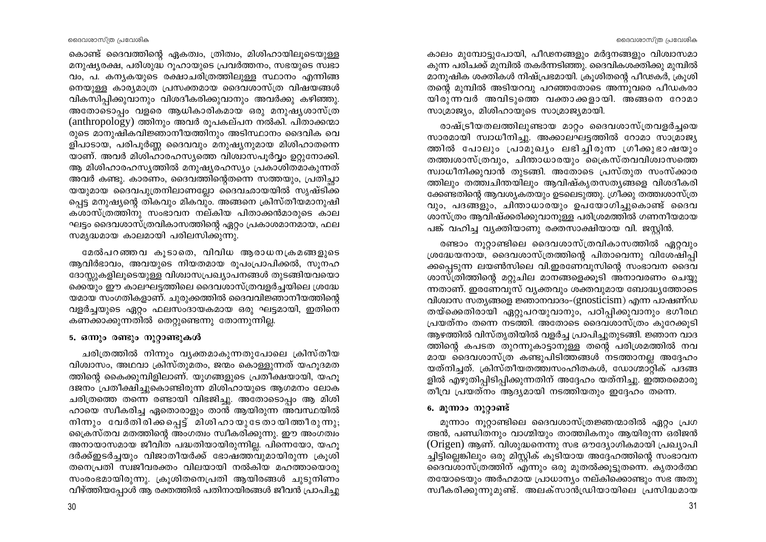കാലം മുമ്പോട്ടുപോയി, പീഢനങ്ങളും മർദ്ദനങ്ങളും വിശ്വാസമാ കുന്ന പരിചക്ക് മുമ്പിൽ തകർന്നടിഞ്ഞു. ദൈവികശക്തിക്കു മുമ്പിൽ മാനുഷിക ശക്തികൾ നിഷ്പ്രഭമായി. ക്രൂശിതന്റെ പീഢകർ, ക്രൂശി തന്റെ മുമ്പിൽ അടിയറവു പറഞ്ഞതോടെ അന്നുവരെ പീഡകരാ യിരുന്നവർ അവിടുത്തെ വക്താക്കളായി. അങ്ങനെ റോമാ സാമ്രാജ്യം, മിശിഹായുടെ സാമ്രാജ്യമായി.

രാഷ്ട്രീയതലത്തിലുണ്ടായ മാറ്റം ദൈവശാസ്ത്രവളർച്ചയെ സാരമായി സ്വാധീനിച്ചു. അക്കാലഘട്ടത്തിൽ റോമാ സാമ്രാജ്യ ത്തിൽ പോലും പ്രാമുഖ്യം ലഭിച്ചിരുന്ന ഗ്രീക്കുഭാഷയും തത്ത്വശാസ്ത്രവും, ചിന്താധാരയും ക്രൈസ്തവവിശ്വാസത്തെ സ്വാധീനിക്കുവാൻ തുടങ്ങി. അതോടെ പ്രസ്തുത സംസ്ക്കാര ത്തിലും തത്ത്വചിന്തയിലും ആവിഷ്കൃതസത്യങ്ങളെ വിശദീകരി ക്കേണ്ടതിന്റെ ആവശ്യകതയും ഉടലെടുത്തു. ഗ്രീക്കു തത്ത്വശാസ്ത്ര വും, പദങ്ങളും, ചിന്താധാരയും ഉപയോഗിച്ചുകൊണ്ട് ദൈവ ശാസ്ത്രം ആവിഷ്ക്കരിക്കുവാനുള്ള പരിശ്രമത്തിൽ ഗണനീയമായ പങ്ക് വഹിച്ച വ്യക്തിയാണു രക്തസാക്ഷിയായ വി. ജസ്റ്റിൻ.

രണ്ടാം നൂറ്റാണ്ടിലെ ദൈവശാസ്ത്രവികാസത്തിൽ ഏറ്റവും ശ്രദ്ധേയനായ, ദൈവശാസ്ത്രത്തിന്റെ പിതാവെന്നു വിശേഷിപ്പി ക്കപ്പെടുന്ന ലയൺസിലെ വി.ഇരണേവൂസിന്റെ സംഭാവന ദൈവ ശാസ്ത്രിത്തിന്റെ മറ്റുചില മാനങ്ങളെക്കുടി അനാവരണം ചെയ്യ ന്നതാണ്. ഇരണേവൂസ് വ്യക്തവും ശക്തവുമായ ബോദ്ധ്യത്തോടെ വിശ്വാസ സത്യങ്ങളെ ജ്ഞാനവാദം-(gnosticism) എന്ന പാഷണ്ഡ തയ്ക്കെതിരായി ഏറ്റുപറയുവാനും, പഠിപ്പിക്കുവാനും ഭഗീരഥ പ്രയത്നം തന്നെ നടത്തി. അതോടെ ദൈവശാസ്ത്രം കുറേക്കൂടി ആഴത്തിൽ വിസ്തൃതിയിൽ വളർച്ച പ്രാപിച്ചുതുടങ്ങി. ജ്ഞാന വാദ ത്തിന്റെ കപടത തുറന്നുകാട്ടാനുള്ള തന്റെ പരിശ്രമത്തിൽ നവ മായ ദൈവശാസ്ത്ര കണ്ടുപിടിത്തങ്ങൾ നടത്താനല്ല അദ്ദേഹം യത്നിച്ചത്. ക്രിസ്തീയതത്ത്വസംഹിതകൾ, ഡോഗ്മാറ്റിക് പദങ്ങ ളിൽ എഴുതിപ്പിടിപ്പിക്കുന്നതിന് അദ്ദേഹം യത്നിച്ചു. ഇത്തരമൊരു തീവ്ര പ്രയത്നം ആദ്യമായി നടത്തിയതും ഇദ്ദേഹം തന്നെ.

# 6. മൂന്നാം നൂറ്റാണ്ട്

മുന്നാം നുറ്റാണ്ടിലെ ദൈവശാസ്ത്രജ്ഞന്മാരിൽ ഏറ്റം പ്രഗ ത്ഭൻ, പണ്ഡിതനും വാഗ്മിയും താത്ത്വികനും ആയിരുന്ന ഒരിജൻ (Origen) ആണ്. വിശുദ്ധനെന്നു സഭ ഔദ്യോഗികമായി പ്രഖ്യാപി ച്ചിട്ടില്ലെങ്കിലും ഒരു മിസ്ലിക് കുടിയായ അദ്ദേഹത്തിന്റെ സംഭാവന ദൈവശാസ്ത്രത്തിന് എന്നും ഒരു മുതൽക്കൂട്ടുതന്നെ. കൃതാർത്ഥ തയോടെയും അർഹമായ പ്രാധാന്യം നല്കിക്കൊണ്ടും സഭ അതു സ്വീകരിക്കുന്നുമുണ്ട്. അലക്സാൻഡ്രിയായിലെ പ്രസിദ്ധമായ

കൊണ്ട് ദൈവത്തിന്റെ ഏകത്വം, ത്രിത്വം, മിശിഹായിലുടെയുള്ള മനുഷ്യരക്ഷ, പരിശുദ്ധ റുഹായുടെ പ്രവർത്തനം, സഭയുടെ സ്വഭാ വം, പ. കന്യകയുടെ രക്ഷാചരിത്രത്തിലുള്ള സ്ഥാനം എന്നിങ്ങ നെയുള്ള കാര്യമാത്ര പ്രസക്തമായ ദൈവശാസ്ത്ര വിഷയങ്ങൾ വികസിപ്പിക്കുവാനും വിശദീകരിക്കുവാനും അവർക്കു കഴിഞ്ഞു. അതോടൊപം വളരെ ആധികാരികമായ ഒരു മനുഷ്യശാസ്ത്ര (anthropology) ത്തിനും അവർ രുപകല്പന നൽകി. പിതാക്കന്മാ രുടെ മാനുഷികവിജ്ഞാനീയത്തിനും അടിസ്ഥാനം ദൈവിക വെ ളിപാടായ, പരിപൂർണ്ണ ദൈവവും മനുഷ്യനുമായ മിശിഹാതന്നെ യാണ്. അവർ മിശിഹാരഹസ്യത്തെ വിശ്ചാസപൂർവ്വം ഉറ്റുനോക്കി. ആ മിശിഹാരഹസ്യത്തിൽ മനുഷ്യരഹസ്യം പ്രകാശിതമാകുന്നത് അവർ കണ്ടു. കാരണം, ദൈവത്തിന്റെതന്നെ സത്തയും, പ്രതിച്ചാ യയുമായ ദൈവപുത്രനിലാണല്ലോ ദൈവഛായയിൽ സൃഷ്ടിക്ക പ്പെട്ട മനുഷ്യന്റെ തികവും മികവും. അങ്ങനെ ക്രിസ്തീയമാനുഷി കശാസ്ത്രത്തിനു സംഭാവന നല്കിയ പിതാക്കൻമാരുടെ കാല ഘട്ടം ദൈവശാസ്ത്രവികാസത്തിന്റെ ഏറ്റം പ്രകാശമാനമായ, ഫല സമൃദ്ധമായ കാലമായി പരിലസിക്കുന്നു.

മേൽപറഞ്ഞവ കൂടാതെ, വിവിധ ആരാധനക്രമങ്ങളുടെ ആവിർഭാവം, അവയുടെ നിയതമായ രൂപംപ്രാപിക്കൽ, സൂനഹ ദോസ്സുകളിലുടെയുള്ള വിശ്വാസപ്രഖ്യാപനങ്ങൾ തുടങ്ങിയവയൊ ക്കെയും ഈ കാലഘട്ടത്തിലെ ദൈവശാസ്ത്രവളർച്ചയിലെ ശ്രദ്ധേ യമായ സംഗതികളാണ്. ചുരുക്കത്തിൽ ദൈവവിജ്ഞാനീയത്തിന്റെ വളർച്ചയുടെ ഏറ്റം ഫലസംദായകമായ ഒരു ഘട്ടമായി, ഇതിനെ കണക്കാക്കുന്നതിൽ തെറ്റുണ്ടെന്നു തോന്നുന്നില്ല.

# 5. ഒന്നും രണ്ടും നൂറ്റാണ്ടുകൾ

ചരിത്രത്തിൽ നിന്നും വ്യക്തമാകുന്നതുപോലെ ക്രിസ്തീയ വിശ്വാസം, അഥവാ ക്രിസ്തുമതം, ജന്മം കൊള്ളുന്നത് യഹുദമത ത്തിന്റെ കൈക്കുമ്പിളിലാണ്. യുഗങ്ങളുടെ പ്രതീക്ഷയായി, യഹൂ ദജനം പ്രതീക്ഷിച്ചുകൊണ്ടിരുന്ന മിശിഹായുടെ ആഗമനം ലോക ചരിത്രത്തെ തന്നെ രണ്ടായി വിഭജിച്ചു. അതോടൊപ്പം ആ മിശി ഹായെ സ്ഥീകരിച്ച ഏതൊരാളും താൻ ആയിരുന്ന അവസ്ഥയിൽ നിന്നും വേർതിരിക്കപ്പെട്ട് മിശിഹായുടേതായിത്തീരുന്നു; ക്രൈസ്തവ മതത്തിന്റെ അംഗത്വം സ്വീകരിക്കുന്നു. ഈ അംഗത്വം അനായാസമായ ജീവിത പദ്ധതിയായിരുന്നില്ല. പിന്നെയോ, യഹൂ ദർക്ക്ഇടർച്ചയും വിജാതീയർക്ക് ഭോഷത്തവുമായിരുന്ന ക്രുശി തനെപ്രതി സ്വജീവരക്തം വിലയായി നൽകിയ മഹത്തായൊരു സംരംഭമായിരുന്നു. ക്രൂശിതനെപ്രതി ആയിരങ്ങൾ ചുടുനിണം വീഴ്ത്തിയപ്പോൾ ആ രക്തത്തിൽ പതിനായിരങ്ങൾ ജീവൻ പ്രാപിച്ചു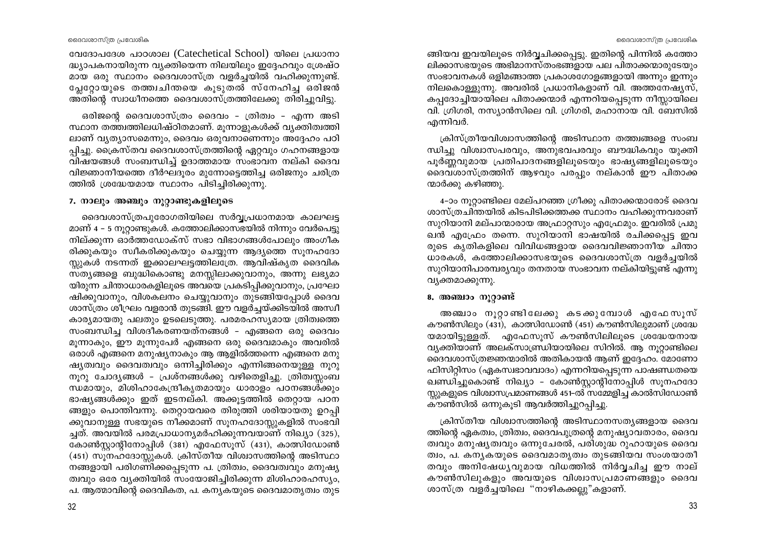വേദോപദേശ പാഠശാല (Catechetical School) യിലെ പ്രധാനാ ദ്ധ്യാപകനായിരുന്ന വ്യക്തിയെന്ന നിലയിലും ഇദ്ദേഹവും ശ്രേഷ്ഠ മായ ഒരു സ്ഥാനം ദൈവശാസ്ത്ര വളർച്ചയിൽ വഹിക്കുന്നുണ്ട്. പ്ലേറ്റോയുടെ തത്ത്വചിന്തയെ കുടുതൽ സ്നേഹിച്ച ഒരിജൻ അതിന്റെ സ്വാധീനത്തെ ദൈവശാസ്ത്രത്തിലേക്കു തിരിച്ചുവിട്ടു.

ഒരിജന്റെ ദൈവശാസ്ത്രം ദൈവം - ത്രിത്വം - എന്ന അടി സ്ഥാന തത്ത്വത്തിലധിഷ്ഠിതമാണ്. മൂന്നാളുകൾക്ക് വ്യക്തിത്വത്തി ലാണ് വ്യത്യാസമെന്നും, ദൈവം ഒരുവനാണെന്നും അദ്ദേഹം പഠി പ്പിച്ചു. ക്രൈസ്തവ ദൈവശാസ്ത്രത്തിന്റെ ഏറ്റവും ഗഹനങ്ങളായ വിഷയങ്ങൾ സംബന്ധിച്ച് ഉദാത്തമായ സംഭാവന നല്കി ദൈവ വിജ്ഞാനീയത്തെ ദീർഘദൂരം മുന്നോട്ടെത്തിച്ച ഒരിജനും ചരിത്ര ത്തിൽ ശ്രദ്ധേയമായ സ്ഥാനം പിടിച്ചിരിക്കുന്നു.

### 7. നാലും അഞ്ചും നൂറ്റാണ്ടുകളിലൂടെ

ദൈവശാസ്ത്രപുരോഗതിയിലെ സർവ്വപ്രധാനമായ കാലഘട്ട മാണ് 4 - 5 നുറ്റാണ്ടുകൾ. കത്തോലിക്കാസഭയിൽ നിന്നും വേർപെട്ടു നില്ക്കുന്ന ഓർത്തഡോക്സ് സഭാ വിഭാഗങ്ങൾപോലും അംഗീക രിക്കുകയും സ്വീകരിക്കുകയും ചെയ്യുന്ന ആദ്യത്തെ സൂനഹദോ സ്റ്റുകൾ നടന്നത് ഇക്കാലഘട്ടത്തിലത്രേ. ആവിഷ്കൃത ദൈവിക സ്ത്യങ്ങളെ ബുദ്ധികൊണ്ടു മനസ്സിലാക്കുവാനും, അന്നു ലഭ്യമാ യിരുന്ന ചിന്താധാരകളിലൂടെ അവയെ പ്രകടിപ്പിക്കുവാനും, പ്രഘോ ഷിക്കുവാനും, വിശകലനം ചെയ്യുവാനും തുടങ്ങിയപ്പോൾ ദൈവ ശാസ്ത്രം ശീഘ്രം വളരാൻ തുടങ്ങി. ഈ വളർച്ചയ്ക്കിടയിൽ അസ്വീ കാര്യമായതു പലതും ഉടലെടുത്തു. പരമരഹസ്യമായ ത്രിത്വത്തെ സംബന്ധിച്ച വിശദീകരണയത്നങ്ങൾ - എങ്ങനെ ഒരു ദൈവം മൂന്നാകും, ഈ മൂന്നുപേർ എങ്ങനെ ഒരു ദൈവമാകും അവരിൽ ഒരാൾ എങ്ങനെ മനുഷ്യനാകും ആ ആളിൽത്തന്നെ എങ്ങനെ മനു ഷ്യത്വവും ദൈവത്വവും ഒന്നിച്ചിരിക്കും എന്നിങ്ങനെയുള്ള നുറു നൂറു ചോദ്യങ്ങൾ - പ്രശ്നങ്ങൾക്കു വഴിതെളിച്ചു. ത്രിത്വസ്സംബ ന്ധമായും, മിശിഹാകേന്ദ്രീകൃതമായും ധാരാളം പഠനങ്ങൾക്കും ഭാഷ്യങ്ങൾക്കും ഇത് ഇടനല്കി. അക്കൂട്ടത്തിൽ തെറ്റായ പഠന ങ്ങളും പൊന്തിവന്നു. തെറ്റായവരെ തിരുത്തി ശരിയായതു ഉറപ്പി ക്കുവാനുള്ള സഭയുടെ നീക്കമാണ് സൂനഹദോസ്സുകളിൽ സംഭവി ച്ചത്. അവയിൽ പരമപ്രാധാന്യമർഹിക്കുന്നവയാണ് നിഖ്യാ (325), കോൺസ്റ്റാന്റിനോപ്പിൾ (381) എഫേസൂസ് (431), കാത്സിഡോൺ (451) സുനഹദോസ്സുകൾ. ക്രിസ്തീയ വിശ്വാസത്തിന്റെ അടിസ്ഥാ നങ്ങളായി പരിഗണിക്കപ്പെടുന്ന പ. ത്രിത്വം, ദൈവത്വവും മനുഷ്യ ത്വവും ഒരേ വ്യക്തിയിൽ സംയോജിച്ചിരിക്കുന്ന മിശിഹാരഹസ്യം, പ. ആത്മാവിന്റെ ദൈവികത, പ. കനൃകയുടെ ദൈവമാതൃത്വം തുട

ങ്ങിയവ ഇവയിലൂടെ നിർവ്വചിക്കപ്പെട്ടു. ഇതിന്റെ പിന്നിൽ കത്തോ ലിക്കാസഭയുടെ അഭിമാനസ്തംഭങ്ങളായ പല പിതാക്കന്മാരുടേയും സംഭാവനകൾ ഒളിമങ്ങാത്ത പ്രകാശഗോളങ്ങളായി അന്നും ഇന്നും നിലകൊള്ളുന്നു. അവരിൽ പ്രധാനികളാണ് വി. അത്തനേഷ്യസ്, കപ്പദോച്ചിയായിലെ പിതാക്കന്മാർ എന്നറിയപ്പെടുന്ന നീസ്സായിലെ വി. ഗ്രിഗരി, നസ്യാൻസിലെ വി. ഗ്രിഗരി, മഹാനായ വി. ബേസിൽ എന്നിവർ.

ക്രിസ്ത്രീയവിശ്വാസത്തിന്റെ അടിസ്ഥാന തത്ത്വങ്ങളെ സംബ ന്ധിച്ചു വിശ്വാസപരവും, അനുഭവപരവും ബൗദ്ധികവും യുക്തി പൂർണ്ണവുമായ പ്രതിപാദനങ്ങളിലൂടെയും ഭാഷ്യങ്ങളിലൂടെയും ദൈവശാസ്ത്രത്തിന് ആഴവും പരപ്പും നല്കാൻ ഈ പിതാക്ക ന്മാർക്കു കഴിഞ്ഞു.

4-ാം നൂറ്റാണ്ടിലെ മേല്പറഞ്ഞ ഗ്രീക്കു പിതാക്കന്മാരോട് ദൈവ ശാസ്ത്രചിന്തയിൽ കിടപിടിക്കത്തക്ക സ്ഥാനം വഹിക്കുന്നവരാണ് സുറിയാനി മല്പാന്മാരായ അഫ്രാറ്റസും എഫ്രേമും. ഇവരിൽ പ്രമു ഖൻ എഫ്രോ തന്നെ. സുറിയാനി ഭാഷയിൽ രചിക്കപ്പെട്ട ഇവ രുടെ കൃതികളിലെ വിവിധങ്ങളായ ദൈവവിജ്ഞാനീയ ചിന്താ ധാരകൾ, കത്തോലിക്കാസഭയുടെ ദൈവശാസ്ത്ര വളർച്ചയിൽ സുറിയാനിപാരമ്പര്യവും തനതായ സംഭാവന നല്കിയിട്ടുണ്ട് എന്നു വ്യക്തമാക്കുന്നു.

### 8. അഞ്ചാം നുറ്റാണ്ട്

അഞ്ചാം നൂറ്റാണ്ടിലേക്കു കടക്കുമ്പോൾ എഫേസൂസ് കൗൺസിലും (431), കാത്സിഡോൺ (451) കൗൺസിലുമാണ് ശ്രദ്ധേ യമായിട്ടുള്ളത്. എഫേസുസ് കൗൺസിലിലൂടെ ശ്രദ്ധേയനായ വ്യക്തിയാണ് അലക്സാണ്ഡ്രിയായിലെ സിറിൽ. ആ നുറ്റാണ്ടിലെ ദൈവശാസ്ത്രജ്ഞന്മാരിൽ അതികായൻ ആണ് ഇദ്ദേഹം. മോണോ ഫിസിറ്റിസം (ഏകസ്വഭാവവാദം) എന്നറിയപ്പെടുന്ന പാഷണ്ഡതയെ ്ഖണ്ഡിച്ചുകൊണ്ട് നിഖ്യാ – കോൺസ്റ്റാന്റിനോപ്പിൾ സൂനഹദോ സ്ക്കുളുടെ വിശ്വാസപ്രമാണങ്ങൾ 451-ൽ സമ്മേളിച്ച കാൽസിഡോൺ കൗൺസിൽ ഒന്നുകൂടി ആവർത്തിച്ചുറപ്പിച്ചു.

ക്രിസ്തീയ വിശ്വാസത്തിന്റെ അടിസ്ഥാനസത്യങ്ങളായ ദൈവ ത്തിന്റെ ഏകത്വം, ത്രിത്വം, ദൈവപുത്രന്റെ മനുഷ്യാവതാരം, ദൈവ ത്വവും മനുഷ്യത്വവും ഒന്നുചേരൽ, പരിശുദ്ധ റുഹായുടെ ദൈവ ത്വം, പ. കനൃകയുടെ ദൈവമാതൃത്വം തുടങ്ങിയവ സംശയാതീ തവും അനിഷേധൃവുമായ വിധത്തിൽ നിർവ്വചിച്ച ഈ നാല് കൗൺസിലുകളും അവയുടെ വിശ്വാസപ്രമാണങ്ങളും ദൈവ ശാസ്ത്ര വളർച്ചയിലെ "നാഴികക്കല്ലു"കളാണ്.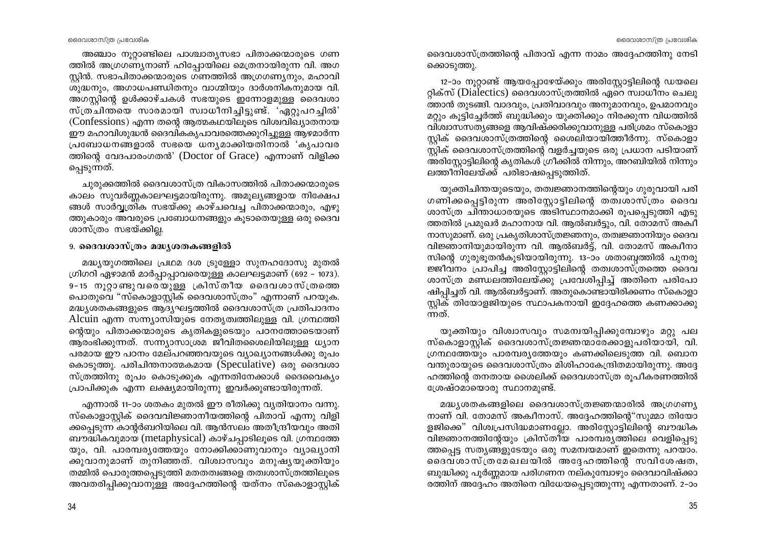അഞ്ചാം നൂറ്റാണ്ടിലെ പാശ്ചാതൃസഭാ പിതാക്കന്മാരുടെ ഗണ ത്തിൽ അഗ്രഗണ്യനാണ് ഹിപ്പോയിലെ മെത്രനായിരുന്ന വി. അഗ സ്റ്റിൻ. സഭാപിതാക്കന്മാരുടെ ഗണത്തിൽ അഗ്രഗണ്യനും, മഹാവി ശുദ്ധനും, അഗാധപണ്ഡിതനും വാഗ്മിയും ദാർശനികനുമായ വി. അഗസ്റ്റിന്റെ ഉൾക്കാഴ്ചകൾ സഭയുടെ ഇന്നോളമുള്ള ദൈവശാ സ്ത്ര്ചിന്തയെ സാരമായി സ്വാധീനിച്ചിട്ടുണ്ട്. 'ഏറുപറച്ചിൽ' (Confessions) എന്ന തന്റെ ആത്മകഥയിലൂടെ വിശ്വവിച്യാതനായ ഈ മഹാവിശുദ്ധൻ ദൈവികകൃപാവരത്തെക്കുറിച്ചുള്ള ആഴമാർന്ന പ്രബോധനങ്ങളാൽ സഭയെ ധന്യമാക്കിയതിനാൽ 'കൃപാവര ത്തിന്റെ വേദപാരംഗതൻ' (Doctor of Grace) എന്നാണ് വിളിക്ക പ്പെടുന്നത്.

ചുരുക്കത്തിൽ ദൈവശാസ്ത്ര വികാസത്തിൽ പിതാക്കന്മാരുടെ കാലം സുവർണ്ണകാലഘട്ടമായിരുന്നു. അമൂല്യങ്ങളായ നിക്ഷേപ ങ്ങൾ സാർവ്വത്രിക സഭയ്ക്കു കാഴ്ചവെച്ച പിതാക്കന്മാരും, എഴു ത്തുകാരും അവരുടെ പ്രബോധനങ്ങളും കൂടാതെയുള്ള ഒരു ദൈവ ശാസ്ത്രം സഭയ്ക്കില്ല.

### 9. ദൈവശാസ്ത്രം മദ്ധ്യശതകങ്ങളിൽ

മദ്ധ്യയുഗത്തിലെ പ്രഥമ ദശ ട്രുള്ളോ സുനഹദോസു മുതൽ ഗ്രിഗറി ഏഴാമൻ മാർപ്പാപ്പാവരെയുള്ള കാലഘട്ടമാണ് (692 – 1073). 9-15 നുറ്റാണ്ടുവരെയുള്ള ക്രിസ്തീയ ദൈവശാസ്ത്രത്തെ പൊതുവെ "സ്കൊളാസ്ലിക് ദൈവശാസ്ത്രം" എന്നാണ് പറയുക. മദ്ധ്യശതകങ്ങളുടെ ആദ്യഘട്ടത്തിൽ ദൈവശാസ്ത്ര പ്രതിപാദനം Alcuin എന്ന സന്ന്യാസിയുടെ നേതൃത്വത്തിലുള്ള വി. ഗ്രന്ഥത്തി ന്റെയും പിതാക്കന്മാരുടെ കൃതികളുടെയും പഠനത്തോടെയാണ് ആരംഭിക്കുന്നത്. സന്ന്യാസാശ്രമ ജീവിതശൈലിയിലുള്ള ധ്യാന പരമായ ഈ പഠനം മേല്പറഞ്ഞവയുടെ വ്യാഖ്യാനങ്ങൾക്കു രൂപം കൊടുത്തു. പരിചിന്തനാത്മകമായ (Speculative) ഒരു ദൈവശാ സ്ത്രത്തിനു രൂപം കൊടുക്കുക എന്നതിനേക്കാൾ ദൈവൈക്യം പ്രാപിക്കുക എന്ന ലക്ഷ്യമായിരുന്നു ഇവർക്കുണ്ടായിരുന്നത്.

എന്നാൽ 11-ാം ശതകം മുതൽ ഈ രീതിക്കു വ്യതിയാനം വന്നു. സ്കൊളാസ്റ്റിക് ദൈവവിജ്ഞാനീയത്തിന്റെ പിതാവ് എന്നു വിളി ക്കപ്പെടുന്ന കാന്റർബറിയിലെ വി. ആൻസലം അതീന്ദ്രീയവും അതി ബൗദ്ധികവുമായ (metaphysical) കാഴ്ചപ്പാടിലൂടെ വി. ഗ്രന്ഥത്തേ യും, വി. പാരമ്പര്യത്തേയും നോക്കിക്കാണുവാനും വ്യാഖ്യാനി ക്കുവാനുമാണ് തുനിഞ്ഞത്. വിശ്വാസവും മനുഷ്യയുക്തിയും തമ്മിൽ പൊരുത്തപ്പെടുത്തി മതതത്വങ്ങളെ തത്വശാസ്ത്രത്തിലൂടെ അവതരിപ്പിക്കുവാനുള്ള അദ്ദേഹത്തിന്റെ യത്നം സ്കൊളാസ്റ്റിക്

ദൈവശാസ്ത്രത്തിന്റെ പിതാവ് എന്ന നാമം അദ്ദേഹത്തിനു നേടി ക്കൊടുത്തു.

12–ാം നൂറ്റാണ്ട് ആയപ്പോഴേയ്ക്കും അരിസ്റ്റോട്ടിലിന്റെ ഡയലെ റ്റിക്സ് (Dialectics) ദൈവശാസ്ത്രത്തിൽ ഏറെ സ്വാധീനം ചെലു .<br>ത്താൻ തുടങ്ങി. വാദവും, പ്രതിവാദവും അനുമാനവും, ഉപമാനവും മറ്റും കൂട്ടിച്ചേർത്ത് ബുദ്ധിക്കും യുക്തിക്കും നിരക്കുന്ന വിധത്തിൽ വിശ്വാസസത്യങ്ങളെ ആവിഷ്ക്കരിക്കുവാനുള്ള പരിശ്രമം സ്കൊളാ സ്ലിക് ദൈവശാസ്ത്രത്തിന്റെ ശൈലിയായിത്തീർന്നു. സ്കൊളാ സ്റ്റിക് ദൈവശാസ്ത്രത്തിന്റെ വളർച്ചയുടെ ഒരു പ്രധാന പടിയാണ് അരിസ്റ്റോട്ടിലിന്റെ കൃതികൾ ഗ്രീക്കിൽ നിന്നും, അറബിയിൽ നിന്നും ലത്തീനിലേയ്ക്ക് പരിഭാഷപ്പെടുത്തിത്.

യുക്തിചിന്തയുടെയും, തത്വജ്ഞാനത്തിന്റെയും ഗുരുവായി പരി ഗണിക്കപ്പെട്ടിരുന്ന അരിസ്റ്റോട്ടിലിന്റെ തത്വശാസ്ത്രം ദൈവ ശാസ്ത്ര ചിന്താധാരയുടെ അടിസ്ഥാനമാക്കി രൂപപ്പെടുത്തി എടു ത്തതിൽ പ്രമുഖർ മഹാനായ വി. ആൽബർട്ടും, വി. തോമസ് അക്വീ നാസുമാണ്. ഒരു പ്രകൃതിശാസ്ത്രജ്ഞനും, തത്വജ്ഞാനിയും ദൈവ വിജ്ഞാനിയുമായിരുന്ന വി. ആൽബർട്ട്, വി. തോമസ് അക്വീനാ സിന്റെ ഗുരുഭൂതൻകൂടിയായിരുന്നു. 13-ാം ശതാബ്ബത്തിൽ പുനരു ജ്ജീവനം പ്രാപിച്ച അരിസ്റ്റോട്ടിലിന്റെ തത്വശാസ്ത്രത്തെ ദൈവ ശാസ്ത്ര മണ്ഡലത്തിലേയ്ക്കു പ്രവേശിപ്പിച്ച് അതിനെ പരിപോ ഷിപ്പിച്ചത് വി. ആൽബർട്ടാണ്. അതുകൊണ്ടായിരിക്കണം സ്കൊളാ സ്റ്റിക് തിയോളജിയുടെ സ്ഥാപകനായി ഇദ്ദേഹത്തെ കണക്കാക്കു ന്നത്.

യുക്തിയും വിശ്വാസവും സമന്വയിപ്പിക്കുമ്പോഴും മറ്റു പല സ്കൊളാസ്റ്റിക് ദൈവശാസ്ത്രജ്ഞന്മാരേക്കാളുപരിയായി, വി. ഗ്രന്ഥത്തേയും പാരമ്പര്യത്തേയും കണക്കിലെടുത്ത വി. ബൊന വന്തുരായുടെ ദൈവശാസ്ത്രം മിശിഹാകേന്ദ്രിതമായിരുന്നു. അദ്ദേ ഹത്തിന്റെ തനതായ ശൈലിക്ക് ദൈവശാസ്ത്ര രൂപീകരണത്തിൽ ശ്രേഷ്ഠമായൊരു സ്ഥാനമുണ്ട്.

മദ്ധ്യശതകങ്ങളിലെ ദൈവശാസ്ത്രജ്ഞന്മാരിൽ അഗ്രഗണ്യ നാണ് വി. തോമസ് അക്വീനാസ്. അദ്ദേഹത്തിന്റെ"സുമ്മാ തിയോ ളജിക്കെ" വിശ്വപ്രസിദ്ധമാണല്ലോ. അരിസ്റ്റോട്ടിലിന്റെ ബൗദ്ധിക വിജ്ഞാനത്തിന്റേയും ക്രിസ്തീയ പാരമ്പര്യത്തിലെ വെളിപ്പെടു ത്തപ്പെട്ട സതൃങ്ങളുടേയും ഒരു സമന്വയമാണ് ഇതെന്നു പറയാം. ദൈവശാസ്ത്രമേഖലയിൽ അദ്ദേഹത്തിന്റെ സവിശേഷത, ബുദ്ധിക്കു പൂർണ്ണമായ പരിഗണന നല്കുമ്പോഴും ദൈവാവിഷ്ക്കാ രത്തിന് അദ്ദേഹം അതിനെ വിധേയപ്പെടുത്തുന്നു എന്നതാണ്. 2–ാം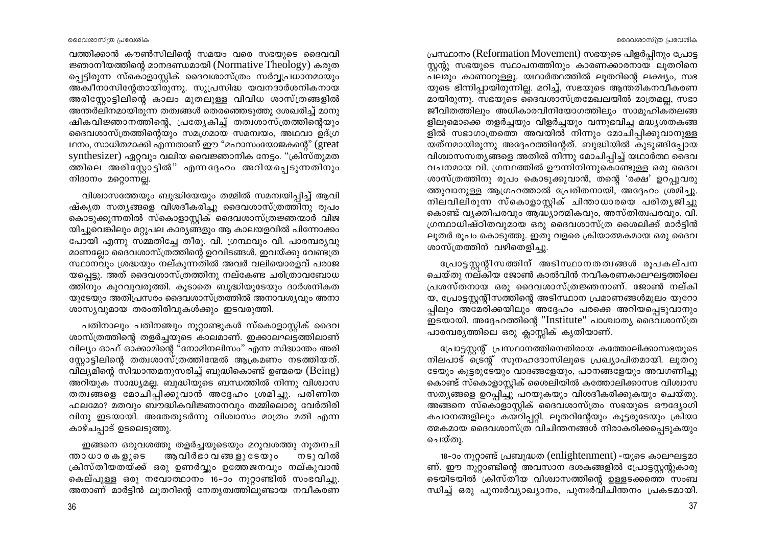പ്രസ്ഥാനം (Reformation Movement) സഭയുടെ പിളർപ്പിനും പ്രോട്ട സ്കന്റു സഭയുടെ സ്ഥാപനത്തിനും കാരണക്കാരനായ ലുതറിനെ പലരും കാണാറുള്ളൂ. യഥാർത്ഥത്തിൽ ലുതറിന്റെ ലക്ഷ്യം, സഭ യുടെ ഭിന്നിപ്പായിരുന്നില്ല. മറിച്ച്, സഭയുടെ ആന്തരികനവീകരണ മായിരുന്നു. സഭയുടെ ദൈവശാസ്ത്രമേഖലയിൽ മാത്രമല്ല, സഭാ ജീവിതത്തിലും അധികാരവിനിയോഗത്തിലും സാമൂഹികതലങ്ങ ളിലുമൊക്കെ തളർച്ചയും വിളർച്ചയും വന്നുഭവിച്ച മദ്ധ്യശതകങ്ങ ളിൽ സഭാഗാത്രത്തെ അവയിൽ നിന്നും മോചിപ്പിക്കുവാനുള്ള യത്നമായിരുന്നു അദ്ദേഹത്തിന്റേത്. ബുദ്ധിയിൽ കുടുങ്ങിപ്പോയ വിശ്വാസസത്യങ്ങളെ അതിൽ നിന്നു മോചിപ്പിച്ച് യഥാർത്ഥ ദൈവ വചനമായ വി. ഗ്രന്ഥത്തിൽ ഊന്നിനിന്നുകൊണ്ടുള്ള ഒരു ദൈവ ശാസ്ത്രത്തിനു രൂപം കൊടുക്കുവാൻ, തന്റെ 'രക്ഷ' ഉറപ്പുവരു ത്തുവാനുള്ള ആഗ്രഹത്താൽ പ്രേരിതനായി, അദ്ദേഹം ശ്രമിച്ചു. നിലവിലിരുന്ന സ്കൊളാസ്റ്റിക് ചിന്താധാരയെ പരിതൃജിച്ചു കൊണ്ട് വൃക്തിപരവും ആദ്ധ്യാത്മികവും, അസ്തിത്വപരവും, വി. ഗ്രന്ഥാധിഷ്ഠിതവുമായ ഒരു ദൈവശാസ്ത്ര ശൈലിക്ക് മാർട്ടിൻ ലൂതർ രൂപം കൊടുത്തു. ഇതു വളരെ ക്രിയാത്മകമായ ഒരു ദൈവ ശാസ്ത്രത്തിന് വഴിതെളിച്ചു.

പ്രോട്ടസ്റ്റര്ിസത്തിന് അടിസ്ഥാനതത്വങ്ങൾ രൂപകല്പന ്ചെയ്തു നല്കിയ ജോൺ കാൽവിൻ നവീകരണകാലഘട്ടത്തിലെ പ്രശസ്തനായ ഒരു ദൈവശാസ്ത്രജ്ഞനാണ്. ജോൺ നല്കി യ, പ്രോട്ടസ്റ്റന്റിസത്തിന്റെ അടിസ്ഥാന പ്രമാണങ്ങൾമൂലം യൂറോ പ്പിലും അമേരിക്കയിലും അദ്ദേഹം പരക്കെ അറിയപ്പെടുവാനും ഇടയായി. അദ്ദേഹത്തിന്റെ "Institute" പാശ്ചാത്യ ദൈവശാസ്ത്ര പാരമ്പര്യത്തിലെ ഒരു ക്ലാസ്സിക് കൃതിയാണ്.

പ്രോട്ടസ്റ്റന്റ് പ്രസ്ഥാനത്തിനെതിരായ കത്തോലിക്കാസഭയുടെ നിലപാട് ട്രെന്റ് സൂനഹദോസിലൂടെ പ്രഖ്യാപിതമായി. ലൂതറു ടേയും കൂട്ടരുടേയും വാദങ്ങളേയും, പഠനങ്ങളേയും അവഗണിച്ചു കൊണ്ട് സ്കൊളാസ്റ്റിക് ശൈലിയിൽ കത്തോലിക്കാസഭ വിശ്വാസ സത്യങ്ങളെ ഉറപ്പിച്ചു പറയുകയും വിശദീകരിക്കുകയും ചെയ്തു. അങ്ങനെ സ്കൊളാസ്റ്റിക് ദൈവശാസ്ത്രം സഭയുടെ ഔദ്യോഗി കപഠനങ്ങളിലും കയറിപ്പറ്റി. ലൂതറിന്റേയും കൂട്ടരുടേയും ക്രിയാ ത്മകമായ ദൈവശാസ്ത്ര വിചിന്തനങ്ങൾ നിരാകരിക്കപ്പെടുകയും ചെയ്തു.

18-ാം നുറ്റാണ്ട് പ്രബുദ്ധത (enlightenment) -യുടെ കാലഘട്ടമാ ണ്. ഈ നൂറ്റാണ്ടിന്റെ അവസാന ദശകങ്ങളിൽ പ്രോട്ടസ്റ്റന്റുകാരു ടെയിടയിൽ ക്രിസ്തീയ വിശ്വാസത്തിന്റെ ഉള്ളടക്കത്തെ സംബ ന്ധിച്ച് ഒരു പുനഃർവ്യാഖ്യാനം, പുനഃർവിചിന്തനം പ്രകടമായി.

വത്തിക്കാൻ കൗൺസിലിന്റെ സമയം വരെ സഭയുടെ ദൈവവി ജ്ഞാനീയത്തിന്റെ മാനദണ്ഡമായി (Normative Theology) കരുത പ്പെട്ടിരുന്ന സ്കൊളാസ്റ്റിക് ദൈവശാസ്ത്രം സർവ്യപ്രധാനമായും അ്ക്വീനാസിന്റേതായിരുന്നു. സുപ്രസിദ്ധ യവനദാർശനികനായ അരിസ്റ്റോട്ടിലിന്റെ കാലം മുതലുള്ള വിവിധ ശാസ്ത്രങ്ങളിൽ അന്തർലിനമായിരുന്ന തത്വങ്ങൾ തെരഞ്ഞെടുത്തു ശേഖരിച്ച് മാനു ഷികവിജ്ഞാനത്തിന്റെ, പ്രത്യേകിച്ച് തത്വശാസ്ത്രത്തിന്റെയും ദൈവശാസ്ത്രത്തിന്റെയും സമഗ്രമായ സമന്വയം, അഥവാ ഉദ്ഗ്ര ഥനം, സാധിതമാക്കി എന്നതാണ് ഈ "മഹാസംയോജകന്റെ" (great synthesizer) ഏറ്റവും വലിയ വൈജ്ഞാനിക നേട്ടം. "ക്രിസ്തുമത ത്തിലെ അരിസ്റ്റോട്ടിൽ" എന്നദ്ദേഹം അറിയപ്പെടുന്നതിനും നിദാനം മറ്റൊന്നല്ല.

വിശ്വാസത്തേയും ബുദ്ധിയേയും തമ്മിൽ സമന്വയിപ്പിച്ച് ആവി ഷ്കൃത സതൃങ്ങളെ വിശദീകരിച്ചു ദൈവശാസ്ത്രത്തിനു രൂപം കൊടുക്കുന്നതിൽ സ്കൊളാസ്ലിക് ദൈവശാസ്ത്രജ്ഞന്മാർ വിജ യിച്ചുവെങ്കിലും മറ്റുപല കാര്യങ്ങളും ആ കാലയളവിൽ പിന്നോക്കം പോയി എന്നു സമ്മതിച്ചേ തീരു. വി. ഗ്രന്ഥവും വി. പാരമ്പര്യവു മാണല്ലോ ദൈവശാസ്ത്രത്തിന്റെ ഉറവിടങ്ങൾ. ഇവയ്ക്കു വേണ്ടത്ര സ്ഥാനവും ശ്രദ്ധയും നല്കുന്നതിൽ അവർ വലിയൊരളവ് പരാജ യപ്പെട്ടു. അത് ദൈവശാസ്ത്രത്തിനു നല്കേണ്ട ചരിത്രാവബോധ ത്തിനും കുറവുവരുത്തി. കൂടാതെ ബുദ്ധിയുടേയും ദാർശനികത യുടേയും അതിപ്രസരം ദൈവശാസ്ത്രത്തിൽ അനാവശ്യവും അനാ ശാസ്യവുമായ തരംതിരിവുകൾക്കും ഇടവരുത്തി.

പതിനാലും പതിനഞ്ചും നൂറ്റാണ്ടുകൾ സ്കൊളാസ്റ്റിക് ദൈവ ശാസ്ത്രത്തിന്റെ തളർച്ചയുടെ കാലമാണ്. ഇക്കാലഘട്ടത്തിലാണ് വില്യം ഓഫ് ഓക്കാമിന്റെ "നോമിനലിസം" എന്ന സിദ്ധാന്തം അരി സ്റ്റോട്ടിലിന്റെ തത്വശാസ്ത്രത്തിന്മേൽ ആക്രമണം നടത്തിയത്. വില്യമിന്റെ സിദ്ധാന്തമനുസരിച്ച് ബുദ്ധികൊണ്ട് ഉണ്മയെ (Being) അറിയുക സാദ്ധ്യമല്ല. ബുദ്ധിയുടെ ബന്ധത്തിൽ നിന്നു വിശ്വാസ തത്വങ്ങളെ മോചിപ്പിക്കുവാൻ അദ്ദേഹം ശ്രമിച്ചു. പരിണിത ഫലമോ? മതവും ബൗദ്ധികവിജ്ഞാനവും തമ്മിലൊരു വേർതിരി വിനു ഇടയായി. അതേതുടർന്നു വിശ്വാസം മാത്രം മതി എന്ന കാഴ്ചപ്പാട് ഉടലെടുത്തു.

ഇങ്ങനെ ഒരുവശത്തു തളർച്ചയുടെയും മറുവശത്തു നൂതനചി ആവിർഭാ വങ്ങ ളു ടേയും ന്താധാരകളുടെ നടു വിൽ ക്രിസ്തീയതയ്ക്ക് ഒരു ഉണർവ്വും ഉത്തേജനവും നല്കുവാൻ കെല്പുള്ള ഒരു നവോത്ഥാനം 16–ാം നൂറ്റാണ്ടിൽ സംഭവിച്ചു. അതാണ് മാർട്ടിൻ ലൂതറിന്റെ നേതൃത്വത്തിലുണ്ടായ നവീകരണ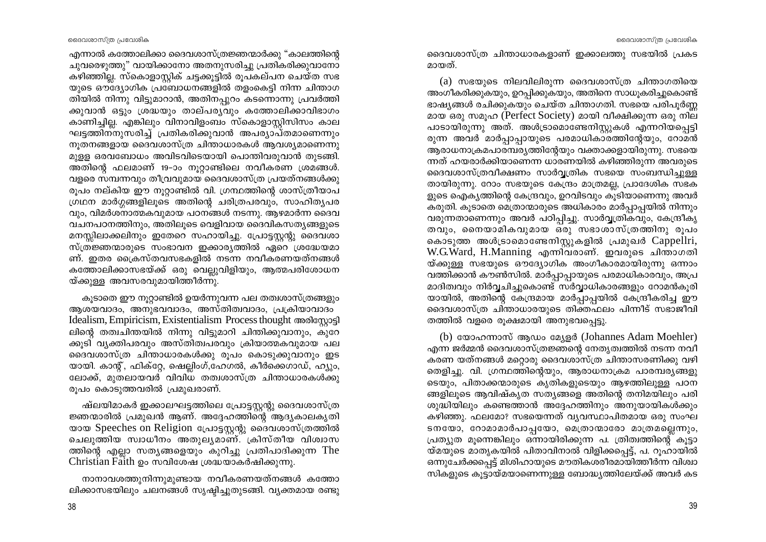എന്നാൽ കത്തോലിക്കാ ദൈവശാസ്ത്രജ്ഞന്മാർക്കു "കാലത്തിന്റെ ചുവരെഴുത്തു" വായിക്കാനോ അതനുസരിച്ചു പ്രതികരിക്കുവാനോ കഴിഞ്ഞില്ല. സ്കൊളാസ്റ്റിക് ചട്ടക്കൂട്ടിൽ രൂപകല്പന ചെയ്ത സഭ യുടെ ഔദ്യോഗിക പ്രബോധനങ്ങളിൽ തളംകെട്ടി നിന്ന ചിന്താഗ തിയിൽ നിന്നു വിട്ടുമാറാൻ, അതിനപ്പുറം കടന്നൊന്നു പ്രവർത്തി ക്കുവാൻ ഒട്ടും ശ്രദ്ധയും താല്പര്യവും കത്തോലിക്കാവിഭാഗം കാണിച്ചില്ല. എങ്കിലും വിനാവിളംബം സ്കൊളാസ്റ്റിസിസം കാല ഘട്ടത്തിന്നുസരിച്ച് പ്രതികരിക്കുവാൻ അപര്യാപ്തമാണെന്നും നൂതനങ്ങളായ ദൈവശാസ്ത്ര ചിന്താധാരകൾ ആവശ്യമാണെന്നു മുള്ള ഒരവബോധം അവിടവിടെയായി പൊന്തിവരുവാൻ തുടങ്ങി. അതിന്റെ ഫലമാണ് 19-ാം നൂറ്റാണ്ടിലെ നവീകരണ ശ്രമങ്ങൾ. വളരെ സമ്പന്നവും തീവ്രവുമായ ദൈവശാസ്ത്ര പ്രയത്നങ്ങൾക്കു രുപം നല്കിയ ഈ നുറ്റാണ്ടിൽ വി. ഗ്രന്ഥത്തിന്റെ ശാസ്ത്രീയാപ ഗ്രഥന മാർഗ്ഗങ്ങളിലൂടെ അതിന്റെ ചരിത്രപരവും, സാഹിതൃപര വും, വിമർശനാത്മകവുമായ പഠനങ്ങൾ നടന്നു. ആഴമാർന്ന ദൈവ വചനപഠനത്തിനും, അതിലുടെ വെളിവായ ദൈവികസത്യങ്ങളുടെ മനസ്സിലാക്കലിനും ഇതേറെ സഹായിച്ചു. പ്രോട്ടസ്റ്റന്റു ദൈവശാ സ്ത്രജ്ഞന്മാരുടെ സംഭാവന ഇക്കാരൃത്തിൽ ഏറെ ശ്രദ്ധേയമാ ണ്. ഇതര ക്രൈസ്തവസഭകളിൽ നടന്ന നവീകരണയത്നങ്ങൾ കത്തോലിക്കാസഭയ്ക്ക് ഒരു വെല്ലുവിളിയും, ആത്മപരിശോധന യ്ക്കുള്ള അവസരവുമായിത്തീർന്നു.

കൂടാതെ ഈ നൂറ്റാണ്ടിൽ ഉയർന്നുവന്ന പല തത്വശാസ്ത്രങ്ങളും ആശയവാദം, അനുഭവവാദം, അസ്തിത്വവാദം, പ്രക്രിയാവാദം Idealism, Empiricism, Existentialism Process thought അരിസ്കോട്ടി ലിന്റെ തത്വചിന്തയിൽ നിന്നു വിട്ടുമാറി ചിന്തിക്കുവാനും, കുറേ ക്കുടി വ്യക്തിപരവും അസ്തിത്വപരവും ക്രിയാത്മകവുമായ പല ദൈവശാസ്ത്ര ചിന്താധാരകൾക്കു രൂപം കൊടുക്കുവാനും ഇട യായി. കാന്റ്, ഫിക്റ്റേ, ഷെല്ലിംഗ്,ഹേഗൽ, കീർക്കെഗാഡ്, ഹ്യും, ലോക്ക്, മുതലായവര് വിവിധ തത്വശാസ്ത്ര ചിന്താധാരകൾക്കു രൂപം കൊടുത്തവരിൽ പ്രമുഖരാണ്.

ഷ്ലയിമാകർ ഇക്കാലഘട്ടത്തിലെ പ്രോട്ടസ്റ്റന്റു ദൈവശാസ്ത്ര ജ്ഞന്മാരിൽ പ്രമുഖൻ ആണ്. അദ്ദേഹത്തിന്റെ ആദ്യകാലകൃതി യായ Speeches on Religion പ്രോട്ടസ്റ്റന്റു ദൈവശാസ്ത്രത്തിൽ ചെലുത്തിയ സ്വാധീനം അതുലൃമാണ്. ക്രിസ്തീയ വിശ്വാസ ത്തിന്റെ എല്ലാ സത്യങ്ങളെയും കുറിച്ചു പ്രതിപാദിക്കുന്ന The Christian Faith ഉം സവിശേഷ ശ്രദ്ധയാകർഷിക്കുന്നു.

നാനാവശത്തുനിന്നുമുണ്ടായ നവീകരണയത്നങ്ങൾ കത്തോ ലിക്കാസഭയിലും ചലനങ്ങൾ സൃഷ്ടിച്ചുതുടങ്ങി. വ്യക്തമായ രണ്ടു ദൈവശാസ്ത്ര ചിന്താധാരകളാണ് ഇക്കാലത്തു സഭയിൽ പ്രകട മായത്.

(a) സഭയുടെ നിലവിലിരുന്ന ദൈവശാസ്ത്ര ചിന്താഗതിയെ അംഗീകരിക്കുകയും, ഉറപ്പിക്കുകയും, അതിനെ സാധൂകരിച്ചുകൊണ്ട് ഭാഷ്യങ്ങൾ രചിക്കുകയും ചെയ്ത ചിന്താഗതി. സഭയെ പരിപൂർണ മായ ഒരു സമുഹ (Perfect Society) മായി വീക്ഷിക്കുന്ന ഒരു നില പാടായിരുന്നു അത്. അൾട്രാമൊണ്ടേനിസ്റ്റുകൾ എന്നറിയപ്പെട്ടി രുന്ന അവർ മാർപാപായുടെ പരമാധികാരത്തിന്റേയും, റോമൻ ആരാധനാക്രമപാരമ്പര്യത്തിന്റേയും വക്താക്കളായിരുന്നു. സഭയെ ന്നത് ഹയരാർക്കിയാണെന്ന ധാരണയിൽ കഴിഞ്ഞിരുന്ന അവരുടെ ദൈവശാസ്ത്രവീക്ഷണം സാർവ്വത്രിക സഭയെ സംബന്ധിച്ചുള്ള തായിരുന്നു. റോം സഭയുടെ കേന്ദ്രം മാത്രമല്ല, പ്രാദേശിക സഭക ളുടെ ഐക്യത്തിന്റെ കേന്ദ്രവും, ഉറവിടവും കൂടിയാണെന്നു അവർ കരുതി. കുടാതെ മെത്രാന്മാരുടെ അധികാരം മാർപ്പാപ്പയിൽ നിന്നും വരുന്നതാണെന്നും അവർ പഠിപ്പിച്ചു. സാർവ്വത്രികവും, കേന്ദ്രീകൃ തവും, നൈയാമികവുമായ ഒരു സഭാശാസ്ത്രത്തിനു രൂപം കൊടുത്ത അൾട്രാമൊണ്ടേനിസ്കുകളിൽ പ്രമുഖർ Cappellri, W.G.Ward, H.Manning എന്നിവരാണ്. ഇവരുടെ ചിന്താഗതി യ്ക്കുള്ള സഭയുടെ ഔദ്യോഗിക അംഗീകാരമായിരുന്നു ഒന്നാം വത്തിക്കാൻ കൗൺസിൽ. മാർപ്പാപ്പായുടെ പരമാധികാരവും, അപ്ര മാദിത്വവും നിർവ്വചിച്ചുകൊണ്ട് സർവ്വാധികാരങ്ങളും റോമൻകുരി യായിൽ, അതിന്റെ കേന്ദ്രമായ മാർപ്പാപ്പയിൽ കേന്ദ്രീകരിച്ച ഈ ദൈവശാസ്ത്ര ചിന്താധാരയുടെ തിക്തഫലം പിന്നീട് സഭാജീവി തത്തിൽ വളരെ രുക്ഷമായി അനുഭവപ്പെട്ടു.

(b) യോഹന്നാസ് ആഡം മ്യേളർ (Johannes Adam Moehler) എന്ന ജർമ്മൻ ദൈവശാസ്ത്രജ്ഞന്റെ നേതൃത്വത്തിൽ നടന്ന നവീ കരണ യത്നങ്ങൾ മറ്റൊരു ദൈവശാസ്ത്ര ചിന്താസരണിക്കു വഴി തെളിച്ചു. വി. ഗ്രന്ഥത്തിന്റെയും, ആരാധനാക്രമ പാരമ്പര്യങ്ങളു ടെയും, പിതാക്കന്മാരുടെ കൃതികളുടെയും ആഴത്തിലുള്ള പഠന ങ്ങളിലൂടെ ആവിഷ്കൃത സത്യങ്ങളെ അതിന്റെ തനിമയിലും പരി ശുദ്ധിയിലും കണ്ടെത്താൻ അദ്ദേഹത്തിനും അനുയായികൾക്കും കഴിഞ്ഞു. ഫലമോ? സഭയെന്നത് വ്യവസ്ഥാപിതമായ ഒരു സംഘ ടനയോ, റോമാമാർപാപ്പയോ, മെത്രാന്മാരോ മാത്രമല്ലെന്നും, പ്രത്യുത മൂന്നെങ്കിലും ഒന്നായിരിക്കുന്ന പ. ത്രിത്വത്തിന്റെ കൂട്ടാ യ്മയുടെ മാതൃകയിൽ പിതാവിനാൽ വിളിക്കപ്പെട്ട്, പ. റൂഹായിൽ ഒന്നുചേർക്കപ്പെട്ട് മിശിഹായുടെ മൗതികശരീരമായിത്തീർന്ന വിശ്വാ ്സികളുടെ കൂട്ടായ്മയാണെന്നുള്ള ബോദ്ധ്യത്തിലേയ്ക്ക് അവർ കട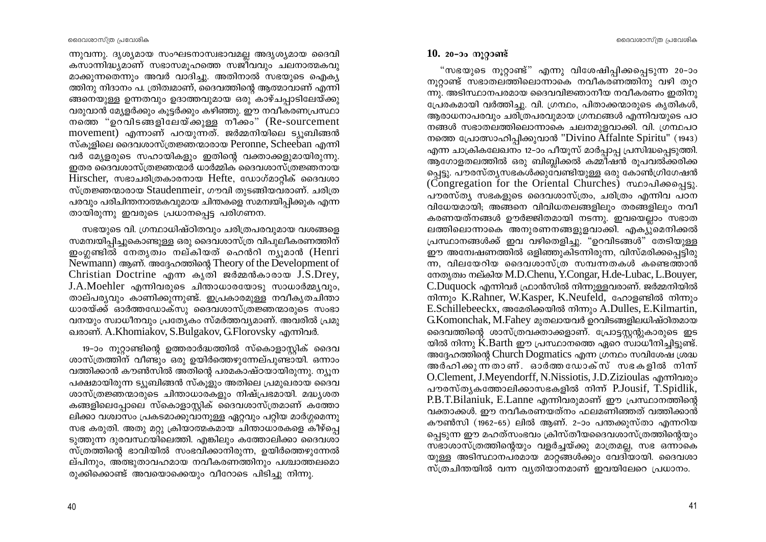ന്നുവന്നു. ദൃശ്യമായ സംഘടനാസ്വഭാവമല്ല അദൃശ്യമായ ദൈവി കസാന്നിദ്ധ്യമാണ് സഭാസമൂഹത്തെ സജീവവും ചലനാത്മകവു മാക്കുന്നതെന്നും അവർ വാദിച്ചു. അതിനാൽ സഭയുടെ ഐക്യ ത്തിനു നിദാനം പ. ത്രിത്വമാണ്, ദൈവത്തിന്റെ ആത്മാവാണ് എന്നി ങ്ങനെയുള്ള ഉന്നതവും ഉദാത്തവുമായ ഒരു കാഴ്ചപ്പാടിലേയ്ക്കു വരുവാൻ മ്യേളർക്കും കൂട്ടർക്കും കഴിഞ്ഞു. ഈ നവീകരണപ്രസ്ഥാ നത്തെ "ഉറവിടങ്ങളിലേയ്ക്കുള്ള നീക്കം" (Re-sourcement movement) എന്നാണ് പറയുന്നത്. ജർമ്മനിയിലെ ട്യുബിങ്ങൻ സ്കൂളിലെ ദൈവശാസ്ത്രജ്ഞന്മാരായ Peronne, Scheeban എന്നി വർ മ്യേളരുടെ സഹായികളും ഇതിന്റെ വക്താക്കളുമായിരുന്നു. ഇതര ദൈവശാസ്ത്രജ്ഞന്മാർ ധാർമ്മിക ദൈവശാസ്ത്രജ്ഞനായ Hirscher, സഭാചരിത്രകാരനായ Hefte, ഡോഗ്മാറ്റിക് ദൈവശാ സ്ത്രജ്ഞന്മാരായ Staudenmeir, ഗൗവി തുടങ്ങിയവരാണ്. ചരിത്ര പരവും പരിചിന്തനാത്മകവുമായ ചിന്തകളെ സമന്വയിപ്പിക്കുക എന്ന തായിരുന്നു ഇവരുടെ പ്രധാനപ്പെട്ട പരിഗണന.

സഭയുടെ വി. ഗ്രന്ഥാധിഷ്ഠിതവും ചരിത്രപരവുമായ വശങ്ങളെ സമന്വയിപ്പിച്ചുകൊണ്ടുള്ള ഒരു ദൈവശാസ്ത്ര വിപുലീകരണത്തിന് ഇംഗ്ലണ്ടിൽ നേതൃത്വം നല്കിയത് ഹെൻറി ന്യൂമാൻ (Henri Newmann) ആണ്. അദ്ദേഹത്തിന്റെ Theory of the Development of Christian Doctrine എന്ന കൃതി ജർമ്മൻകാരായ J.S.Drey, J.A.Moehler എന്നിവരുടെ ചിന്താധാരയോടു സാധാർമ്മ്യവും, താല്പര്യവും കാണിക്കുന്നുണ്ട്. ഇപ്രകാരമുള്ള നവീകൃതചിന്താ ധാരയ്ക്ക് ഓർത്തഡോക്സു ദൈവശാസ്ത്രജ്ഞന്മാരുടെ സംഭാ വനയും സ്വാധീനവും പ്രത്യേകം സ്മർത്തവ്യമാണ്. അവരിൽ പ്രമു ഖരാണ്. A.Khomiakov, S.Bulgakov, G.Florovsky എന്നിവർ.

19-ാം നൂറ്റാണ്ടിന്റെ ഉത്തരാർദ്ധത്തിൽ സ്കൊളാസ്റ്റിക് ദൈവ ശാസ്ത്രത്തിന് വീണ്ടും ഒരു ഉയിർത്തെഴുന്നേല്പുണ്ടായി. ഒന്നാം വത്തിക്കാൻ കൗൺസിൽ അതിന്റെ പരമകാഷ്ഠയായിരുന്നു. ന്യൂന പക്ഷമായിരുന്ന ട്യൂബിങ്ങൻ സ്കൂളും അതിലെ പ്രമുഖരായ ദൈവ ശാസ്ത്രജ്ഞന്മാരുടെ ചിന്താധാരകളും നിഷ്പ്രഭമായി. മദ്ധ്യശത കങ്ങളിലെപ്പോലെ സ്കൊളാസ്ലിക് ദൈവശാസ്ത്രമാണ് കത്തോ ലിക്കാ വശ്വാസം പ്രകടമാക്കുവാനുള്ള ഏറ്റവും പറ്റിയ മാർഗ്ഗമെന്നു സഭ കരുതി. അതു മറ്റു ക്രിയാത്മകമായ ചിന്താധാരകളെ കീഴ്പ്പെ ടുത്തുന്ന ദുരവസ്ഥയിലെത്തി. എങ്കിലും കത്തോലിക്കാ ദൈവശാ സ്ത്രത്തിന്റെ ഭാവിയിൽ സംഭവിക്കാനിരുന്ന, ഉയിർത്തെഴുന്നേൽ ല്പിനും, അത്ഭുതാവഹമായ നവീകരണത്തിനും പശ്ചാത്തലമൊ രുക്കിക്കൊണ്ട് അവയൊക്കെയും വീറോടെ പിടിച്ചു നിന്നു.

# $10.20 - 30$  നൂറ്റാണ്ട്

"സഭയുടെ നൂറ്റാണ്ട്" എന്നു വിശേഷിപ്പിക്കപ്പെടുന്ന 20-ാം നുറ്റാണ്ട് സഭാതലത്തിലൊന്നാകെ നവീകരണത്തിനു വഴി തുറ ന്നു. അടിസ്ഥാനപരമായ ദൈവവിജ്ഞാനീയ നവീകരണം ഇതിനു പ്രേരകമായി വർത്തിച്ചു. വി. ഗ്രന്ഥം, പിതാക്കന്മാരുടെ കൃതികൾ, ആരാധനാപരവും ചരിത്രപരവുമായ ഗ്രന്ഥങ്ങൾ എന്നിവയുടെ പഠ നങ്ങൾ സഭാതലത്തിലൊന്നാകെ ചലനമുളവാക്കി. വി. ഗ്രന്ഥപഠ നത്തെ പ്രോത്സാഹിപ്പിക്കുവാൻ "Divino Affainte Spiritu" (1943) എന്ന ചാക്രികലേഖനം 12-ാം പീയുസ് മാർപ്പാപ്പ പ്രസിദ്ധപ്പെടുത്തി. ആഗോളതലത്തിൽ ഒരു ബിബ്ലിക്കൽ കമ്മീഷൻ രൂപവൽക്കരിക്ക പ്പെട്ടു. പൗരസ്തൃസഭകൾക്കുവേണ്ടിയുള്ള ഒരു കോൺഗ്രിഗേഷൻ (Congregation for the Oriental Churches) സ്ഥാപിക്കപ്പെട്ടു. പൗരസ്ത്യ സഭകളുടെ ദൈവശാസ്ത്രം, ചരിത്രം എന്നിവ പഠന വിധേയമായി; അങ്ങനെ വിവിധതലങ്ങളിലും തരങ്ങളിലും നവീ കരണയത്നങ്ങൾ ഊർജ്ജിതമായി നടന്നു. ഇവയെല്ലാം സഭാത ലത്തിലൊന്നാകെ അനുരണനങ്ങളുളവാക്കി. എക്യുമെനിക്കൽ പ്രസ്ഥാനങ്ങൾക്ക് ഇവ വഴിതെളിച്ചു. "ഉറവിടങ്ങൾ" തേടിയുള്ള ഈ അമ്പേഷണത്തിൽ ഒളിഞ്ഞുകിടന്നിരുന്ന, വിസ്മരിക്കപ്പെട്ടിരു ന്ന, വിലയേറിയ ദൈവശാസ്ത്ര സമ്പന്നതകൾ കണ്ടെത്താൻ നേതൃത്വം നല്കിയ M.D.Chenu, Y.Congar, H.de-Lubac, L.Bouyer, C.Duguock എന്നിവർ ഫ്രാൻസിൽ നിന്നുള്ളവരാണ്. ജർമ്മനിയിൽ നിന്നും K.Rahner, W.Kasper, K.Neufeld, ഹോളണ്ടിൽ നിന്നും E.Schillebeeckx, അമേരിക്കയിൽ നിന്നും A.Dulles, E.Kilmartin, G.Komonchak, M.Fahey മുതലായവർ ഉറവിടങ്ങളിലധിഷ്ഠിതമായ ദൈവത്തിന്റെ ശാസ്ത്രവക്താക്കളാണ്. പ്രോട്ടസ്റ്റന്റുകാരുടെ ഇട യിൽ നിന്നു  $\breve{K}$ .Barth ഈ പ്രസ്ഥാനത്തെ ഏറെ സ്ഥാധീനിച്ചിട്ടുണ്ട്. അദ്ദേഹത്തിന്റെ Church Dogmatics എന്ന ഗ്രന്ഥം സവിശേഷ ശ്രദ്ധ അർഹിക്കുന്നതാണ്. ഓർത്തഡോക്സ് സഭകളിൽ നിന്ന് O.Clement, J.Meyendorff, N.Nissiotis, J.D.Zizioulas എന്നിവരും പൗരസ്ത്യകത്തോലിക്കാസഭകളിൽ നിന്ന് P.Jousif, T.Spidlik, P.B.T.Bilaniuk, E.Lanne എന്നിവരുമാണ് ഈ പ്രസ്ഥാനത്തിന്റെ വക്താക്കൾ. ഈ നവീകരണയത്നം ഫലമണിഞ്ഞത് വത്തിക്കാൻ കൗൺസി (1962–65) ലിൽ ആണ്. 2–ാം പന്തക്കുസ്താ എന്നറിയ പ്പെടുന്ന ഈ മഹത്സംഭവം ക്രിസ്തീയദൈവശാസ്ത്രത്തിന്റെയും സഭാശാസ്ത്രത്തിന്റെയും വളർച്ചയ്ക്കു മാത്രമല്ല, സഭ ഒന്നാകെ യുള്ള അടിസ്ഥാനപരമായ മാറ്റങ്ങൾക്കും വേദിയായി. ദൈവശാ സ്ത്രചിന്തയിൽ വന്ന വ്യതിയാനമാണ് ഇവയിലേറെ പ്രധാനം.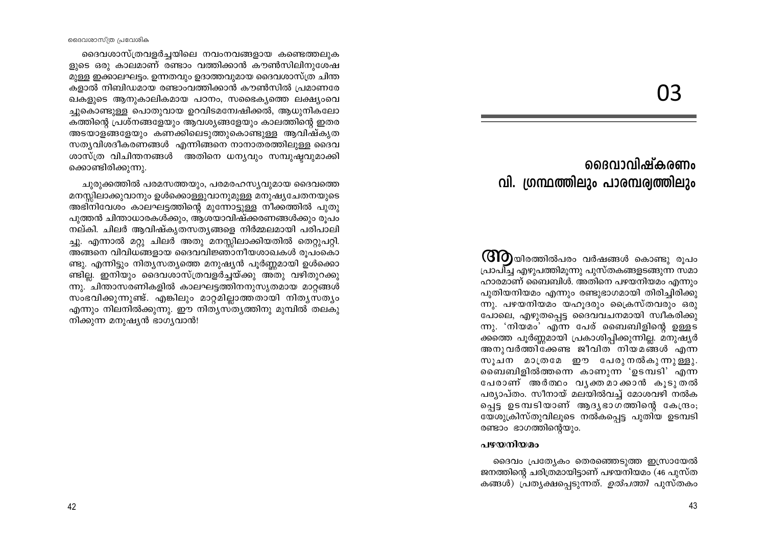03

# രൈവാവിഷ്കരണം വി. ഗ്രന്ഥത്തിലും പാരമ്പര്വത്തിലും

(GIO)യിരത്തിൽപരം വർഷങ്ങൾ കൊണ്ടു രൂപം പ്രാപിച്ച എഴുപത്തിമുന്നു പുസ്തകങ്ങളടങ്ങുന്ന സമാ ഹാരമാണ് ബൈബിൾ. അതിനെ പഴയനിയമം എന്നും പുതിയനിയമം എന്നും രണ്ടുഭാഗമായി തിരിച്ചിരിക്കു  $(m)$ . പഴയനിയമം യഹുദരും ക്രൈസ്തവരും ഒരു പോലെ, എഴുതപ്പെട്ട ദൈവവചനമായി സ്വീകരിക്കു ന്നു. 'നിയമം' എന്ന പേര് ബൈബിളിന്റെ ഉള്ളട ക്കത്തെ പൂർണ്ണമായി പ്രകാശിപ്പിക്കുന്നില്ല. മനുഷ്യർ അനുവർത്തിക്കേണ്ട ജീവിത് നിയമങ്ങൾ എന്ന സുചന മാത്രമേ ഈ പേരുനൽകുന്നുള്ളു. ബൈബിളിൽത്തന്നെ കാണുന്ന 'ഉടമ്പടി' എന്ന പേരാണ് അർത്ഥം വൃക്തമാക്കാൻ കൂടുതൽ പര്യാപ്തം. സീനായ് മലയിൽവച്ച് മോശവഴി നൽക പെട്ട ഉടമ്പടിയാണ് ആദൃഭാഗത്തിന്റെ കേന്ദ്രം; യേശുക്രിസ്തുവിലൂടെ നൽകപ്പെട്ട പുതിയ ഉടമ്പടി രണ്ടാം ഭാഗത്തിന്റെയും.

### പഴയനിയമം

ദൈവം പ്രത്യേകം തെരഞ്ഞെടുത്ത ഇസ്രായേൽ ജനത്തിന്റെ ചരിത്രമായിട്ടാണ് പഴയനിയമം (46 പുസ്ത കങ്ങൾ) പ്രതൃക്ഷപ്പെടുന്നത്. *ഉൽപത്തി* പുസ്തകം

ദൈവശാസ്ത്ര പ്രവേശിക

ദൈവശാസ്ത്രവളർച്ചയിലെ നവംനവങ്ങളായ കണ്ടെത്തലുക ളുടെ ഒരു കാലമാണ് രണ്ടാം വത്തിക്കാൻ കൗൺസിലിനുശേഷ മുള്ള ഇക്കാലഘട്ടം. ഉന്നതവും ഉദാത്തവുമായ ദൈവശാസ്ത്ര ചിന്ത കളാൽ നിബിഡമായ രണ്ടാംവത്തിക്കാൻ കൗൺസിൽ പ്രമാണരേ ഖകളുടെ ആനുകാലികമായ പഠനം, സഭൈകൃത്തെ ലക്ഷ്യംവെ ച്ചുകൊണ്ടുള്ള പൊതുവായ ഉറവിടമമ്പേഷിക്കൽ, ആധുനികലോ കത്തിന്റെ പ്രശ്നങ്ങളേയും ആവശ്യങ്ങളേയും കാലത്തിന്റെ ഇതര അടയാളങ്ങളേയും കണക്കിലെടുത്തുകൊണ്ടുള്ള ആവിഷ്കൃത സത്യവിശദീകരണങ്ങൾ എന്നിങ്ങനെ നാനാതരത്തിലുള്ള ദൈവ ശാസ്ത്ര വിചിന്തനങ്ങൾ അതിനെ ധന്യവും സമ്പുഷ്ഠവുമാക്കി ക്കൊണ്ടിരിക്കുന്നു.

ചുരുക്കത്തിൽ പരമസത്തയും, പരമരഹസ്യവുമായ ദൈവത്തെ മനസ്സിലാക്കുവാനും ഉൾക്കൊള്ളുവാനുമുള്ള മനുഷ്യചേതനയുടെ അഭിനിവേശം കാലഘട്ടത്തിന്റെ മുന്നോട്ടുള്ള നീക്കത്തിൽ പുതു പുത്തൻ ചിന്താധാരകൾക്കും, ആശയാവിഷ്ക്കരണങ്ങൾക്കും രുപം നല്കി. ചിലർ ആവിഷ്കൃതസതൃങ്ങളെ നിർമ്മലമായി പരിപാലി ച്ചു. എന്നാൽ മറ്റു ചിലർ അതു മനസ്സിലാക്കിയതിൽ തെറ്റുപറ്റി. അങ്ങനെ വിവിധങ്ങളായ ദൈവവിജ്ഞാനീയശാഖകൾ രൂപംകൊ ണ്ടു. എന്നിട്ടും നിത്യസത്യത്തെ മനുഷ്യൻ പൂർണ്ണമായി ഉൾക്കൊ ണ്ടില്ല. ഇനിയും ദൈവശാസ്ത്രവളർച്ചയ്ക്കു അതു വഴിതുറക്കു ന്നു.്ചിന്താസരണികളിൽ കാലഘട്ടത്തിനനുസൃതമായ മാറ്റങ്ങൾ സംഭവിക്കുന്നുണ്ട്. എങ്കിലും മാറ്റമില്ലാത്തതായി നിതൃസതൃം എന്നും നിലനിൽക്കുന്നു. ഈ നിത്യസ്ത്യത്തിനു മുമ്പിൽ തലകു നിക്കുന്ന മനുഷ്യൻ ഭാഗ്യവാൻ!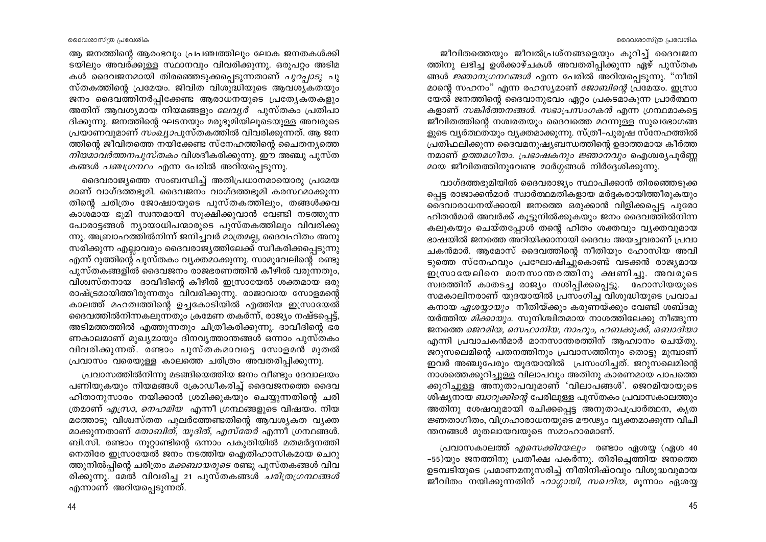ജീവിതത്തെയും ജീവൽപ്രശ്നങ്ങളെയും കുറിച്ച് ദൈവജന ത്തിനു ലഭിച്ച ഉൾക്കാഴ്ചകൾ അവതരിപിക്കുന്ന ഏഴ് പുസ്തക ങ്ങൾ *ജ്ഞാനഗ്രന്ഥങ്ങൾ* എന്ന പേരിൽ അറിയപ്പെടുന്നു. "നീതി മാന്റെ സഹനം" എന്ന രഹസ്യമാണ് *ജോബിന്റെ* പ്രമേയം. ഇസ്രാ യേൽ ജനത്തിന്റെ ദൈവാനുഭവം ഏറ്റം പ്രകടമാകുന്ന പ്രാർത്ഥന കളാണ് *സങ്കിർത്തനങ്ങൾ. സഭാപ്രസംഗകൻ* എന്ന ഗ്രന്ഥമാകട്ടെ ജീവിതത്തിന്റെ നശ്വരതയും ദൈവത്തെ മറന്നുള്ള സുഖഭോഗങ്ങ ളുടെ വ്യർത്ഥതയും വ്യക്തമാക്കുന്നു. സ്ത്രീ–പുരുഷ സ്നേഹത്തിൽ പ്രതിഫലിക്കുന്ന ദൈവമനുഷ്യബന്ധത്തിന്റെ ഉദാത്തമായ കീർത്ത നമാണ് *ഉത്തമഗീതം. പ്രഭാഷകനും ജ്ഞാനവും* ഐശ്വര്യപൂർണ്ണ മായ ജീവിതത്തിനുവേണ്ട മാർഗ്ഗങ്ങൾ നിർദ്ദേശിക്കുന്നു.

വാഗ്ദത്തഭൂമിയിൽ ദൈവരാജ്യം സ്ഥാപിക്കാൻ തിരഞ്ഞെടുക്ക പ്പെട്ട രാജാക്കൻമാർ സ്വാർത്ഥമതികളായ മർദ്ദകരായിത്തീരുകയും ഒ്ദൈവാരാധനയ്ക്കായി ജനത്തെ ഒരുക്കാൻ വിളിക്കപ്പെട്ട പുരോ ഹിതൻമാർ അവർക്ക് കുടുനിൽക്കുകയും ജനം ദൈവത്തിൽനിന്ന കലുകയും ചെയ്തപ്പോൾ തന്റെ ഹിതം ശക്തവും വ്യക്തവുമായ ഭാഷയിൽ ജനത്തെ അറിയിക്കാനായി ദൈവം അയച്ചവരാണ് പ്രവാ ചകൻമാർ. ആമോസ് ദൈവത്തിന്റെ നീതിയും ഹോസിയ അവി ടുത്തെ സ്നേഹവും പ്രഘോഷിച്ചുകൊണ്ട് വടക്കൻ രാജ്യമായ ഇസ്രായേലിനെ മാനസാന്തരത്തിനു ക്ഷണിച്ചു. അവരുടെ സ്വരത്തിന് കാതടച്ച രാജ്യം നശിപ്പിക്കപ്പെട്ടു. ഹോസിയയുടെ സമകാലിനരാണ് യുദയായിൽ പ്രസംഗിച്ച വിശുദ്ധിയുടെ പ്രവാച കനായ *ഏശയ്യായും* നീതിയ്ക്കും കരുണയ്ക്കും വേണ്ടി ശബ്ദമു യർത്തിയ *മിക്കായും.* സുനിശ്ചിതമായ നാശത്തിലേക്കു നീങ്ങുന്ന ജനത്തെ *ജെറമിയ, സെഫാനിയ, നാഹും, ഹബക്കുക്ക്, ഒബാദിയാ* എന്നി പ്രവാചകൻമാർ മാനസാന്തരത്തിന് ആഹ്വാനം ചെയ്തു. ജറുസലെമിന്റെ പതനത്തിനും പ്രവാസത്തിനും തൊട്ടു മുമ്പാണ് ഇവർ അഞ്ചുപേരും യൂദയായിൽ പ്രസംഗിച്ചത്. ജറുസലെമിന്റെ നാശത്തെക്കുറിച്ചുള്ള വിലാപവും അതിനു കാരണമായ പാപത്തെ ക്കുറിച്ചുള്ള അനുതാപവുമാണ് 'വിലാപങ്ങൾ'. ജെറമിയായുടെ ശിഷ്യനായ *ബാറുക്കിന്റെ* പേരിലുള്ള പുസ്തകം പ്രവാസകാലത്തും അതിനു ശേഷവുമായി രചിക്കപ്പെട്ട അനുതാപപ്രാർത്ഥന, കൃത ്ജ്ഞതാഗീതം, വിഗ്രഹാരാധനയുടെ മൗഢ്യം വ്യക്തമാക്കുന്ന വിചി ന്തനങ്ങൾ മുതലായവയുടെ സമാഹാരമാണ്.

പ്രവാസകാലത്ത് *എസെക്കിയേലും* രണ്ടാം ഏശയ്യ (ഏശ 40 -55)യും ജനത്തിനു പ്രതീക്ഷ പകർന്നു. തിരിച്ചെത്തിയ ജനത്തെ ഉടമ്പടിയുടെ പ്രമാണമനുസരിച്ച് നീതിനിഷ്ഠവും വിശുദ്ധവുമായ ജീവിതം നയിക്കുന്നതിന് *ഹാഗ്ഗായി, സഖറിയ,* മൂന്നാം ഏശയ്യ

ആ ജനത്തിന്റെ ആരംഭവും പ്രപഞ്ചത്തിലും ലോക ജനതകൾക്കി ടയിലും അവര്ക്കുള്ള സ്ഥാനവും വിവരിക്കുന്നു. ഒരുപറ്റം അടിമ കൾ ദൈവജനമായി തിരഞ്ഞെടുക്കപ്പെടുന്നതാണ് *പുറ്പ്പാടു* പു സ്തകത്തിന്റെ പ്രമേയം. ജിവിത വിശുദ്ധിയുടെ ആവശ്യകതയും ജനം ദൈവത്തിനർപ്പിക്കേണ്ട ആരാധനയുടെ പ്രത്യേകതകളും അതിന് ആവശ്യമായ നിയമങ്ങളും *ലേവൃർ* പുസ്തകം പ്രതിപാ ദിക്കുന്നു. ജനത്തിന്റെ ഘടനയും മരുഭൂമിയിലൂടെയുള്ള അവരുടെ പ്രയാണവുമാണ് *സംഖ്യാ*പുസ്തകത്തിൽ വിവരിക്കുന്നത്. ആ ജന ത്തിന്റെ ജീവിതത്തെ നയിക്കേണ്ട സ്നേഹത്തിന്റെ ചൈതന്യത്തെ *നിയമാവർത്തനപുസ്തകം* വിശദീകരിക്കുന്നു. ഈ അഞ്ചു പുസ്ത കങ്ങൾ *പഞ്ചഗ്രന്ഥം* എന്ന പേരിൽ അറിയപ്പെടുന്നു.

ദൈവരാജ്യത്തെ സംബന്ധിച്ച് അതിപ്രധാനമായൊരു പ്രമേയ മാണ് വാഗ്ദത്തഭൂമി. ദൈവജനം വാഗ്ദത്തഭൂമി കരസ്ഥമാക്കുന്ന തിന്റെ ചരിത്രം ജോഷ്വായുടെ പുസ്തകത്തിലും, തങ്ങൾക്കവ കാശമായ ഭൂമി സ്വന്തമായി സുക്ഷിക്കുവാൻ വേണ്ടി നടത്തുന്ന പോരാട്ടങ്ങൾ ന്യായാധിപന്മാരുടെ പുസ്തകത്തിലും വിവരിക്കു ന്നു. അബ്രാഹത്തിൽനിന്ന് ജനിച്ചവർ മാത്രമല്ല, ദൈവഹിതം അനു സരിക്കുന്ന എല്ലാവരും ദൈവരാജ്യത്തിലേക്ക് സ്വീകരിക്കപ്പെടുന്നു .എന്ന് റുത്തിന്റെ പുസ്തകം വ്യക്തമാക്കുന്നു. സാമുവേലിന്റെ രണ്ടു പുസ്തകങ്ങളിൽ ദൈവജനം രാജഭരണത്തിൻ കീഴിൽ വരുന്നതും, വിശ്വസ്തനായ ദാവീദിന്റെ കീഴിൽ ഇസ്രായേൽ ശക്തമായ ഒരു രാഷ്ട്രമായിത്തീരുന്നതും വിവരിക്കുന്നു. രാജാവായ സോളമന്റെ കാലത്ത് മഹത്വത്തിന്റെ ഉച്ചകോടിയിൽ എത്തിയ ഇസ്രായേൽ ദൈവത്തിൽനിന്നകലുന്നതും ക്രമേണ തകർന്ന്, രാജ്യം നഷ്ടപ്പെട്ട്, അടിമത്തത്തിൽ എത്തുന്നതും ചിത്രീകരിക്കുന്നു. ദാവീദിന്റെ ഭര ണകാലമാണ് മുഖ്യമായും ദിനവൃത്താന്തങ്ങൾ ഒന്നാം പുസ്തകം വിവരിക്കുന്നത്. രണ്ടാം പുസ്തകമാവട്ടെ സോളമൻ മുതൽ പ്രവാസം വരെയുള്ള കാലത്തെ ചരിത്രം അവതരിപ്പിക്കുന്നു.

പ്രവാസത്തിൽനിന്നു മടങ്ങിയെത്തിയ ജനം വീണ്ടും ദേവാലയം പണിയുകയും നിയമങ്ങൾ ക്രോഡീകരിച്ച് ദൈവജനത്തെ ദൈവ ഹിതാനുസാരം നയിക്കാൻ ശ്രമിക്കുകയും ചെയ്യുന്നതിന്റെ ചരി ത്രമാണ് *എസ്രാ, നെഹമിയ* എന്നീ ഗ്രന്ഥങ്ങളുടെ വിഷയം. നിയ മത്തോടു വിശ്വസ്തത പുലർത്തേണ്ടതിന്റെ ആവശ്യകത വ്യക്ത മാക്കുന്നതാണ് *തോബിത്, യൂദിത്, എസ്തേർ* എന്നീ ഗ്രന്ഥങ്ങൾ. ബി.സി. രണ്ടാം നൂറ്റാണ്ടിന്റെ ഒന്നാം പകുതിയിൽ മതമർദ്ദനത്തി നെതിരേ ഇസ്രായേൽ ജനം നടത്തിയ ഐതിഹാസികമായ ചെറു ്തനുനിൽപ്പിന്റെ ചരിത്രം *മക്കബായരുടെ* രണ്ടു പുസ്തകങ്ങൾ വിവ രിക്കുന്നു. മേൽ വിവരിച്ച 21 പുസ്തകങ്ങൾ *ചരിത്രഗ്രന്ഥങ്ങൾ* എന്നാണ് അറിയപ്പെടുന്നത്.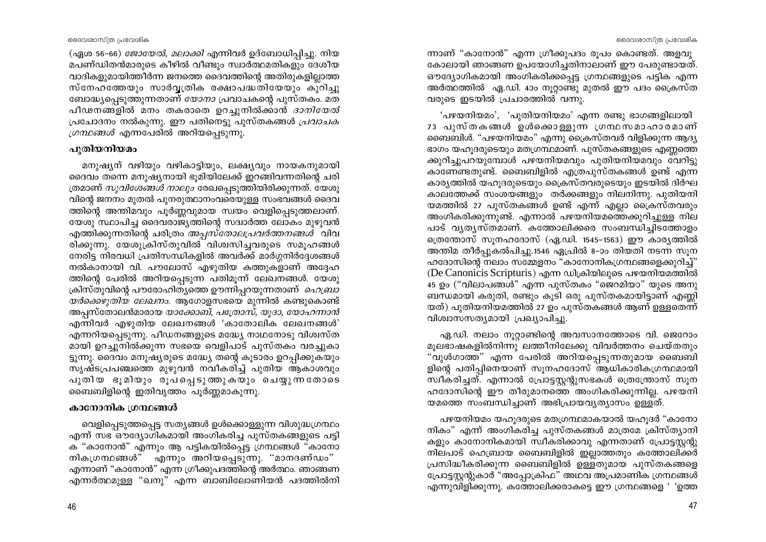(ഏശ 56-66) *ജോയേൽ, മലാക്കി* എന്നിവർ ഉദ്ബോധിപ്പിച്ചു. നിയ മപണ്ഡിതൻമാരുടെ കീഴിൽ വീണ്ടും സ്വാർത്ഥമതികളും ദേശീയ വാദികളുമായിത്തീർന്ന ജനത്തെ ദൈവത്തിന്റെ അതിരുകളില്ലാത്ത സ്നേഹത്തേയും സാർവ്വത്രിക രക്ഷാപദ്ധതിയേയും കുറിച്ചു ബോദ്ധ്യപ്പെടുത്തുന്നതാണ് *യോനാ* പ്രവാചകന്റെ പുസ്തകം. മത പീഢനങ്ങളിൽ മനം തകരാതെ ഉറച്ചുനിൽക്കാൻ *ദാനിയേൽ* പ്രചോദനം നൽകുന്നു. ഈ പതിനെട്ടു പുസ്തകങ്ങൾ *പ്രവാചക ഗ്രന്ഥങ്ങൾ* എന്നപേരിൽ അറിയപ്പെടുന്നു.

# പുതിയനിയമം

മനുഷ്യന് വഴിയും വഴികാട്ടിയും, ലക്ഷ്യവും നായകനുമായി ദൈവം തന്നെ മനുഷ്യനായി ഭൂമിയിലേക്ക് ഇറങ്ങിവന്നതിന്റെ ചരി ത്രമാണ് *സുവിശേങ്ങൾ നാലും* രേഖപ്പെടുത്തിയിരിക്കുന്നത്. ഭയശു വിന്റെ ജനനം മുതൽ പുനരുത്ഥാനംവരെയുള്ള സംഭവങ്ങൾ ദൈവ ത്തിന്റെ അന്തിമവും പൂർണ്ണവുമായ സ്വയം വെളിപ്പെടുത്തലാണ്. യേശു സ്ഥാപിച്ച ദൈവരാജ്യത്തിന്റെ സദ്വാർത്ത ലോകം മുഴുവൻ .എത്തിക്കുന്നതിന്റെ ചരിത്രം *അപ്പസ്തോലപ്രവർത്തനങ്ങൾ* വിവ രിക്കുന്നു. യേശുക്രിസ്തുവിൽ വിശ്വസിച്ചവരുടെ സമൂഹങ്ങൾ നേരിട്ട നിരവധി പ്രതിസന്ധികളിൽ അവർക്ക് മാർഗ്ഗനിർദ്ദേശങ്ങൾ നൽകാനായി വി. പൗലോസ് എഴുതിയ കത്തുകളാണ് അദ്ദേഹ ത്തിന്റെ പേരിൽ അറിയപ്പെടുന്ന പതിമൂന്ന് ലേഖനങ്ങൾ. യേശു ക്രിസ്തുവിന്റെ പൗരോഹിത്യത്തെ ഊന്നിപ്പറയുന്നതാണ് *ഹെബ്രാ യർക്കെഴുതിയ ലേഖനം.* ആഗോളസഭയെ മുന്നിൽ കണ്ടുകൊണ്ട് അപ്പസ്തോലൻമാരായ *യാക്കോബ്, പത്രോസ്, യൂദാ, യോഹന്നാൻ* എന്നിവർ എഴുതിയ ലേഖനങ്ങൾ 'കാതോലിക ലേഖനങ്ങൾ' എന്നറിയപ്പെടുന്നു. പീഡനങ്ങളുടെ മദ്ധ്യേ നാഥനോടു വിശ്വസ്ത മായി ഉറച്ചുനിൽക്കുന്ന സഭയെ വെളിപാട് പുസ്തകം വരച്ചുകാ ട്ടുന്നു. ദൈവം മനുഷ്യരുടെ മദ്ധ്യേ തന്റെ കൂടാരം ഉറപ്പിക്കുകയും സൃഷ്ടപ്രപഞ്ചത്തെ മുഴുവൻ നവീകരിച്ച് പുതിയ ആകാശവും പുതിയ ഭൂമിയും രൂപപ്പെടുത്തുകയും ചെയ്യുന്നതോടെ ബൈബിളിന്റെ ഇതിവൃത്തം പൂർണ്ണമാകുന്നു.

# കാനോനിക ഗ്രന്ഥങ്ങൾ

വെളിപ്പെടുത്തപ്പെട്ട സത്യങ്ങൾ ഉൾക്കൊള്ളുന്ന വിശുദ്ധഗ്രന്ഥം എന്ന് സഭ ഔദ്യോഗികമായി അംഗികരിച്ച പുസ്തകങ്ങളുടെ പട്ടി ക "കാനോൻ" എന്നും ആ പട്ടികയിൽപ്പെട്ട ഗ്രന്ഥങ്ങൾ "കാനോ നികഗ്രന്ഥങ്ങൾ" എന്നും അറിയപ്പെടുന്നു. "മാനദണ്ഡം" എന്നാണ് "കാനോൻ" എന്ന ഗ്രീക്കുപദത്തിന്റെ അർത്ഥം. ഞാങ്ങണ എന്നർത്ഥമുള്ള "ഖനു" എന്ന ബാബിലോണിയൻ പദത്തിൽനി ന്നാണ് "കാനോൻ" എന്ന ഗ്രീക്കുപദം രൂപം കൊണ്ടത്. അളവു കോലായി ഞാങ്ങണ ഉപയോഗിച്ചതിനാലാണ് ഈ പേരുണ്ടായത്. ഔദ്യോഗികമായി അംഗികരിക്കപ്പെട്ട ഗ്രന്ഥങ്ങളുടെ പട്ടിക എന്ന അർത്ഥത്തിൽ ഏ.ഡി. 4ാം നൂറ്റാണ്ടു മുതൽ ഈ പദം ക്രൈസ്ത വരുടെ ഇടയിൽ പ്രചാരത്തിൽ വന്നു.

'പഴയനിയമം', 'പുതിയനിയമം' എന്ന രണ്ടു ഭാഗങ്ങളിലായി 73 പുസ്തകങ്ങൾ ഉൾക്കൊള്ളുന്ന ഗ്രന്ഥസമാഹാരമാണ് ബൈബിൾ. "പഴയനിയമം" എന്നു ക്രൈസ്തവർ വിളിക്കുന്ന ആദ്യ ഭാഗം യഹുദരുടെയും മതഗ്രന്ഥമാണ്. പുസ്തകങ്ങളുടെ എണ്ണത്തെ ക്കുറിച്ചുപറയുമ്പോൾ പഴയനിയമവും പുതിയനിയമവും വേറിട്ടു കാണേണ്ടതുണ്ട്. ബൈബിളിൽ എത്രപുസ്തകങ്ങൾ ഉണ്ട് എന്ന കാര്യത്തിൽ യഹൂദരുടെയും ക്രൈസ്തവരുടെയും ഇടയിൽ ദിർഘ കാലത്തേക്ക് സംശയങ്ങളും തർക്കങ്ങളും നിലനിന്നു. പുതിയനി യമത്തിൽ 27 പുസ്തകങ്ങൾ ഉണ്ട് എന്ന് എല്ലാ ഫ്രൈസ്തവരും അംഗികരിക്കുന്നുണ്ട്. എന്നാൽ പഴയനിയമത്തെക്കുറിച്ചുള്ള നില പാട് വൃതൃസ്തമാണ്. കത്തോലിക്കരെ സംബന്ധിച്ചിടത്തോളം ത്രെന്തോസ് സുനഹദോസ് (ഏ.ഡി. 1545–1563) ഈ കാര്യത്തിൽ അന്തിമ തീർപ്പുകൽപിച്ചു.1546 ഏപ്രിൽ 8–ാം തിയതി നടന്ന സൂന ഹദോസിന്റെ നലാം സമ്മേളനം "കാനോനികഗ്രന്ഥങ്ങളെക്കുറിച്ച്" (De Canonicis Scripturis) എന്ന ഡിക്രിയിലൂടെ പഴയനിയമത്തിൽ 45 ഉം ("വിലാപങ്ങൾ" എന്ന പുസ്തകം "ജെറമിയാ" യുടെ അനു ബന്ധമായി കരുതി, രണ്ടും കൂടി ഒരു പുസ്തകമായിട്ടാണ് എണ്ണി യത്) പുതിയനിയമത്തിൽ 27 ഉം പുസ്തകങ്ങൾ ആണ് ഉള്ളതെന്ന് വിശ്വാസസത്യമായി പ്രഖ്യാപിച്ചു.

ഏ.ഡി. നലാം നൂറ്റാണ്ടിന്റെ അവസാനത്തോടെ വി. ജെറോം മൂലഭാഷകളിൽനിന്നു ലത്തീനിലേക്കു വിവർത്തനം ചെയ്തതും "വുൾഗാത്ത" എന്ന പേരിൽ അറിയപ്പെടുന്നതുമായ ബൈബി ളിന്റെ പതിപ്പിനെയാണ് സൂനഹദോസ് ആധികാരികഗ്രന്ഥമായി സ്വീകരിച്ചത്. എന്നാൽ പ്രോട്ടസ്റ്റന്റുസഭകൾ ത്രെന്ത്രോസ് സൂന ഹദോസിന്റെ ഈ തീരുമാനത്തെ അംഗികരിക്കുന്നില്ല. പഴയനി യമത്തെ സംബന്ധിച്ചാണ് അഭിപ്രായവ്യത്യാസം ഉള്ളത്.

പഴയനിയമം യഹ്വദരുടെ മത്യഗന്ഥമാകയാൽ യഹുദർ "കാനോ നികം" എന്ന് അംഗികരിച്ച പുസ്തകങ്ങൾ മാത്രമേ ക്രിസ്ത്യാനി കളും കാനോനികമായി സ്വീകരിക്കാവു എന്നതാണ് പ്രോട്ടസ്റ്റര്ു നിലപാട് ഹെബ്രായ ബൈബിളിൽ ഇല്ലാത്തതും കത്തോലിക്കർ പ്രസിദ്ധീകരിക്കുന്ന ബൈബിളിൽ ഉള്ളതുമായ പുസ്തകങ്ങളെ പ്രോട്ടസ്റ്റന്റുകാർ "അപ്പോക്രിഫ" അഥവ അപ്രമാണിക ഗ്രന്ഥങ്ങൾ എന്നുവിളിക്കുന്നു. കത്തോലിക്കരാകട്ടെ ഈ ഗ്രന്ഥങ്ങളെ '്ഉത്ത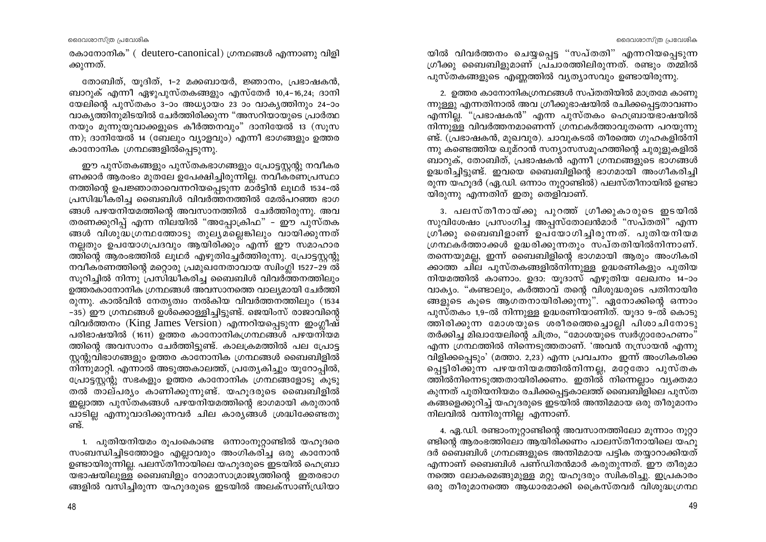രകാനോനിക" (deutero-canonical) ഗ്രന്ഥങ്ങൾ എന്നാണു വിളി ക്കുന്നത്.

തോബിത്, യൂദിത്, 1–2 മക്കബായർ, ജ്ഞാനം, പ്രഭാഷകൻ, ബാറുക് എന്നീ ഏഴുപുസ്തകങ്ങളും എസ്തേർ 10,4-16,24; ദാനി യേലിന്റെ പുസ്തകം 3–ാം അധ്യായം 23 ാം വാകൃത്തിനും 24–ാം വാകൃത്തിനുമിടയിൽ ചേർത്തിരിക്കുന്ന "അസറിയായുടെ പ്രാർത്ഥ നയും മൂന്നുയുവാക്കളുടെ കീർത്തനവും" ദാനിയേൽ 13 (സൂസ ന്ന); ദാനിയേൽ 14 (ബേലും വ്യാളവും) എന്നീ ഭാഗങ്ങളും ഉത്തര കാനോനിക ഗ്രന്ഥങ്ങളിൽപ്പെടുന്നു.

ഈ പുസ്തകങ്ങളും പുസ്തകഭാഗങ്ങളും പ്രോട്ടസ്റ്റന്റു നവീകര ണക്കാർ ആരംഭം മുതലേ ഉപേക്ഷിച്ചിരുന്നില്ല. നവീകരണപ്രസ്ഥാ നത്തിന്റെ ഉപജ്ഞാതാവെന്നറിയപ്പെടുന്ന മാർട്ടിൻ ലൂഥർ 1534-ൽ പ്രസിദ്ധീകരിച്ച ബൈബിൾ വിവർത്തനത്തിൽ മേൽപറഞ്ഞ ഭാഗ ങ്ങൾ പഴയനിയമത്തിന്റെ അവസാനത്തിൽ ചേർത്തിരുന്നു. അവ തരണക്കുറിപ്പ് എന്ന നിലയിൽ "അപ്പോക്രിഫ" - ഈ പുസ്തക ങ്ങൾ വിശുദ്ധഗ്രന്ഥത്തോടു തുല്യമല്ലെങ്കിലും വായിക്കുന്നത് നല്ലതും ഉപയോഗപ്രദവും ആയിരിക്കും എന്ന് ഈ സമാഹാര ത്തിന്റെ ആരംഭത്തിൽ ലുഥർ എഴുതിച്ചേർത്തിരുന്നു. പ്രോട്ടസ്റ്റന്റു നവീകരണത്തിന്റെ മറ്റൊരു പ്രമുഖനേതാവായ സ്വിംഗ്ലി 1527–29 ൽ സുറിച്ചിൽ നിന്നു പ്രസിദ്ധീകരിച്ച ബൈബിൾ വിവർത്തനത്തിലും ഉത്തരകാനോനിക ഗ്രന്ഥങ്ങൾ അവസാനത്തെ വാല്യമായി ചേർത്തി രുന്നു. കാൽവിൻ നേതൃത്വം നൽകിയ വിവർത്തനത്തിലും (1534 -35) ഈ ഗ്രന്ഥങ്ങൾ ഉൾക്കൊള്ളിച്ചിട്ടുണ്ട്. ജെയിംസ് രാജാവിന്റെ വിവർത്തനം (King James Version) എന്നറിയപ്പെടുന്ന ഇംഗ്ലീഷ് പരിഭാഷയിൽ (1611) ഉത്തര കാനോനികഗ്രന്ഥങ്ങൾ പഴയനിയമ ത്തിന്റെ അവസാനം ചേർത്തിട്ടുണ്ട്. കാലക്രമത്തിൽ പല പ്രോട്ട സ്റ്റന്റുവിഭാഗങ്ങളും ഉത്തര കാനോനിക ഗ്രന്ഥങ്ങൾ ബൈബിളിൽ നിന്നുമാറ്റി. എന്നാൽ അടുത്തകാലത്ത്, പ്രത്യേകിച്ചും യൂറോപ്പിൽ, പ്രോട്ടസ്റ്റന്റു സഭകളും ഉത്തര കാനോനിക ഗ്രന്ഥങ്ങളോടു കൂടു തൽ താല്പര്യം കാണിക്കുന്നുണ്ട്. യഹൂദരുടെ ബൈബിളിൽ ഇല്ലാത്ത പുസ്തകങ്ങൾ പഴയനിയമത്തിന്റെ ഭാഗമായി കരുതാൻ പാടില്ല എന്നുവാദിക്കുന്നവർ ചില കാര്യങ്ങൾ ശ്രദ്ധിക്കേണ്ടതു ണ്ട്.

1. പുതിയനിയമം രൂപംകൊണ്ട ഒന്നാംനുറ്റാണ്ടിൽ യഹുദരെ സംബന്ധിച്ചിടത്തോളം എല്ലാവരും അംഗികരിച്ച ഒരു കാനോൻ ഉണ്ടായിരുന്നില്ല. പലസ്തീനായിലെ യഹുദരുടെ ഇടയിൽ ഹെബ്രാ യഭാഷയിലുള്ള ബൈബിളും റോമാസാമ്രാജ്യത്തിന്റെ ഇതരഭാഗ ങ്ങളിൽ വസിച്ചിരുന്ന യഹൂദരുടെ ഇടയിൽ അലക്സാണ്ഡ്രിയാ

48

യിൽ വിവർത്തനം ചെയ്യപ്പെട്ട "സപ്തതി" എന്നറിയപ്പെടുന്ന ഗ്രീക്കു ബൈബിളുമാണ് പ്രചാരത്തിലിരുന്നത്. രണ്ടും തമ്മിൽ പുസ്തകങ്ങളുടെ എണ്ണത്തിൽ വ്യത്യാസവും ഉണ്ടായിരുന്നു.

2. ഉത്തര കാനോനികഗ്രന്ഥങ്ങൾ സപ്തതിയിൽ മാത്രമേ കാണു ന്നുള്ളു എന്നതിനാൽ അവ ഗ്രീക്കുഭാഷയിൽ രചിക്കപ്പെട്ടതാവണം എന്നില്ല. "പ്രഭാഷകൻ" എന്ന പുസ്തകം ഹെബ്രായഭാഷയിൽ നിന്നുള്ള വിവർത്തനമാണെന്ന് ഗ്രന്ഥകർത്താവുതന്നെ പറയുന്നു ണ്ട്. (പ്രഭാഷകൻ, മുഖവുര). ചാവുകടൽ തീരത്തെ ഗുഹകളിൽനി ന്നു കണ്ടെത്തിയ ഖുമ്റാൻ സന്യാസസമൂഹത്തിന്റെ ചുരുളുകളിൽ ബാറുക്, തോബിത്, പ്രഭാഷകൻ എന്നീ ഗ്രന്ഥങ്ങളുടെ ഭാഗങ്ങൾ ഉദ്ധരിച്ചിട്ടുണ്ട്. ഇവയെ ബൈബിളിന്റെ ഭാഗമായി അംഗീകരിച്ചി രുന്ന യഹുദർ (ഏ.ഡി. ഒന്നാം നൂറ്റാണ്ടിൽ) പലസ്തീനായിൽ ഉണ്ടാ യിരുന്നു എന്നതിന് ഇതു തെളിവാണ്.

<u>3. പലസ്തീനായ്ക്കു പുറത്ത് ഗ്രീക്കുകാരുടെ ഇടയിൽ</u> സുവിശേഷം പ്രസംഗിച്ച അപ്പസ്തോലൻമാർ "സപ്തതി" എന്ന ഗ്രീക്കു ബൈബിളാണ് ഉപയോഗിച്ചിരുന്നത്. പുതിയനിയമ ഗ്രന്ഥകർത്താക്കൾ ഉദ്ധരിക്കുന്നതും സപ്തതിയിൽനിന്നാണ്. തന്നെയുമല്ല, ഇന്ന് ബൈബിളിന്റെ ഭാഗമായി ആരും അംഗികരി ക്കാത്ത ചില പുസ്തകങ്ങളിൽനിന്നുള്ള ഉദ്ധരണികളും പുതിയ നിയമത്തിൽ കാണാം. ഉദാ: യുദാസ് എഴുതിയ ലേഖനം 14-ാം വാക്യം. "കണ്ടാലും, കർത്താവ് തന്റെ വിശുദ്ധരുടെ പതിനായിര ങ്ങളുടെ കുടെ ആഗതനായിരിക്കുന്നു". ഏനോക്കിന്റെ ഒന്നാം പുസ്തകം 1,9-ൽ നിന്നുള്ള ഉദ്ധരണിയാണിത്. യൂദാ 9-ൽ കൊടു ത്തിരിക്കുന്ന മോശയുടെ ശരീരത്തെച്ചൊല്ലി പിശാചിനോടു തർക്കിച്ച മിഖായേലിന്റെ ചിത്രം, "മോശയുടെ സ്വർഗ്ഗാരോഹണം" എന്ന ഗ്രന്ഥത്തിൽ നിന്നെടുത്തതാണ്. 'അവൻ നസ്രായൻ എന്നു വിളിക്കപ്പെടും' (മത്താ. 2,23) എന്ന പ്രവചനം ഇന്ന് അംഗികരിക്ക പ്പെട്ടിരിക്കുന്ന പഴയനിയമത്തിൽനിന്നല്ല, മറ്റേതോ പുസ്തക ത്തിൽനിന്നെടുത്തതായിരിക്കണം. ഇതിൽ നിന്നെല്ലാം വ്യക്തമാ കുന്നത് പുതിയനിയമം രചിക്കപ്പെട്ടകാലത്ത് ബൈബിളിലെ പുസ്ത കങ്ങളെക്കുറിച്ച് യഹുദരുടെ ഇടയിൽ അന്തിമമായ ഒരു തീരുമാനം നിലവിൽ വന്നിരുന്നില്ല എന്നാണ്.

4. ഏ.ഡി. രണ്ടാംനൂറ്റാണ്ടിന്റെ അവസാനത്തിലോ മൂന്നാം നൂറ്റാ ണ്ടിന്റെ ആരംഭത്തിലോ ആയിരിക്കണം പാലസ്തീനായിലെ യഹു ദർ ബൈബിൾ ഗ്രന്ഥങ്ങളുടെ അന്തിമമായ പട്ടിക തയ്യാറാക്കിയത് എന്നാണ് ബൈബിൾ പണ്ഡിതൻമാർ കരുതുന്നത്. ഈ തീരുമാ നത്തെ ലോകമെങ്ങുമുള്ള മറ്റു യഹൂദരും സ്വികരിച്ചു. ഇപ്രകാരം ഒരു തീരുമാനത്തെ ആധാരമാക്കി ക്രൈസ്തവർ വിശുദ്ധഗ്രന്ഥ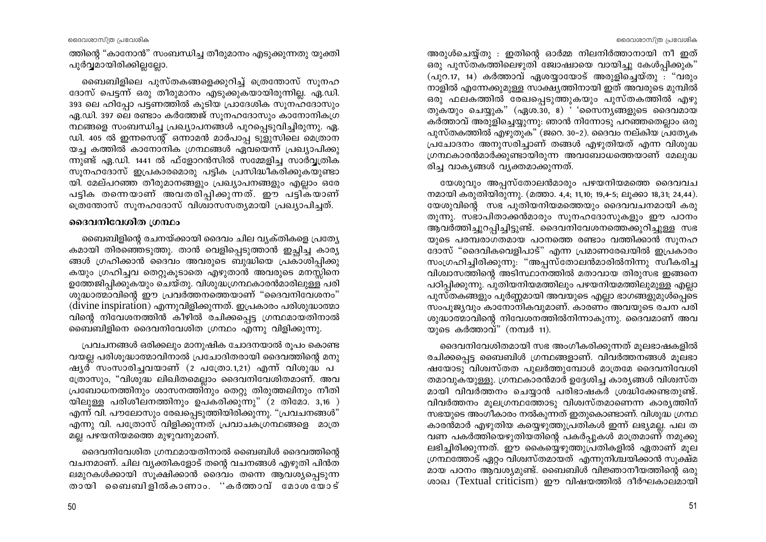ദൈവശാസ്ത്ര പ്രവേശിക

ത്തിന്റെ "കാനോൻ" സംബന്ധിച്ച തീരുമാനം എടുക്കുന്നതു യുക്തി പൂർവമായിരിക്കിലലോ.

ബൈബിളിലെ പുസ്തകങ്ങളെക്കുറിച്ച് ത്രെന്തോസ് സൂനഹ ദോസ് പെട്ടന്ന് ഒരു തീരുമാനം എടുക്കുകയായിരുന്നില്ല. ഏ.ഡി. 393 ലെ ഹിപ്പോ പട്ടണത്തിൽ കൂടിയ പ്രാദേശിക സൂനഹദോസും ഏ.ഡി. 397 ലെ രണ്ടാം കർത്തേജ് സുനഹദോസും കാനോനികഗ്ര ന്ഥങ്ങളെ സംബന്ധിച്ച പ്രഖ്യാപനങ്ങൾ പുറപ്പെടുവിച്ചിരുന്നു. ഏ. ഡി. 405 ൽ ഇന്നസെന്റ് ഒന്നാമൻ മാർപാപ്പ ടുളുസിലെ മെത്രാന യച്ച കത്തിൽ കാനോനിക ഗ്രന്ഥങ്ങൾ ഏവയെന്ന് പ്രഖ്യാപിക്കു ന്നുണ്ട് ഏ.ഡി. 1441 ൽ ഫ്ളോറൻസിൽ സമ്മേളിച്ച സാർവ്യതിക സൂനഹദോസ് ഇപ്രകാരമൊരു പട്ടിക പ്രസിദ്ധീകരിക്കുകയുണ്ടാ യി. മേല്പറഞ്ഞ തീരുമാനങ്ങളും പ്രഖ്യാപനങ്ങളും എല്ലാം ഒരേ പട്ടിക തന്നെയാണ് അവതരിപ്പിക്കുന്നത്. ഈ പട്ടികയാണ് ത്രെന്തോസ് സുനഹദോസ് വിശ്വാസസത്യമായി പ്രഖ്യാപിച്ചത്.

# ദൈവനിവേശിത ഗ്രന്ഥം

ബൈബിളിന്റെ രചനയ്ക്കായി ദൈവം ചില വ്യക്തികളെ പ്രത്യേ കമായി തിരഞ്ഞെടുത്തു. താൻ വെളിപ്പെടുത്താൻ ഇച്ചിച്ച കാര്യ ങ്ങൾ ഗ്രഹിക്കാൻ ദൈവം അവരുടെ ബുദ്ധിയെ പ്രകാശിപ്പിക്കു കയും ഗ്രഹിച്ചവ തെറ്റുകൂടാതെ എഴുതാൻ അവരുടെ മനസ്സിനെ ഉത്തേജിപ്പിക്കുകയും ചെയ്തു. വിശുദ്ധഗ്രന്ഥകാരൻമാരിലുള്ള പരി ശുദ്ധാത്മാവിന്റെ ഈ പ്രവർത്തനത്തെയാണ് "ദൈവനിവേശനം" (divine inspiration) എന്നുവിളിക്കുന്നത്. ഇപ്രകാരം പരിശുദ്ധാത്മാ വിന്റെ നിവേശനത്തിൻ കീഴിൽ രചിക്കപ്പെട്ട ഗ്രന്ഥമായതിനാൽ ബൈബിളിനെ ദൈവനിവേശിത ഗ്രന്ഥം എന്നു വിളിക്കുന്നു.

പ്രവചനങ്ങൾ ഒരിക്കലും മാനുഷിക ചോദനയാൽ രൂപം കൊണ്ട വയല്ല പരിശൂദ്ധാത്മാവിനാൽ പ്രചോദിതരായി ദൈവത്തിന്റെ മനു ഷ്യര് സംസാരിച്ചവയാണ് (2 പത്രോ.1,21) എന്ന് വിശുദ്ധ പ ത്രോസും, "വിശുദ്ധ ലിഖിതമെല്ലാം ദൈവനിവേശിതമാണ്. അവ പ്രബോധനത്തിനും ശാസനത്തിനും തെറ്റു തിരുത്തലിനും നീതി യിലുള്ള പരിശീലനത്തിനും ഉപകരിക്കുന്നു" (2 തിമോ. 3,16 ) എന്ന് വി. പൗലോസും രേഖപ്പെടുത്തിയിരിക്കുന്നു. "പ്രവചനങ്ങൾ" എന്നു വി. പത്രോസ് വിളിക്കുന്നത് പ്രവാചകഗ്രന്ഥങ്ങളെ മാത്ര മല്ല പഴയനിയമത്തെ മുഴുവനുമാണ്.

ദൈവനിവേശിത ഗ്രന്ഥമായതിനാൽ ബൈബിൾ ദൈവത്തിന്റെ വചനമാണ്. ചില വ്യക്തികളോട് തന്റെ വചനങ്ങൾ എഴുതി പിൻത ലമുറകൾക്കായി സൂക്ഷിക്കാൻ ദൈവം തന്നെ ആവശ്യപ്പെടുന്ന തായി ബൈബിളിൽകാണാം. "കർത്താവ് മോശയോട്

അരുൾചെയ്യതു : ഇതിന്റെ ഓർമ്മ നിലനിർത്താനായി നീ ഇത് ഒരു പുസ്തകത്തിലെഴുതി ജോഷായെ വായിച്ചു കേൾപിക്കുക"  $(\alpha$ ുറ.17, 14) കർത്താവ് ഏശയ്യായോട് അരുളിച്ചെയ്തു : "വരും നാളിൽ എന്നേക്കുമുള്ള സാക്ഷ്യത്തിനായി ഇത് അവരുടെ മുമ്പിൽ ഒരു ഫലകത്തിൽ രേഖപ്പെടുത്തുകയും പുസ്തകത്തിൽ എഴു തുകയും ചെയ്യുക" (ഏശ. $\overline{30}$ , 8) ' 'സൈനൃങ്ങളുടെ ദൈവമായ കർത്താവ് അരുളിച്ചെയ്യുന്നു: ഞാൻ നിന്നോടു പറഞ്ഞതെല്ലാം ഒരു പുസ്തകത്തിൽ എഴുതുക" (ജറെ. 30–2). ദൈവം നല്കിയ പ്രത്യേക പ്രചോദനം അനുസരിച്ചാണ് തങ്ങൾ എഴുതിയത് എന്ന വിശുദ്ധ ഗ്രന്ഥകാരൻമാർക്കുണ്ടായിരുന്ന അവബോധത്തെയാണ് മേലുദ്ധ രിച്ച വാകൃങ്ങൾ വ്യക്തമാക്കുന്നത്.

യേശുവും അപ്പസ്തോലൻമാരും പഴയനിയമത്തെ ദൈവവച നമായി കരുതിയിരുന്നു. (മത്താ. 4,4; 11,10; 19,4-5; ലുക്കാ 18,31; 24,44). യേശുവിന്റെ സഭ പുതിയനിയമത്തെയും ദൈവവചനമായി കരു തുന്നു. സഭാപിതാക്കൻമാരും സുനഹദോസുകളും ഈ പഠനം ആവർത്തിച്ചുറപ്പിച്ചിട്ടുണ്ട്. ദൈവനിവേശനത്തെക്കുറിച്ചുള്ള സഭ യുടെ പരമ്പരാഗതമായ പഠനത്തെ രണ്ടാം വത്തിക്കാൻ സുനഹ ദോസ് "ദൈവികവെളിപാട്" എന്ന പ്രമാണരേഖയിൽ ഇപ്രകാരം സംഗ്രഹിച്ചിരിക്കുന്നു: "അപ്പസ്തോലൻമാരിൽനിന്നു സ്വീകരിച്ച വിശ്വാസത്തിന്റെ അടിസ്ഥാനത്തിൽ മതാവായ തിരുസഭ ഇങ്ങനെ പഠിപ്പിക്കുന്നു. പുതിയനിയമത്തിലും പഴയനിയമത്തിലുമുള്ള എല്ലാ പുസ്തകങ്ങളും പൂർണ്ണമായി അവയുടെ എല്ലാ ഭാഗങ്ങളുമുൾപ്പെടെ സംപുജ്യവും കാനോനികവുമാണ്. കാരണം അവയുടെ രചന പരി ശുദ്ധാത്മാവിന്റെ നിവേശനത്തിൽനിന്നാകുന്നു. ദൈവമാണ് അവ യുടെ കർത്താവ്" (നമ്പർ 11).

ദൈവനിവേശിതമായി സഭ അംഗീകരിക്കുന്നത് മൂലഭാഷകളിൽ രചിക്കപ്പെട്ട ബൈബിൾ ഗ്രന്ഥങ്ങളാണ്. വിവർത്തനങ്ങൾ മൂലഭാ ഷയോടു വിശ്വസ്തത പുലർത്തുമ്പോൾ മാത്രമേ ദൈവനിവേശി തമാവുകയുള്ളു. ഗ്രന്ഥകാരൻമാർ ഉദ്ദേശിച്ച കാര്യങ്ങൾ വിശ്വസ്ത മായി വിവർത്തനം ചെയ്യാൻ പരിഭാഷകർ ശ്രദ്ധിക്കേണ്ടതുണ്ട്. വിവർത്തനം മുലഗ്രന്ഥത്തോടു വിശ്വസ്തമാണെന്ന കാര്യത്തിന് സഭയുടെ അംഗീകാരം നൽകുന്നത് ഇതുകൊണ്ടാണ്. വിശുദ്ധ ഗ്രന്ഥ കാരൻമാർ എഴുതിയ കയ്യെഴുത്തുപ്രതികൾ ഇന്ന് ലഭ്യമല്ല. പല ത വണ പകർത്തിയെഴുതിയതിന്റെ പകർപ്പുകൾ മാത്രമാണ് നമുക്കു ലഭിച്ചിരിക്കുന്നത്. ഈ കൈയ്യെഴുത്തുപ്രതികളിൽ ഏതാണ് മുല ഗ്രന്ഥത്തോട് ഏറ്റം വിശ്വസ്തമായത് എന്നുനിശ്ചയിക്കാൻ സൂക്ഷ്മ മായ പഠനം ആവശ്യമുണ്ട്. ബൈബിൾ വിജ്ഞാനീയത്തിന്റെ ഒരു ശാഖ (Textual criticism) ഈ വിഷയത്തിൽ ദീർഘകാലമായി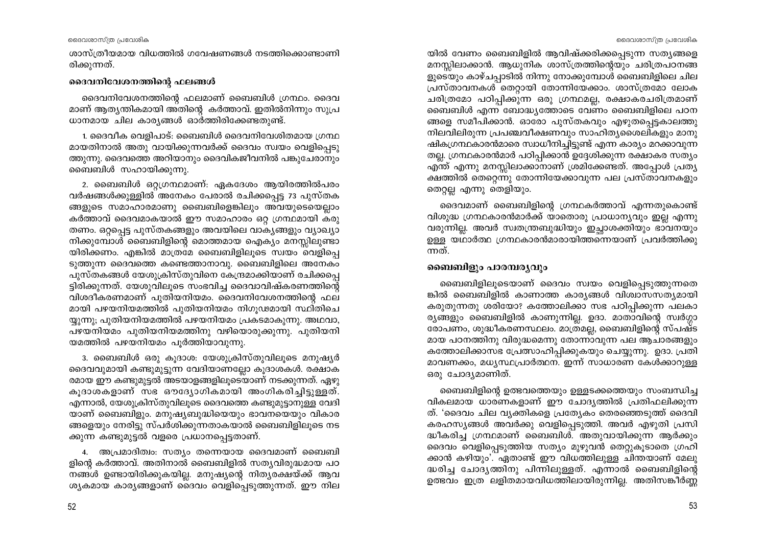ദൈവശാസ്ത്ര പ്രവേശിക

ശാസ്ത്രീയമായ വിധത്തിൽ ഗവേഷണങ്ങൾ നടത്തിക്കൊണ്ടാണി രിക്കുന്നത്.

## ദൈവനിവേശനത്തിന്റെ ഫലങ്ങൾ

ദൈവനിവേശനത്തിന്റെ ഫലമാണ് ബൈബിൾ ഗ്രന്ഥം. ദൈവ മാണ് ആത്യന്തികമായി അതിന്റെ കർത്താവ്. ഇതിൽനിന്നും സുപ്ര ധാനമായ ചില കാര്യങ്ങൾ ഓർത്തിരിക്കേണ്ടതുണ്ട്.

1. ദൈവീക വെളിപാട്: ബൈബിൾ ദൈവനിവേശിതമായ ഗ്രന്ഥ മായതിനാൽ അതു വായിക്കുന്നവർക്ക് ദൈവം സ്വയം വെളിപ്പെടു ത്തുന്നു. ദൈവത്തെ അറിയാനും ദൈവികജീവനിൽ പങ്കുചേരാനും ബൈബിൾ സഹായിക്കുന്നു.

2. ബൈബിൾ ഒറ്റഗ്രന്ഥമാണ്: ഏകദേശം ആയിരത്തിൽപരം വർഷങ്ങൾക്കുള്ളിൽ അനേകം പേരാൽ രചിക്കപ്പെട്ട 73 പുസ്തക ങ്ങളുടെ സമാഹാരമാണു ബൈബിളെങ്കിലും അവയുടെയെല്ലാം കർത്താവ് ദൈവമാകയാൽ ഈ സമാഹാരം ഒറു ഗ്രന്ഥമായി കരു തണം. ഒറ്റപ്പെട്ട പുസ്തകങ്ങളും അവയിലെ വാകൃങ്ങളും വ്യാഖ്യാ നിക്കുമ്പോൾ ബൈബിളിന്റെ മൊത്തമായ ഐക്യം മനസ്സിലുണ്ടാ യിരിക്കണം. എങ്കിൽ മാത്രമേ ബൈബിളിലൂടെ സ്വയം വെളിപ്പെ ടുത്തുന്ന ദൈവത്തെ കണ്ടെത്താനാവു. ബൈബിളിലെ അനേകം പുസ്തകങ്ങൾ യേശുക്രിസ്തുവിനെ കേന്ദ്രമാക്കിയാണ് രചിക്കപ്പെ ട്ടിരിക്കുന്നത്. യേശുവിലൂടെ സംഭവിച്ച ദൈവാവിഷ്കരണത്തിന്റെ വിശദീകരണമാണ് പുതിയനിയമം. ദൈവനിവേശനത്തിന്റെ ഫല മായി പഴയനിയമത്തിൽ പുതിയനിയമം നിഗൂഢമായി സ്ഥിതിചെ യ്യുന്നു; പുതിയനിയമത്തിൽ പഴയനിയമം പ്രകടമാകുന്നു. അഥവാ, പഴയനിയമം പുതിയനിയമത്തിനു വഴിയൊരുക്കുന്നു. പുതിയനി യമത്തിൽ പഴയനിയമം പൂർത്തിയാവുന്നു.

3. ബൈബിൾ ഒരു കുദാശ: യേശുക്രിസ്തുവിലൂടെ മനുഷ്യർ ദൈവവുമായി കണ്ടുമുട്ടുന്ന വേദിയാണല്ലോ കൂദാശകൾ. രക്ഷാക രമായ ഈ കണ്ടുമുട്ടൽ അടയാളങ്ങളിലുടെയാണ് നടക്കുന്നത്. ഏഴു കുദാശകളാണ് സഭ ഔദ്യോഗികമായി അംഗികരിച്ചിട്ടുള്ളത്. എന്നാൽ, യേശുക്രിസ്തുവിലൂടെ ദൈവത്തെ കണ്ടുമുട്ടാനുള്ള വേദി യാണ് ബൈബിളും. മനുഷ്യബുദ്ധിയെയും ഭാവനയെയും വികാര ങ്ങളെയും നേരിട്ടു സ്പർശിക്കുന്നതാകയാൽ ബൈബിളിലൂടെ നട ക്കുന്ന കണ്ടുമുട്ടൽ വളരെ പ്രധാനപ്പെട്ടതാണ്.

4. അപ്രമാദിത്വം: സത്യം തന്നെയായ ദൈവമാണ് ബൈബി ളിന്റെ കർത്താവ്. അതിനാൽ ബൈബിളിൽ സത്യവിരുദ്ധമായ പഠ നങ്ങൾ ഉണ്ടായിരിക്കുകയില്ല. മനുഷ്യന്റെ നിത്യരക്ഷയ്ക്ക് ആവ ശ്യകമായ കാര്യങ്ങളാണ് ദൈവം വെളിപ്പെടുത്തുന്നത്. ഈ നില

യിൽ വേണം ബൈബിളിൽ ആവിഷ്ക്കരിക്കപ്പെടുന്ന സത്യങ്ങളെ മനസ്സിലാക്കാൻ. ആധുനിക ശാസ്ത്രത്തിന്റെയും ചരിത്രപഠനങ്ങ ളുടെയും കാഴ്ചപ്പാടിൽ നിന്നു നോക്കുമ്പോൾ ബൈബിളിലെ ചില പ്രസ്താവനകൾ തെറ്റായി തോന്നിയേക്കാം. ശാസ്ത്രമോ ലോക ചരിത്രമോ പഠിപ്പിക്കുന്ന ഒരു ഗ്രന്ഥമല്ല, രക്ഷാകരചരിത്രമാണ് ബൈബിൾ എന്ന ബോദ്ധ്യത്തോടെ വേണം ബൈബിളിലെ പഠന ങ്ങളെ സമീപിക്കാൻ. ഓരോ പുസ്തകവും എഴുതപ്പെട്ടകാലത്തു നിലവിലിരുന്ന പ്രപഞ്ചവീക്ഷണവും സാഹിത്യശൈലികളും മാനു ഷികഗ്രന്ഥകാരൻമാരെ സ്വാധീനിച്ചിട്ടുണ്ട് എന്ന കാര്യം മറക്കാവുന്ന തല്ല. ഗ്രന്ഥകാരൻമാർ പഠിപ്പിക്കാൻ ഉദ്ദേശിക്കുന്ന രക്ഷാകര സത്യം എന്ത് എന്നു മനസ്സിലാക്കാനാണ് ശ്രമിക്കേണ്ടത്. അപ്പോൾ പ്രത്യ ക്ഷത്തിൽ തെറ്റെന്നു തോന്നിയേക്കാവുന്ന പല പ്രസ്താവനകളും തെറ്റല്ല എന്നു തെളിയും.

ദൈവമാണ് ബൈബിളിന്റെ ഗ്രന്ഥകർത്താവ് എന്നതുകൊണ്ട് വിശുദ്ധ ഗ്രന്ഥകാരൻമാർക്ക് യാതൊരു പ്രാധാന്യവും ഇല്ല എന്നു വരുന്നില്ല. അവർ സ്വതന്ത്രബുദ്ധിയും ഇച്ഛാശക്തിയും ഭാവനയും ഉള്ള യഥാർത്ഥ ഗ്രന്ഥകാരൻമാരായിത്തന്നെയാണ് പ്രവർത്തിക്കു ന്നത്.

# ബൈബിളും പാരമ്പര്യവും

ബൈബിളിലൂടെയാണ് ദൈവം സ്വയം വെളിപ്പെടുത്തുന്നതെ ങ്കിൽ ബൈബിളിൽ കാണാത്ത കാര്യങ്ങൾ വിശ്വാസസത്യമായി കരുതുന്നതു ശരിയോ? കത്തോലിക്കാ സഭ പഠിപ്പിക്കുന്ന പലകാ ര്യങ്ങളും ബൈബിളിൽ കാണുന്നില്ല. ഉദാ. മാതാവിന്റെ സ്വർഗ്ഗാ രോപണം, ശുദ്ധീകരണസ്ഥലം. മാത്രമല്ല, ബൈബിളിന്റെ സ്പഷ്ട മായ പഠനത്തിനു വിരുദ്ധമെന്നു തോന്നാവുന്ന പല ആചാരങ്ങളും കത്തോലിക്കാസഭ പ്രേത്സാഹിപ്പിക്കുകയും ചെയ്യുന്നു. ഉദാ. പ്രതി മാവണക്കം, മധൃസ്ഥപ്രാർത്ഥന. ഇന്ന് സാധാരണ കേൾക്കാറുള്ള ഒരു ചോദൃമാണിത്.

ബൈബിളിന്റെ ഉത്ഭവത്തെയും ഉള്ളടക്കത്തെയും സംബന്ധിച്ച വികലമായ ധാരണകളാണ് ഈ ചോദ്യത്തിൽ പ്രതിഫലിക്കുന്ന ത്. 'ദൈവം ചില വ്യക്തികളെ പ്രത്യേകം തെരഞ്ഞെടുത്ത് ദൈവി കരഹസ്യങ്ങൾ അവർക്കു വെളിപ്പെടുത്തി. അവർ എഴുതി പ്രസി ുധീകരിച്ച ഗ്രന്ഥമാണ് ബൈബിൾ. അതുവായിക്കുന്ന ആർക്കും ദൈവം വെളിപ്പെടുത്തിയ സത്യം മുഴുവൻ തെറ്റുകൂടാതെ ഗ്രഹി ക്കാൻ കഴിയും'. ഏതാണ്ട് ഈ വിധത്തിലുള്ള ചിന്തയാണ് മേലു ദ്ധരിച്ച ചോദ്യത്തിനു പിന്നിലുള്ളത്. എന്നാൽ ബൈബിളിന്റെ ഉത്ഭവം ഇത്ര ലളിതമായവിധത്തിലായിരുന്നില്ല. അതിസങ്കീർണ്ണ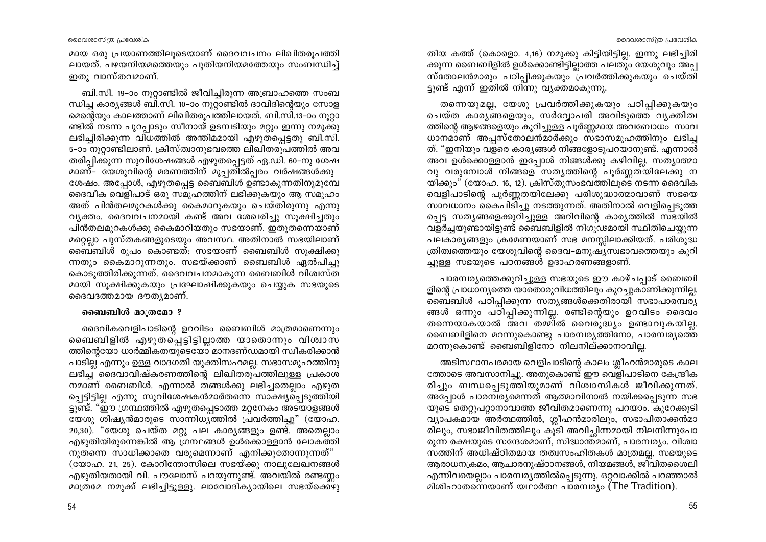മായ ഒരു പ്രയാണത്തിലുടെയാണ് ദൈവവചനം ലിഖിതരുപത്തി ലായത്. പഴയനിയമത്തെയും പുതിയനിയമത്തേയും സംബന്ധിച്ച് ഇതു വാസ്തവമാണ്.

ബി.സി. 19-ാം നുറ്റാണ്ടിൽ ജീവിച്ചിരുന്ന അബ്രാഹത്തെ സംബ ന്ധിച്ച കാര്യങ്ങൾ ബി.സി. 10–ാം നുറ്റാണ്ടിൽ ദാവിദിന്റെയും സോള മെന്റെയും കാലത്താണ് ലിഖിതരൂപത്തിലായത്. ബി.സി.13–ാം നൂറ്റാ ണ്ടിൽ നടന്ന പുറപ്പാടും സീനായ് ഉടമ്പടിയും മറ്റും ഇന്നു നമുക്കു ലഭിച്ചിരിക്കുന്ന വിധത്തിൽ അന്തിമമായി എഴുതപ്പെട്ടതു ബി.സി. 5-ാം നൂറ്റാണ്ടിലാണ്. ക്രിസ്ത്വാനുഭവത്തെ ലിഖിതരൂപത്തിൽ അവ തരിപ്പിക്കുന്ന സുവിശേഷങ്ങൾ എഴുതപ്പെട്ടത് ഏ.ഡി. 60-നു ശേഷ മാണ്- യേശുവിന്റെ മരണത്തിന് മുപ്പതിൽപ്പരം വർഷങ്ങൾക്കു ശേഷം. അപ്പോൾ, എഴുതപ്പെട്ട ബൈബിൾ ഉണ്ടാകുന്നതിനുമുമ്പേ ദൈവീക വെളിപാട് ഒരു സമുഹത്തിന് ലഭിക്കുകയും ആ സമുഹം അത് പിൻതലമുറകൾക്കു കൈമാറുകയും ചെയ്തിരുന്നു എന്നു വ്യക്തം. ദൈവവചനമായി കണ്ട് അവ ശേഖരിച്ചു സുക്ഷിച്ചതും പിൻതലമുറകൾക്കു കൈമാറിയതും സഭയാണ്. ഇതുതന്നെയാണ് മറ്റെല്ലാ പുസ്തകങ്ങളുടെയും അവസ്ഥ. അതിനാൽ സഭയിലാണ് ബൈബിൾ രൂപം കൊണ്ടത്; സഭയാണ് ബൈബിൾ സൂക്ഷിക്കു ന്നതും കൈമാറുന്നതും. സഭയ്ക്കാണ് ബൈബിൾ ഏൽപിച്ചു കൊടുത്തിരിക്കുന്നത്. ദൈവവചനമാകുന്ന ബൈബിൾ വിശ്വസ്ത മായി സൂക്ഷിക്കുകയും പ്രഘോഷിക്കുകയും ചെയ്യുക സഭയുടെ ദൈവദത്തമായ ദൗത്യമാണ്.

### ബൈബിൾ മാത്രമോ ?

ദൈവികവെളിപാടിന്റെ ഉറവിടം ബൈബിൾ മാത്രമാണെന്നും ബൈബിളിൽ എഴുതപ്പെട്ടിട്ടില്ലാത്ത യാതൊന്നും വിശ്വാസ ത്തിന്റെയോ ധാർമ്മികതയുടെയോ മാനദണ്ഡമായി സ്വീകരിക്കാൻ പാടില്ല എന്നും ഉള്ള വാദഗതി യുക്തിസഹമല്ല. സഭാസമുഹത്തിനു ലഭിച്ച ദൈവാവിഷ്കരണത്തിന്റെ ലിഖിതരൂപത്തിലുള്ള പ്രകാശ നമാണ് ബൈബിൾ. എന്നാൽ തങ്ങൾക്കു ലഭിച്ചതെല്ലാം എഴുത പ്പെട്ടിട്ടില്ല എന്നു സുവിശേഷകൻമാർതന്നെ സാക്ഷ്യപ്പെടുത്തിയി ട്ടുണ്ട്. "ഈ ഗ്രന്ഥത്തിൽ എഴുതപ്പെടാത്ത മറ്റനേകം അടയാളങ്ങൾ യേശു ശിഷ്യൻമാരുടെ സാന്നിധ്യത്തിൽ പ്രവർത്തിച്ചു" (യോഹ. 20,30). "യേശു ചെയ്ത മറ്റു പല കാര്യങ്ങളും ഉണ്ട്. അതെല്ലാം എഴുതിയിരുന്നെങ്കിൽ ആ ഗ്രന്ഥങ്ങൾ ഉൾക്കൊള്ളാൻ ലോകത്തി

നുതന്നെ സാധിക്കാതെ വരുമെന്നാണ് എനിക്കുതോന്നുന്നത്" (യോഹ. 21, 25). കോറിന്തോസിലെ സഭയ്ക്കു നാലുലേഖനങ്ങൾ എഴുതിയതായി വി. പൗലോസ് പറയുന്നുണ്ട്. അവയിൽ രണ്ടണ്ണം മാത്രമേ നമുക്ക് ലഭിച്ചിട്ടുള്ളു. ലാവോദിക്യായിലെ സഭയ്ക്കെഴു

തിയ കത്ത് (കൊളൊ. 4,16) നമുക്കു കിട്ടിയിട്ടില്ല. ഇന്നു ലഭിച്ചിരി ക്കുന്ന ബൈബിളിൽ ഉൾക്കൊണ്ടിട്ടില്ലാത്ത പലതും യേശുവും അപ്പ സ്തോലൻമാരും പഠിപ്പിക്കുകയും പ്രവർത്തിക്കുകയും ചെയ്തി ട്ടുണ്ട് എന്ന് ഇതിൽ നിന്നു വ്യക്തമാകുന്നു.

തന്നെയുമല്ല, യേശു പ്രവർത്തിക്കുകയും പഠിപ്പിക്കുകയും ചെയ്ത കാരൃ്ങ്ങളെയും, സർവ്വോപരി അവിടുത്തെ വൃക്തിത്വ ത്തിന്റെ ആഴങ്ങളെയും കുറിച്ചുള്ള പൂർണ്ണമായ അവബോധം സാവ ധാനമാണ് അപ്പസ്തോലൻമാർക്കും സഭാസമൂഹത്തിനും ലഭിച്ച ത്. "ഇനിയും വളരെ കാര്യങ്ങൾ നിങ്ങളോടുപറയാനുണ്ട്. എന്നാൽ അവ ഉൾക്കൊള്ളാൻ ഇപ്പോൾ നിങ്ങൾക്കു കഴിവില്ല. സത്യാത്മാ വു വരുമ്പോൾ നിങ്ങളെ സതൃത്തിന്റെ പൂർണ്ണതയിലേക്കു ന യിക്കും" (യോഹ. 16, 12). ക്രിസ്തുസംഭവത്തിലൂടെ നടന്ന ദൈവിക വെളിപാടിന്റെ പൂർണ്ണതയിലേക്കു പരിശുദ്ധാത്മാവാണ് സഭയെ സാവധാനം കൈപിടിച്ചു നടത്തുന്നത്. അതിനാൽ വെളിപ്പെടുത്ത പ്പെട്ട സത്യങ്ങളെക്കുറിച്ചുള്ള അറിവിന്റെ കാര്യത്തിൽ സഭയിൽ വളർച്ചയുണ്ടായിട്ടുണ്ട് ബൈബിളിൽ നിഗുഢമായി സ്ഥിതിചെയ്യുന്ന പലകാര്യങ്ങളും ക്രമേണയാണ് സഭ മനസ്സിലാക്കിയത്. പരിശുദ്ധ ത്രിത്വത്തെയും യേശുവിന്റെ ദൈവ–മനുഷ്യസ്വഭാവത്തെയും കുറി ച്ചുള്ള സഭയുടെ പഠനങ്ങൾ ഉദാഹരണങ്ങളാണ്.

പാരമ്പര്യത്തെക്കുറിച്ചുള്ള സഭയുടെ ഈ കാഴ്ചപ്പാട് ബൈബി ളിന്റെ പ്രാധാന്യത്തെ യാതൊരുവിധത്തിലും കുറച്ചുകാണിക്കുന്നില്ല. ബൈബിൾ പഠിപ്പിക്കുന്ന സത്യങ്ങൾക്കെതിരായി സഭാപാരമ്പര്യ ങ്ങൾ ഒന്നും പഠിപ്പിക്കുന്നില്ല. രണ്ടിന്റെയും ഉറവിടം ദൈവം തന്നെയാകയാൽ അവ തമ്മിൽ വൈരുദ്ധ്യം ഉണ്ടാവുകയില്ല. ബൈബിളിനെ മറന്നുകൊണ്ടു പാരമ്പര്യത്തിനോ, പാരമ്പര്യത്തെ മറന്നുകൊണ്ട് ബൈബിളിനോ നിലനില്ക്കാനാവില്ല.

അടിസ്ഥാനപരമായ വെളിപാടിന്റെ കാലം ശ്ലീഹൻമാരുടെ കാല ത്തോടെ അവസാനിച്ചു. അതുകൊണ്ട് ഈ വെളിപാടിനെ കേന്ദ്രീക രിച്ചും ബന്ധപ്പെടുത്തിയുമാണ് വിശ്വാസികൾ ജീവിക്കുന്നത്. അപ്പോൾ പാരമ്പര്യമെന്നത് ആത്മാവിനാൽ നയിക്കപ്പെടുന്ന സഭ യുടെ തെറ്റുപറ്റാനാവാത്ത ജീവിതമാണെന്നു പറയാം. കുറേക്കൂടി വ്യാപകമായ അർത്ഥത്തിൽ, ശ്ലീഹൻമാരിലും, സഭാപിതാക്കൻമാ രിലും, സഭാജീവിതത്തിലും കൂടി അവിച്ചിന്നമായി നിലനിന്നുപോ രുന്ന രക്ഷയുടെ സന്ദേശമാണ്, സിദ്ധാന്തമാണ്, പാരമ്പര്യം. വിശ്വാ സത്തിന് അധിഷ്ഠിതമായ തത്വസംഹിതകൾ മാത്രമല്ല, സഭയുടെ ആരാധനക്രമം, ആചാരനുഷ്ഠാനങ്ങൾ, നിയമങ്ങൾ, ജീവിതശൈലി എന്നിവയെല്ലാം പാരമ്പര്യത്തിൽപ്പെടുന്നു. ഒറ്റവാക്കിൽ പറഞ്ഞാൽ മിശിഹാതന്നെയാണ് യഥാർത്ഥ പാരമ്പര്യം (The Tradition).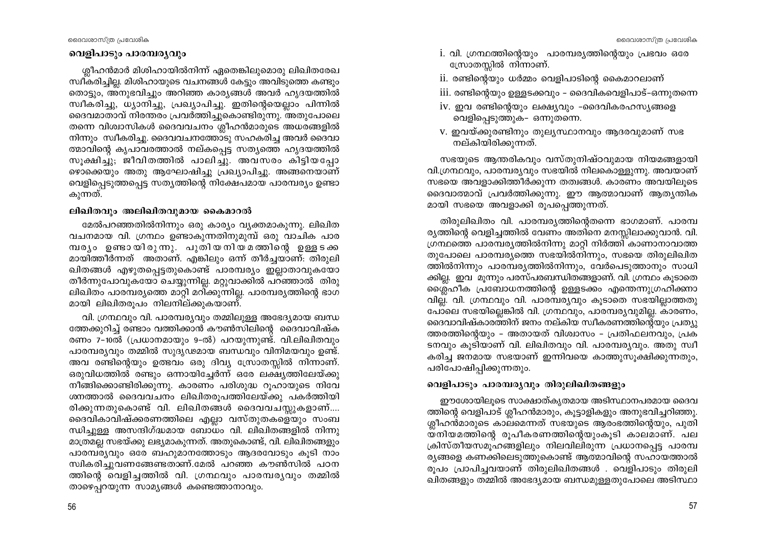## വെളിപാടും പാരമ്പര്യവും

ശ്ലീഹൻമാർ മിശിഹായിൽനിന്ന് ഏതെങ്കിലുമൊരു ലിഖിതരേഖ സ്ഥീകരിച്ചില്ല. മിശിഹായുടെ വചനങ്ങൾ കേട്ടും അവിടുത്തെ കണ്ടും തൊട്ടും, അനുഭവിച്ചും അറിഞ്ഞ കാര്യങ്ങൾ അവർ ഹൃദയത്തിൽ സ്ഥീകരിച്ചു, ധ്യാനിച്ചു, പ്രഖ്യാപിച്ചു. ഇതിന്റെയെല്ലാം പിന്നിൽ ദൈവമാതാവ് നിരന്തരം പ്രവർത്തിച്ചുകൊണ്ടിരുന്നു. അതുപോലെ തന്നെ വിശ്വാസികൾ ദൈവവചനം ശ്ലീഹൻമാരുടെ അധരങ്ങളിൽ നിന്നും സ്വീകരിച്ചു. ദൈവവചനത്തോടു സഹകരിച്ച അവർ ദൈവാ ത്മാവിന്റെ കൃപാവരത്താൽ നല്കപ്പെട്ട സത്യത്തെ ഹൃദയത്തിൽ സൂക്ഷിച്ചു; ജീവിതത്തിൽ പാലിച്ചു. അവസരം കിട്ടിയപ്പോ ഴൊക്കെയും അതു ആഘോഷിച്ചു പ്രഖ്യാപിച്ചു. അങ്ങനെയാണ് വെളിപ്പെടുത്തപ്പെട്ട സത്യത്തിന്റെ നിക്ഷേപമായ പാരമ്പര്യം ഉണ്ടാ കുന്നത്.

# ലിഖിതവും അലിഖിതവുമായ കൈമാറൽ

മേൽപറഞ്ഞതിൽനിന്നും ഒരു കാര്യം വ്യക്തമാകുന്നു. ലിഖിത വചനമായ വി. ഗ്രന്ഥം ഉണ്ടാകുന്നതിനുമുമ്പ് ഒരു വാചിക പാര മ്പര്യം ഉണ്ടായിരുന്നു. പുതിയനിയമത്തിന്റെ ഉള്ളടക്ക മായിത്തീർന്നത് അതാണ്. എങ്കിലും ഒന്ന് തീർച്ചയാണ്: തിരുലി ഖിതങ്ങൾ എഴുതപ്പെട്ടതുകൊണ്ട് പാരമ്പര്യം ഇല്ലാതാവുകയോ തീർന്നുപോവുകയോ ചെയ്യുന്നില്ല. മറ്റുവാക്കിൽ പറഞ്ഞാൽ തിരു ലിഖിതം പാരമ്പര്യത്തെ മാറ്റി മറിക്കുന്നില്ല. പാരമ്പര്യത്തിന്റെ ഭാഗ മായി ലിഖിതരുപം നിലനില്ക്കുകയാണ്.

വി. ഗ്രന്ഥവും വി. പാരമ്പര്യവും തമ്മിലുള്ള അഭേദ്യമായ ബന്ധ ത്തേക്കുറിച്ച് രണ്ടാം വത്തിക്കാൻ കൗൺസിലിന്റെ ദൈവാവിഷ്ക രണം 7-10ൽ (പ്രധാനമായും 9-ൽ) പറയുന്നുണ്ട്. വി.ലിഖിതവും പാരമ്പര്യവും തമ്മിൽ സുദൃഢമായ ബന്ധവും വിനിമയവും ഉണ്ട്. അവ രണ്ടിന്റെയും ഉത്ഭവം ഒരു ദിവ്യ സ്രോതസ്സിൽ നിന്നാണ്. ഒരുവിധത്തിൽ രണ്ടും ഒന്നായിച്ചേർന്ന് ഒരേ ലക്ഷ്യത്തിലേയ്ക്കു നീങ്ങിക്കൊണ്ടിരിക്കുന്നു. കാരണം പരിശുദ്ധ റൂഹായുടെ നിവേ ശനത്താൽ ദൈവവചനം ലിഖിതരുപത്തിലേയ്ക്കു പകർത്തിയി രിക്കുന്നതുകൊണ്ട് വി. ലിഖിതങ്ങൾ ദൈവവചസ്സുകളാണ്.... ദൈവികാവിഷ്ക്കരണത്തിലെ എല്ലാ വസ്തുതകളെയും സംബ ന്ധിച്ചുള്ള അസന്ദിഗ്ദ്ധമായ ബോധം വി. ലിഖിതങ്ങളിൽ നിന്നു മാത്രമല്ല സഭയ്ക്കു ലഭ്യമാകുന്നത്. അതുകൊണ്ട്, വി. ലിഖിതങ്ങളും പാരമ്പര്യവും ഒരേ ബഹുമാനത്തോടും ആദരവോടും കൂടി നാം സ്വികരിച്ചുവണങ്ങേണ്ടതാണ്.മേൽ പറഞ്ഞ കൗൺസിൽ പഠന ത്തിന്റെ വെളിച്ചത്തിൽ വി. ഗ്രന്ഥവും പാരമ്പര്യവും തമ്മിൽ താഴെപ്പറയുന്ന സാമ്യങ്ങൾ കണ്ടെത്താനാവും.

- i. വി. ഗ്രന്ഥത്തിന്റെയും പാരമ്പര്യത്തിന്റെയും പ്രഭവം ഒരേ സ്രോതസ്സിൽ നിന്നാണ്.
- ii. രണ്ടിന്റെയും ധർമ്മം വെളിപാടിന്റെ കൈമാറലാണ്
- <u>iii. രണ്ടിന്റെയും ഉള്ളടക്കവും ദൈവികവെളിപാട്–ഒന്നുതന്നെ</u>
- iv. ഇവ രണ്ടിന്റെയും ലക്ഷ്യവും -ദൈവികരഹസ്യങ്ങളെ വെളിപ്പെടുത്തുക– ഒന്നുതന്നെ.
- v. ഇവയ്ക്കുരണ്ടിനും തുലൃസ്ഥാനവും ആദരവുമാണ് സഭ നല്കിയിരിക്കുന്നത്.

സഭയുടെ ആന്തരികവും വസ്തുനിഷ്ഠവുമായ നിയമങ്ങളായി വി.ഗ്രന്ഥവും, പാരമ്പര്യവും സഭയിൽ നിലകൊള്ളുന്നു. അവയാണ് സഭയെ അവളാക്കിത്തീർക്കുന്ന തത്വങ്ങൾ. കാരണം അവയിലൂടെ ദൈവാത്മാവ് പ്രവർത്തിക്കുന്നു. ഈ ആത്മാവാണ് ആതൃന്തിക മായി സഭയെ അവളാക്കി രുപപ്പെത്തുന്നത്.

തിരുലിഖിതം വി. പാരമ്പര്യത്തിന്റെതന്നെ ഭാഗമാണ്. പാരമ്പ ര്യത്തിന്റെ വെളിച്ചത്തിൽ വേണം അതിനെ മനസ്സിലാക്കുവാൻ. വി. ഗ്രന്ഥത്തെ പാരമ്പര്യത്തിൽനിന്നു മാറ്റി നിർത്തി കാണാനാവാത്ത തുപോലെ പാരമ്പര്യത്തെ സഭയിൽനിന്നും, സഭയെ തിരുലിഖിത ത്തിൽനിന്നും പാരമ്പര്യത്തിൽനിന്നും, വേർപെടുത്താനും സാധി ക്കില്ല. ഇവ മൂന്നും പരസ്പരബന്ധിതങ്ങളാണ്. വി. ഗ്രന്ഥം കൂടാതെ ്രൈഹീക പ്രബോധനത്തിന്റെ ഉള്ളടക്കം എന്തെന്നുഗ്രഹിക്കനാ വില്ല. വി. ഗ്രന്ഥവും വി. പാരമ്പര്യവും കൂടാതെ സഭയില്ലാത്തതു പോലെ സഭയില്ലെങ്കിൽ വി. ഗ്രന്ഥവും, പാരമ്പര്യവുമില്ല. കാരണം, ദൈവാവിഷ്കാരത്തിന് ജനം നല്കിയ സ്വീകരണത്തിന്റെയും പ്രത്യു ത്തരത്തിന്റെയും - അതായത് വിശ്വാസം - പ്രതിഫലനവും, പ്രക ടനവും കുടിയാണ് വി. ലിഖിതവും വി. പാരമ്പര്യവും. അതു സ്വീ കരിച്ച ജനമായ സഭയാണ് ഇന്നിവയെ കാത്തുസൂക്ഷിക്കുന്നതും, പരിപോഷിപ്പിക്കുന്നതും.

# വെളിപാടും പാരമ്പര്യവും തിരുലിഖിതങ്ങളും

ഈശോയിലൂടെ സാക്ഷാത്കൃതമായ അടിസ്ഥാനപരമായ ദൈവ ത്തിന്റെ വെളിപാട് ശ്ലീഹൻമാരും, കൂട്ടാളികളും അനുഭവിച്ചറിഞ്ഞു. ശ്ലീഹൻമാരുടെ കാലമെന്നത് സഭയുടെ ആരംഭത്തിന്റെയും, പുതി യനിയമത്തിന്റെ രൂപീകരണത്തിന്റെയുംകൂടി കാലമാണ്. പല ക്രിസ്തീയസമൂഹങ്ങളിലും നിലവിലിരുന്ന പ്രധാനപ്പെട്ട പാരമ്പ ര്യങ്ങളെ കണക്കിലെടുത്തുകൊണ്ട് ആത്മാവിന്റെ സഹായത്താൽ രൂപം പ്രാപിച്ചവയാണ് തിരുലിഖിതങ്ങൾ . വെളിപാടും തിരുലി ഖിതങ്ങളും തമ്മിൽ അഭേദ്യമായ ബന്ധമുള്ളതുപോലെ അടിസ്ഥാ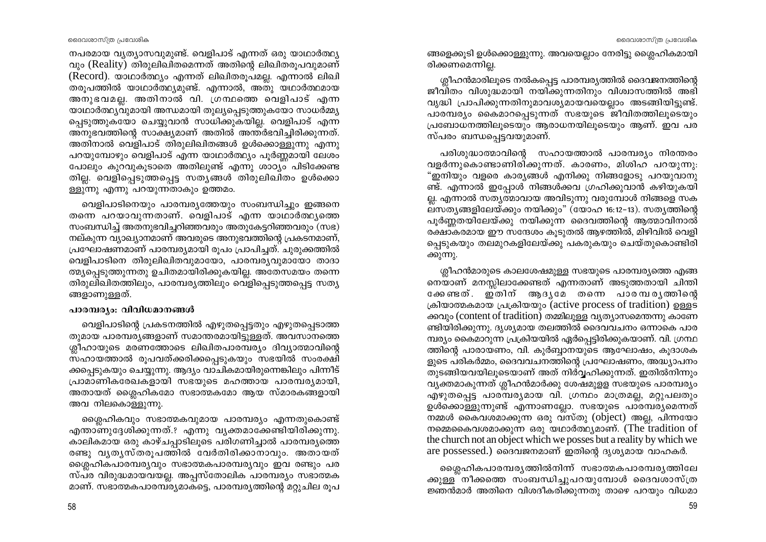നപരമായ വ്യത്യാസവുമുണ്ട്. വെളിപാട് എന്നത് ഒരു യാഥാർത്ഥ്യ വും (Reality) തിരുലിഖിതമെന്നത് അതിന്റെ ലിഖിതരുപവുമാണ് (Record). യാഥാർത്ഥ്യം എന്നത് ലിഖിതരുപമല്ല. എന്നാൽ ലിഖി തരൂപത്തിൽ യാഥാർത്ഥ്യമുണ്ട്. എന്നാൽ, അതു യഥാർത്ഥമായ അനുഭവമല്ല. അതിനാൽ വി. ഗ്രന്ഥത്തെ വെളിപാട് എന്ന യാഥാർത്ഥ്യവുമായി അന്ധമായി തുല്യപ്പെടുത്തുകയോ സാധർമ്മ്യ പ്പെടുത്തുകയോ ചെയ്യുവാൻ സാധിക്കുകയില്ല. വെളിപാട് എന്ന അനുഭവത്തിന്റെ സാക്ഷ്യമാണ് അതിൽ അന്തർഭവിച്ചിരിക്കുന്നത്. അതിനാൽ വെളിപാട് തിരുലിഖിതങ്ങൾ ഉൾക്കൊള്ളുന്നു എന്നു പറയുമ്പോഴും വെളിപാട് എന്ന യാഥാർത്ഥ്യം പൂർണ്ണമായി ലേശം പോലും കുറവുകുടാതെ അതിലുണ്ട് എന്നു ശാഠ്യം പിടിക്കേണ്ട തില്ല. വെളിപ്പെടുത്തപ്പെട്ട സത്യങ്ങൾ തിരുലിഖിതം ഉൾക്കൊ ള്ളുന്നു എന്നു പറയുന്നതാകും ഉത്തമം.

വെളിപാടിനെയും പാരമ്പര്യത്തേയും സംബന്ധിച്ചും ഇങ്ങനെ തന്നെ പറയാവുന്നതാണ്. വെളിപാട് എന്ന യാഥാർത്ഥ്യത്തെ സംബന്ധിച്ച് അതനുഭവിച്ചറിഞ്ഞവരും അതുകേട്ടറിഞ്ഞവരും (സഭ) നല്കുന്ന വ്യാഖ്യാനമാണ് അവരുടെ അനുഭവത്തിന്റെ പ്രകടനമാണ്, പ്രഘോഷണമാണ് പാരമ്പര്യമായി രൂപം പ്രാപിച്ചത്. ചുരുക്കത്തിൽ വെളിപാടിനെ തിരുലിഖിതവുമായോ, പാരമ്പര്യവുമായോ താദാ ത്മ്യപ്പെടുത്തുന്നതു ഉചിതമായിരിക്കുകയില്ല. അതേസമയം തന്നെ തിരുലിഖിതത്തിലും, പാരമ്പര്യത്തിലും വെളിപ്പെടുത്തപ്പെട്ട സത്യ ങ്ങളാണുള്ളത്.

# പാരമ്പര്യം: വിവിധമാനങ്ങൾ

വെളിപാടിന്റെ പ്രകടനത്തിൽ എഴുതപ്പെട്ടതും എഴുതപ്പെടാത്ത തുമായ പാരമ്പര്യങ്ങളാണ് സമാന്തരമായിട്ടുള്ളത്. അവസാനത്തെ ശ്ലീഹായുടെ മരണത്തോടെ ലിഖിതപാരമ്പര്യം ദിവ്യാത്മാവിന്റെ സഹായത്താൽ രൂപവത്ക്കരിക്കപ്പെടുകയും സഭയിൽ സംരക്ഷി ക്കപ്പെടുകയും ചെയ്യുന്നു. ആദ്യം വാചികമായിരുന്നെങ്കിലും പിന്നീട് പ്രാമാണികരേഖകളായി സഭയുടെ മഹത്തായ പാരമ്പര്യമായി, അതായത് ശ്ലൈഹികമോ സഭാത്മകമോ ആയ സ്മാരകങ്ങളായി അവ നിലകൊള്ളുന്നു.

ശ്ലൈഹികവും സഭാത്മകവുമായ പാരമ്പര്യം എന്നതുകൊണ്ട് എന്താണുദ്ദേശിക്കുന്നത്.? എന്നു വ്യക്തമാക്കേണ്ടിയിരിക്കുന്നു. കാലികമായ ഒരു കാഴ്ചപ്പാടിലൂടെ പരിഗണിച്ചാൽ പാരമ്പര്യത്തെ രണ്ടു വൃതൃസ്തരൂപത്തിൽ വേർതിരിക്കാനാവും. അതായത് മ്ലൈഹികപാരമ്പര്യവും സഭാത്മകപാരമ്പര്യവും ഇവ രണ്ടും പര സ്പര വിരുദ്ധമായവയല്ല. അപ്പസ്തോലിക പാരമ്പര്യം സഭാത്മക മാണ്. സഭാത്മകപാരമ്പര്യമാകട്ടെ, പാരമ്പര്യത്തിന്റെ മറ്റുചില രുപ ങ്ങളെക്കൂടി ഉൾക്കൊള്ളുന്നു. അവയെല്ലാം നേരിട്ടു ശ്ലൈഹികമായി രിക്കണമെന്നില്ല.

ശ്ലീഹൻമാരിലൂടെ നൽകപ്പെട്ട പാരമ്പര്യത്തിൽ ദൈവജനത്തിന്റെ ജീവിതം വിശുദ്ധമായി നയിക്കുന്നതിനും വിശ്വാസത്തിൽ അഭി വൃദ്ധി പ്രാപിക്കുന്നതിനുമാവശ്യമായവയെല്ലാം അടങ്ങിയിട്ടുണ്ട്. പാരമ്പര്യം കൈമാറപ്പെടുന്നത് സഭയുടെ ജീവിതത്തിലൂടെയും പ്രബോധനത്തിലുടെയും ആരാധനയിലുടെയും ആണ്. ഇവ പര സ്പരം ബന്ധപ്പെട്ടവയുമാണ്.

പരിശുദ്ധാത്മാവിന്റെ സഹായത്താൽ പാരമ്പര്യം നിരന്തരം വളർന്നുകൊണ്ടാണിരിക്കുന്നത്. കാരണം, മിശിഹ പറയുന്നു. "ഇനിയും വളരെ കാര്യങ്ങൾ എനിക്കു നിങ്ങളോടു പറയുവാനു ണ്ട്. എന്നാൽ ഇപ്പോൾ നിങ്ങൾക്കവ ഗ്രഹിക്കുവാൻ കഴിയുകയി ല്ല. എന്നാൽ സത്യത്മാവായ അവിടുന്നു വരുമ്പോൾ നിങ്ങളെ സക ലസത്യങ്ങളിലേയ്ക്കും നയിക്കും" (യോഹ 16:12–13). സത്യത്തിന്റെ പൂർണ്ണതയിലേയ്ക്കു നയിക്കുന്ന ദൈവത്തിന്റെ ആത്മാവിനാൽ രക്ഷാകരമായ ഈ സന്ദേശം കുടുതൽ ആഴത്തിൽ, മിഴിവിൽ വെളി പ്പെടുകയും തലമുറകളിലേയ്ക്കു പകരുകയും ചെയ്തുകൊണ്ടിരി ക്കുന്നു.

ശ്ലീഹൻമാരുടെ കാലശേഷമുള്ള സഭയുടെ പാരമ്പര്യത്തെ എങ്ങ നെയാണ് മനസ്സിലാക്കേണ്ടത് എന്നതാണ് അടുത്തതായി ചിന്തി ക്കേണ്ടത്. ഇതിന് ആദൃമേ തന്നെ പാരമ്പരൃത്തിന്റെ ക്രിയാത്മകമായ പ്രക്രിയയും (active process of tradition) ഉള്ളട ക്കവും (content of tradition) തമ്മിലുള്ള വ്യത്യാസമെന്തന്നു കാണേ ണ്ടിയിരിക്കുന്നു. ദൃശ്യമായ തലത്തിൽ ദൈവവചനം ഒന്നാകെ പാര മ്പര്യം കൈമാറുന്ന പ്രക്രിയയിൽ ഏർപ്പെട്ടിരിക്കുകയാണ്. വി. ഗ്രന്ഥ ത്തിന്റെ പാരായണം, വി. കുർബ്ബാനയുടെ ആഘോഷം, കുദാശക ളുടെ പരികർമ്മം, ദൈവവചനത്തിന്റെ പ്രഘോഷണം, അദ്ധ്യാപനം തുടങ്ങിയവയിലുടെയാണ് അത് നിർവ്വഹിക്കുന്നത്. ഇതിൽനിന്നും വൃക്തമാകുന്നത് ശ്ലീഹൻമാർക്കു ശേഷമുളള സഭയുടെ പാരമ്പര്യം എഴുതപ്പെട്ട പാരമ്പര്യമായ വി. ഗ്രന്ഥം മാത്രമല്ല, മറ്റുപലതും ഉൾക്കൊള്ളുന്നുണ്ട് എന്നാണല്ലോ. സഭയുടെ പാരമ്പര്യമെന്നത് നമ്മൾ കൈവശമാക്കുന്ന ഒരു വസ്തു (object) അല്ല, പിന്നയോ നമ്മെകൈവശമാക്കുന്ന ഒരു യഥാർത്ഥ്യമാണ്. (The tradition of the church not an object which we posses but a reality by which we are possessed.) ദൈവജനമാണ് ഇതിന്റെ ദൃശ്യമായ വാഹകർ.

ശ്ലൈഹികപാരമ്പരൃത്തിൽനിന്ന് സഭാത്മകപാരമ്പരൃത്തിലേ ക്കുള്ള നീക്കത്തെ സംബന്ധിച്ചുപറയുമ്പോൾ ദൈവശാസ്ത്ര ജ്ഞൻമാർ അതിനെ വിശദീകരിക്കുന്നതു താഴെ പറയും വിധമാ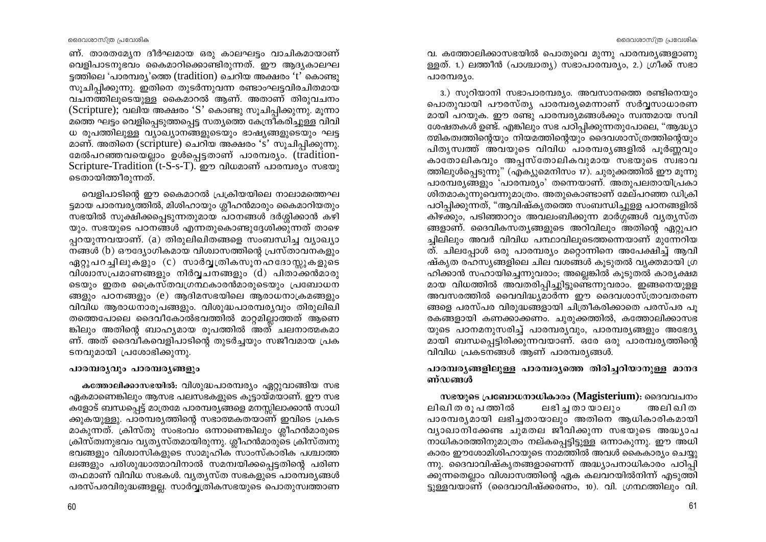ണ്. താരതമ്യേന ദീർഘമായ ഒരു കാലഘട്ടം വാചികമായാണ് വെളിപാടനുഭവം കൈമാറിക്കൊണ്ടിരുന്നത്. ഈ ആദ്യകാലഘ ട്ടത്തിലെ 'പാരമ്പര്യ'ത്തെ (tradition) ചെറിയ അക്ഷരം 't' കൊണ്ടു സുചിപിക്കുന്നു. ഇതിനെ തുടർന്നുവന്ന രണ്ടാംഘട്ടവിരചിതമായ വചനത്തിലൂടെയുള്ള കൈമാറൽ ആണ്. അതാണ് തിരുവചനം (Scripture); വലിയ അക്ഷരം 'S' കൊണ്ടു സൂചിപ്പിക്കുന്നു. മൂന്നാ മത്തെ ഘട്ടം വെളിപ്പെടുത്തപ്പെട്ട സത്യത്തെ കേന്ദ്രീകരിച്ചുള്ള വിവി ധ രൂപത്തിലുള്ള വ്യാഖ്യാനങ്ങളുടെയും ഭാഷ്യങ്ങളുടെയും ഘട്ട മാണ്. അതിനെ (scripture) ചെറിയ അക്ഷരം 's' സുചിപ്പിക്കുന്നു. മേൽപറഞ്ഞവയെല്ലാം ഉൾപ്പെട്ടതാണ് പാരമ്പര്യം. (tradition-Scripture-Tradition (t-S-s-T). ഈ വിധമാണ് പാരമ്പര്യം സഭയു ടെതായിത്തീരുന്നത്.

വെളിപാടിന്റെ ഈ കൈമാറൽ പ്രക്രിയയിലെ നാലാമത്തെഘ ട്ടമായ പാരമ്പര്യത്തിൽ, മിശിഹായും ശ്ലീഹൻമാരും കൈമാറിയതും സഭയിൽ സുക്ഷിക്കപ്പെടുന്നതുമായ പഠനങ്ങൾ ദർശ്ശിക്കാൻ കഴി യും. സഭയുടെ പഠനങ്ങൾ എന്നതുകൊണ്ടുദേശിക്കുന്നത് താഴെ പ്പറയുന്നവയാണ്. (a) തിരുലിഖിതങ്ങളെ സംബന്ധിച്ച വ്യാഖ്യാ നങ്ങൾ (b) ഔദ്യോഗികമായ വിശ്വാസത്തിന്റെ പ്രസ്താവനകളും ഏറ്റുപറച്ചിലുകളും (c) സാർവ്വത്രികസൂനഹദോസ്റ്റുകളുടെ വിശ്വാസപ്രമാണങ്ങളും നിർവ്വചനങ്ങളും (d) പിതാക്കൻമാരു ടെയും ഇതര ക്രൈസ്തവഗ്രന്ഥകാരൻമാരുടെയും പ്രബോധന ങ്ങളും പഠനങ്ങളും (e) ആദിമസഭയിലെ ആരാധനാക്രമങ്ങളും വിവിധ ആരാധനാരുപങ്ങളും. വിശുദ്ധപാരമ്പര്യവും തിരുലിഖി തത്തെപോലെ ദൈവീകോൽഭവത്തിൽ മാറ്റമില്ലാത്തത് ആണെ ങ്കിലും അതിന്റെ ബാഹ്യമായ രുപത്തിൽ അത് ചലനാത്മകമാ ണ്. അത് ദൈവീകവെളിപാടിന്റെ തുടർച്ചയും സജീവമായ പ്രക ടനവുമായി പ്രശോഭിക്കുന്നു.

# പാരമ്പര്യവും പാരമ്പര്യങ്ങളും

കത്തോലിക്കാസഭയിൽ: വിശുദ്ധപാരമ്പര്യം ഏറ്റുവാങ്ങിയ സഭ ഏകമാണെങ്കിലും ആസഭ പലസഭകളുടെ കൂട്ടായ്മയാണ്. ഈ സഭ കളോട് ബന്ധപ്പെട്ട് മാത്രമേ പാരമ്പര്യങ്ങളെ മനസ്സിലാക്കാൻ സാധി ക്കുകയുള്ളു. പാരമ്പര്യത്തിന്റെ സഭാത്മകതയാണ് ഇവിടെ പ്രകട മാകുന്നത്. ക്രിസ്തു സംഭംവം ഒന്നാണെങ്കിലും ശ്ലീഹൻമാരുടെ ക്രിസ്ത്വനുഭവം വ്യത്യസ്തമായിരുന്നു. ശ്ലീഹൻമാരുടെ ക്രിസ്ത്വനു ഭവങ്ങളും വിശ്വാസികളുടെ സാമൂഹിക സാംസ്കാരിക പശ്ചാത്ത ലങ്ങളും പരിശുദ്ധാത്മാവിനാൽ സമന്വയിക്കപ്പെട്ടതിന്റെ പരിണ തഫമാണ് വിവിധ സഭകൾ. വ്യത്യസ്ത സഭകളുടെ പാരമ്പര്യങ്ങൾ പരസ്പരവിരുദ്ധങ്ങളല്ല. സാർവ്വത്രികസഭയുടെ പൊതുസ്വത്താണ

60

വ. കത്തോലിക്കാസഭയിൽ പൊതുവെ മൂന്നു പാരമ്പര്യങ്ങളാണു ള്ളത്. 1.) ലത്തീൻ (പാശ്ചാത്യ) സഭാപാരമ്പര്യം, 2.) ഗ്രീക്ക് സഭാ പാരമ്പര്യം.

3.) സൂറിയാനി സഭാപാരമ്പര്യം. അവസാനത്തെ രണ്ടിനെയും പൊതുവായി പൗരസ്തൃ പാരമ്പരൃമെന്നാണ് സർവ്വസാധാരണ മായി പറയുക. ഈ രണ്ടു പാരമ്പര്യമങ്ങൾക്കും സ്വന്തമായ സവി ശേഷതകൾ ഉണ്ട്. എങ്കിലും സഭ പഠിപ്പിക്കുന്നതുപോലെ, "ആദ്ധ്യാ ത്മികത്വത്തിന്റെയും നിയമത്തിന്റെയും ദൈവശാസ്ത്രത്തിന്റെയും പിത്യസ്വത്ത് അവയുടെ വിവിധ പാരമ്പര്യങ്ങളിൽ പൂർണ്ണവും കാതോലികവും അപ്പസ്തോലികവുമായ സഭയുടെ സ്ഥാവ ത്തിലുൾപ്പെടുന്നു" (എക്യുമെനിസം 17). ചുരുക്കത്തിൽ ഈ മൂന്നു പാരമ്പര്യങ്ങളും 'പാരമ്പര്യം' തന്നെയാണ്. അതുപലതായിപ്രകാ ശിതമാകുന്നുവെന്നുമാത്രം. അതുകൊണ്ടാണ് മേല്പറഞ്ഞ ഡിക്രി പഠിപ്പിക്കുന്നത്, "ആവിഷ്കൃതത്തെ സംബന്ധിച്ചുള്ള പഠനങ്ങളിൽ കിഴക്കും, പടിഞ്ഞാറും അവലംബിക്കുന്ന മാർഗ്ഗങ്ങൾ വ്യത്യസ്ത ങ്ങളാണ്. ദൈവികസത്യങ്ങളുടെ അറിവിലും അതിന്റെ ഏറ്റുപറ ച്ചിലിലും അവർ വിവിധ പന്ഥാവിലുടെത്തന്നെയാണ് മുന്നേറിയ ത്. ചിലപ്പോൾ ഒരു പാരമ്പര്യം മറ്റൊന്നിനെ അപേക്ഷിച്ച് ആവി ഷ്കൃത രഹസ്യങ്ങളിലെ ചില വശങ്ങൾ കുടുതൽ വ്യക്തമായി ഗ്ര ഹിക്കാൻ സഹായിച്ചെന്നുവരാം; അല്ലെങ്കിൽ കൂടുതൽ കാര്യക്ഷമ മായ വിധത്തിൽ അവതരിപ്പിച്ചുിട്ടുണ്ടെന്നുവരാം. ഇങ്ങനെയുളള അവസരത്തിൽ വൈവിദ്ധ്യമാർന്ന ഈ ദൈവശാസ്ത്രാവതരണ ങ്ങളെ പരസ്പര വിരുദ്ധങ്ങളായി ചിത്രീകരിക്കാതെ പരസ്പര പു രകങ്ങളായി കണക്കാക്കണം. ചുരുക്കത്തിൽ, കത്തോലിക്കാസഭ യുടെ പഠനമനുസരിച്ച് പാരമ്പര്യവും, പാരമ്പര്യങ്ങളും അഭേദ്യ മായി ബന്ധപ്പെട്ടിരിക്കുന്നവയാണ്. ഒരേ ഒരു പാരമ്പര്യത്തിന്റെ വിവിധ പ്രകടനങ്ങൾ ആണ് പാരമ്പര്യങ്ങൾ.

# പാരമ്പരൃങ്ങളിലുള്ള പാരമ്പരൃത്തെ തിരിച്ചറിയാനുള്ള മാനദ ണ്ഡങ്ങൾ

സഭയുടെ പ്രബോധനാധികാരം (Magisterium): ദൈവവചനം ലിഖി ത രൂ പ ത്തിൽ ലഭിച്ച തായാലും അലിഖിത പാരമ്പര്യമായി ലഭിച്ചതായാലും അതിനെ ആധികാരികമായി വ്യാഖാനിക്കേണ്ട ചുമതല ജീവിക്കുന്ന സഭയുടെ അദ്ധ്യാപ നാധികാരത്തിനുമാത്രം നല്കപ്പെട്ടിട്ടുള്ള ഒന്നാകുന്നു. ഈ അധി കാരം ഈശോമിശിഹായുടെ നാമത്തിൽ അവൾ കൈകാര്യം ചെയ്യു ന്നു. ദൈവാവിഷ്കൃതങ്ങളാണെന്ന് അദ്ധ്യാപനാധികാരം പഠിപ്പി ക്കുന്നതെല്ലാം വിശ്വാസത്തിന്റെ ഏക കലവറയിൽനിന്ന് എടുത്തി ട്ടുള്ളവയാണ് (ദൈവാവിഷ്ക്കരണം, 10). വി. ഗ്രന്ഥത്തിലും വി.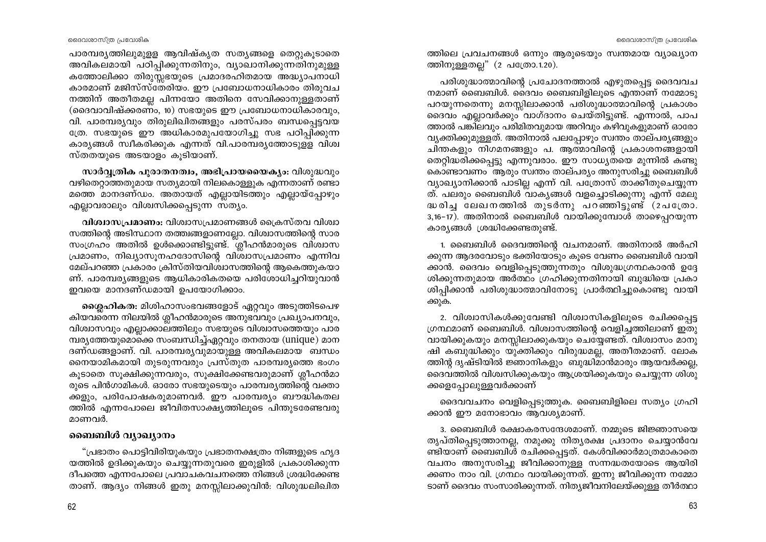പാരമ്പരൃത്തിലുമുളള ആവിഷ്കൃത സതൃങ്ങളെ തെറ്റുകൂടാതെ അവികലമായി പഠിപ്പിക്കുന്നതിനും, വ്യാഖാനിക്കുന്നതിനുമുള്ള കത്തോലിക്കാ തിരുസ്സഭയുടെ പ്രമാദരഹിതമായ അദ്ധ്യാപനാധി കാരമാണ് മജിസ്സ്തേരിയം. ഈ പ്രബോധനാധികാരം തിരുവച നത്തിന് അതീതമല്ല പിന്നയോ അതിനെ സേവിക്കാനുള്ളതാണ് (ദൈവാവിഷ്ക്കരണം, 10) സഭയുടെ ഈ പ്രബോധനാധികാരവും, വി. പാരമ്പര്യവും തിരുലിഖിതങ്ങളും പരസ്പരം ബന്ധപ്പെട്ടവയ ത്രേ. സഭയുടെ ഈ അധികാരമുപയോഗിച്ചു സഭ പഠിപ്പിക്കുന്ന കാര്യങ്ങൾ സ്ഥീകരിക്കുക എന്നത് വി.പാരമ്പര്യത്തോടുള്ള വിശ്വ സ്തതയുടെ അടയാളം കൂടിയാണ്.

സാർവ്വതിക പുരാതനത്വം, അഭിപ്രായയൈക്യം: വിശുദ്ധവും വഴിതെറ്റാത്തതുമായ സത്യമായി നിലകൊള്ളുക എന്നതാണ് രണ്ടാ മത്തെ മാനദണ്ഡം. അതായത് എല്ലായിടത്തും എല്ലായ്പ്പോഴും എല്ലാവരാലും വിശ്വസിക്കപ്പെടുന്ന സത്യം.

വിശ്വാസപ്രമാണം: വിശ്വാസപ്രമാണങ്ങൾ ക്രൈസ്തവ വിശ്വാ സത്തിന്റെ അടിസ്ഥാന തത്ത്വങ്ങളാണല്ലോ. വിശ്വാസത്തിന്റെ സാര സംഗ്രഹം അതിൽ ഉൾക്കൊണ്ടിട്ടുണ്ട്. ശ്ലീഹൻമാരുടെ വിശ്വാസ പ്രമാണം, നിഖ്യാസുനഹദോസിന്റെ വിശ്വാസപ്രമാണം എന്നിവ മേല്പറഞ്ഞ പ്രകാരം ക്രിസ്തിയവിശ്വാസത്തിന്റെ ആകെത്തുകയാ ണ്. പാരമ്പര്യങ്ങളുടെ ആധികാരികതയെ പരിശോധിച്ചറിയുവാൻ ഇവയെ മാനദണ്ഡമായി ഉപയോഗിക്കാം.

മെശ്ലഹികത: മിശിഹാസംഭവങ്ങളോട് ഏറ്റവും അടുത്തിടപെഴ കിയവരെന്ന നിലയിൽ ശ്ലീഹൻമാരുടെ അനുഭവവും പ്രഖ്യാപനവും, വിശ്വാസവും എല്ലാക്കാലത്തിലും സഭയുടെ വിശ്വാസത്തെയും പാര മ്പര്യത്തേയുമൊക്കെ സംബന്ധിച്ച്ഏറ്റവും തനതായ (unique) മാന ദണ്ഡങ്ങളാണ്. വി. പാരമ്പര്യവുമായുള്ള അവികലമായ ബന്ധം നൈയാമികമായി തുടരുന്നവരും പ്രസ്തുത പാരമ്പര്യത്തെ ഭംഗം കൂടാതെ സൂക്ഷിക്കുന്നവരും, സൂക്ഷിക്കേണ്ടവരുമാണ് ശ്ലീഹൻമാ രുടെ പിൻഗാമികൾ. ഓരോ സഭയുടെയും പാരമ്പര്യത്തിന്റെ വക്താ ക്കളും, പരിപോഷകരുമാണവർ. ഈ പാരമ്പര്യം ബൗദ്ധികതല ത്തിൽ എന്നപോലെ ജീവിതസാക്ഷ്യത്തിലൂടെ പിന്തുടരേണ്ടവരു മാണവർ

### ബൈബിൾ വ്യാഖ്യാനം

"പ്രഭാതം പൊട്ടിവിരിയുകയും പ്രഭാതനക്ഷത്രം നിങ്ങളുടെ ഹൃദ യത്തിൽ ഉദിക്കുകയും ചെയ്യുന്നതുവരെ ഇരുളിൽ പ്രകാശിക്കുന്ന ദീപത്തെ എന്നപോലെ പ്രവാചകവചനത്തെ നിങ്ങൾ ശ്രദ്ധിക്കേണ്ട താണ്. ആദ്യം നിങ്ങൾ ഇതു മനസ്സിലാക്കുവിൻ: വിശുദ്ധലിഖിത

ത്തിലെ പ്രവചനങ്ങൾ ഒന്നും ആരുടെയും സ്വന്തമായ വ്യാഖ്യാന ത്തിനുള്ളതല്ല" (2 പത്രോ.1.20).

പരിശുദ്ധാത്മാവിന്റെ പ്രചോദനത്താൽ എഴുതപ്പെട്ട ദൈവവച നമാണ് ബൈബിൾ. ദൈവം ബൈബിളിലൂടെ എന്താണ് നമ്മോടു പറയുന്നതെന്നു മനസ്സിലാക്കാൻ പരിശുദ്ധാത്മാവിന്റെ പ്രകാശം ദൈവം എല്ലാവർക്കും വാഗ്ദാനം ചെയ്തിട്ടുണ്ട്. എന്നാൽ, പാപ ത്താൽ പങ്കിലവും പരിമിതവുമായ അറിവും കഴിവുകളുമാണ് ഓരോ വ്യക്തിക്കുമുള്ളത്. അതിനാൽ പലപ്പോഴും സ്വന്തം താല്പര്യങ്ങളും ചിന്തകളും നിഗമനങ്ങളും പ. ആത്മാവിന്റെ പ്രകാശനങ്ങളായി തെറ്റിദ്ധരിക്കപ്പെട്ടു എന്നുവരാം. ഈ സാധ്യതയെ മൂന്നിൽ കണ്ടു കൊണ്ടാവണം ആരും സ്വന്തം താല്പര്യം അനുസരിച്ചു ബൈബിൾ വ്യാഖ്യാനിക്കാൻ പാടില്ല എന്ന് വി. പത്രോസ് താക്കീതുചെയ്യുന്ന ത്. പലരും ബൈബിൾ വാകൃങ്ങൾ വളച്ചൊടിക്കുന്നു എന്ന് മേലു ദ്ധരിച്ച ലേഖനത്തിൽ തുടർന്നു പറഞ്ഞിട്ടുണ്ട് (2പത്രോ.  $\overline{3,16-17}$ ). അതിനാൽ ബൈബിൾ വായിക്കുമ്പോൾ താഴെപ്പറയുന്ന കാര്യങ്ങൾ ശ്രദ്ധിക്കേണ്ടതുണ്ട്.

1. ബൈബിൾ ദൈവത്തിന്റെ വചനമാണ്. അതിനാൽ അർഹി ക്കുന്ന ആദരവോടും ഭക്തിയോടും കൂടെ വേണം ബൈബിൾ വായി ക്കാൻ. ദൈവം വെളിപ്പെടുത്തുന്നതും വിശുദ്ധഗ്രന്ഥകാരൻ ഉദ്ദേ ശിക്കുന്നതുമായ അർത്ഥം ഗ്രഹിക്കുന്നതിനായി ബുദ്ധിയെ പ്രകാ ശിപ്പിക്കാൻ പരിശുദ്ധാത്മാവിനോടു പ്രാർത്ഥിച്ചുകൊണ്ടു വായി ക്കുക.

2. വിശ്വാസികൾക്കുവേണ്ടി വിശ്വാസികളിലൂടെ രചിക്കപ്പെട്ട ഗ്രന്ഥമാണ് ബൈബിൾ. വിശ്വാസത്തിന്റെ വെളിച്ചത്തിലാണ് ഇതു വായിക്കുകയും മനസ്സിലാക്കുകയും ചെയ്യേണ്ടത്. വിശ്വാസം മാനു ഷി കബുദ്ധിക്കും യുക്തിക്കും വിരുദ്ധമല്ല, അതീതമാണ്. ലോക ത്തിന്റ ദൃഷ്ടിയിൽ ജ്ഞാനികളും ബുദ്ധിമാൻമാരും ആയവർക്കല്ല, ദൈവത്തിൽ വിശ്വസിക്കുകയും ആശ്രയിക്കുകയും ചെയ്യുന്ന ശിശു ക്കളെപ്പോലുള്ളവർക്കാണ്

ദൈവവചനം വെളിപ്പെടുത്തുക. ബൈബിളിലെ സത്യം ഗ്രഹി ക്കാൻ ഈ മനോഭാവം ആവശ്യമാണ്.

3. ബൈബിൾ രക്ഷാകരസന്ദേശമാണ്. നമ്മൂടെ ജിജ്ഞാസയെ തൃപ്തിപ്പെടുത്താനല്ല, നമുക്കു നിതൃരക്ഷ പ്രദാനം ചെയ്യാൻവേ ണ്ടിയാണ് ബൈബിൾ രചിക്കപ്പെട്ടത്. കേൾവിക്കാർമാത്രമാകാതെ വചനം അനുസരിച്ചു ജീവിക്കാനുള്ള സന്നദ്ധതയോടെ ആയിരി ക്കണം നാം വി. ഗ്രന്ഥം വായിക്കുന്നത്. ഇന്നു ജീവിക്കുന്ന നമ്മോ ടാണ് ദൈവം സംസാരിക്കുന്നത്. നിത്യജീവനിലേയ്ക്കുള്ള തീർത്ഥാ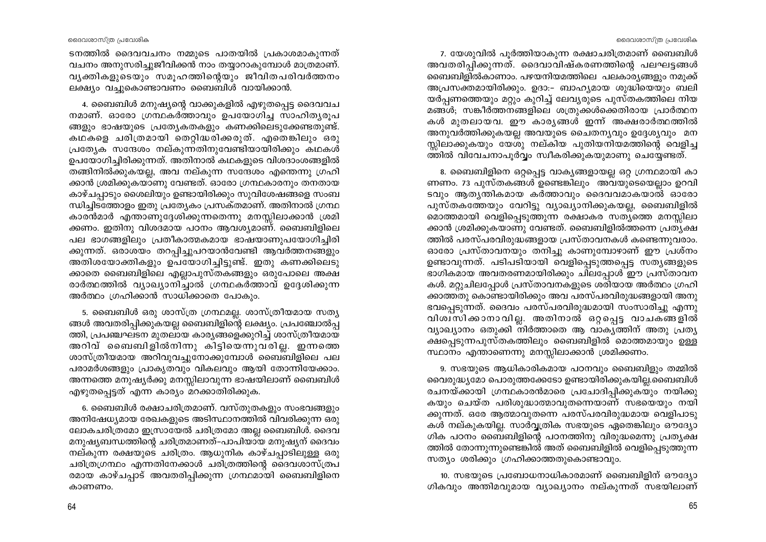7. യേശുവിൽ പുർത്തിയാകുന്ന രക്ഷാചരിത്രമാണ് ബൈബിൾ അവതരിപിക്കുന്നത്. ദൈവാവിഷ്കരണത്തിന്റെ പലഘട്ടങ്ങൾ `ബൈബിളിൽകാണാം. പഴയനിയമത്തിലെ പലകാര്യങ്ങളും നമുക്ക് അപ്രസക്തമായിരിക്കും. ഉദാ:– ബാഹ്യമായ ശുദ്ധിയെയും ബലി യർപ്പണത്തെയും മറ്റും കുറിച്ച് ലേവ്യരുടെ പുസ്തകത്തിലെ നിയ മങ്ങൾ; സങ്കീർത്തനങ്ങളിലെ ശത്രുക്കൾക്കെതിരായ പ്രാർത്ഥന കൾ മുതലായവ. ഈ കാര്യങ്ങൾ ഇന്ന് അക്ഷരാർത്ഥത്തിൽ അനുവർത്തിക്കുകയല്ല അവയുടെ ചൈതന്യവും ഉദ്ദേശ്യവും മന സ്സിലാക്കുകയും യേശു നല്കിയ പുതിയനിയമത്തിന്റെ വെളിച്ച ത്തിൽ വിവേചനാപൂർവ്വം സ്വീകരിക്കുകയുമാണു ചെയ്യേണ്ടത്.

8. ബൈബിളിനെ ഒറ്റപ്പെട്ട വാകൃങ്ങളായല്ല ഒറ്റ ഗ്രന്ഥമായി കാ ണണം. 73 പുസ്തകങ്ങൾ ഉണ്ടെങ്കിലും അവയുടെയെല്ലാം ഉറവി ടവും ആതൃന്തികമായ കർത്താവും ദൈവവമാകയാൽ ഓരോ പുസ്തകത്തേയും വേറിട്ടു വ്യാഖ്യാനിക്കുകയല്ല, ബൈബിളിൽ മൊത്തമായി വെളിപ്പെടുത്തുന്ന രക്ഷാകര സത്യത്തെ മനസ്സിലാ ക്കാൻ ശ്രമിക്കുകയാണു വേണ്ടത്. ബൈബിളിൽത്തന്നെ പ്രത്യക്ഷ ത്തിൽ പരസ്പരവിരുദ്ധങ്ങളായ പ്രസ്താവനകൾ കണ്ടെന്നുവരാം. ഓരോ പ്രസ്താവനയും തനിച്ചു കാണുമ്പോഴാണ് ഈ പ്രശ്നം ഉണ്ടാവുന്നത്. പടിപടിയായി വെളിപ്പെടുത്തപ്പെട്ട സതൃങ്ങളുടെ ഭാഗികമായ അവതരണമായിരിക്കും ചിലപ്പോൾ ഈ പ്രസ്താവന കൾ. മറ്റുചിലപ്പോൾ പ്രസ്താവനകളുടെ ശരിയായ അർത്ഥം ഗ്രഹി ക്കാത്തതു കൊണ്ടായിരിക്കും അവ പരസ്പരവിരുദ്ധങ്ങളായി അനു ഭവപ്പെടുന്നത്. ദൈവം പരസ്പരവിരുദ്ധമായി സംസാരിച്ചു എന്നു വിശ്വസിക്കാനാവില്ല. അതിനാൽ ഒറ്റപ്പെട്ട വാചകങ്ങളിൽ വ്യാഖ്യാനം ഒതുക്കി നിർത്താതെ ആ വാകൃത്തിന് അതു പ്രത്യ ക്ഷപ്പെടുന്നപുസ്തകത്തിലും ബൈബിളിൽ മൊത്തമായും ഉള്ള സ്ഥാനം എന്താണെന്നു മനസ്സിലാക്കാൻ ശ്രമിക്കണം.

9. സഭയുടെ ആധികാരികമായ പഠനവും ബൈബിളും തമ്മിൽ വൈരുദ്ധ്യമോ പൊരുത്തക്കേടോ ഉണ്ടായിരിക്കുകയില്ല.ബൈബിൾ രചനയ്ക്കായി ഗ്രന്ഥകാരൻമാരെ പ്രചോദിപ്പിക്കുകയും നയിക്കു കയും ചെയ്ത പരിശുദ്ധാത്മാവുതന്നെയാണ് സഭയെയും നയി ക്കുന്നത്. ഒരേ ആത്മാവുതന്നെ പരസ്പരവിരുദ്ധമായ വെളിപാടു കൾ നല്കുകയില്ല. സാർവ്വത്രിക സഭയുടെ ഏതെങ്കിലും ഔദ്യോ ഗിക പഠനം ബൈബിളിന്റെ പഠനത്തിനു വിരുദ്ധമെന്നു പ്രത്യക്ഷ ത്തിൽ തോന്നുന്നുണ്ടെങ്കിൽ അത് ബൈബിളിൽ വെളിപ്പെടുത്തുന്ന സത്യം ശരിക്കും ഗ്രഹിക്കാത്തതുകൊണ്ടാവും.

10. സഭയുടെ പ്രബോധനാധികാരമാണ് ബൈബിളിന് ഔദ്യോ ഗികവും അന്തിമവുമായ വ്യാഖ്യാനം നല്കുന്നത് സഭയിലാണ്

ടനത്തിൽ ദൈവവചനം നമ്മുടെ പാതയിൽ പ്രകാശമാകുന്നത് വചനം അനുസരിച്ചുജീവിക്കൻ നാം തയ്യാറാകുമ്പോൾ മാത്രമാണ്. വൃക്തികളുടെയും സമൂഹത്തിന്റെയും ജീവിതപരിവർത്തനം ലക്ഷ്യം വച്ചുകൊണ്ടാവണം ബൈബിൾ വായിക്കാൻ.

4. ബൈബിൾ മനുഷ്യന്റെ വാക്കുകളിൽ എഴുതപ്പെട്ട ദൈവവച നമാണ്. ഓരോ ഗ്രന്ഥകർത്താവും ഉപയോഗിച്ച സാഹിതൃരൂപ ങ്ങളും ഭാഷയുടെ പ്രത്യേകതകളും കണക്കിലെടുക്കേണ്ടതുണ്ട്. കഥകളെ ചരിത്രമായി തെറ്റിദ്ധരിക്കരുത്. എതെങ്കിലും ഒരു പ്രത്യേക സന്ദേശം നല്കുന്നതിനുവേണ്ടിയായിരിക്കും കഥകൾ ഉപയോഗിച്ചിരിക്കുന്നത്. അതിനാൽ കഥകളുടെ വിശദാംശങ്ങളിൽ തങ്ങിനിൽക്കുകയല്ല, അവ നല്കുന്ന സന്ദേശം എന്തെന്നു ഗ്രഹി ക്കാൻ ശ്രമിക്കുകയാണു വേണ്ടത്. ഓരോ ഗ്രന്ഥകാരനും തനതായ കാഴ്ചപ്പാടും ശൈലിയും ഉണ്ടായിരിക്കും സുവിശേഷങ്ങളെ സംബ ന്ധിച്ചിടത്തോളം ഇതു പ്രത്യേകം പ്രസക്തമാണ്. അതിനാൽ ഗ്രന്ഥ കാരൻമാർ എന്താണുദ്ദേശിക്കുന്നതെന്നു മനസ്സിലാക്കാൻ ശ്രമി ക്കണം. ഇതിനു വിശദമായ പഠനം ആവശ്യമാണ്. ബൈബിളിലെ പല ഭാഗങ്ങളിലും പ്രതീകാത്മകമായ ഭാഷയാണുപയോഗിച്ചിരി ക്കുന്നത്. ഒരാശയം തറപ്പിച്ചുപറയാൻവേണ്ടി ആവർത്തനങ്ങളും അതിശയോക്തികളും ഉപയോഗിച്ചിട്ടുണ്ട്. ഇതു കണക്കിലെടു ക്കാതെ ബൈബിളിലെ എല്ലാപുസ്തകങ്ങളും ഒരുപോലെ അക്ഷ രാർത്ഥത്തിൽ വ്യാഖ്യാനിച്ചാൽ ഗ്രന്ഥകർത്താവ് ഉദ്ദേശിക്കുന്ന അർത്ഥം ഗ്രഹിക്കാൻ സാധിക്കാതെ പോകും.

5. ബൈബിൾ ഒരു ശാസ്ത്ര ഗ്രന്ഥമല്ല. ശാസ്ത്രീയമായ സത്യ ങ്ങൾ അവതരിപ്പിക്കുകയല്ല ബൈബിളിന്റെ ലക്ഷ്യം. പ്രപഞ്ചോൽപ്പ ത്തി, പ്രപഞ്ചഘടന മുതലായ കാര്യങ്ങളെക്കുറിച്ച് ശാസ്ത്രീയമായ അറിവ് ബൈബിളിൽനിന്നു കിട്ടിയെന്നുവരില്ല. ഇന്നത്തെ ശാസ്ത്രീയമായ അറിവുവച്ചുനോക്കുമ്പോൾ ബൈബിളിലെ പല പരാമർശങ്ങളും പ്രാകൃതവും വികലവും ആയി തോന്നിയേക്കാം. അന്നത്തെ മനുഷ്യർക്കു മനസ്സിലാവുന്ന ഭാഷയിലാണ് ബൈബിൾ എഴുതപ്പെട്ടത് എന്ന കാര്യം മറക്കാതിരിക്കുക.

6. ബൈബിൾ രക്ഷാചരിത്രമാണ്. വസ്തുതകളും സംഭവങ്ങളും അനിഷേധ്യമായ രേഖകളുടെ അടിസ്ഥാനത്തിൽ വിവരിക്കുന്ന ഒരു ലോകചരിത്രമോ ഇസ്രായേൽ ചരിത്രമോ അല്ല ബൈബിൾ. ദൈവ മനുഷ്യബന്ധത്തിന്റെ ചരിത്രമാണത്–പാപിയായ മനുഷ്യന് ദൈവം നല്കുന്ന രക്ഷയുടെ ചരിത്രം. ആധുനിക കാഴ്ചപ്പാടിലുള്ള ഒരു ചരിത്രഗ്രന്ഥം എന്നതിനേക്കാൾ ചരിത്രത്തിന്റെ ദൈവശാസ്ത്രപ രമായ കാഴ്ചപ്പാട് അവതരിപ്പിക്കുന്ന ഗ്രന്ഥമായി ബൈബിളിനെ കാണണം.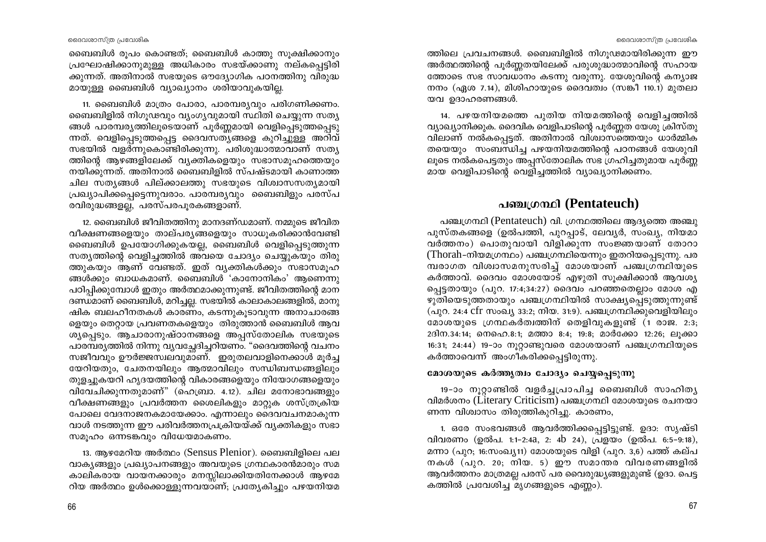ബൈബിൾ രൂപം കൊണ്ടത്; ബൈബിൾ കാത്തു സുക്ഷിക്കാനും പ്രഘോഷിക്കാനുമുള്ള അധികാരം സഭയ്ക്കാണു നല്കപ്പെട്ടിരി ക്കുന്നത്. അതിനാൽ സഭയുടെ ഔദ്യോഗിക പഠനത്തിനു വിരുദ്ധ മായുള്ള ബൈബിൾ വ്യാഖ്യാനം ശരിയാവുകയില്ല.

11. ബൈബിൾ മാത്രം പോരാ, പാരമ്പര്യവും പരിഗണിക്കണം. ബൈബിളിൽ നിഗുഢവും വ്യംഗൃവുമായി സ്ഥിതി ചെയ്യുന്ന സത്യ ങ്ങൾ പാരമ്പര്യത്തിലൂടെയാണ് പൂർണ്ണമായി വെളിപ്പെടുത്തപ്പെടു ന്നത്. വെളിപ്പെടുത്തപ്പെട്ട ദൈവസത്യങ്ങളെ കുറിച്ചുള്ള അറിവ് സഭയിൽ വളർന്നുകൊണ്ടിരിക്കുന്നു. പരിശുദ്ധാത്മാവാണ് സത്യ ത്തിന്റെ ആഴങ്ങളിലേക്ക് വ്യക്തികളെയും സഭാസമൂഹത്തെയും നയിക്കുന്നത്. അതിനാൽ ബൈബിളിൽ സ്പഷ്ടമായി കാണാത്ത ചില സത്യങ്ങൾ പില്ക്കാലത്തു സഭയുടെ വിശ്വാസസത്യമായി പ്രഖ്യാപിക്കപ്പെട്ടെന്നുവരാം. പാരമ്പര്യവും ബൈബിളും പരസ്പ രവിരുദ്ധങ്ങളല്ല്, പരസ്പരപുരകങ്ങളാണ്.

12. ബൈബിൾ ജീവിതത്തിനു മാനദണ്ഡമാണ്. നമ്മുടെ ജീവിത വീക്ഷണങ്ങളെയും താല്പര്യങ്ങളെയും സാധുകരിക്കാൻവേണ്ടി ബൈബിൾ ഉപയോഗിക്കുകയല്ല, ബൈബിൾ വെളിപ്പെടുത്തുന്ന സത്യത്തിന്റെ വെളിച്ചത്തിൽ അവയെ ചോദ്യം ചെയ്യുകയും തിരു ത്തുകയും ആണ് വേണ്ടത്. ഇത് വ്യക്തികൾക്കും സഭാസമൂഹ ങ്ങൾക്കും ബാധകമാണ്. ബൈബിൾ 'കാനോനികം' ആണെന്നു പഠിപ്പിക്കുമ്പോൾ ഇതും അർത്ഥമാക്കുന്നുണ്ട്. ജീവിതത്തിന്റെ മാന ദണ്ഡമാണ് ബൈബിൾ, മറിച്ചല്ല. സഭയിൽ കാലാകാലങ്ങളിൽ, മാനു ഷിക ബലഹീനതകൾ കാരണം, കടന്നുകൂടാവുന്ന അനാചാരങ്ങ ളെയും തെറ്റായ പ്രവണതകളെയും തിരുത്താൻ ബൈബിൾ ആവ ശ്യപ്പെടും. ആചാരാനുഷ്ഠാനങ്ങളെ അപ്പസ്തോലിക സഭയുടെ പാരമ്പര്യത്തിൽ നിന്നു വ്യവച്ഛേദിച്ചറിയണം. "ദൈവത്തിന്റെ വചനം സജീവവും ഊർജ്ജസ്വലവുമാണ്. ഇരുതലവാളിനെക്കാൾ മൂർച്ച യേറിയതും, ചേതനയിലും ആത്മാവിലും സന്ധിബന്ധങ്ങളിലും തുളച്ചുകയറി ഹൃദയത്തിന്റെ വികാരങ്ങളെയും നിയോഗങ്ങളെയും വിവേചിക്കുന്നതുമാണ്" (ഹെബ്രാ. 4.12). ചില മനോഭാവങ്ങളും വീക്ഷണങ്ങളും പ്രവർത്തന ശൈലികളും മാറ്റുക ശസ്ത്രക്രിയ പോലെ വേദനാജനകമായേക്കാം. എന്നാലും ദൈവവചനമാകുന്ന വാൾ നടത്തുന്ന ഈ പരിവർത്തനപ്രക്രിയയ്ക്ക് വ്യക്തികളും സഭാ സമൂഹം ഒന്നടങ്കവും വിധേയമാകണം.

13. ആഴമേറിയ അർത്ഥം (Sensus Plenior). ബൈബിളിലെ പല വാകൃങ്ങളും പ്രഖ്യാപനങ്ങളും അവയുടെ ഗ്രന്ഥകാരൻമാരും സമ കാലികരായ വായനക്കാരും മനസ്സിലാക്കിയതിനേക്കാൾ ആഴമേ റിയ അർത്ഥം ഉൾക്കൊള്ളുന്നവയാണ്; പ്രത്യേകിച്ചും പഴയനിയമ

ത്തിലെ പ്രവചനങ്ങൾ. ബൈബിളിൽ നിഗുഢമായിരിക്കുന്ന ഈ അർത്ഥത്തിന്റെ പൂർണ്ണതയിലേക്ക് പരുശുദ്ധാത്മാവിന്റെ സഹായ ത്തോടെ സഭ സാവധാനം കടന്നു വരുന്നു. യേശുവിന്റെ കന്യാജ നനം (ഏശ 7.14), മിശിഹായുടെ ദൈവത്വം (സങ്കീ 110.1) മുതലാ യവ ഉദാഹരണങ്ങൾ.

14. പഴയനിയമത്തെ പുതിയ നിയമത്തിന്റെ വെളിച്ചത്തിൽ വ്യാഖ്യാനിക്കുക. ദൈവിക വെളിപാടിന്റെ പൂർണ്ണത യേശു ക്രിസ്തു വിലാണ് നൽകപ്പെട്ടത്. അതിനാൽ വിശ്വാസത്തെയും ധാർമ്മിക തയെയും സംബന്ധിച്ച പഴയനിയമത്തിന്റെ പഠനങ്ങൾ യേശുവി ലൂടെ നൽകപെട്ടതും അപ്പസ്തോലിക സഭ ഗ്രഹിച്ചതുമായ പൂർണ്ണ മായ വെളിപാടിന്റെ വെളിച്ചത്തിൽ വ്യാഖ്യാനിക്കണം.

# പഞ്ചഗ്രന്ഥി (Pentateuch)

പഞ്ചഗ്രന്ഥി (Pentateuch) വി. ഗ്രന്ഥത്തിലെ ആദ്യത്തെ അഞ്ചു പുസ്തകങ്ങളെ (ഉൽപത്തി, പുറപ്പാട്, ലേവൃർ, സംഖ്യ, നിയമാ വർത്തനം) പൊതുവായി വിളിക്കുന്ന സംജ്ഞയാണ് തോറാ (Thorah-നിയമഗ്രന്ഥം) പഞ്ചഗ്രന്ഥിയെന്നും ഇതറിയപ്പെടുന്നു. പര മ്പരാഗത വിശ്വാസമനുസരിച്ച് മോശയാണ് പഞ്ചഗ്രന്ഥിയുടെ കർത്താവ്. ദൈവം മോശയോട് എഴുതി സൂക്ഷിക്കാൻ ആവശ്യ പ്പെട്ടതായും (പുറ. 17:4;34:27) ദൈവം പറഞ്ഞതെല്ലാം മോശ എ ഴുതിയെടുത്തതായും പഞ്ചഗ്രന്ഥിയിൽ സാക്ഷ്യപ്പെടുത്തുന്നുണ്ട് (പുറ. 24:4 cfr സംഖ്യ 33:2; നിയ. 31:9). പഞ്ചഗ്രന്ഥിക്കുവെളിയിലും മോശയുടെ ഗ്രന്ഥകർത്വത്തിന് തെളിവുകളുണ്ട് (1 രാജ. 2:3; 2ദിന.34:14; നെഹെ.8:1; മത്താ 8:4; 19:8; മാർക്കോ 12:26; ലൂക്കാ 16:31; 24:44) 19-ാം നൂറ്റാണ്ടുവരെ മോശയാണ് പഞ്ചഗ്രന്ഥിയുടെ കർത്താവെന്ന് അംഗീകരിക്കപ്പെട്ടിരുന്നു.

# മോശയുടെ കർത്തുത്വം ചോദ്യം ചെയ്യപ്പെടുന്നു

19-ാം നൂറ്റാണ്ടിൽ വളർച്ചപ്രാപിച്ച ബൈബിൾ സാഹിത്യ വിമർശനം (Literary Criticism) പഞ്ചഗ്രന്ഥി മോശയുടെ രചനയാ ണന്ന വിശ്വാസം തിരുത്തികുറിച്ചു. കാരണം,

1. ഒരേ സംഭവങ്ങൾ ആവർത്തിക്കപ്പെട്ടിട്ടുണ്ട്. ഉദാ: സൃഷ്ടി വിവരണം (ഉൽപ. 1:1-2:4a, 2: 4b 24), പ്രളയം (ഉൽപ. 6:5-9:18), മന്നാ (പുറ; 16:സംഖ്യ11) മോശയുടെ വിളി (പുറ, 3,6) പത്ത് കല്പ നകൾ (പുറ. 20; നിയ. 5) ഈ സമാന്തര വിവരണങ്ങളിൽ ആവർത്തനം മാത്രമല്ല പരസ് പര വൈരുദ്ധ്യങ്ങളുമുണ്ട് (ഉദാ. പെട്ട കത്തിൽ പ്രവേശിച്ച മൃഗങ്ങളുടെ എണ്ണം).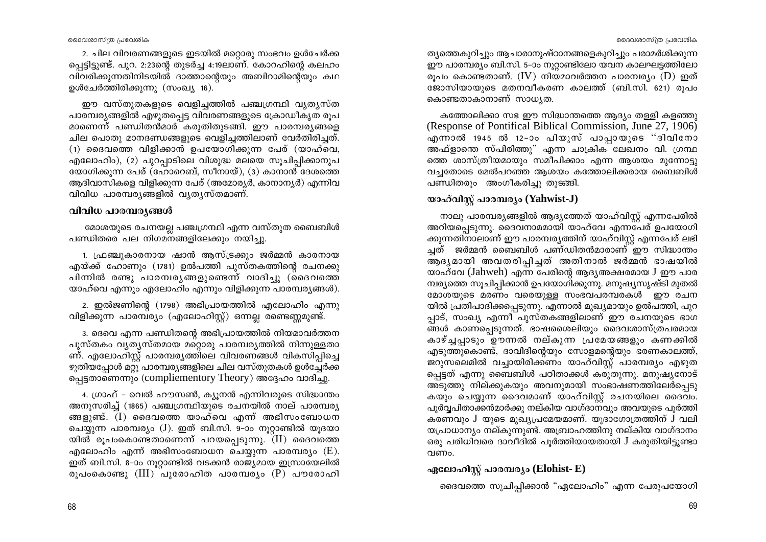2. ചില വിവരണങ്ങളുടെ ഇടയിൽ മറ്റൊരു സംഭവം ഉൾചേർക്ക പെട്ടിട്ടുണ്ട്. പുറ. 2:23ന്റെ തുടർച്ച 4:19ലാണ്. കോറഹിന്റെ കലഹം വിവരിക്കുന്നതിനിടയിൽ ദാത്താന്റെയും അബിറാമിന്റെയും കഥ ഉൾചേർത്തിരിക്കുന്നു (സംഖ്യ 16).

ഈ വസ്തുതകളുടെ വെളിച്ചത്തിൽ പഞ്ചഗ്രന്ഥി വൃതൃസ്ത പാരമ്പര്യങ്ങളിൽ എഴുതപ്പെട്ട വിവരണങ്ങളുടെ ക്രോഡീകൃത രൂപ മാണെന്ന് പണ്ഡിതൻമാർ കരുതിതുടങ്ങി. ഈ പാരമ്പര്യങ്ങളെ ചില പൊതു മാനദണ്ഡങ്ങളുടെ വെളിച്ചത്തിലാണ് വേർതിരിച്ചത്.  $(1)$  ദൈവത്തെ വിളിക്കാൻ ഉപയോഗിക്കുന്ന പേര് (യാഹ്വെ, എലോഹിം), (2) പുറപ്പാടിലെ വിശുദ്ധ മലയെ സുചിപ്പിക്കാനുപ യോഗിക്കുന്ന പേര് (ഹോറെബ്, സീനായ്), (3) കാനാൻ ദേശത്തെ ആദിവാസികളെ വിളിക്കുന്ന പേര് (അമോര്യർ, കാനാന്യർ) എന്നിവ വിവിധ പാരമ്പര്യങ്ങളിൽ വ്യത്യസ്തമാണ്.

# വിവിധ പാരമ്പര്യങ്ങൾ

മോശയുടെ രചനയല്ല പഞ്ചഗ്രന്ഥി എന്ന വസ്തുത ബൈബിൾ പണ്ഡിതരെ പല നിഗമനങ്ങളിലേക്കും നയിച്ചു.

1. ഫ്രഞ്ചുകാരനായ ഷാൻ ആസ്ട്രക്കും ജർമ്മൻ കാരനായ എയ്ക്ക് ഹോണും (1781) ഉൽപത്തി പുസ്തകത്തിന്റെ രചനക്കു പിന്നിൽ രണ്ടു പാരമ്പരൃങ്ങളുണ്ടെന്ന് വാദിച്ചു (ദൈവത്തെ യാഹ്വെ എന്നും എലോഹിം എന്നും വിളിക്കുന്ന പാരമ്പര്യങ്ങൾ).

2. ഇൽജണിന്റെ (1798) അഭിപ്രായത്തിൽ എലോഹിം എന്നു വിളിക്കുന്ന പാരമ്പര്യം (എലോഹിസ്റ്റ്) ഒന്നല്ല രണ്ടെണ്ണമുണ്ട്.

3. ദെവെ എന്ന പണ്ഡിതന്റെ അഭിപ്രായത്തിൽ നിയമാവർത്തന പുസ്തകം വൃതൃസ്തമായ മറ്റൊരു പാരമ്പര്യത്തിൽ നിന്നുള്ളതാ ണ്. എലോഹിസ്റ്റ് പാരമ്പര്യത്തിലെ വിവരണങ്ങൾ വികസിപ്പിച്ചെ ഴുതിയപ്പോൾ മറ്റു പാരമ്പര്യങ്ങളിലെ ചില വസ്തുതകൾ ഉൾച്ചേർക്ക പ്പെട്ടതാണെന്നും (compliementory Theory) അദ്ദേഹം വാദിച്ചു.

4. ഗ്രാഫ് – വെൽ ഹൗസൺ, ക്യുനൻ എന്നിവരുടെ സിദ്ധാന്തം അനുസരിച്ച് (1865) പഞ്ചഗ്രന്ഥിയുടെ രചനയിൽ നാല് പാരമ്പര്യ ങ്ങളുണ്ട്. (I) ദൈവത്തെ യാഹ്വെ എന്ന് അഭിസംബോധന ചെയ്യുന്ന പാരമ്പര്യം (J). ഇത് ബി.സി. 9-ാം നൂറ്റാണ്ടിൽ യൂദയാ യിൽ രൂപംകൊണ്ടതാണെന്ന് പറയപ്പെടുന്നു.  $(II)$  ദൈവത്തെ എലോഹിം എന്ന് അഭിസംബോധന ചെയ്യുന്ന പാരമ്പര്യം (E). ഇത് ബി.സി. 8-ാം നൂറ്റാണ്ടിൽ വടക്കൻ രാജ്യമായ ഇസ്രായേലിൽ രൂപംകൊണ്ടു  $(III)$  പുരോഹിത പാരമ്പര്യം  $(P)$  പൗരോഹി

ത്യത്തെകുറിച്ചും ആചാരാനുഷ്ഠാനങ്ങളെകുറിച്ചും പരാമർശിക്കുന്ന ഈ പാരമ്പര്യം ബി.സി. 5-ാം നുറ്റാണ്ടിലോ യവന കാലഘട്ടത്തിലോ രൂപം കൊണ്ടതാണ്.  $(IV)$  നിയമാവർത്തന പാരമ്പര്യം  $(D)$  ഇത് ജോസിയായുടെ മതനവീകരണ കാലത്ത് (ബി.സി. 621) രൂപം കൊണ്ടതാകാനാണ് സാധൃത.

കത്തോലിക്കാ സഭ ഈ സിദ്ധാന്തത്തെ ആദ്യം തള്ളി കളഞ്ഞു (Response of Pontifical Biblical Commission, June 27, 1906) എന്നാൽ 1945 ൽ 12-ാം പിയുസ് പാപ്പായുടെ ''ദിവിനോ അഫ്ളാതെ സ്പിരിത്തു" എന്ന ചാക്രിക ലേഖനം വി. ഗ്രന്ഥ ത്തെ ശാസ്ത്രീയമായും സമീപിക്കാം എന്ന ആശയം മുന്നോട്ടു വച്ചതോടെ മേൽപറഞ്ഞ ആശയം കത്തോലിക്കരായ ബൈബിൾ പണ്ഡിതരും അംഗീകരിച്ചു തുടങ്ങി.

# യാഹ്വിസ്റ്റ് പാരമ്പര്യം (Yahwist-J)

നാലു പാരമ്പര്യങ്ങളിൽ ആദ്യത്തേത് യാഹ്വിസ്റ്റ് എന്നപേരിൽ അറിയപ്പെടുന്നു. ദൈവനാമമായി യാഹ്വേ എന്നപേര് ഉപയോഗി ക്കുന്നതിനാലാണ് ഈ പാരമ്പര്യത്തിന് യാഹ്വിസ്റ്റ് എന്നപേര് ലഭി ച്ചത് ജർമ്മൻ ബൈബിൾ പണ്ഡിതൻമാരാണ് $\degree$ ഈ സിദ്ധാന്തം ആദ്യമായി അവതരിപ്പിച്ചത് അതിനാൽ ജർമ്മൻ ഭാഷയിൽ യാഹ്വേ (Jahweh) എന്ന പേരിന്റെ ആദ്യഅക്ഷരമായ J ഈ പാര ്മ്പര്യത്തെ സൂചിപ്പിക്കാൻ ഉപയോഗിക്കുന്നു. മനുഷ്യസൃഷ്ടി മുതൽ മോശയുടെ മരണം വരെയുള്ള സംഭവപരമ്പരകൾ ഈ രചന യിൽ പ്രതിപാദിക്കപ്പെടുന്നു. എന്നാൽ മുഖ്യമായും ഉൽപത്തി, പുറ പ്പാട്, സംഖ്യ എന്നീ പുസ്തകങ്ങളിലാണ് ഈ രചനയുടെ ഭാഗ ങ്ങൾ കാണപ്പെടുന്നത്. ഭാഷശൈലിയും ദൈവശാസ്ത്രപരമായ കാഴ്ച്ചപ്പാടും ഊന്നൽ നല്കുന്ന പ്രമേയങ്ങളും കണക്കിൽ എടുത്തുകൊണ്ട്, ദാവിദിന്റെയും സോളമന്റെയും ഭരണകാലത്ത്, ജറുസലെമിൽ വച്ചായിരിക്കണം യാഹ്വിസ്റ്റ് പാരമ്പര്യം എഴുത പ്പെട്ടത് എന്നു ബൈബിൾ പഠിതാക്കൾ കരുതുന്നു. മനുഷ്യനോട് അടുത്തു നില്ക്കുകയും അവനുമായി സംഭാഷണത്തിലേർപ്പെടു കയും ചെയ്യുന്ന ദൈവമാണ് യാഹ്വിസ്റ്റ് രചനയിലെ ദൈവം. പൂർവ്വപിതാക്കൻമാർക്കു നല്കിയ വാഗ്ദാനവും അവയുടെ പൂർത്തി കരണവും J യുടെ മുഖ്യപ്രമേയമാണ്. യുദാഗോത്രത്തിന് J വലി യപ്രാധാന്യം നല്കുന്നുണ്ട്. അബ്രാഹത്തിനു നല്കിയ വാഗ്ദാനം ഒരു പരിധിവരെ ദാവീദിൽ പൂർത്തിയായതായി J കരുതിയിട്ടുണ്ടാ വണം.

# ഏലോഹിസ്റ്റ് പാരമ്പര്യം (Elohist- E)

ദൈവത്തെ സൂചിപ്പിക്കാൻ "ഏലോഹിം" എന്ന പേരുപയോഗി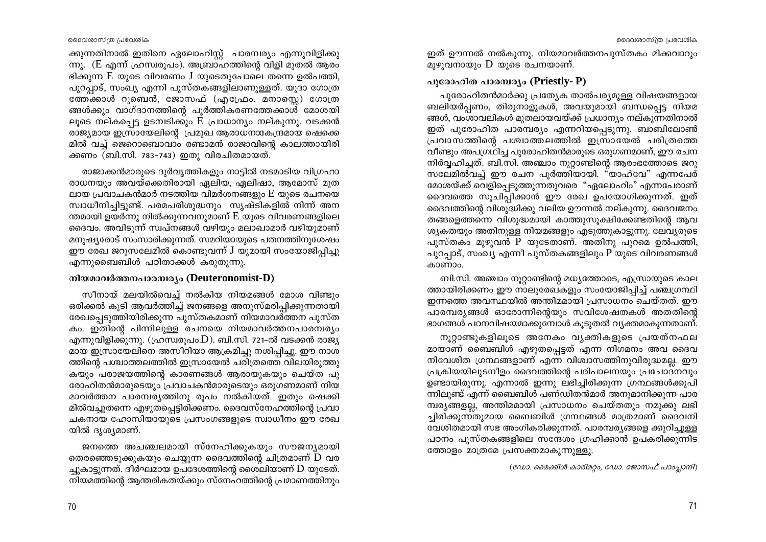ക്കുന്നതിനാൽ ഇതിനെ ഏലോഹിസ്റ്റ് പാരമ്പര്യം എന്നുവിളിക്കു ന്നു. (E എന്ന് ഹ്രസ്വരുപം). അബ്രാഹത്തിന്റെ വിളി മുതൽ ആരം ഭിക്കുന്ന  $E$  യുടെ വിവരണം  $J$  യുടെതുപോലെ തന്നെ ഉൽപത്തി, പുറപാട്, സംഖ്യ എന്നി പുസ്തകങ്ങളിലാണുള്ളത്. യുദാ ഗോത്ര ത്തേക്കാൾ റുബെൻ, ജോസഫ് (എഫ്രോ, മനാസ്ലെ) ഗോത്ര ങ്ങൾക്കും വാഗ്ദാനത്തിന്റെ പൂർത്തികരണത്തേക്കാൾ മോശയി ലൂടെ നല്കപ്പെട്ട ഉടമ്പടിക്കും E പ്രാധാന്യം നല്കുന്നു. വടക്കൻ രാജ്യമായ ഇസ്രായേലിന്റെ പ്രമുഖ ആരാധനാകേന്ദ്രമായ ഷെക്കെ മിൽ വച്ച് ജെറൊബൊവാം രണ്ടാമൻ രാജാവിന്റെ കാലത്തായിരി ക്കണം (ബി.സി. 783-743) ഇതു വിരചിതമായത്.

രാജാക്കൻമാരുടെ ദുർവൃത്തികളും നാട്ടിൽ നടമാടിയ വിഗ്രഹാ രാധനയും അവയ്ക്കെതിരായി ഏലിയ, ഏലിഷാ, ആമോസ് മുത ലായ പ്രവാചകൻമാർ നടത്തിയ വിമർശനങ്ങളും  ${\rm E}$  യുടെ രചനയെ സ്വാധീനിച്ചിട്ടുണ്ട്. പരമപരിശുദ്ധനും സൃഷ്ടികളിൽ നിന്ന് അന ന്തമായി ഉയർന്നു നിൽക്കുന്നവനുമാണ്  $E$  യുടെ വിവരണങ്ങളിലെ ദൈവം. അവിടുന്ന് സ്വപ്നങ്ങൾ വഴിയും മലാഖാമാർ വഴിയുമാണ് മനുഷ്യരോട് സംസാരിക്കുന്നത്. സമറിയായുടെ പതനത്തിനുശേഷം ഈ രേഖ ജറുസലേമിൽ കൊണ്ടുവന്ന് J യുമായി സംയോജിപ്പിച്ചു എന്നുബൈബിൾ പഠിതാക്കൾ കരുതുന്നു.

# നിയമാവർത്തനപാരമ്പര്യം (Deuteronomist-D)

സീനായ് മലയിൽവെച്ച് നൽകിയ നിയമങ്ങൾ മോശ വിണ്ടും ഒരിക്കൽ കൂടി ആവർത്തിച്ച് ജനങ്ങളെ അനുസ്മരിപ്പിക്കുന്നതായി രേഖപ്പെടുത്തിയിരിക്കുന്ന പുസ്തകമാണ് നിയമാവർത്തന പുസ്ത കം. ഇതിന്റെ പിന്നിലുള്ള രചനയെ നിയമാവർത്തനപാരമ്പര്യം എന്നുവിളിക്കുന്നു. (ഹ്രസ്വരൂപം.D). ബി.സി. 721-ൽ വടക്കൻ രാജ്യ മായ ഇസ്രായേലിനെ അസീറിയാ ആക്രമിച്ചു നശിപ്പിച്ചു. ഈ നാശ ത്തിന്റെ പശ്ചാത്തലത്തിൽ ഇസ്രായേൽ ചരിത്രത്തെ വിലയിരുത്തു കയും പരാജയത്തിന്റെ കാരണങ്ങൾ ആരായുകയും ചെയ്ത പു രോഹിതൻമാരുടെയും പ്രവാചകൻമാരുടെയും ഒരുഗണമാണ് നിയ മാവർത്തന പാരമ്പര്യത്തിനു രൂപം നൽകിയത്. ഇതും ഷെക്കി മിൽവച്ചുതന്നെ എഴുതപ്പെട്ടിരിക്കണം. ദൈവസ്നേഹത്തിന്റെ പ്രവാ ചകനായ ഹോസിയായുടെ പ്രസംഗങ്ങളുടെ സ്വാധീനം ഈ രേഖ യിൽ ദൃശ്യമാണ്.

ജനത്തെ അചഞ്ചലമായി സ്നേഹിക്കുകയും സൗജന്യമായി തെരഞ്ഞെടുക്കുകയും ചെയ്യുന്ന ദൈവത്തിന്റെ ചിത്രമാണ്  ${\bf D}$  വര ച്ചുകാട്ടുന്നത്. ദീർഘമായ ഉപദേശത്തിന്റെ ശൈലിയാണ്  ${\rm D}$  യുടേത്. നിയമത്തിന്റെ ആന്തരികതയ്ക്കും സ്നേഹത്തിന്റെ പ്രമാണത്തിനും ഇത് ഊന്നൽ നൽകുന്നു. നിയമാവർത്തനപുസ്തകം മിക്കവാറും മുഴുവനായും D യുടെ രചനയാണ്.

# പുരോഹിത പാരമ്പര്യം (Priestly- P)

പുരോഹിതൻമാർക്കു പ്രത്യേക താൽപര്യമുള്ള വിഷയങ്ങളായ ബലിയർപ്പണം, തിരുനാളുകൾ, അവയുമായി ബന്ധപ്പെട്ട നിയമ ങ്ങൾ, വംശാവലികൾ മുതലായവയ്ക്ക് പ്രധാന്യം നല്കുന്നതിനാൽ ഇത് പുരോഹിത പാരമ്പര്യം എന്നറിയപ്പെടുന്നു. ബാബിലോൺ പ്രവാസത്തിന്റെ പശ്ചാത്തലത്തിൽ ഇസ്രായേൽ ചരിത്രത്തെ വീണ്ടും അപഗ്രഥിച്ച പുരോഹിതൻമാരുടെ ഒരുഗണമാണ്, ഈ രചന നിർവ്വഹിച്ചത്. ബി.സി. അഞ്ചാം നുറ്റാണ്ടിന്റെ ആരംഭത്തോടെ ജറു സലേമിൽവച്ച് ഈ രചന പൂർത്തിയായി. "യാഹ്വേ" എന്നപേര് മോശയ്ക്ക് വെളിപ്പെടുത്തുന്നതുവരെ "ഏലോഹിം" എന്നപേരാണ് ദൈവത്തെ സൂചിപ്പിക്കാൻ ഈ രേഖ ഉപയോഗിക്കുന്നത്. ഇത് ദൈവത്തിന്റെ വിശുദ്ധിക്കു വലിയ ഊന്നൽ നല്കുന്നു. ദൈവജനം തങ്ങളെത്തന്നെ വിശുദ്ധമായി കാത്തുസൂക്ഷിക്കേണ്ടതിന്റെ ആവ ശ്യകതയും അതിനുള്ള നിയമങ്ങളും എടുത്തുകാട്ടുന്നു. ലേവ്യരുടെ പുസ്തകം മുഴുവൻ P യുടേതാണ്. അതിനു പുറമെ ഉൽപത്തി, പുറപാട്, സംഖ്യ എന്നീ പുസ്തകങ്ങളിലും P യുടെ വിവരണങ്ങൾ കാണാം.

ബി.സി. അഞ്ചാം നുറ്റാണ്ടിന്റെ മധ്യത്തോടെ, എസ്രായുടെ കാല ത്തായിരിക്കണം ഈ നാലുരേഖകളും സംയോജിപ്പിച്ച് പഞ്ചഗ്രന്ഥി ഇന്നത്തെ അവസ്ഥയിൽ അന്തിമമായി പ്രസാധനം ചെയ്തത്. ഈ പാരമ്പര്യങ്ങൾ ഓരോന്നിന്റെയും സവിശേഷതകൾ അതതിന്റെ ഭാഗങ്ങൾ പഠനവിഷയമാക്കുമ്പോൾ കൂടുതൽ വ്യക്തമാകുന്നതാണ്.

നൂറ്റാണ്ടുകളിലൂടെ അനേകം വൃക്തികളുടെ പ്രയത്നഫല മായാണ് ബൈബിൾ എഴുതപ്പെട്ടത് എന്ന നിഗമനം അവ ദൈവ നിവേശിത ഗ്രന്ഥങ്ങളാണ് എന്ന വിശ്വാസത്തിനുവിരുദ്ധമല്ല. ഈ പ്രക്രിയയിലുടനീളം ദൈവത്തിന്റെ പരിപാലനയും പ്രചോദനവും ഉണ്ടായിരുന്നു. എന്നാൽ ഇന്നു ലഭിച്ചിരിക്കുന്ന ഗ്രന്ഥങ്ങൾക്കുപി ന്നിലുണ്ട് എന്ന് ബൈബിൾ പണ്ഡിതൻമാർ അനുമാനിക്കുന്ന പാര മ്പര്യങ്ങളല്ല, അന്തിമമായി പ്രസാധനം ചെയ്തതും നമുക്കു ലഭി ച്ചിരിക്കുന്നതുമായ ബൈബിൾ ഗ്രന്ഥങ്ങൾ മാത്രമാണ് ദൈവനി വേശിതമായി സഭ അംഗികരിക്കുന്നത്. പാരമ്പര്യങ്ങളെ ക്കുറിച്ചുള്ള പഠനം പുസ്തകങ്ങളിലെ സന്ദേശം ഗ്രഹിക്കാൻ ഉപകരിക്കുന്നിട ത്തോളം മാത്രമേ പ്രസക്തമാകുന്നുള്ളു.

(ഡോ. മൈക്കിൾ കാരിമറ്റം, ഡോ. ജോസഫ് പാംപ്പാനി)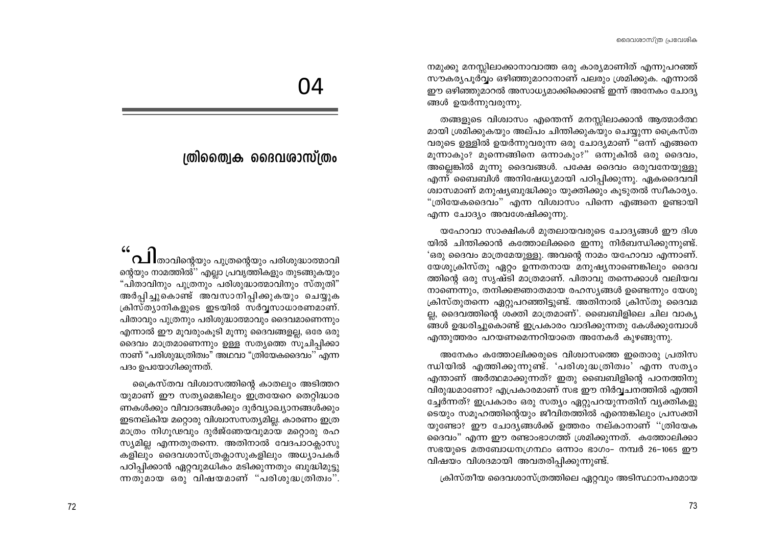നമുക്കു മനസ്സിലാക്കാനാവാത്ത ഒരു കാര്യമാണിത് എന്നുപറഞ്ഞ് സൗകര്യപൂർവ്വം ഒഴിഞ്ഞുമാറാനാണ് പലരും ശ്രമിക്കുക. എന്നാൽ ഈ ഒഴിഞ്ഞുമാറൽ അസാധ്യമാക്കിക്കൊണ്ട് ഇന്ന് അനേകം ചോദ്യ ങ്ങൾ ഉയർന്നുവരുന്നു.

തങ്ങളുടെ വിശ്വാസം എന്തെന്ന് മനസ്സിലാക്കാൻ ആത്മാർത്ഥ മായി ശ്രമിക്കുകയും അല്പം ചിന്തിക്കുകയും ചെയ്യുന്ന ക്രൈസ്ത വരുടെ ഉള്ളിൽ ഉയർന്നുവരുന്ന ഒരു ചോദ്യമാണ് "ഒന്ന് എങ്ങനെ മൂന്നാകും? മുന്നെങ്ങിനെ ഒന്നാകും?" ഒന്നുകിൽ ഒരു ദൈവം, അല്ലെങ്കിൽ മൂന്നു ദൈവങ്ങൾ. പക്ഷേ ദൈവം ഒരുവനേയുള്ളു എന്ന് ബൈബിൾ അനിഷേധ്യമായി പഠിപ്പിക്കുന്നു. ഏകദൈവവി ശ്വാസമാണ് മനുഷ്യബുദ്ധിക്കും യുക്തിക്കും കൂടുതൽ സ്വീകാര്യം. "ത്രിയേകദൈവം" എന്ന വിശ്വാസം പിന്നെ എങ്ങനെ ഉണ്ടായി എന്ന ചോദ്യം അവശേഷിക്കുന്നു.

യഹോവാ സാക്ഷികൾ മുതലായവരുടെ ചോദ്യങ്ങൾ ഈ ദിശ യിൽ ചിന്തിക്കാൻ കത്തോലിക്കരെ ഇന്നു നിർബന്ധിക്കുന്നുണ്ട്. 'ഒരു ദൈവം മാത്രമേയുള്ളു. അവന്റെ നാമം യഹോവാ എന്നാണ്. യേശുക്രിസ്തു ഏറ്റം ഉന്നതനായ മനുഷ്യനാണെങ്കിലും ദൈവ ത്തിന്റെ ഒരു സ്യഷ്ടി മാത്രമാണ്. പിതാവു തന്നെക്കാൾ വലിയവ നാണെന്നും, തനിക്കജ്ഞാതമായ രഹസ്യങ്ങൾ ഉണ്ടെന്നും യേശു ക്രിസ്തുതന്നെ ഏറ്റുപറഞ്ഞിട്ടുണ്ട്. അതിനാൽ ക്രിസ്തു ദൈവമ ല്ല, ദൈവത്തിന്റെ ശക്തി മാത്രമാണ്'. ബൈബിളിലെ ചില വാക്യ ങ്ങൾ ഉദ്ധരിച്ചുകൊണ്ട് ഇപ്രകാരം വാദിക്കുന്നതു കേൾക്കുമ്പോൾ എന്തുത്തരം പറയണമെന്നറിയാതെ അനേകർ കുഴങ്ങുന്നു.

അനേകം കത്തോലിക്കരുടെ വിശ്വാസത്തെ ഇതൊരു പ്രതിസ ന്ധിയിൽ എത്തിക്കുന്നുണ്ട്. 'പരിശുദ്ധത്രിത്വം' എന്ന സത്യം എന്താണ് അർത്ഥമാക്കുന്നത്? ഇതു ബൈബിളിന്റെ പഠനത്തിനു വിരുദ്ധമാണോ? എപ്രകാരമാണ് സഭ ഈ നിർവ്വചനത്തിൽ എത്തി ച്ചേർന്നത്? ഇപ്രകാരം ഒരു സത്യം ഏറ്റുപറയുന്നതിന് വ്യക്തികളു ടെയും സമുഹത്തിന്റെയും ജീവിതത്തിൽ എന്തെങ്കിലും പ്രസക്തി യുണ്ടോ? ഈ ചോദ്യങ്ങൾക്ക് ഉത്തരം നല്കാനാണ് ''ത്രിയേക ദൈവം" എന്ന ഈ രണ്ടാംഭാഗത്ത് ശ്രമിക്കുന്നത്. കത്തോലിക്കാ സഭയുടെ മതബോധനഗ്രന്ഥം ഒന്നാം ഭാഗം- നമ്പർ 26-1065 ഈ വിഷയം വിശദമായി അവതരിപ്പിക്കുന്നുണ്ട്.

ക്രിസ്തീയ ദൈവശാസ്ത്രത്തിലെ ഏറ്റവും അടിസ്ഥാനപരമായ

04

# ത്രിത്വൈക ദൈവശാസ്ത്രം

 $\Omega$  താവിന്റെയും പുത്രന്റെയും പരിശുദ്ധാത്മാവി ന്റെയും നാമത്തിൽ്'' എല്ലാ പ്രവൃത്തികളും തുടങ്ങുകയും "പിതാവിനും പുത്രനും പരിശുദ്ധാത്മാവിനും സ്തുതി" അർപ്പിച്ചുകൊണ്ട് അവസാനിപ്പിക്കുകയും ചെയ്യുക ക്രിസ്ത്യാനികളുടെ ഇടയിൽ സർവ്വസാധാരണമാണ്. പിതാവും പുത്രനും പരിശുദ്ധാത്മാവും ദൈവമാണെന്നും എന്നാൽ ഈ മൂവരുംകൂടി മൂന്നു ദൈവങ്ങളല്ല, ഒരേ ഒരു ദൈവം മാത്രമാണെന്നും ഉള്ള സത്യത്തെ സൂചിപ്പിക്കാ നാണ് "പരിശുദ്ധത്രിത്വം" അഥവാ "ത്രിയേകദൈവം'' എന്ന പദം ഉപയോഗിക്കുന്നത്.

ക്രൈസ്തവ വിശ്വാസത്തിന്റെ കാതലും അടിത്തറ യുമാണ് ഈ സത്യമെങ്കിലും ഇത്രയേറെ തെറ്റിദ്ധാര ണകൾക്കും വിവാദങ്ങൾക്കും ദുർവ്യാഖ്യാനങ്ങൾക്കും ഇടനല്കിയ മറ്റൊരു വിശ്വാസസത്യമില്ല. കാരണം ഇത്ര മാത്രം നിഗൂഢവും ദുർജ്ഞേയവുമായ മറ്റൊരു രഹ സ്യമില്ല എന്നതുതന്നെ. അതിനാൽ വേദപാഠക്ലാസു കളിലും ദൈവശാസ്ത്രക്ലാസുകളിലും അധ്യാപകർ പഠിപ്പിക്കാൻ ഏറ്റവുമധികം മടിക്കുന്നതും ബുദ്ധിമുട്ടു ന്നതുമായ ഒരു വിഷയമാണ് "പരിശുദ്ധത്രിത്വം".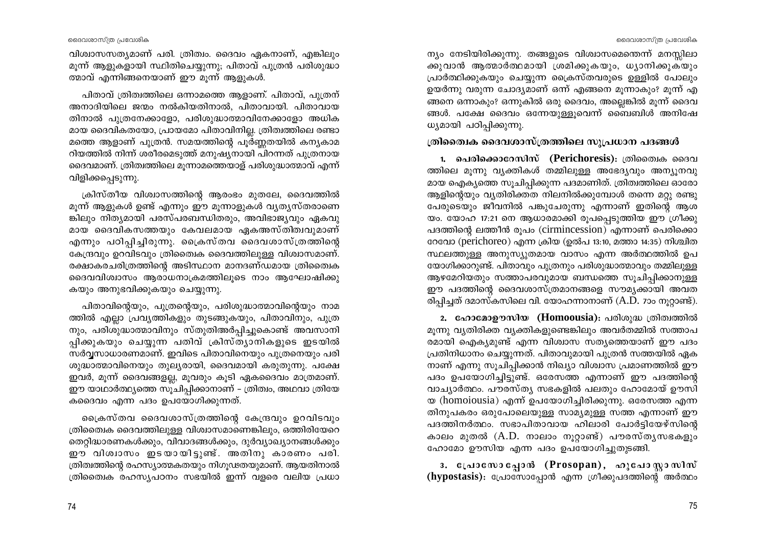ദൈവശാസ്ത്ര പ്രവേശിക

വിശ്വാസസത്യമാണ് പരി. ത്രിത്വം. ദൈവം ഏകനാണ്, എങ്കിലും മുന്ന് ആളുകളായി സ്ഥിതിചെയ്യുന്നു; പിതാവ് പുത്രൻ പരിശുദ്ധാ ത്മാവ് എന്നിങ്ങനെയാണ് ഈ മുന്ന് ആളുകൾ.

പിതാവ് ത്രിത്വത്തിലെ ഒന്നാമത്തെ ആളാണ്. പിതാവ്, പുത്രന് അനാദിയിലെ ജന്മം നൽകിയതിനാൽ, പിതാവായി. പിതാവായ തിനാൽ പൂത്രനേക്കാളോ, പരിശൂദ്ധാത്മാവിനേക്കാളോ അധിക മായ ദൈവികതയോ, പ്രായമോ പിതാവിനില്ല. ത്രിത്വത്തിലെ രണ്ടാ മത്തെ ആളാണ് പൂത്രൻ. സമയത്തിന്റെ പൂർണ്ണതയിൽ കന്യകാമ റിയത്തിൽ നിന്ന് ശരീരമെടുത്ത് മനുഷ്യനായി പിറന്നത് പുത്രനായ ദൈവമാണ്. ത്രിത്വത്തിലെ മുന്നാമത്തെയാള് പരിശുദ്ധാത്മാവ് എന്ന് വിളിക്കപ്പെടുന്നു.

ക്രിസ്തീയ വിശ്വാസത്തിന്റെ ആരംഭം മുതലേ, ദൈവത്തിൽ മൂന്ന് ആളുകൾ ഉണ്ട് എന്നും ഈ മൂന്നാളുകൾ വ്യത്യസ്തരാണെ ങ്കിലും നിത്യമായി പരസ്പരബന്ധിതരും, അവിഭാജ്യവും ഏകവു മായ ദൈവികസത്തയും കേവലമായ ഏകഅസ്തിത്വവുമാണ് എന്നും പഠിപ്പിച്ചിരുന്നു. ക്രൈസ്തവ ദൈവശാസ്ത്രത്തിന്റെ കേന്ദ്രവും ഉറവിടവും ത്രിതൈക ദൈവത്തിലുള്ള വിശ്വാസമാണ്. രക്ഷാകരചരിത്രത്തിന്റെ അടിസ്ഥാന മാനദണ്ഡമായ ത്രിതൈ്വക ദൈവവിശ്വാസം ആരാധനാക്രമത്തിലൂടെ നാം ആഘോഷിക്കു കയും അനുഭവിക്കുകയും ചെയ്യുന്നു.

പിതാവിന്റെയും, പുത്രന്റെയും, പരിശുദ്ധാത്മാവിന്റെയും നാമ ത്തിൽ എല്ലാ പ്രവൃത്തികളും തുടങ്ങുകയും, പിതാവിനും, പുത്ര നും, പരിശുദ്ധാത്മാവിനും സ്തുതിഅർപ്പിച്ചുകൊണ്ട് അവസാനി പ്പിക്കുകയും ചെയ്യുന്ന പതിവ് ക്രിസ്ത്യാനികളുടെ ഇടയിൽ സർവ്വസാധാരണമാണ്. ഇവിടെ പിതാവിനെയും പുത്രനെയും പരി ശുദ്ധാത്മാവിനെയും തുലൃരായി, ദൈവമായി കരുതുന്നു. പക്ഷേ ഇവർ, മൂന്ന് ദൈവങ്ങളല്ല, മൂവരും കൂടി ഏകദൈവം മാത്രമാണ്. ഈ യാഥാർത്ഥ്യത്തെ സുചിപ്പിക്കാനാണ് – ത്രിത്വം, അഥവാ ത്രിയേ കദൈവം എന്ന പദം ഉപയോഗിക്കുന്നത്.

ക്രൈസ്തവ ദൈവശാസ്ത്രത്തിന്റെ കേന്ദ്രവും ഉറവിടവും ത്രിതൈക ദൈവത്തിലുള്ള വിശ്വാസമാണെങ്കിലും, ഒത്തിരിയേറെ തെറ്റിദ്ധാരണകൾക്കും, വിവാദങ്ങൾക്കും, ദുർവ്യാഖ്യാനങ്ങൾക്കും ഈ വിശ്വാസം ഇടയായിട്ടുണ്ട്. അതിനു കാരണം പരി. ത്രിത്വത്തിന്റെ രഹസ്യാത്മകതയും നിഗൂഢതയുമാണ്. ആയതിനാൽ ത്രിതൈക രഹസ്യപഠനം സഭയിൽ ഇന്ന് വളരെ വലിയ പ്രധാ

ന്യം നേടിയിരിക്കുന്നു. തങ്ങളുടെ വിശ്വാസമെന്തെന്ന് മനസ്സിലാ ക്കുവാൻ ആത്മാർത്ഥമായി ശ്രമിക്കുകയും, ധ്യാനിക്കുകയും പ്രാർത്ഥിക്കുകയും ചെയ്യുന്ന ക്രൈസ്തവരുടെ ഉള്ളിൽ പോലും ഉയർന്നു വരുന്ന ചോദ്യമാണ് ഒന്ന് എങ്ങനെ മൂന്നാകും? മൂന്ന് എ ങ്ങനെ ഒന്നാകും? ഒന്നുകിൽ ഒരു ദൈവം, അല്ലെങ്കിൽ മൂന്ന് ദൈവ ങ്ങൾ. പക്ഷേ ദൈവം ഒന്നേയുള്ളുവെന്ന് ബൈബിൾ അനിഷേ ധ്യമായി പഠിപ്പിക്കുന്നു.

്തിതൈക ദൈവശാസ്ത്രത്തിലെ സുപ്രധാന പദങ്ങൾ

1. പെരിക്കൊറേസിസ് (Perichoresis): ത്രിതൈക ദൈവ ത്തിലെ മൂന്നു വ്യക്തികൾ തമ്മിലുള്ള അഭേദ്യവും അന്യൂനവു മായ ഐക്യത്തെ സുചിപ്പിക്കുന്ന പദമാണിത്. ത്രിത്വത്തിലെ ഓരോ ആളിന്റെയും വ്യതിരിക്തത നിലനിൽക്കുമ്പോൾ തന്നെ മറ്റു രണ്ടു പേരുടെയും ജീവനിൽ പങ്കുചേരുന്നു എന്നാണ് ഇതിന്റെ ആശ യം. യോഹ 17:21 നെ ആധാരമാക്കി രൂപപ്പെടുത്തിയ ഈ ഗ്രീക്കു പദത്തിന്റെ ലത്തീൻ രൂപം (cirmincession) എന്നാണ് പെരിക്കൊ റേവോ (perichoreo) എന്ന ക്രിയ (ഉൽപ 13:10, മത്താ 14:35) നിശ്ചിത സ്ഥലത്തുള്ള അനുസ്യുതമായ വാസം എന്ന അർത്ഥത്തിൽ ഉപ യോഗിക്കാറുണ്ട്. പിതാവും പുത്രനും പരിശുദ്ധാത്മാവും തമ്മിലുള്ള ആഴമേറിയതും സത്താപരവുമായ ബന്ധത്തെ സൂചിപ്പിക്കാനുള്ള ഈ പദത്തിന്റെ ദൈവശാസ്ത്രമാനങ്ങളെ സൗമ്യക്കായി അവത രിപ്പിച്ചത് ദമാസ്കസിലെ വി. യോഹന്നാനാണ് (A.D. 7ാം നുറ്റാണ്ട്).

2. ഹോമോഊസിയ (Homoousia): പരിശുദ്ധ ത്രിത്വത്തിൽ മൂന്നു വ്യതിരിക്ത വ്യക്തികളുണ്ടെങ്കിലും അവർതമ്മിൽ സത്താപ രമായി ഐക്യമുണ്ട് എന്ന വിശ്വാസ സത്യത്തെയാണ് ഈ പദം പ്രതിനിധാനം ചെയ്യുന്നത്. പിതാവുമായി പുത്രൻ സത്തയിൽ ഏക നാണ് എന്നു സുചിപ്പിക്കാൻ നിഖ്യാ വിശ്വാസ പ്രമാണത്തിൽ ഈ പദം ഉപയോഗിച്ചിട്ടുണ്ട്. ഒരേസത്ത എന്നാണ് ഈ പദത്തിന്റെ വാച്യാർത്ഥം. പൗരസ്ത്യ സഭകളിൽ പലതും ഹോമോയ് ഊസി യ (homoiousia) എന്ന് ഉപയോഗിച്ചിരിക്കുന്നു. ഒരേസത്ത എന്ന തിനുപകരം ഒരുപോലെയുള്ള സാമ്യമുള്ള സത്ത എന്നാണ് ഈ പദത്തിനർത്ഥം. സഭാപിതാവായ ഹിലാരി പോർട്ടിയേഴ്സിന്റെ കാലം മുതൽ (A.D. നാലാം നൂറ്റാണ്ട്) പൗരസ്തൃസഭകളും ഹോമോ ഊസിയ എന്ന പദം ഉപയോഗിച്ചുതുടങ്ങി.

3. പ്രോസോപ്പോൻ (Prosopan), ഹുപോസ്റ്റാസിസ് (hypostasis): പ്രോസോപ്പോൻ എന്ന ഗ്രീക്കുപദത്തിന്റെ അർത്ഥം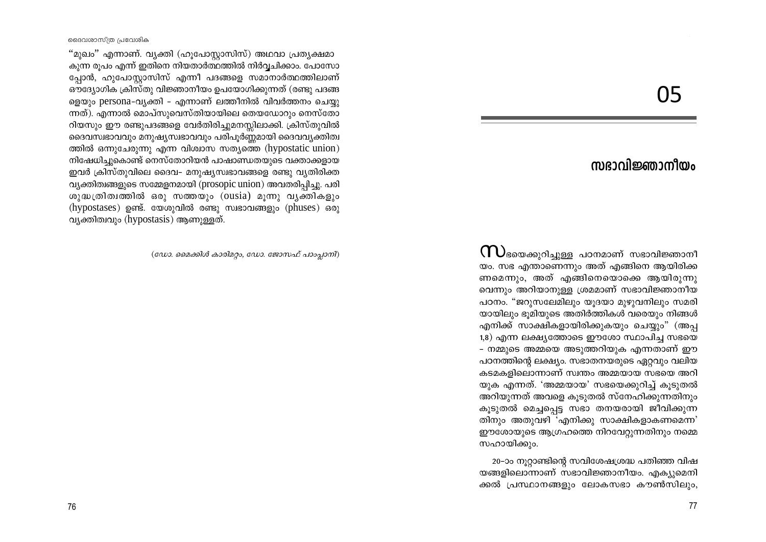05

# സഭാവിജ്ഞാനീയം

 $\mathop{\hbox{1}}\limits$ ടയെക്കുറിച്ചുള്ള പഠനമാണ് സഭാവിജ്ഞാനീ യം. സഭ എന്താണെന്നും അത് എങ്ങിനെ ആയിരിക്ക ണമെന്നും, അത് എങ്ങിനെയൊക്കെ ആയിരുന്നു വെന്നും അറിയാനുള്ള ശ്രമമാണ് സഭാവിജ്ഞാനീയ പഠനം. "ജറുസലേമിലും യൂദയാ മുഴുവനിലും സമരി യായിലും ഭൂമിയുടെ അതിർത്തികൾ വരെയും നിങ്ങൾ എനിക്ക് സാക്ഷികളായിരിക്കുകയും ചെയ്യും" (അപ്പ 1,8) എന്ന ലക്ഷ്യത്തോടെ ഈശോ സ്ഥാപിച്ച സഭയെ - നമ്മുടെ അമ്മയെ അടുത്തറിയുക എന്നതാണ് ഈ പഠനത്തിന്റെ ലക്ഷ്യം. സഭാതനയരുടെ ഏറ്റവും വലിയ കടമകളിലൊന്നാണ് സ്വന്തം അമ്മയായ സഭയെ അറി യുക എന്നത്. 'അമ്മയായ' സഭയെക്കുറിച്ച് കൂടുതൽ അറിയുന്നത് അവളെ കുടുതൽ സ്നേഹിക്കുന്നതിനും കുടുതൽ മെച്ചപ്പെട്ട സഭാ തനയരായി ജീവിക്കുന്ന തിനും അതുവഴി 'എനിക്കു സാക്ഷികളാകണമെന്ന' ഈശോയുടെ ആഗ്രഹത്തെ നിറവേറ്റുന്നതിനും നമ്മെ സഹായിക്കും.

20–ാം നൂറ്റാണ്ടിന്റെ സവിശേഷശ്രദ്ധ പതിഞ്ഞ വിഷ യങ്ങളിലൊന്നാണ് സഭാവിജ്ഞാനീയം. എക്യുമെനി ക്കൽ പ്രസ്ഥാനങ്ങളും ലോകസഭാ കൗൺസിലും,

ദൈവശാസ്ത്ര പ്രവേശിക

"മുഖം" എന്നാണ്. വൃക്തി (ഹൂപോസ്റ്റാസിസ്) അഥവാ പ്രത്യക്ഷമാ കുന്ന രുപം എന്ന് ഇതിനെ നിയതാർത്ഥത്തിൽ നിർവ്വചിക്കാം. പോസോ പ്പോൻ, ഹുപോസ്ലാസിസ് എന്നീ പദങ്ങളെ സമാനാർത്ഥത്തിലാണ് ഔദ്യോഗിക ക്രിസ്തു വിജ്ഞാനീയം ഉപയോഗിക്കുന്നത് (രണ്ടു പദങ്ങ ളെയും persona-വ്യക്തി - എന്നാണ് ലത്തീനിൽ വിവർത്തനം ചെയ്യ ന്നത്). എന്നാൽ മൊപ്സുവെസ്തിയായിലെ തെയഡോറും നെസ്തോ റിയസും ഈ രണ്ടുപദങ്ങളെ വേർതിരിച്ചുമനസ്സിലാക്കി. ക്രിസ്തുവിൽ ദൈവസ്വഭാവവും മനുഷ്യസ്വഭാവവും പരിപൂർണ്ണമായി ദൈവവ്യക്തിത്വ ത്തിൽ ഒന്നുചേരുന്നു എന്ന വിശ്വാസ സത്യത്തെ (hypostatic union) നിഷേധിച്ചുകൊണ്ട് നെസ്തോറിയൻ പാഷാണ്ഡതയുടെ വക്താക്കളായ ഇവർ ക്രിസ്തുവിലെ ദൈവ– മനുഷ്യസ്വഭാവങ്ങളെ രണ്ടു വ്യതിരിക്ത വ്യക്തിത്വങ്ങളുടെ സമ്മേളനമായി (prosopic union) അവതരിപിച്ചു. പരി ശുദ്ധത്രിത്വത്തിൽ ഒരു സത്തയും (ousia) മുന്നു വൃക്തികളും (hypostases) ഉണ്ട്. യേശുവിൽ രണ്ടു സ്വഭാവങ്ങളും (phuses) ഒരു വ്യക്തിത്വവും (hypostasis) ആണുള്ളത്.

(ഡോ. മൈക്കിൾ കാരിമറ്റം, ഡോ. ജോസഫ് പാംപ്ലാനി)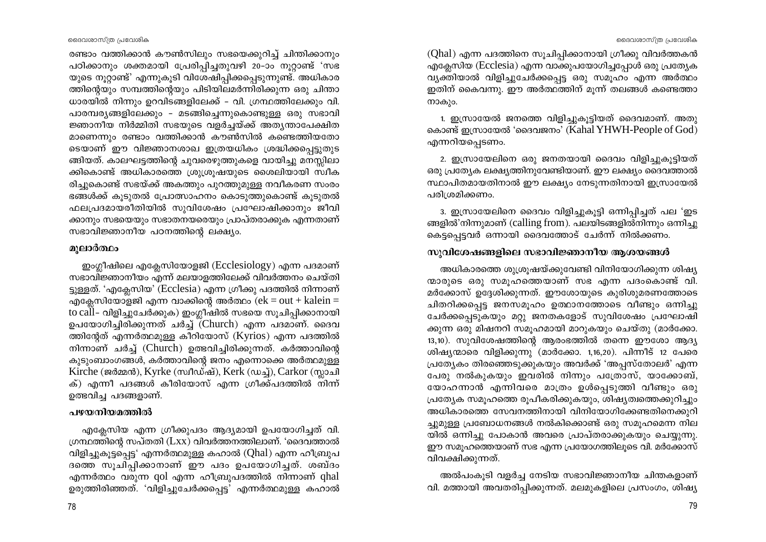ദൈവശാസ്ത്ര പ്രവേശിക

രണ്ടാം വത്തിക്കാൻ കൗൺസിലും സഭയെക്കുറിച്ച് ചിന്തിക്കാനും പഠിക്കാനും ശക്തമായി പ്രേരിപ്പിച്ചതുവഴി 20-ാം നുറ്റാണ്ട് 'സഭ യുടെ നൂറ്റാണ്ട്' എന്നുകൂടി വിശേഷിപ്പിക്കപ്പെടുന്നുണ്ട്. അധികാര ത്തിന്റെയും സമ്പത്തിന്റെയും പിടിയിലമർന്നിരിക്കുന്ന ഒരു ചിന്താ ധാരയിൽ നിന്നും ഉറവിടങ്ങളിലേക്ക് – വി. ഗ്രന്ഥത്തിലേക്കും വി. പാരമ്പര്യങ്ങളിലേക്കും - മടങ്ങിച്ചെന്നുകൊണ്ടുള്ള ഒരു സഭാവി ജ്ഞാനീയ നിർമ്മിതി സഭയുടെ വളർച്ചയ്ക്ക് അത്യന്താപേക്ഷിത മാണെന്നും രണ്ടാം വത്തിക്കാൻ കൗൺസിൽ കണ്ടെത്തിയതോ ടെയാണ് ഈ വിജ്ഞാനശാഖ ഇത്രയധികം ശ്രദ്ധിക്കപ്പെട്ടുതുട ങ്ങിയത്. കാലഘട്ടത്തിന്റെ ചുവരെഴുത്തുകളെ വായിച്ചു മനസ്സിലാ ക്കികൊണ്ട് അധികാരത്തെ ശ്രുശ്രൂഷയുടെ ശൈലിയായി സ്ഥീക രിച്ചുകൊണ്ട് സഭയ്ക്ക് അകത്തും പുറത്തുമുള്ള നവീകരണ സംരം ഭങ്ങൾക്ക് കൂടുതൽ പ്രോത്സാഹനം കൊടുത്തുകൊണ്ട് കൂടുതൽ ഫലപ്രദമായരീതിയിൽ സുവിശേഷം പ്രഘോഷിക്കാനും ജീവി ക്കാനും സഭയെയും സഭാതനയരെയും പ്രാപ്തരാക്കുക എന്നതാണ് സഭാവിജ്ഞാനീയ പഠനത്തിന്റെ ലക്ഷ്യം.

#### മൂലാർത്ഥം

ഇംഗ്ലീഷിലെ എക്ലേസിയോളജി (Ecclesiology) എന്ന പദമാണ് സഭാവിജ്ഞാനീയം എന്ന് മലയാളത്തിലേക്ക് വിവർത്തനം ചെയ്തി ട്ടുള്ളത്. 'എക്ലേസിയ' (Ecclesia) എന്ന ഗ്രീക്കു പദത്തിൽ നിന്നാണ് എക്ലേസിയോളജി എന്ന വാക്കിന്റെ അർത്ഥം ( $ek = out + kalein =$ to call- വിളിച്ചുചേർക്കുക) ഇംഗ്ലീഷിൽ സഭയെ സൂചിപ്പിക്കാനായി ഉപയോഗിച്ചിരിക്കുന്നത് ചർച്ച് (Church) എന്ന പദമാണ്. ദൈവ ത്തിന്റേത് എന്നർത്ഥമുള്ള കീറിയോസ് (Kyrios) എന്ന പദത്തിൽ നിന്നാണ് ചർച്ച് (Church) ഉത്ഭവിച്ചിരിക്കുന്നത്. കർത്താവിന്റെ കുടുംബാംഗങ്ങൾ, കർത്താവിന്റെ ജനം എന്നൊക്കെ അർത്ഥമുള്ള Kirche (ജർമ്മൻ), Kyrke (സ്വീഡ്ഷ്), Kerk (ഡച്ച്), Carkor (സ്ലാചി ക്) എന്നീ പദങ്ങൾ കീരിയോസ് എന്ന ഗ്രീക്ക്പദത്തിൽ നിന്ന് ഉത്ഭവിച്ച പദങ്ങളാണ്.

#### പഴയനിയമത്തിൽ

എക്ലേസിയ എന്ന ഗ്രീക്കുപദം ആദ്യമായി ഉപയോഗിച്ചത് വി. ഗ്രന്ഥത്തിന്റെ സപ്തതി (Lxx) വിവർത്തനത്തിലാണ്. 'ദൈവത്താൽ വിളിച്ചുകൂട്ടപ്പെട്ട' എന്നർത്ഥമുള്ള കഹാൽ (Qhal) എന്ന ഹീബ്രുപ ദത്തെ സൂചിപ്പിക്കാനാണ് ഈ പദം ഉപയോഗിച്ചത്. ശബ്ദം എന്നർത്ഥം വരുന്ന qol എന്ന ഹീബ്രുപദത്തിൽ നിന്നാണ് ghal ഉരുത്തിരിഞ്ഞത്. 'വിളിച്ചുചേർക്കപ്പെട്ട' എന്നർത്ഥമുള്ള കഹാൽ (Qhal) എന്ന പദത്തിനെ സൂചിപ്പിക്കാനായി ഗ്രീക്കു വിവർത്തകൻ എക്ലേസിയ (Ecclesia) എന്ന വാക്കുപയോഗിച്ചപ്പോൾ ഒരു പ്രത്യേക വ്യക്തിയാൽ വിളിച്ചുചേർക്കപ്പെട്ട ഒരു സമൂഹം എന്ന അർത്ഥം ഇതിന് കൈവന്നു. ഈ അർത്ഥത്തിന് മൂന്ന് തലങ്ങൾ കണ്ടെത്താ നാകും.

1. ഇസ്രായേൽ ജനത്തെ വിളിച്ചുകൂട്ടിയത് ദൈവമാണ്. അതു കൊണ്ട് ഇസ്രായേൽ 'ദൈവജനം' (Kahal YHWH-People of God) എന്നറിയപ്പെടണം.

2. ഇസ്രായേലിനെ ഒരു ജനതയായി ദൈവം വിളിച്ചുകൂട്ടിയത് ഒരു പ്രത്യേക ലക്ഷ്യത്തിനുവേണ്ടിയാണ്. ഈ ലക്ഷ്യം ദൈവത്താൽ സ്ഥാപിതമായതിനാൽ ഈ ലക്ഷ്യം നേടുന്നതിനായി ഇസ്രായേൽ പരിശ്രമിക്കണം.

3. ഇസ്രായേലിനെ ദൈവം വിളിച്ചുകുട്ടി ഒന്നിപ്പിച്ചത് പല 'ഇട ങ്ങളിൽ'നിന്നുമാണ് (calling from). പലയിടങ്ങളിൽനിന്നും ഒന്നിച്ചു കെട്ടപ്പെട്ടവർ ഒന്നായി ദൈവത്തോട് ചേർന്ന് നിൽക്കണം.

# സുവിശേഷങ്ങളിലെ സഭാവിജ്ഞാനീയ ആശയങ്ങൾ

അധികാരത്തെ ശുശ്രൂഷയ്ക്കുവേണ്ടി വിനിയോഗിക്കുന്ന ശിഷ്യ ന്മാരുടെ ഒരു സമുഹത്തെയാണ് സഭ എന്ന പദംകൊണ്ട് വി. മർക്കോസ് ഉദ്ദേശിക്കുന്നത്. ഈശോയുടെ കുരിശുമരണത്തോടെ ചിതറിക്കപ്പെട്ട ജനസമൂഹം ഉത്ഥാനത്തോടെ വീണ്ടും ഒന്നിച്ചു ചേർക്കപ്പെടുകയും മറ്റു ജനതകളോട് സുവിശേഷം പ്രഘോഷി ക്കുന്ന ഒരു മിഷനറി സമുഹമായി മാറുകയും ചെയ്തു (മാർക്കോ.  $13,10$ ). സുവിശേഷത്തിന്റെ ആരംഭത്തിൽ തന്നെ ഈശോ ആദ്യ ശിഷ്യന്മാരെ വിളിക്കുന്നു (മാർക്കോ. 1,16,20). പിന്നീട് 12 പേരെ പ്രത്യേകം തിരഞ്ഞെടുക്കുകയും അവർക്ക് 'അപ്പസ്തോലർ' എന്ന പേരു നൽകുകയും ഇവരിൽ നിന്നും പത്രോസ്, യാക്കോബ്, യോഹന്നാൻ എന്നിവരെ മാത്രം ഉൾപ്പെടുത്തി വീണ്ടും ഒരു പ്രത്യേക സമൂഹത്തെ രൂപീകരിക്കുകയും, ശിഷ്യത്വത്തെക്കുറിച്ചും അധികാരത്തെ സേവനത്തിനായി വിനിയോഗിക്കേണ്ടതിനെക്കുറി ച്ചുമുള്ള പ്രബോധനങ്ങൾ നൽകിക്കൊണ്ട് ഒരു സമൂഹമെന്ന നില യിൽ ഒന്നിച്ചു പോകാൻ അവരെ പ്രാപ്തരാക്കുകയും ചെയ്യുന്നു. ഈ സമൂഹത്തെയാണ് സഭ എന്ന പ്രയോഗത്തിലൂടെ വി. മർക്കോസ് വിവക്ഷിക്കുന്നത്.

അൽപംകൂടി വളർച്ച നേടിയ സഭാവിജ്ഞാനീയ ചിന്തകളാണ് വി. മത്തായി അവതരിപ്പിക്കുന്നത്. മലമുകളിലെ പ്രസംഗം, ശിഷ്യ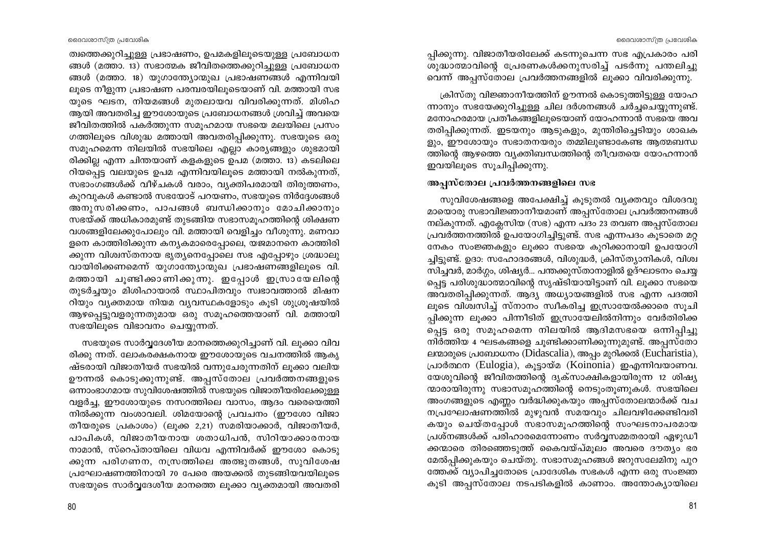പ്പിക്കുന്നു. വിജാതീയരിലേക്ക് കടന്നുചെന്ന സഭ എപ്രകാരം പരി ശുദ്ധാത്മാവിന്റെ പ്രേരണകൾക്കനുസരിച്ച് പടർന്നു പന്തലിച്ചു വെന്ന് അപ്പസ്തോല പ്രവർത്തനങ്ങളിൽ ലൂക്കാ വിവരിക്കുന്നു.

ക്രിസ്തു വിജ്ഞാനീയത്തിന് ഊന്നൽ കൊടുത്തിട്ടുള്ള യോഹ ന്നാനും സഭയേക്കുറിച്ചുള്ള ചില ദർശനങ്ങൾ ചർച്ചചെയ്യുന്നുണ്ട്. മനോഹരമായ പ്രതീകങ്ങളിലൂടെയാണ് യോഹന്നാൻ സഭയെ അവ തരിപ്പിക്കുന്നത്. ഇടയനും ആടുകളും, മുന്തിരിച്ചെടിയും ശാഖക ളും, ഈശോയും സഭാതനയരും തമ്മിലുണ്ടാകേണ്ട ആത്മബന്ധ ത്തിന്റെ ആഴത്തെ വ്യക്തിബന്ധത്തിന്റെ തീവ്രതയെ യോഹന്നാൻ ഇവയിലൂടെ സൂചിപ്പിക്കുന്നു.

#### അപസ്തോല പ്രവർത്തനങ്ങളിലെ സഭ

സുവിശേഷങ്ങളെ അപേക്ഷിച്ച് കുടുതൽ വ്യക്തവും വിശദവു മായൊരു സഭാവിജ്ഞാനീയമാണ് അപ്പസ്തോല പ്രവർത്തനങ്ങൾ നല്കുന്നത്. എക്ലേസിയ (സഭ) എന്ന പദം 23 തവണ അപ്പസ്തോല പ്രവർത്തനത്തിൽ ഉപയോഗിച്ചിട്ടുണ്ട്. സഭ എന്നപദം കുടാതെ മറ്റ നേകം സംജ്ഞകളും ലുക്കാ സഭയെ കുറിക്കാനായി ഉപയോഗി ച്ചിട്ടുണ്ട്. ഉദാ: സഹോദരങ്ങൾ, വിശുദ്ധർ, ക്രിസ്ത്യാനികൾ, വിശ്വ സിച്ചവർ, മാർഗ്ഗം, ശിഷ്യർ... പന്തക്കുസ്താനാളിൽ ഉദ്ഘാടനം ചെയ്യ പ്പെട്ട പരിശുദ്ധാത്മാവിന്റെ സൃഷ്ടിയായിട്ടാണ് വി. ലുക്കാ സഭയെ അവതരിപ്പിക്കുന്നത്. ആദ്യ അധ്യായങ്ങളിൽ സഭ എന്ന പദത്തി ലൂടെ വിശ്വസിച്ച് സ്നാനം സ്വീകരിച്ച ഇസ്രായേൽക്കാരെ സൂചി പ്പിക്കുന്ന ലുക്കാ പിന്നീടിത് ഇസ്രായേലിൽനിന്നും വേർതിരിക്ക പ്പെട്ട ഒരു സമൂഹമെന്ന നിലയിൽ ആദിമസഭയെ ഒന്നിപ്പിച്ചു നിർത്തിയ 4 ഘടകങ്ങളെ ചൂണ്ടിക്കാണിക്കുന്നുമുണ്ട്. അപ്പസ്തോ ലന്മാരുടെ പ്രബോധനം (Didascalia), അപ്പം മുറിക്കൽ (Eucharistia), പ്രാർത്ഥന (Eulogia), കൂട്ടായ്മ (Koinonia) ഇഎന്നിവയാണവ. യേശുവിന്റെ ജീവിതത്തിന്റെ ദൃക്സാക്ഷികളായിരുന്ന 12 ശിഷ്യ ന്മാരായിരുന്നു സഭാസമൂഹത്തിന്റെ നെടുംതൂണുകൾ. സഭയിലെ അംഗങ്ങളുടെ എണ്ണം വർദ്ധിക്കുകയും അപ്പസ്തോലന്മാർക്ക് വച നപ്രഘോഷണത്തിൽ മുഴുവൻ സമയവും ചിലവഴിക്കേണ്ടിവരി കയും ചെയ്തപ്പോൾ സഭാസമൂഹത്തിന്റെ സംഘടനാപരമായ പ്രശ്നങ്ങൾക്ക് പരിഹാരമെന്നോണം സർവ്വസമ്മതരായി ഏഴുഡീ ക്കന്മാരെ തിരഞ്ഞെടുത്ത് കൈവയ്പ്മൂലം അവരെ ദൗത്യം ഭര മേൽപ്പിക്കുകയും ചെയ്തു. സഭാസമൂഹങ്ങൾ ജറുസലേമിനു പുറ ത്തേക്ക് വ്യാപിച്ചതോടെ പ്രാദേശിക സഭകൾ എന്ന ഒരു സംജ്ഞ കൂടി അപ്പസ്തോല നടപടികളിൽ കാണാം. അന്തോക്യായിലെ

ത്വത്തെക്കുറിച്ചുള്ള പ്രഭാഷണം, ഉപമകളിലൂടെയുള്ള പ്രബോധന ങ്ങൾ (മത്താ. 13) സഭാത്മക ജീവിതത്തെക്കുറിച്ചുള്ള പ്രബോധന ങ്ങൾ (മത്താ. 18) യുഗാന്ത്യോന്മുഖ പ്രഭാഷണങ്ങൾ എന്നിവയി ലൂടെ നീളുന്ന പ്രഭാഷണ പരമ്പരയിലൂടെയാണ് വി. മത്തായി സഭ യുടെ ഘടന, നിയമങ്ങൾ മുതലായവ വിവരിക്കുന്നത്. മിശിഹ ആയി അവതരിച്ച ഈശോയുടെ പ്രബോധനങ്ങൾ ശ്രവിച്ച് അവയെ ജീവിതത്തിൽ പകർത്തുന്ന സമൂഹമായ സഭയെ മലയിലെ പ്രസം ഗത്തിലൂടെ വിശുദ്ധ മത്തായി അവതരിപ്പിക്കുന്നു. സഭയുടെ ഒരു സമുഹമെന്ന നിലയിൽ സഭയിലെ എല്ലാ കാര്യങ്ങളും ശുഭമായി രിക്കില്ല എന്ന ചിന്തയാണ് കളകളുടെ ഉപമ (മത്താ. 13) കടലിലെ റിയപ്പെട്ട വലയുടെ ഉപമ എന്നിവയിലൂടെ മത്തായി നൽകുന്നത്, സഭാംഗങ്ങൾക്ക് വീഴ്ചകൾ വരാം, വ്യക്തിപരമായി തിരുത്തണം, കുറവുകൾ കണ്ടാൽ സഭയോട് പറയണം, സഭയുടെ നിർദ്ദേശങ്ങൾ അനുസരിക്കണം, പാപങ്ങൾ ബന്ധിക്കാനും മോചിക്കാനും സഭയ്ക്ക് അധികാരമുണ്ട് തുടങ്ങിയ സഭാസമുഹത്തിന്റെ ശിക്ഷണ വശങ്ങളിലേക്കുപോലും വി. മത്തായി വെളിച്ചം വീശുന്നു. മണവാ ളനെ കാത്തിരിക്കുന്ന കന്യകമാരെപ്പോലെ, യജമാനനെ കാത്തിരി ക്കുന്ന വിശ്വസ്തനായ ഭൃത്യനെപ്പോലെ സഭ എപ്പോഴും ശ്രദ്ധാലു വായിരിക്കണമെന്ന് യുഗാന്ത്യോന്മുഖ പ്രഭാഷണങ്ങളിലൂടെ വി. മത്തായി ചൂണ്ടിക്കാണിക്കുന്നു. ഇപ്പോൾ ഇസ്രായേലിന്റെ തുടർച്ചയും മിശിഹായാൽ സ്ഥാപിതവും സ്വഭാവത്താൽ മിഷന റിയും വ്യക്തമായ നിയമ വ്യവസ്ഥകളോടും കുടി ശുശ്രുഷയിൽ ആഴപ്പെട്ടുവളരുന്നതുമായ ഒരു സമൂഹത്തെയാണ് വി. മത്തായി സഭയിലൂടെ വിഭാവനം ചെയ്യന്നത്.

സഭയുടെ സാർവ്വദേശീയ മാനത്തെക്കുറിച്ചാണ് വി. ലൂക്കാ വിവ രിക്കു ന്നത്. ലോകരക്ഷകനായ ഈശോയുടെ വചനത്തിൽ ആകൃ ഷ്ടരായി വിജാതീയർ സഭയിൽ വന്നുചേരുന്നതിന് ലൂക്കാ വലിയ ഊന്നൽ കൊടുക്കുന്നുണ്ട്. അപ്പസ്തോല പ്രവർത്തനങ്ങളുടെ ഒന്നാംഭാഗമായ സുവിശേഷത്തിൽ സഭയുടെ വിജാതീയരിലേക്കുള്ള വളർച്ച, ഈശോയുടെ നസറത്തിലെ വാസം, ആദം വരെയെത്തി നിൽക്കുന്ന വംശാവലി. ശിമയോന്റെ പ്രവചനം (ഈശോ വിജാ തീയരുടെ പ്രകാശം) (ലുക്ക 2,21) സമരിയാക്കാർ, വിജാതീയർ, പാപികൾ, വിജാതീയനായ ശതാധിപൻ, സിറിയാക്കാരനായ നാമാൻ, സ്റെപ്തായിലെ വിധവ എന്നിവർക്ക് ഈശോ കൊടു ക്കുന്ന പരിഗണന, നസ്രത്തിലെ അത്ഭുതങ്ങൾ, സുവിശേഷ പ്രഘോഷണത്തിനായി 70 പേരെ അയക്കൽ തുടങ്ങിയവയിലൂടെ സഭയുടെ സാർവ്വദേശീയ മാനത്തെ ലൂക്കാ വ്യക്തമായി അവതരി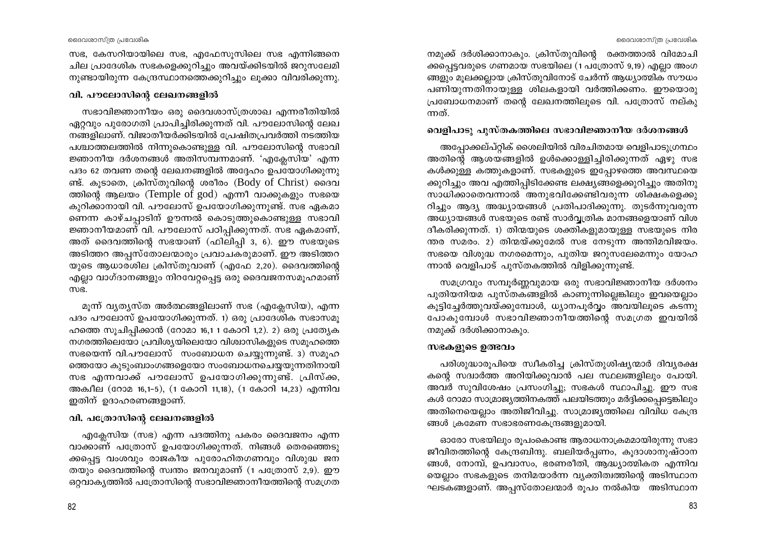നമുക്ക് ദർശിക്കാനാകും. ക്രിസ്തുവിന്റെ രക്തത്താൽ വിമോചി ക്കപ്പെട്ടവരുടെ ഗണമായ സഭയിലെ (1 പത്രോസ് 9,19) എല്ലാ അംഗ ങ്ങളും മൂലക്കല്ലായ ക്രിസ്തുവിനോട് ചേർന്ന് ആധ്യാത്മിക സൗധം പണിയുന്നതിനായുള്ള ശിലകളായി വർത്തിക്കണം. ഈയൊരു പ്രബോധനമാണ് തന്റെ ലേഖനത്തിലൂടെ വി. പത്രോസ് നല്കു ന്നത്.

#### വെളിപാടു പുസ്തകത്തിലെ സഭാവിജ്ഞാനീയ ദർശനങ്ങൾ

അപ്പോക്കല്പ്റ്റിക് ശൈലിയിൽ വിരചിതമായ വെളിപാടുഗ്രന്ഥം അതിന്റെ ആശയങ്ങളിൽ ഉൾക്കൊള്ളിച്ചിരിക്കുന്നത് ഏഴു സഭ കൾക്കുള്ള കത്തുകളാണ്. സഭകളുടെ ഇപ്പോഴത്തെ അവസ്ഥയെ ക്കുറിച്ചും അവ എത്തിപ്പിടിക്കേണ്ട ലക്ഷ്യങ്ങളെക്കുറിച്ചും അതിനു സാധിക്കാതെവന്നാൽ അനുഭവിക്കേണ്ടിവരുന്ന ശിക്ഷകളെക്കു റിച്ചും ആദ്യ അദ്ധ്യായങ്ങൾ പ്രതിപാദിക്കുന്നു. തുടർന്നുവരുന്ന അധ്യായങ്ങൾ സഭയുടെ രണ്ട് സാർവ്വത്രിക മാനങ്ങളെയാണ് വിശ ദീകരിക്കുന്നത്. 1) തിന്മയുടെ ശക്തികളുമായുള്ള സഭയുടെ നിര ന്തര സമരം. 2) തിന്മയ്ക്കുമേൽ സഭ നേടുന്ന അന്തിമവിജയം. സഭയെ വിശുദ്ധ നഗരമെന്നും, പുതിയ ജറുസലേമെന്നും യോഹ ന്നാൻ വെളിപാട് പുസ്തകത്തിൽ വിളിക്കുന്നുണ്ട്.

സമഗ്രവും സമ്പൂർണ്ണവുമായ ഒരു സഭാവിജ്ഞാനീയ ദർശനം പുതിയനിയമ പുസ്തകങ്ങളിൽ കാണുന്നില്ലെങ്കിലും ഇവയെല്ലാം കൂട്ടിച്ചേർത്തുവയ്ക്കുമ്പോൾ, ധ്യാനപൂർവ്വം അവയിലൂടെ കടന്നു പോകുമ്പോൾ സഭാവിജ്ഞാനീയത്തിന്റെ സമഗ്രത ഇവയിൽ നമുക്ക് ദർശിക്കാനാകും.

#### സഭകളുടെ ഉത്ഭവം

പരിശുദ്ധാരുപിയെ സ്വീകരിച്ച ക്രിസ്തുശിഷ്യന്മാർ ദിവ്യരക്ഷ കന്റെ സദ്വാർത്ത അറിയിക്കുവാൻ പല സ്ഥലങ്ങളിലും പോയി. അവർ സുവിശേഷം പ്രസംഗിച്ചു; സഭകൾ സ്ഥാപിച്ചു. ഈ സഭ കൾ റോമാ സാമ്രാജ്യത്തിനകത്ത് പലയിടത്തും മർദ്ദിക്കപ്പെട്ടെങ്കിലും അതിനെയെല്ലാം അതിജീവിച്ചു. സാമ്രാജ്യത്തിലെ വിവിധ കേന്ദ്ര ങ്ങൾ ക്രമേണ സഭാഭരണകേന്ദ്രങ്ങളുമായി.

ഓരോ സഭയിലും രൂപംകൊണ്ട ആരാധനാക്രമമായിരുന്നു സഭാ ജീവിതത്തിന്റെ കേന്ദ്രബിന്ദു. ബലിയർപ്പണം, കുദാശാനുഷ്ഠാന ങ്ങൾ, നോമ്പ്, ഉപവാസം, ഭരണരീതി, ആദ്ധ്യാത്മികത എന്നിവ യെല്ലാം സഭകളുടെ തനിമയാർന്ന വ്യക്തിത്വത്തിന്റെ അടിസ്ഥാന ഘടകങ്ങളാണ്. അപ്പസ്തോലന്മാർ രൂപം നൽകിയ അടിസ്ഥാന

സഭ, കേസറിയായിലെ സഭ, എഫേസൂസിലെ സഭ എന്നിങ്ങനെ ചില പ്രാദേശിക സഭകളെക്കുറിച്ചും അവയ്ക്കിടയിൽ ജറുസലേമി നുണ്ടായിരുന്ന കേന്ദ്രസ്ഥാനത്തെക്കുറിച്ചും ലുക്കാ വിവരിക്കുന്നു.

#### വി. പൗലോസിന്റെ ലേഖനങ്ങളിൽ

സഭാവിജ്ഞാനീയം ഒരു ദൈവശാസ്ത്രശാഖ എന്നരീതിയിൽ ഏറ്റവും പുരോഗതി പ്രാപിച്ചിരിക്കുന്നത് വി. പൗലോസിന്റെ ലേഖ നങ്ങളിലാണ്. വിജാതീയർക്കിടയിൽ പ്രേഷിതപ്രവർത്തി നടത്തിയ പശ്ചാത്തലത്തിൽ നിന്നുകൊണ്ടുള്ള വി. പൗലോസിന്റെ സഭാവി ജ്ഞാനീയ ദർശനങ്ങൾ അതിസമ്പന്നമാണ്. 'എക്ലേസിയ' എന്ന പദം 62 തവണ തന്റെ ലേഖനങ്ങളിൽ അദ്ദേഹം ഉപയോഗിക്കുന്നു ണ്ട്. കുടാതെ, ക്രിസ്തുവിന്റെ ശരീരം (Body of Christ) ദൈവ ത്തിന്റെ ആലയം (Temple of god) എന്നീ വാക്കുകളും സഭയെ കുറിക്കാനായി വി. പൗലോസ് ഉപയോഗിക്കുന്നുണ്ട്. സഭ ഏകമാ ണെന്ന കാഴ്ചപ്പാടിന് ഊന്നൽ കൊടുത്തുകൊണ്ടുള്ള സഭാവി ജ്ഞാനീയമാണ് വി. പൗലോസ് പഠിപ്പിക്കുന്നത്. സഭ ഏകമാണ്, അത് ദൈവത്തിന്റെ സഭയാണ് (ഫിലിപ്പി 3, 6). ഈ സഭയുടെ അടിത്തറ അപ്പസ്തോലന്മാരും പ്രവാചകരുമാണ്. ഈ അടിത്തറ യുടെ ആധാരശില ക്രിസ്തുവാണ് (എഫേ 2,20). ദൈവത്തിന്റെ എല്ലാ വാഗ്ദാനങ്ങളും നിറവേറ്റപ്പെട്ട ഒരു ദൈവജനസമൂഹമാണ് mg.

മൂന്ന് വ്യത്യസ്ത അർത്ഥങ്ങളിലാണ് സഭ (എക്ലേസിയ), എന്ന പദം പൗലോസ് ഉപയോഗിക്കുന്നത്. 1) ഒരു പ്രാദേശിക സഭാസമൂ ഹത്തെ സൂചിപ്പിക്കാൻ (റോമാ 16,1 1 കോറി 1,2). 2) ഒരു പ്രത്യേക നഗരത്തിലെയോ പ്രവിശ്യയിലെയോ വിശ്വാസികളുടെ സമൂഹത്തെ സഭയെന്ന് വി.പൗലോസ് സംബോധന ചെയ്യുന്നുണ്ട്. 3) സമുഹ ത്തെയോ കുടുംബാംഗങ്ങളെയോ സംബോധനചെയ്യയുന്നതിനായി സഭ എന്നവാക്ക് പൗലോസ് ഉപയോഗിക്കുന്നുണ്ട്. പ്രിസ്ക്ക, അക്വീല (റോമ 16,1-5), (1 കോറി 11,18), (1 കോറി 14,23) എന്നിവ ഇതിന് ഉദാഹരണങ്ങളാണ്.

#### വി. പത്രോസിന്റെ ലേഖനങ്ങളിൽ

എക്ലേസിയ (സഭ) എന്ന പദത്തിനു പകരം ദൈവജനം എന്ന വാക്കാണ് പത്രോസ് ഉപയോഗിക്കുന്നത്. നിങ്ങൾ തെരഞ്ഞെടു ക്കപ്പെട്ട വംശവും രാജകീയ പുരോഹിതഗണവും വിശുദ്ധ ജന തയും ദൈവത്തിന്റെ സ്വന്തം ജനവുമാണ് (1 പത്രോസ് 2,9). ഈ ഒറ്റവാക്യത്തിൽ പത്രോസിന്റെ സഭാവിജ്ഞാനീയത്തിന്റെ സമഗ്രത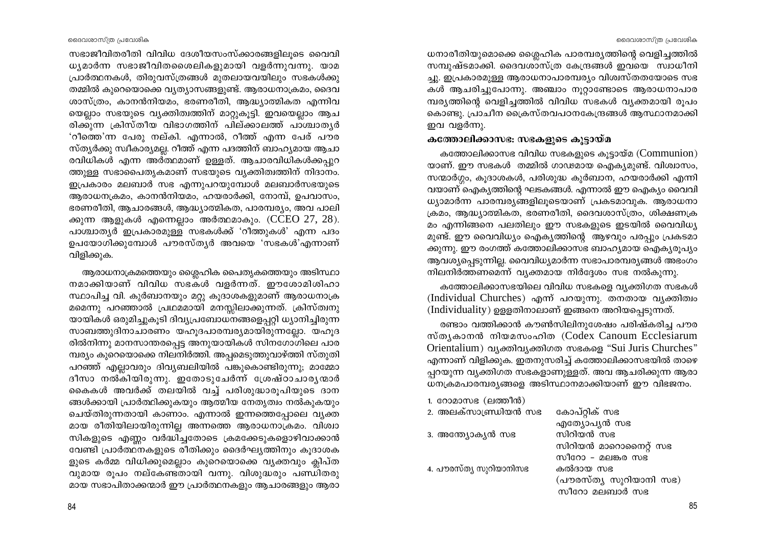ധനാരീതിയുമൊക്കെ ശ്ലൈഹിക പാരമ്പര്യത്തിന്റെ വെളിച്ചത്തിൽ സമ്പുഷ്ടമാക്കി. ദൈവശാസ്ത്ര കേന്ദ്രങ്ങൾ ഇവയെ സ്വാധീനി ച്ചു. ഇപ്രകാരമുള്ള ആരാധനാപാരമ്പര്യം വിശ്വസ്തതയോടെ സഭ കൾ ആചരിച്ചുപോന്നു. അഞ്ചാം നൂറ്റാണ്ടോടെ ആരാധനാപാര മ്പര്യത്തിന്റെ വെളിച്ചത്തിൽ വിവിധ സഭകൾ വ്യക്തമായി രൂപം കൊണ്ടു. പ്രാചീന ക്രൈസ്തവപഠനകേന്ദ്രങ്ങൾ ആസ്ഥാനമാക്കി ഇവ വളർന്നു.

#### കത്തോലിക്കാസഭ: സഭകളുടെ കൂട്ടായ്മ

കത്തോലിക്കാസഭ വിവിധ സഭകളുടെ കൂട്ടായ്മ (Communion) യാണ്. ഈ സഭകൾ തമ്മിൽ ഗാഢമായ ഐക്യമുണ്ട്. വിശ്വാസം, സന്മാർഗ്ഗം, കൂദാശകൾ, പരിശൂദ്ധ കൂർബാന, ഹയരാർക്കി എന്നി വയാണ് ഐകൃത്തിന്റെ ഘടകങ്ങൾ. എന്നാൽ ഈ ഐക്യം വൈവി ധ്യാമാർന്ന പാരമ്പര്യങ്ങളിലൂടെയാണ് പ്രകടമാവുക. ആരാധനാ ക്രമം, ആദ്ധ്യാത്മികത, ഭരണരീതി, ദൈവശാസ്ത്രം, ശിക്ഷണക്ര മം എന്നിങ്ങനെ പലതിലും ഈ സഭകളുടെ ഇടയിൽ വൈവിധ്യ മുണ്ട്. ഈ വൈവിധ്യം ഐക്യത്തിന്റെ ആഴവും പരപ്പും പ്രകടമാ ക്കുന്നു. ഈ രംഗത്ത് കത്തോലിക്കാസഭ ബാഹ്യമായ ഐക്യരുപ്യം ആവശ്യപ്പെടുന്നില്ല. വൈവിധ്യമാർന്ന സഭാപാരമ്പര്യങ്ങൾ അഭംഗം നിലനിർത്തണമെന്ന് വ്യക്തമായ നിർദ്ദേശം സഭ നൽകുന്നു.

കത്തോലിക്കാസഭയിലെ വിവിധ സഭകളെ വ്യക്തിഗത സഭകൾ (Individual Churches) എന്ന് പറയുന്നു. തനതായ വ്യക്തിത്വം (Individuality) ഉള്ളതിനാലാണ് ഇങ്ങനെ അറിയപ്പെടുന്നത്.

രണ്ടാം വത്തിക്കാൻ കൗൺസിലിനുശേഷം പരിഷ്കരിച്ച പൗര സ്ത്യകാനൻ നിയമസംഹിത (Codex Canoum Ecclesiarum Orientalium) വ്യക്തിവ്യക്തിഗത സഭകളെ "Sui Juris Churches" എന്നാണ് വിളിക്കുക. ഇതനുസരിച്ച് കത്തോലിക്കാസഭയിൽ താഴെ പ്പറയുന്ന വ്യക്തിഗത സഭകളാണുള്ളത്. അവ ആചരിക്കുന്ന ആരാ ധനക്രമപാരമ്പര്യങ്ങളെ അടിസ്ഥാനമാക്കിയാണ് ഈ വിഭജനം.

കോപ്റ്റിക് സഭ

സിറിയൻ സഭ

കൽദായ സഭ

എത്യോപ്യൻ സഭ

സിറിയൻ മാറൊനൈറ്റ് സഭ

(പൗരസ്ത്യ സൂറിയാനി സഭ)

സീറോ - മലങ്കര സഭ

സീറോ മലബാർ സഭ

- 1. റോമാസഭ (ലത്തീൻ)
- 2. അലക്സാണ്ഡ്രിയൻ സഭ
- 3. അന്ത്യോകൃൻ സഭ
- 4. പൗരസ്ത്യ സുറിയാനിസഭ

ദൈവശാസ്ത്ര പ്രവേശിക സഭാജീവിതരീതി വിവിധ ദേശീയസംസ്ക്കാരങ്ങളിലൂടെ വൈവി ധ്യമാർന്ന സഭാജീവിതശൈലികളുമായി വളർന്നുവന്നു. യാമ പ്രാർത്ഥനകൾ, തിരുവസ്ത്രങ്ങൾ മുതലായവയിലും സഭകൾക്കു തമ്മിൽ കുറെയൊക്കെ വൃത്യാസങ്ങളുണ്ട്. ആരാധനാക്രമം, ദൈവ ശാസ്ത്രം, കാനൻനിയമം, ഭരണരീതി, ആദ്ധ്യാത്മികത എന്നിവ യെല്ലാം സഭയുടെ വ്യക്തിത്വത്തിന് മാറ്റുകുട്ടി. ഇവയെല്ലാം ആച രിക്കുന്ന ക്രിസ്തീയ വിഭാഗത്തിന് പില്ക്കാലത്ത് പാശ്ചാതൃർ 'റീത്തെ'ന്ന പേരു നല്കി. എന്നാൽ, റീത്ത് എന്ന പേര് പൗര സ്ത്യർക്കു സ്വീകാര്യമല്ല. റീത്ത് എന്ന പദത്തിന് ബാഹ്യമായ ആചാ രവിധികൾ എന്ന അർത്ഥമാണ് ഉള്ളത്. ആചാരവിധികൾക്കപുറ ത്തുള്ള സഭാപൈതൃകമാണ് സഭയുടെ വ്യക്തിത്വത്തിന് നിദാനം. ഇപ്രകാരം മലബാർ സഭ എന്നുപറയുമ്പോൾ മലബാർസഭയുടെ ആരാധനക്രമം, കാനൻനിയമം, ഹയരാർക്കി, നോമ്പ്, ഉപവാസം, ഭരണരീതി, ആചാരങ്ങൾ, ആദ്ധ്യാത്മികത, പാരമ്പര്യം, അവ പാലി ക്കുന്ന ആളുകൾ എന്നെല്ലാം അർത്ഥമാകും. (CCEO 27, 28). പാശ്ചാതൃർ ഇപ്രകാരമുള്ള സഭകൾക്ക് 'റീത്തുകൾ' എന്ന പദം ഉപയോഗിക്കുമ്പോൾ പൗരസ്തൃർ അവയെ 'സഭകൾ'എന്നാണ്

വിളിക്കുക. ആരാധനാക്രമത്തെയും ശ്ലൈഹിക പൈതൃകത്തെയും അടിസ്ഥാ നമാക്കിയാണ് വിവിധ സഭകൾ വളർന്നത്. ഈശോമിശിഹാ സ്ഥാപിച്ച വി. കുർബാനയും മറ്റു കൂദാശകളുമാണ് ആരാധനാക്ര മമെന്നു പറഞ്ഞാൽ പ്രഥമമായി മനസ്സിലാക്കുന്നത്. ക്രിസ്ത്വനു യായികൾ ഒരുമിച്ചുകൂടി ദിവ്യപ്രബോധനങ്ങളെപ്പറ്റി ധ്യാനിച്ചിരുന്ന സാബത്തുദിനാചാരണം യഹൂദപാരമ്പര്യമായിരുന്നല്ലോ. യഹൂദ

രിൽനിന്നു മാനസാന്തരപ്പെട്ട അനുയായികൾ സിനഗോഗിലെ പാര മ്പര്യം കുറെയൊക്കെ നിലനിർത്തി. അപ്പമെടുത്തുവാഴ്ത്തി സ്തുതി പറഞ്ഞ് എല്ലാവരും ദിവ്യബലിയിൽ പങ്കുകൊണ്ടിരുന്നു; മാമ്മോ ദീസാ നൽ്കിയിരുന്നു. ഇതോടുചേർന്ന് ശ്രേഷ്ഠാചാരൃന്മാർ കൈകൾ അവർക്ക് തലയിൽ വച്ച് പരിശുദ്ധാരുപിയുടെ ദാന ങ്ങൾക്കായി പ്രാർത്ഥിക്കുകയും ആത്മീയ നേതൃത്വം നൽകുകയും ചെയ്തിരുന്നതായി കാണാം. എന്നാൽ ഇന്നത്തെപ്പോലെ വ്യക്ത മായ രീതിയിലായിരുന്നില്ല അന്നത്തെ ആരാധനാക്രമം. വിശ്വാ സികളുടെ എണ്ണം വർദ്ധിച്ചതോടെ ക്രമക്കേടുകളൊഴിവാക്കാൻ വേണ്ടി പ്രാർത്ഥനകളുടെ രീതിക്കും ദൈർഘ്യത്തിനും കൂദാശക ളുടെ കർമ്മ വിധിക്കുമെല്ലാം കുറെയൊക്കെ വ്യക്തവും ക്ലിപ്ത വുമായ രൂപം നല്കേണ്ടതായി വന്നു. വിശുദ്ധരും പണ്ഡിതരു മായ സഭാപിതാക്കന്മാർ ഈ പ്രാർത്ഥനകളും ആചാരങ്ങളും ആരാ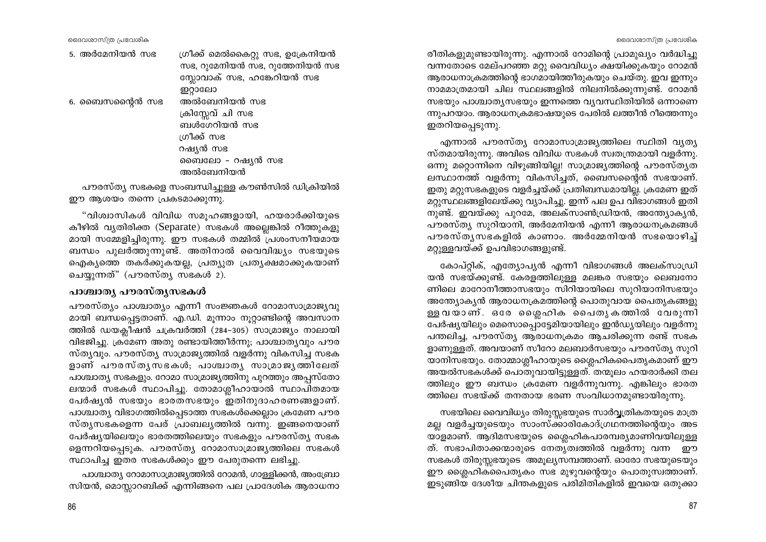5. അർമേനിയൻ സഭ

6. ബൈസന്റൈൻ സഭ

ഗ്രീക്ക് മെൽകൈറ്റു സഭ, ഉക്രേനിയൻ സഭ, റുമേനിയൻ സഭ, റുത്തേനിയൻ സഭ സ്ലോവാക് സഭ, ഹങ്കേറിയൻ സഭ ഇറ്റാലോ അൽബേനിയൻ സഭ ക്രിസ്സേവ് ചി സഭ ബൾഗേറിയൻ സഭ ശ്രീക്ക് സഭ റഷ്യൻ സഭ ബൈലോ - റഷ്യൻ സഭ അൽബേനിയൻ

പൗരസ്ത്യ സഭകളെ സംബന്ധിച്ചുള്ള കൗൺസിൽ ഡിക്രിയിൽ ഈ ആശയം തന്നെ പ്രകടമാക്കുന്നു.

"വിശ്വാസികൾ വിവിധ സമൂഹങ്ങളായി, ഹയരാർക്കിയുടെ കീഴിൽ വ്യതിരിക്ത (Separate) സഭകൾ അല്ലെങ്കിൽ റീത്തുകളു മായി സമ്മേളിച്ചിരുന്നു. ഈ സഭകൾ തമ്മിൽ പ്രശംസനീയമായ ബന്ധം പുലർത്തുന്നുണ്ട്. അതിനാൽ വൈവിദ്ധ്യം സഭയുടെ ഐകൃത്തെ തകർക്കുകയല്ല, പ്രത്യുത പ്രത്യക്ഷമാക്കുകയാണ് ചെയ്യുന്നത്" (പൗരസ്ത്യ സഭകൾ 2).

#### പാശ്ചാതൃ പൗരസ്തൃസഭകൾ

പൗരസ്ത്യം പാശ്ചാത്യം എന്നീ സംജ്ഞകൾ റോമാസാമ്രാജ്യവു മായി ബന്ധപ്പെട്ടതാണ്. എ.ഡി. മൂന്നാം നൂറ്റാണ്ടിന്റെ അവസാന ത്തിൽ ഡയക്ലീഷൻ ചക്രവർത്തി (284-305) സാമ്രാജ്യം നാലായി വിഭജിച്ചു. ക്രമേണ അതു രണ്ടായിത്തീർന്നു; പാശ്ചാതൃവും പൗര സ്ത്യവും. പൗരസ്ത്യ സാമ്രാജ്യത്തിൽ വളർന്നു വികസിച്ച സഭക ളാണ് പൗരസ്തൃസഭകൾ; പാശ്ചാതൃ സാമ്രാജൃത്തിലേത് പാശ്ചാത്യ സഭകളും. റോമാ സാമ്രാജ്യത്തിനു പുറത്തും അപ്പസ്തോ ലന്മാർ സഭകൾ സ്ഥാപിച്ചു. തോമാശ്ലീഹായാൽ സ്ഥാപിതമായ പേർഷ്യൻ സഭയും ഭാരതസഭയും ഇതിനുദാഹരണങ്ങളാണ്. പാശ്ചാത്യ വിഭാഗത്തിൽപ്പെടാത്ത സഭകൾക്കെല്ലാം ക്രമേണ പൗര സ്തൃസഭകളെന്ന പേര് പ്രാബലൃത്തിൽ വന്നു. ഇങ്ങനെയാണ് പേർഷ്യയിലെയും ഭാരതത്തിലെയും സഭകളും പൗരസ്ത്യ സഭക ളെന്നറിയപ്പെടുക. പൗരസ്ത്യ റോമാസാമ്രാജ്യത്തിലെ സഭകൾ സ്ഥാപിച്ച ഇതര സഭകൾക്കും ഈ പേരുതന്നെ ലഭിച്ചു.

പാശ്ചാത്യ റോമാസാമ്രാജ്യത്തിൽ റോമൻ, ഗാളളിക്കൻ, അംബ്രോ സിയൻ, മൊസ്ലാറബിക്ക് എന്നിങ്ങനെ പല പ്രാദേശിക ആരാധനാ

86

രീതികളുമുണ്ടായിരുന്നു. എന്നാൽ റോമിന്റെ പ്രാമുഖ്യം വർദ്ധിച്ചു വന്നതോടെ മേല്പറഞ്ഞ മറ്റു വൈവിധ്യം ക്ഷയിക്കുകയും റോമൻ ആരാധനാക്രമത്തിന്റെ ഭാഗമായിത്തീരുകയും ചെയ്തു. ഇവ ഇന്നും നാമമാത്രമായി ചില സ്ഥലങ്ങളിൽ നിലനിൽക്കുന്നുണ്ട്. റോമൻ സഭയും പാശ്ചാത്യസഭയും ഇന്നത്തെ വ്യവസ്ഥിതിയിൽ ഒന്നാണെ ന്നുപറയാം. ആരാധനക്രമഭാഷയുടെ പേരിൽ ലത്തീൻ റീത്തെന്നും ഇതറിയപ്പെടുന്നു.

എന്നാൽ പൗരസ്ത്യ റോമാസാമ്രാജ്യത്തിലെ സ്ഥിതി വ്യത്യ സ്തമായിരുന്നു. അവിടെ വിവിധ സഭകൾ സ്വതന്ത്രമായി വളർന്നു. ഒന്നു മറ്റൊന്നിനെ വിഴുങ്ങിയില്ല! സാമ്രാജ്യത്തിന്റെ പൗരസ്ത്യത ലസ്ഥാനത്ത് വളർന്നു വികസിച്ചത്. ബൈസന്റൈൻ സഭയാണ്. ഇതു മറ്റുസഭകളുടെ വളർച്ചയ്ക്ക് പ്രതിബന്ധമായില്ല. ക്രമേണ ഇത് മറ്റുസ്ഥലങ്ങളിലേയ്ക്കു വ്യാപിച്ചു. ഇന്ന് പല ഉപ വിഭാഗങ്ങൾ ഇതി നുണ്ട്. ഇവയ്ക്കു പുറമേ, അലക്സാൺഡ്രിയൻ, അന്ത്യോക്യൻ, പൗരസ്ത്യ സുറിയാനി, അർമേനിയൻ എന്നീ ആരാധനക്രമങ്ങൾ പൗരസ്ത്യസഭകളിൽ കാണാം. അർമ്മേനിയൻ സഭയൊഴിച്ച് മറ്റുള്ളവയ്ക്ക് ഉപവിഭാഗങ്ങളുണ്ട്.

കോപ്റ്റിക്, എത്യോപ്യൻ എന്നീ വിഭാഗങ്ങൾ അലക്സാഡ്രി യൻ സഭയ്ക്കുണ്ട്. കേരളത്തിലുള്ള മലങ്കര സഭയും ലെബനോ ണിലെ മാറോനീത്താസഭയും സിറിയായിലെ സുറിയാനിസഭയും അന്ത്യോക്യൻ ആരാധനക്രമത്തിന്റെ പൊതുവായ പൈതൃകങ്ങളു ള്ള വയാണ്. ഒരേ ശ്ലൈഹിക പൈതൃകത്തിൽ വേരുന്നി പേർഷ്യയിലും മെസൊപ്പൊട്ടേമിയായിലും ഇൻഡ്യയിലും വളർന്നു പന്തലിച്ച, പൗരസ്ത്യ ആരാധനക്രമം ആചരിക്കുന്ന രണ്ട് സഭക ളാണുള്ളത്. അവയാണ് സീറോ മലബാർസഭയും പൗരസ്ത്യ സുറി യാനിസഭയും. തോമ്മാശ്ലീഹായുടെ ശ്ലൈഹികപൈതൃകമാണ് ഈ അയൽസഭകൾക്ക് പൊതുവായിട്ടുള്ളത്. തന്മൂലം ഹയരാർക്കി തല ത്തിലും ഈ ബന്ധം ക്രമേണ വളർന്നുവന്നു. എങ്കിലും ഭാരത ത്തിലെ സഭയ്ക്ക് തനതായ ഭരണ സംവിധാനമുണ്ടായിരുന്നു.

സഭയിലെ വൈവിധ്യം തിരുസ്സഭയുടെ സാർവ്വത്രികതയുടെ മാത്ര മല്ല വളർച്ചയുടെയും സാംസ്ക്കാരികോദ്ഗ്രഥനത്തിന്റെയും അട യാളമാണ്. ആദിമസഭയുടെ ശ്ലൈഹികപാരമ്പര്യമാണിവയിലുള്ള ത്. സഭാപിതാക്കന്മാരുടെ നേതൃത്വത്തിൽ വളർന്നു വന്ന ഈ സഭകൾ തിരുസ്സഭയുടെ അമുല്യസമ്പത്താണ്. ഓരോ സഭയുടെയും ഈ ശ്ലൈഹികപൈതൃകം സഭ മുഴുവന്റെയും പൊതുസ്വത്താണ്. ഇടുങ്ങിയ ദേശീയ ചിന്തകളുടെ പരിമിതികളിൽ ഇവയെ ഒതുക്കാ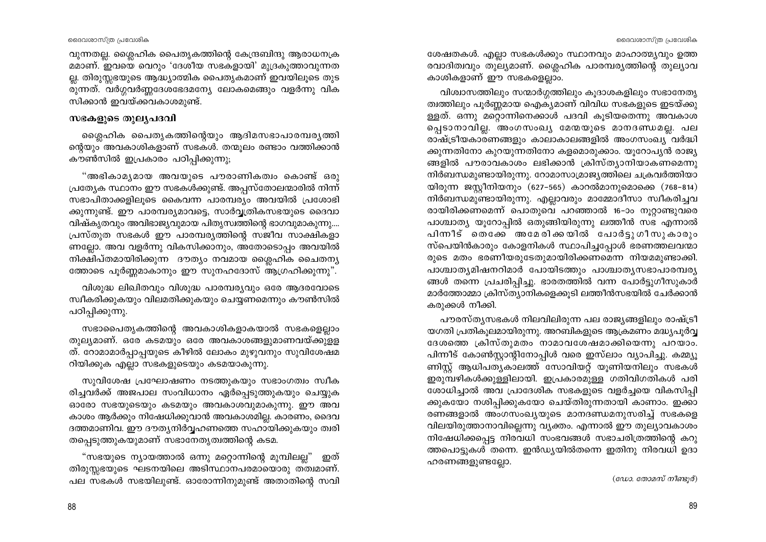വുന്നതല്ല. ശ്ലൈഹിക പൈതൃകത്തിന്റെ കേന്ദ്രബിന്ദു ആരാധനക്ര മമാണ്. ഇവയെ വെറും 'ദേശീയ സഭകളായി' മുദ്രകുത്താവുന്നത ല്ല. തിരുസ്സഭയുടെ ആദ്ധ്യാത്മിക പൈതൃകമാണ് ഇവയിലൂടെ തുട രുന്നത്. വർഗ്ഗവർണ്ണദേശഭേദമന്യേ ലോകമെങ്ങും വളർന്നു വിക സിക്കാൻ ഇവയ്ക്കവകാശമുണ്ട്.

#### സഭകളുടെ തുലൃപദവി

ശ്ലൈഹിക പൈതൃകത്തിന്റെയും ആദിമസഭാപാരമ്പരൃത്തി ന്റെയും അവകാശികളാണ് സഭകൾ. തന്മൂലം രണ്ടാം വത്തിക്കാൻ കൗൺസിൽ ഇപ്രകാരം പഠിപ്പിക്കുന്നു;

"അഭികാമൃമായ അവയുടെ പൗരാണികത്വം കൊണ്ട് ഒരു പ്രത്യേക സ്ഥാനം ഈ സഭകൾക്കുണ്ട്. അപ്പസ്തോലന്മാരിൽ നിന്ന് സഭാപിതാക്കളിലൂടെ കൈവന്ന പാരമ്പര്യം അവയിൽ പ്രശോഭി ക്കുന്നുണ്ട്. ഈ പാരമ്പര്യമാവട്ടെ, സാർവ്വത്രികസഭയുടെ ദൈവാ വിഷ്കൃതവും അവിഭാജ്യവുമായ പിതൃസ്വത്തിന്റെ ഭാഗവുമാകുന്നു.... പ്രസ്തുത സഭകൾ ഈ പാരമ്പര്യത്തിന്റെ സജീവ സാക്ഷികളാ ണല്ലോ. അവ വളർന്നു വികസിക്കാനും, അതോടൊപ്പം അവയിൽ നിക്ഷിപ്തമായിരിക്കുന്ന ദൗത്യം നവമായ ശ്ലൈഹിക ചൈതന്യ ത്തോടെ പൂർണ്ണമാകാനും ഈ സുനഹദോസ് ആഗ്രഹിക്കുന്നു".

വിശുദ്ധ ലിഖിതവും വിശുദ്ധ പാരമ്പര്യവും ഒരേ ആദരവോടെ സ്വീകരിക്കുകയും വിലമതിക്കുകയും ചെയ്യണമെന്നും കൗൺസിൽ പഠിപ്പിക്കുന്നു.

സഭാപൈതൃകത്തിന്റെ അവകാശികളാകയാൽ സഭകളെല്ലാം തുല്യമാണ്. ഒരേ കടമയും ഒരേ അവകാശങ്ങളുമാണവയ്ക്കുളള ത്. റോമാമാർപ്പാപ്പയുടെ കീഴിൽ ലോകം മുഴുവനും സുവിശേഷമ റിയിക്കുക എല്ലാ സഭകളുടെയും കടമയാകുന്നു.

സുവിശേഷ പ്രഘോഷണം നടത്തുകയും സഭാംഗത്വം സ്വീക രിച്ചവർക്ക് അജപാല സംവിധാനം ഏർപ്പെടുത്തുകയും ചെയ്യുക ഓരോ സഭയുടെയും കടമയും അവകാശവുമാകുന്നു. ഈ അവ കാശം ആർക്കും നിഷേധിക്കുവാൻ അവകാശമില്ല. കാരണം, ദൈവ ദത്തമാണിവ. ഈ ദൗത്യനിർവ്വഹണത്തെ സഹായിക്കുകയും ത്വരി തപ്പെടുത്തുകയുമാണ് സഭാനേതൃത്വത്തിന്റെ കടമ.

"സഭയുടെ ന്യായത്താൽ ഒന്നു മറ്റൊന്നിന്റെ മുമ്പിലല്ല" ഇത് തിരുസ്സഭയുടെ ഘടനയിലെ അടിസ്ഥാനപരമായൊരു തത്വമാണ്. പല സഭകൾ സഭയിലുണ്ട്. ഓരോന്നിനുമുണ്ട് അതാതിന്റെ സവി

ശേഷതകൾ. എല്ലാ സഭകൾക്കും സ്ഥാനവും മാഹാത്മ്യവും ഉത്ത രവാദിത്വവും തുല്യമാണ്. ശ്ലൈഹിക പാരമ്പര്യത്തിന്റെ തുല്യാവ കാശികളാണ് ഈ സഭകളെല്ലാം.

വിശ്വാസത്തിലും സന്മാർഗ്ഗത്തിലും കൂദാശകളിലും സഭാനേതൃ ത്വത്തിലും പൂർണ്ണമായ ഐക്യമാണ് വിവിധ സഭകളുടെ ഇടയ്ക്കു ള്ളത്. ഒന്നു മറ്റൊന്നിനെക്കാൾ പദവി കൂടിയതെന്നു അവകാശ പ്പെടാനാവില്ല. അംഗസംഖ്യ മേന്മയുടെ മാനദണ്ഡമല്ല. പല രാഷ്ട്രീയകാരണങ്ങളും കാലാകാലങ്ങളിൽ അംഗസംഖ്യ വർദ്ധി ക്കുന്നതിനോ കുറയുന്നതിനോ കളമൊരുക്കാം. യുറോപൃൻ രാജ്യ ങ്ങളിൽ പൗരാവകാശം ലഭിക്കാൻ ക്രിസ്ത്യാനിയാകണമെന്നു നിർബന്ധമുണ്ടായിരുന്നു. റോമാസാമ്രാജ്യത്തിലെ ചക്രവർത്തിയാ യിരുന്ന ജസ്കീനിയനും (627-565) കാറൽമാനുമൊക്കെ (768-814) നിർബന്ധമുണ്ടായിരുന്നു. എല്ലാവരും മാമ്മോദീസാ സ്വീകരിച്ചവ രായിരിക്കണമെന്ന് പൊതുവെ പറഞ്ഞാൽ 16-ാം നൂറ്റാണ്ടുവരെ പാശ്ചാത്യ യൂറോപ്പിൽ ഒതുങ്ങിയിരുന്നു ലത്തീൻ സഭ എന്നാൽ പിന്നീട് തെക്കേ അമേരിക്കയിൽ പോർട്ടുഗീസുകാരും സ്പെയിൻകാരും കോളനികൾ സ്ഥാപിച്ചപ്പോൾ ഭരണത്തലവന്മാ രുടെ മതം ഭരണീയരുടേതുമായിരിക്കണമെന്ന നിയമമുണ്ടാക്കി. പാശ്ചാതൃമിഷനറിമാർ പോയിടത്തും പാശ്ചാതൃസഭാപാരമ്പരൃ ങ്ങൾ തന്നെ പ്രചരിപ്പിച്ചു. ഭാരതത്തിൽ വന്ന പോർട്ടുഗീസുകാർ മാർത്തോമ്മാ ക്രിസ്ത്യാനികളെക്കൂടി ലത്തീൻസഭയിൽ ചേർക്കാൻ കരുക്കൾ നീക്കി.

പൗരസ്ത്യസഭകൾ നിലവിലിരുന്ന പല രാജ്യങ്ങളിലും രാഷ്ട്രീ യഗതി പ്രതികൂലമായിരുന്നു. അറബികളുടെ ആക്രമണം മദ്ധ്യപൂർവ്വ ദേശത്തെ ക്രിസ്തുമതം നാമാവശേഷമാക്കിയെന്നു പറയാം. പിന്നീട് കോൺസ്റ്റാന്റിനോപ്പിൾ വരെ ഇസ്ലാം വ്യാപിച്ചു. കമ്മ്യൂ ണിസ്റ്റ് ആധിപത്യകാലത്ത് സോവിയറ്റ് യൂണിയനിലും സഭകൾ ഇരുമ്പഴികൾക്കുള്ളിലായി. ഇപ്രകാരമുള്ള ഗതിവിഗതികൾ പരി ശോധിച്ചാൽ അവ പ്രാദേശിക സഭകളുടെ വളർച്ചയെ വികസിപ്പി ക്കുകയോ നശിപ്പിക്കുകയോ ചെയ്തിരുന്നതായി കാണാം. ഇക്കാ രണങ്ങളാൽ അംഗസംഖ്യയുടെ മാനദണ്ഡമനുസരിച്ച് സഭകളെ വിലയിരുത്താനാവില്ലെന്നു വ്യക്തം. എന്നാൽ ഈ തുല്യാവകാശം നിഷേധിക്കപ്പെട്ട നിരവധി സംഭവങ്ങൾ സഭാചരിത്രത്തിന്റെ കറു ത്തപൊട്ടുകൾ തന്നെ. ഇൻഡ്യയിൽതന്നെ ഇതിനു നിരവധി ഉദാ ഹരണങ്ങളുണ്ടല്ലോ.

(ഡോ. തോമസ് നീണ്ടുർ)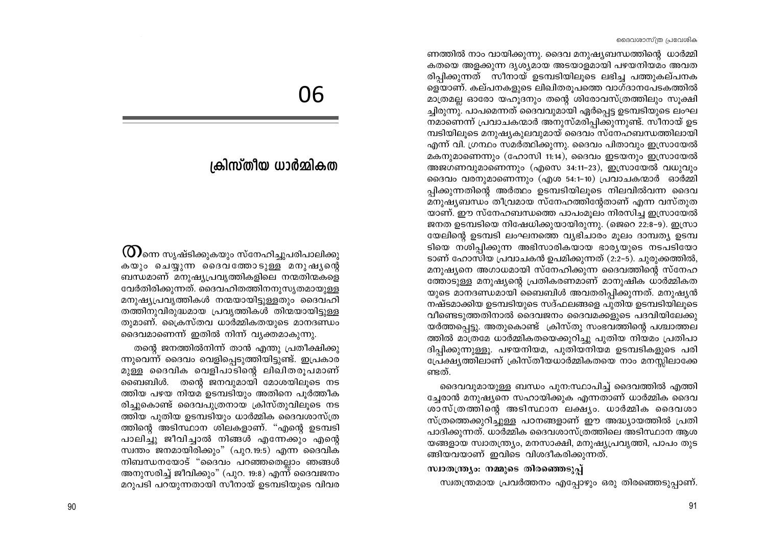ണത്തിൽ നാം വായിക്കുന്നു. ദൈവ മനുഷ്യബന്ധത്തിന്റെ ധാർമ്മി കതയെ അളക്കുന്ന ദൃശ്യമായ അടയാളമായി പഴയനിയമം അവത രിപിക്കുന്നത് സീനായ് ഉടമ്പടിയിലൂടെ ലഭിച്ച പത്തുകല്പനക ളെയാണ്. കല്പനകളുടെ ലിഖിതരുപത്തെ വാഗ്ദാനപേടകത്തിൽ മാത്രമല്ല ഓരോ യഹൂദനും തന്റെ ശിരോവസ്ത്രത്തിലും സൂക്ഷി ച്ചിരുന്നു. പാപമെന്നത് ദൈവവുമായി ഏർപ്പെട്ട ഉടമ്പടിയുടെ ലംഘ നമാണെന്ന് പ്രവാചകന്മാർ അനുസ്മരിപ്പിക്കുന്നുണ്ട്. സീനായ് ഉട ്മ്പടിയിലൂടെ മനുഷ്യകുലവുമായ് ദൈവം സ്നേഹബന്ധത്തിലായി എന്ന് വി. ഗ്രന്ഥം സമർത്ഥിക്കുന്നു. ദൈവം പിതാവും ഇസ്രായേൽ മകനുമാണെന്നും (ഹോസി 11:14), ദൈവം ഇടയനും ഇസ്രായേൽ അജഗണവുമാണെന്നും (എസെ 34:11-23), ഇസ്രായേൽ വധുവും ദൈവം വരനുമാണെന്നും (എശ 54:1-10) പ്രവാചകന്മാർ ഓർമ്മി പ്പിക്കുന്നതിന്റെ അർത്ഥം ഉടമ്പടിയിലുടെ നിലവിൽവന്ന ദൈവ മനുഷ്യബന്ധം തീവ്രമായ സ്നേഹത്തിന്റേതാണ് എന്ന വസ്തുത യാണ്. ഈ സ്നേഹബന്ധത്തെ പാപംമൂലം നിരസിച്ച ഇസ്രായേൽ ജനത ഉടമ്പടിയെ നിഷേധിക്കുയായിരുന്നു. (ജെറെ 22:8-9). ഇസ്രാ യേലിന്റെ ഉടമ്പടി ലംഘനത്തെ വ്യഭിചാരം മൂലം ദാമ്പത്യ ഉടമ്പ ടിയെ നശിപ്പിക്കുന്ന അഭിസാരികയായ ഭാര്യയുടെ നടപടിയോ ടാണ് ഹോസിയ പ്രവാചകൻ ഉപമിക്കുന്നത് (2:2–5). ചുരുക്കത്തിൽ, മനുഷ്യനെ അഗാധമായി സ്നേഹിക്കുന്ന ദൈവത്തിന്റെ സ്നേഹ ത്തോടുള്ള മനുഷ്യന്റെ പ്രതികരണമാണ് മാനുഷിക ധാർമ്മികത യുടെ മാനദണ്ഡമായി ബൈബിൾ അവതരിപ്പിക്കുന്നത്. മനുഷ്യൻ നഷ്ടമാക്കിയ ഉടമ്പടിയുടെ സദ്ഫലങ്ങളെ പുതിയ ഉടമ്പടിയിലൂടെ വീണ്ടെടുത്തതിനാൽ ദൈവജനം ദൈവമക്കളുടെ പദവിയിലേക്കു യർത്തപ്പെട്ടു. അതുകൊണ്ട് ക്രിസ്തു സംഭവത്തിന്റെ പശ്ചാത്തല ത്തിൽ മാത്രമേ ധാർമ്മികതയെക്കുറിച്ചു പുതിയ നിയമം പ്രതിപാ ദിപ്പിക്കുന്നുള്ളു. പഴയനിയമ, പുതിയനിയമ ഉടമ്പടികളുടെ പരി പ്രേക്ഷ്യത്തിലാണ് ക്രിസ്തീയധാർമ്മികതയെ നാം മനസ്സിലാക്കേ ണ്ടത്.

ദൈവവുമായുള്ള ബന്ധം പുന:സ്ഥാപിച്ച് ദൈവത്തിൽ എത്തി ച്ചേരാൻ മനുഷ്യനെ സഹായിക്കുക എന്നതാണ് ധാർമ്മിക ദൈവ ശാസ്ത്രത്തിന്റെ അടിസ്ഥാന ലക്ഷ്യം. ധാർമ്മിക ദൈവശാ സ്ത്രത്തെക്കുറിച്ചുള്ള പഠനങ്ങളാണ് ഈ അദ്ധ്യായത്തിൽ പ്രതി പാദിക്കുന്നത്. ധാർമ്മിക ദൈവശാസ്ത്രത്തിലെ അടിസ്ഥാന ആശ യങ്ങളായ സ്വാതന്ത്ര്യം, മനസാക്ഷി, മനുഷ്യപ്രവൃത്തി, പാപം തുട ങ്ങിയവയാണ് ഇവിടെ വിശദീകരിക്കുന്നത്.

#### സ്വാതന്ത്ര്യം: നമ്മുടെ തിരഞ്ഞെടുപ്പ്

സ്വതന്ത്രമായ പ്രവർത്തനം എപ്പോഴും ഒരു തിരഞ്ഞെടുപ്പാണ്.

# 06

# ക്രിസ്തീയ ധാർമ്മികത

 $\omega$ ിന്നെ സൃഷ്ടിക്കുകയും സ്നേഹിച്ചുപരിപാലിക്കു കയും ചെയ്യുന്ന ദൈവത്തോടുള്ള മനുഷൃന്റെ ബന്ധമാണ് മനുഷ്യപ്രവൃത്തികളിലെ നന്മതിന്മകളെ വേർതിരിക്കുന്നത്. ദൈവഹിതത്തിനനുസൃതമായുള്ള മനുഷ്യപ്രവൃത്തികൾ നന്മയായിട്ടുള്ളതും ദൈവഹി തത്തിനുവിരുദ്ധമായ പ്രവൃത്തികൾ തിന്മയായിട്ടുള്ള തുമാണ്. ക്രൈസ്തവ ധാർമ്മികതയുടെ മാനദണ്ഡം ദൈവമാണെന്ന് ഇതിൽ നിന്ന് വ്യക്തമാകുന്നു.

തന്റെ ജനത്തിൽനിന്ന് താൻ എന്തു പ്രതീക്ഷിക്കു ന്നുവെന്ന് ദൈവം വെളിപ്പെടുത്തിയിട്ടുണ്ട്. ഇപ്രകാര മുള്ള ദൈവിക വെളിപാടിന്റെ ലിഖിതരൂപമാണ് ബൈബിൾ. തന്റെ ജനവുമായി മോശയിലൂടെ നട ത്തിയ പഴയ നിയമ ഉടമ്പടിയും അതിനെ പൂർത്തീക രിച്ചുകൊണ്ട് ദൈവപുത്രനായ ക്രിസ്തുവിലൂടെ നട ത്തിയ പുതിയ ഉടമ്പടിയും ധാർമ്മിക ദൈവശാസ്ത്ര ത്തിന്റെ അടിസ്ഥാന ശിലകളാണ്. "എന്റെ ഉടമ്പടി പാലിച്ചു ജീവിച്ചാൽ നിങ്ങൾ എന്നേക്കും എന്റെ സ്വന്തം ജനമായിരിക്കും" (പുറ.19:5) എന്ന ദൈവിക നിബന്ധനയോട് "ദൈവം പറഞ്ഞതെല്ലാം ഞങ്ങൾ അനുസരിച്ച് ജീവിക്കും" (പുറ. 19:8) എന്ന് ദൈവജനം മറുപടി പറയുന്നതായി സീനായ് ഉടമ്പടിയുടെ വിവര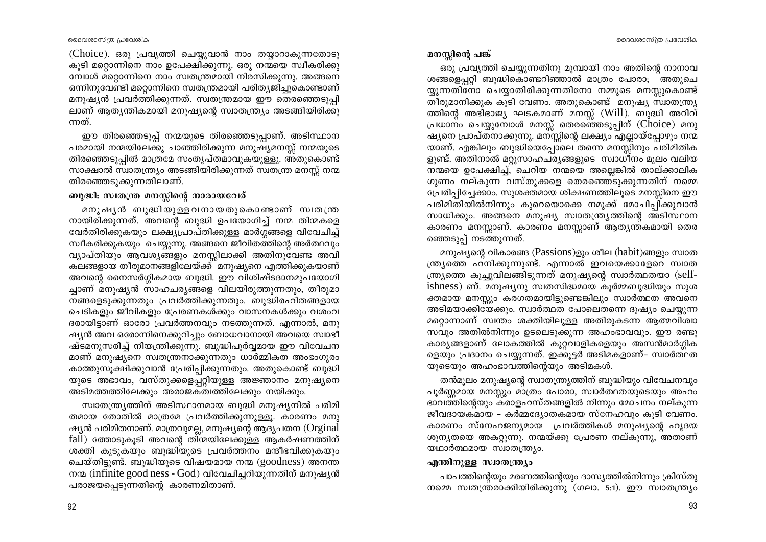(Choice). ഒരു പ്രവൃത്തി ചെയ്യുവാൻ നാം തയ്യാറാകുന്നതോടു കുടി മറ്റൊന്നിനെ നാം ഉപേക്ഷിക്കുന്നു. ഒരു നന്മയെ സ്ഥീകരിക്കു മ്പോൾ മറ്റൊന്നിനെ നാം സ്വതന്ത്രമായി നിരസിക്കുന്നു. അങ്ങനെ ഒന്നിനുവേണ്ടി മറ്റൊന്നിനെ സ്വതന്ത്രമായി പരിതൃജിച്ചുകൊണ്ടാണ് മനുഷ്യൻ പ്രവർത്തിക്കുന്നത്. സ്വതന്ത്രമായ ഈ തെരഞ്ഞെടുപ്പി ലാണ് ആതൃന്തികമായി മനുഷ്യന്റെ സ്വാതന്ത്ര്യം അടങ്ങിയിരിക്കു ന്നത്.

ഈ തിരഞ്ഞെടുപ്പ് നന്മയുടെ തിരഞ്ഞെടുപ്പാണ്. അടിസ്ഥാന പരമായി നന്മയിലേക്കു ചാഞ്ഞിരിക്കുന്ന മനുഷ്യമനസ്സ് നന്മയുടെ തിരഞ്ഞെടുപ്പിൽ മാത്രമേ സംതൃപ്തമാവുകയുള്ളൂ. അതുകൊണ്ട് സാക്ഷാൽ സ്വാതന്ത്ര്യം അടങ്ങിയിരിക്കുന്നത് സ്വതന്ത്ര മനസ്സ് നന്മ തിരഞ്ഞെടുക്കുന്നതിലാണ്.

# ബുദ്ധി: സ്വതന്ത്ര മനസ്സിന്റെ നാരായവേര്

മനുഷ്യൻ ബുദ്ധിയുള്ളവനായതുകൊണ്ടാണ് സ്വതന്ത്ര നായിരിക്കുന്നത്. അവന്റെ ബുദ്ധി ഉപയോഗിച്ച് നന്മ തിന്മകളെ വേർതിരിക്കുകയും ലക്ഷ്യപ്രാപ്തിക്കുള്ള മാർഗ്ഗങ്ങളെ വിവേചിച്ച് സ്ഥീകരിക്കുകയും ചെയ്യുന്നു. അങ്ങനെ ജീവിതത്തിന്റെ അർത്ഥവും വ്യാപ്തിയും ആവശ്യങ്ങളും മനസ്സിലാക്കി അതിനുവേണ്ട അവി കലങ്ങളായ തീരുമാനങ്ങളിലേയ്ക്ക്്മനുഷ്യനെ എത്തിക്കുകയാണ് അവന്റെ നൈസർഗ്ഗികമായ ബുദ്ധി. ഈ വിശിഷ്ടദാനമുപയോഗി ച്ചാണ് മനുഷ്യൻ സാഹചര്യങ്ങളെ വിലയിരുത്തുന്നതും, തീരുമാ നങ്ങളെടുക്കുന്നതും പ്രവർത്തിക്കുന്നതും. ബുദ്ധിരഹിതങ്ങളായ ചെടികളും ജീവികളും പ്രേരണകൾക്കും വാസനകൾക്കും വശംവ ദരായിട്ടാണ് ഓരോ പ്രവർത്തനവും നടത്തുന്നത്. എന്നാൽ, മനു ഷ്യൻ അവ ഒരോന്നിനെക്കുറിച്ചും ബോധവാനായി അവയെ സ്വാഭീ ഷ്ടമനുസരിച്ച് നിയന്ത്രിക്കുന്നു. ബുദ്ധിപൂർവ്വമായ ഈ വിവേചന മാണ് മനുഷ്യനെ സ്വതന്ത്രനാക്കുന്നതും ധാർമ്മികത അംഭംഗുരം കാത്തുസൂക്ഷിക്കുവാൻ പ്രേരിപ്പിക്കുന്നതും. അതുകൊണ്ട് ബുദ്ധി യുടെ അഭാവം, വസ്തുക്കളെപ്പറ്റിയുള്ള അജ്ഞാനം മനുഷ്യനെ അടിമത്തത്തിലേക്കും അരാജകത്വത്തിലേക്കും നയിക്കും.

സ്വാതന്ത്ര്യത്തിന് അടിസ്ഥാനമായ ബുദ്ധി മനുഷ്യനിൽ പരിമി തമായ തോതിൽ മാത്രമേ പ്രവർത്തിക്കുന്നുള്ളൂ. കാരണം മനു ഷ്യൻ പരിമിതനാണ്. മാത്രവുമല്ല, മനുഷ്യന്റെ ആദ്യപതന (Orginal fall) ത്തോടുകൂടി അവന്റെ തിന്മയിലേക്കുള്ള ആകർഷണത്തിന് ശക്തി കൂടുകയും ബുദ്ധിയുടെ പ്രവർത്തനം മന്ദീഭവിക്കുകയും ചെയ്തിട്ടുണ്ട്. ബുദ്ധിയുടെ വിഷയമായ നന്മ (goodness) അനന്ത നന്മ (infinite good ness - God) വിവേചിച്ചറിയുന്നതിന് മനുഷ്യൻ പരാജയപ്പെടുന്നതിന്റെ കാരണമിതാണ്.

# മനസ്സിന്റെ പങ്ക്

ഒരു പ്രവൃത്തി ചെയ്യുന്നതിനു മുമ്പായി നാം അതിന്റെ നാനാവ ശങ്ങളെപ്പറ്റി ബുദ്ധികൊണ്ടറിഞ്ഞാൽ മാത്രം പോരാ; ര്തതുചെ യ്യുന്നതിനോ ചെയ്യാതിരിക്കുന്നതിനോ നമ്മുടെ മനസ്സുകൊണ്ട് തീരുമാനിക്കുക കൂടി വേണം. അതുകൊണ്ട് മനുഷ്യ സ്വാതന്ത്ര്യ ത്തിന്റെ അഭിഭാജ്യ ഘടകമാണ് മനസ്സ് (Will). ബുദ്ധി അറിവ് പ്രധാനം ചെയ്യുമ്പോൾ മനസ്സ് തെരഞ്ഞെടുപ്പിന് (Choice) മനു ഷ്യനെ പ്രാപ്തനാക്കുന്നു. മനസ്സിന്റെ ലക്ഷ്യം എല്ലായ്പ്പോഴും നന്മ യാണ്. എങ്കിലും ബുദ്ധിയെപ്പോലെ തന്നെ മനസ്സിനും പരിമിതിക ളുണ്ട്. അതിനാൽ മറ്റുസാഹചര്യങ്ങളുടെ സ്വാധീനം മൂലം വലിയ നന്മയെ ഉപേക്ഷിച്ച്, ചെറിയ നന്മയെ അല്ലെങ്കിൽ താല്ക്കാലിക ഗുണം നല്കുന്ന വസ്തുക്കളെ തെരഞ്ഞെടുക്കുന്നതിന് നമ്മെ പ്രേരിപ്പിച്ചേക്കാം. സുശക്തമായ ശിക്ഷണത്തിലൂടെ മനസ്സിനെ ഈ പരിമിതിയിൽനിന്നും കുറെയൊക്കെ നമുക്ക് മോചിപ്പിക്കുവാൻ സാധിക്കും. അങ്ങനെ മനുഷ്യ സ്വാതന്ത്ര്യത്തിന്റെ അടിസ്ഥാന കാരണം മനസ്സാണ്. കാരണം മനസ്സാണ് ആതൃന്തകമായി തെര ഞ്ഞെടുപ്പ് നടത്തുന്നത്.

മനുഷ്യന്റെ വികാരങ്ങ (Passions)ളും ശീല (habit)ങ്ങളും സ്വാത ന്ത്ര്യത്തെ ഹനിക്കുന്നുണ്ട്. എന്നാൽ ഇവയെക്കാളേറെ സ്വാത ന്ത്ര്യത്തെ കുച്ചുവിലങ്ങിടുന്നത് മനുഷ്യന്റെ സ്വാർത്ഥതയാ (selfishness) ണ്. മനുഷ്യനു സ്വതസിദ്ധമായ കുർമ്മബുദ്ധിയും സുശ ക്തമായ മനസ്സും കരഗതമായിട്ടുണ്ടെങ്കിലും സ്വാർത്ഥത അവനെ അടിമയാക്കിയേക്കും. സ്വാർത്ഥത പോലെതന്നെ ദൂഷ്യം ചെയ്യുന്ന മറ്റൊന്നാണ് സ്വന്തം ശക്തിയിലുള്ള അതിരുകടന്ന ആത്മവിശ്വാ സവും അതിൽനിന്നും ഉടലെടുക്കുന്ന അഹംഭാവവും. ഈ രണ്ടു കാര്യങ്ങളാണ് ലോകത്തിൽ കുറ്റവാളികളെയും അസൻമാർഗ്ഗിക ളെയും പ്രദാനം ചെയ്യുന്നത്. ഇക്കൂട്ടർ അടിമകളാണ്– സ്വാർത്ഥത യുടെയും അഹംഭാവത്തിന്റെയും അടിമകൾ.

തൻമുലം മനുഷ്യന്റെ സ്വാതന്ത്ര്യത്തിന് ബുദ്ധിയും വിവേചനവും പൂർണ്ണമായ മനസ്സും മാത്രം പോരാ, സ്വാർത്ഥതയുടെയും അഹം ഭാവത്തിന്റെയും കരാളഹസ്തങ്ങളിൽ നിന്നും മോചനം നല്കുന്ന ജീവദായകമായ - കർമ്മദ്യോതകമായ സ്നേഹവും കൂടി വേണം. കാരണം സ്നേഹജന്യമായ പ്രവർത്തികൾ മനുഷ്യന്റെ ഹൃദയ ശൂന്യതയെ അകറ്റുന്നു. നന്മയ്ക്കു പ്രേരണ നല്കുന്നു, അതാണ് യഥാർത്ഥമായ സ്വാതന്ത്ര്യം.

#### എന്തിനുള്ള സ്വാതന്ത്ര്യം

പാപത്തിന്റെയും മരണത്തിന്റെയും ദാസ്യത്തിൽനിന്നും ക്രിസ്തു നമ്മെ സ്വതന്ത്രരാക്കിയിരിക്കുന്നു (ഗലാ. 5:1). ഈ സ്വാതന്ത്ര്യം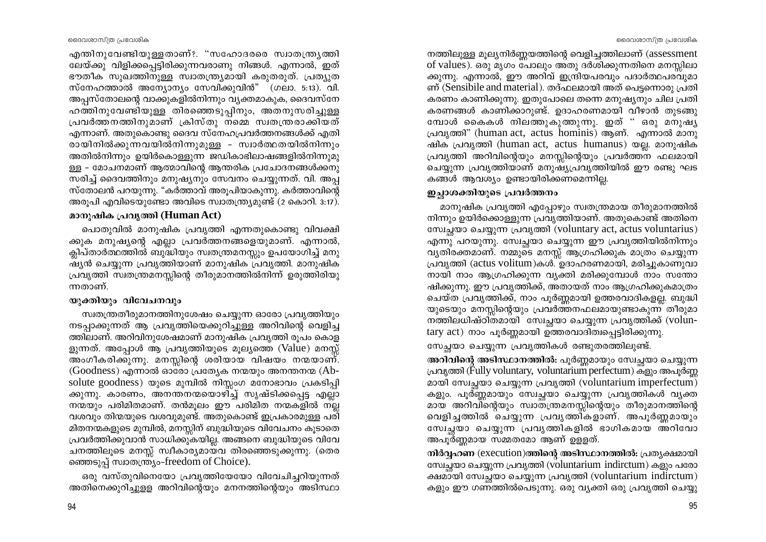ലേയ്ക്കു വിളിക്കപ്പെട്ടിരിക്കുന്നവരാണു നിങ്ങൾ. എന്നാൽ, ഇത് ഭൗതീക സൂഖത്തിനുള്ള സ്വാതന്ത്ര്യമായി കരുതരുത്. പ്രത്യുത സ്നേഹത്താൽ അന്യോന്യം സേവിക്കുവിൻ" (ഗലാ. 5:13). വി. അപ്പസ്തോലന്റെ വാക്കുകളിൽനിന്നും വ്യക്തമാകുക, ദൈവസ്നേ ഹത്തിനുവേണ്ടിയുള്ള തിരഞ്ഞെടുപ്പിനും, അതനുസരിച്ചുള്ള പ്രവർത്തനത്തിനുമാണ് ക്രിസ്തു നമ്മെ സ്വതന്ത്രരാക്കിയത് എന്നാണ്. അതുകൊണ്ടു ദൈവ സ്നേഹപ്രവർത്തനങ്ങൾക്ക് എതി രായിനിൽക്കുന്നവയിൽനിന്നുമുള്ള - സ്വാർത്ഥതയിൽനിന്നും അതിൽനിന്നും ഉയിർകൊള്ളുന്ന ജഡികാഭിലാഷങ്ങളിൽനിന്നുമു ള്ള - മോചനമാണ് ആത്മാവിന്റെ ആന്തരിക പ്രചോദനങ്ങൾക്കനു സരിച്ച് ദൈവത്തിനും മനുഷ്യനും സേവനം ചെയ്യുന്നത്. വി. അപ്പ സ്തോലൻ പറയുന്നു. "കർത്താവ് അരുപിയാകുന്നു. കർത്താവിന്റെ അരൂപി എവിടെയുണ്ടോ അവിടെ സ്വാതന്ത്ര്യമുണ്ട് (2 കൊറി. 3:17).

എന്തിനുവേണ്ടിയുള്ളതാണ്?. "സഹോദരരെ സ്വാതന്ത്ര്യത്തി

# മാനുഷിക പ്രവൃത്തി (Human Act)

പൊതുവിൽ മാനുഷിക പ്രവൃത്തി എന്നതുകൊണ്ടു വിവക്ഷി ക്കുക മനുഷ്യന്റെ എല്ലാ പ്രവർത്തനങ്ങളെയുമാണ്. എന്നാൽ, ക്ലിപ്താർത്ഥത്തിൽ ബുദ്ധിയും സ്വതന്ത്രമനസ്സും ഉപയോഗിച്ച് മനു ഷ്യൻ ചെയ്യുന്ന പ്രവൃത്തിയാണ് മാനുഷിക പ്രവൃത്തി. മാനുഷിക പ്രവൃത്തി സ്വതന്ത്രമനസ്സിന്റെ തീരുമാനത്തിൽനിന്ന് ഉരുത്തിരിയു ന്നതാണ്.

#### യുക്തിയും വിവേചനവും

സ്വതന്ത്രതീരുമാനത്തിനുശേഷം ചെയ്യുന്ന ഓരോ പ്രവൃത്തിയും നടപ്പാക്കുന്നത് ആ പ്രവൃത്തിയെക്കുറിച്ചുള്ള അറിവിന്റെ വെളിച്ച ത്തിലാണ്. അറിവിനുശേഷമാണ് മാനുഷിക പ്രവൃത്തി രൂപം കൊള ളുന്നത്. അപ്പോൾ ആ പ്രവൃത്തിയുടെ മൂല്യത്തെ (Value) മനസ്സ് അംഗീകരിക്കുന്നു. മനസ്സിന്റെ ശരിയായ വിഷയം നന്മയാണ്.  $(Goodness)$  എന്നാൽ ഓരോ പ്രത്യേക നന്മയും അനന്തനന്മ (Absolute goodness) യുടെ മുമ്പിൽ നിസ്സംഗ മനോഭാവം പ്രകടിപ്പി ക്കുന്നു. കാരണം, അനന്തനന്മയൊഴിച്ച് സൃഷ്ടിക്കപ്പെട്ട എല്ലാ നന്മയും പരിമിതമാണ്. തൻമുലം ഈ പരിമിത നന്മകളിൽ നല്ല വശവും തിന്മയുടെ വശവുമുണ്ട്. അതുകൊണ്ട് ഇപ്രകാരമുള്ള പരി മിതനന്മകളുടെ മുമ്പിൽ, മനസ്സിന് ബുദ്ധിയുടെ വിവേചനം കൂടാതെ പ്രവർത്തിക്കുവാൻ സാധിക്കുകയില്ല. അങ്ങനെ ബുദ്ധിയുടെ വിവേ ചനത്തിലൂടെ മനസ്സ് സ്വീകാര്യമായവ തിരഞ്ഞെടുക്കുന്നു. (തെര ഞ്ഞെടുപ്പ് സ്വാതന്ത്ര്യം-freedom of Choice).

ഒരു വസ്തുവിനെയോ പ്രവൃത്തിയേയോ വിവേചിച്ചറിയുന്നത് അതിനെക്കുറിച്ചുളള അറിവിന്റെയും മനനത്തിന്റെയും അടിസ്ഥാ

#### ദൈവശാസ്ത്ര പ്രവേശിക

നത്തിലുള്ള മൂല്യനിർണ്ണയത്തിന്റെ വെളിച്ചത്തിലാണ് (assessment of values). ഒരു മൃഗം പോലും അതു ദർശിക്കുന്നതിനെ മനസിലാ ക്കുന്നു. എന്നാൽ, ഈ അറിവ് ഇന്ദ്രിയപരവും പദാർത്ഥപരവുമാ ണ് (Sensibile and material). തദ്ഫലമായി അത് പെട്ടന്നൊരു പ്രതി കരണം കാണിക്കുന്നു. ഇതുപോലെ തന്നെ മനുഷ്യനും ചില പ്രതി കരണങ്ങൾ കാണിക്കാറുണ്ട്. ഉദാഹരണമായി വീഴാൻ തുടങ്ങു മ്പോൾ കൈകൾ നിലത്തുകുത്തുന്നു. ഇത് " ഒരു മനുഷ്യ പ്രവൃത്തി" (human act, actus hominis) ആണ്. എന്നാൽ മാനു ഷിക പ്രവൃത്തി (human act, actus humanus) യല്ല. മാനുഷിക പ്രവൃത്തി അറിവിന്റെയും മനസ്സിന്റെയും പ്രവർത്തന ഫലമായി ചെയ്യുന്ന പ്രവൃത്തിയാണ് മനുഷ്യപ്രവൃത്തിയിൽ ഈ രണ്ടു ഘട കങ്ങൾ ആവശ്യം ഉണ്ടായിരിക്കണമെന്നില്ല.

# ഇച്ചാശക്തിയുടെ പ്രവർത്തനം

മാനുഷിക പ്രവൃത്തി എപ്പോഴും സ്വതന്ത്രമായ തീരുമാനത്തിൽ നിന്നും ഉയിർക്കൊള്ളുന്ന പ്രവൃത്തിയാണ്. അതുകൊണ്ട് അതിനെ ഡേച്ചയാ ചെയ്യുന്ന പ്രവൃത്തി (voluntary act, actus voluntarius) എന്നു പറയുന്നു. സ്വേച്ചയാ ചെയ്യുന്ന ഈ പ്രവൃത്തിയിൽനിന്നും വൃതിരക്തമാണ്. നമ്മുടെ മനസ്സ് ആഗ്രഹിക്കുക മാത്രം ചെയ്യുന്ന പ്രവൃത്തി (actus volitum)കൾ. ഉദാഹരണമായി, മരിച്ചുകാണുവാ നായി നാം ആഗ്രഹിക്കുന്ന വ്യക്തി മരിക്കുമ്പോൾ നാം സന്തോ ഷിക്കുന്നു. ഈ പ്രവൃത്തിക്ക്, അതായത് നാം ആഗ്രഹിക്കുകമാത്രം 'ചെയ്ത പ്രവൃത്തിക്ക്, നാം പൂർണ്ണമായി ഉത്തരവാദികളല്ല. ബുദ്ധി യുടെയും മനസ്സിന്റെയും പ്രവർത്തനഫലമായുണ്ടാകുന്ന തീരുമാ നത്തിലധിഷ്ഠിതമായി സേച്ചയാ ചെയ്യുന്ന പ്രവൃത്തിക്ക് (voluntary act) നാം പൂർണ്ണമായി ഉത്തരവാദിത്വപ്പെട്ടിരിക്കുന്നു.

സേച്ഛയാ ചെയ്യുന്ന പ്രവൃത്തികൾ രണ്ടുതരത്തിലുണ്ട്.

അറിവിന്റെ അടിസ്ഥാനത്തിൽ: പൂർണ്ണമായും സ്വേച്ഛയാ ചെയ്യുന്ന പ്രവൃത്തി (Fully voluntary, voluntarium perfectum) കളും അപൂർണ മായി സേച്ചയാ ചെയ്യുന്ന പ്രവൃത്തി (voluntarium imperfectum) കളും. പൂർണ്ണമായും സേച്ചയാ ചെയ്യുന്ന പ്രവൃത്തികൾ വൃക്ത മായ അറിവിന്റെയും സ്വാത്ത്രമനസ്സിന്റെയും തീരുമാനത്തിന്റെ വെളിച്ചത്തിൽ ചെയ്യുന്ന പ്രവൃത്തികളാണ്. അപൂർണ്ണമായും സേച്ചയാ ചെയ്യുന്ന പ്രവൃത്തികളിൽ ഭാഗികമായ അറിവോ അപൂർണ്ണമായ സമ്മതമോ ആണ് ഉള്ളത്.

നിർവ്വഹണ (execution)ത്തിന്റെ അടിസ്ഥാനത്തിൽ: പ്രത്യക്ഷമായി സേച്ചയാ ചെയ്യുന്ന പ്രവൃത്തി (voluntarium indirctum) കളും പരോ ക്ഷമായി സേച്ഛയാ ചെയ്യുന്ന പ്രവൃത്തി (voluntarium indirctum) കളും ഈ ഗണത്തിൽപെടുന്നു. ഒരു വൃക്തി ഒരു പ്രവൃത്തി ചെയ്യു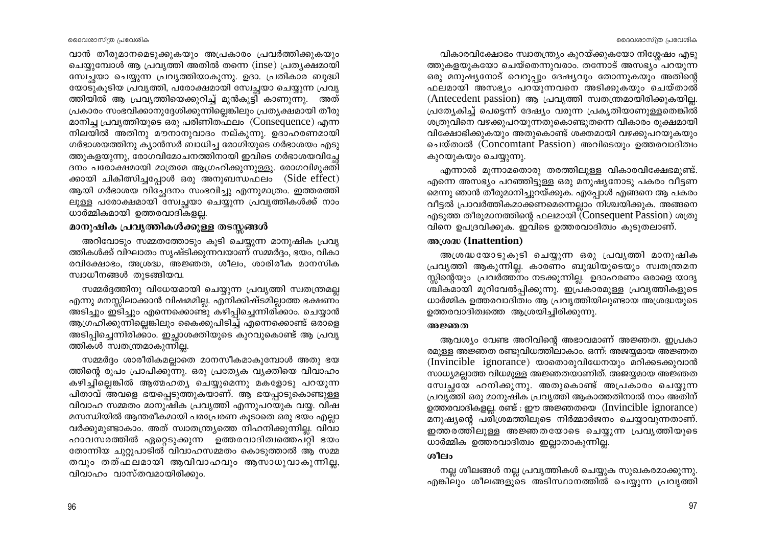ദൈവശാസ്ത്ര പ്രവേശിക

വാൻ തീരുമാനമെടുക്കുകയും അപ്രകാരം പ്രവർത്തിക്കുകയും ചെയ്യുമ്പോൾ ആ പ്രവൃത്തി അതിൽ തന്നെ (inse) പ്രത്യക്ഷമായി സ്വേച്ചയാ ചെയ്യുന്ന പ്രവൃത്തിയാകുന്നു. ഉദാ. പ്രതികാര ബുദ്ധി യോടുകുടിയ പ്രവൃത്തി, പരോക്ഷമായി സ്വേച്ചയാ ചെയ്യുന്ന പ്രവൃ ത്തിയിൽ ആ പ്രവൃത്തിയെക്കുറിച്ച് മുൻകൂട്ടി് കാണുന്നു. അത് പ്രകാരം സംഭവിക്കാനുദ്ദേശിക്കുന്നില്ലെങ്കിലും പ്രത്യക്ഷമായി തീരു മാനിച്ച പ്രവൃത്തിയുടെ ഒരു പരിണിതഫലം (Consequence) എന്ന നിലയിൽ അതിനു മൗനാനുവാദം നല്കുന്നു. ഉദാഹരണമായി ഗർഭാശയത്തിനു ക്യാൻസർ ബാധിച്ച രോഗിയുടെ ഗർഭാശയം എടു ത്തുകളയുന്നു, രോഗവിമോചനത്തിനായി ഇവിടെ ഗർഭാശയവിച്ചേ ദനം പരോക്ഷമായി മാത്രമേ ആഗ്രഹിക്കുന്നുള്ളു. രോഗവിമുക്തി ക്കായി ചികിത്സിച്ചപ്പോൾ ഒരു അനുബന്ധഫലം (Side effect) ആയി ഗർഭാശയ വിച്ചേദനം സംഭവിച്ചു എന്നുമാത്രം. ഇത്തരത്തി ലുള്ള പരോക്ഷമായി സ്വേച്ഛയാ ചെയ്യുന്ന പ്രവൃത്തികൾക്ക് നാം ധാർമ്മികമായി ഉത്തരവാദികളല്ല.

# മാനുഷിക പ്രവൃത്തികൾക്കുള്ള തടസ്സങ്ങൾ

അറിവോടും സമ്മതത്തോടും കുടി ചെയ്യുന്ന മാനുഷിക പ്രവൃ ത്തികൾക്ക് വിഘാതം സൃഷ്ടിക്കുന്നവയാണ് സമ്മർദ്ദം, ഭയം, വികാ രവിക്ഷോഭം, അശ്രദ്ധ, അജ്ഞത, ശീലം, ശാരിരീക മാനസിക സ്വാധീനങ്ങൾ തുടങ്ങിയവ.

സമ്മർദ്ദത്തിനു വിധേയമായി ചെയ്യുന്ന പ്രവൃത്തി സ്വതന്ത്രമല്ല എന്നു മനസ്സിലാക്കാൻ വിഷമമില്ല. എനിക്കിഷ്ടമില്ലാത്ത ഭക്ഷണം അടിച്ചും ഇടിച്ചും എന്നെക്കൊണ്ടു കഴിപ്പിച്ചെന്നിരിക്കാം. ചെയ്യാൻ ആഗ്രഹിക്കുന്നില്ലെങ്കിലും കൈക്കുപിടിച്ച് എന്നെക്കൊണ്ട് ഒരാളെ അടിപ്പിച്ചെന്നിരിക്കാം. ഇച്ഛാശക്തിയുടെ കുറവുകൊണ്ട് ആ പ്രവൃ ത്തികൾ സ്വതന്ത്രമാകുന്നില്ല.

സമ്മർദ്ദം ശാരീരികമല്ലാതെ മാനസീകമാകുമ്പോൾ അതു ഭയ ത്തിന്റെ രൂപം പ്രാപിക്കുന്നു. ഒരു പ്രത്യേക വ്യക്തിയെ വിവാഹം കഴിച്ചില്ലെങ്കിൽ ആത്മഹത്യ ചെയ്യുമെന്നു മകളോടു പറയുന്ന പിതാവ് അവളെ ഭയപ്പെടുത്തുകയാണ്. ആ ഭയപ്പാടുകൊണ്ടുള്ള വിവാഹ സമ്മതം മാനുഷിക പ്രവൃത്തി എന്നുപറയുക വയ്യ. വിഷ മസന്ധിയിൽ ആന്തരീകമായി പരപ്രേരണ കൂടാതെ ഒരു ഭയം എല്ലാ വർക്കുമുണ്ടാകാം. അത് സ്വാതന്ത്ര്യത്തെ നിഹനിക്കുന്നില്ല. വിവാ ഹാവസരത്തിൽ ഏറ്റെടുക്കുന്ന ഉത്തരവാദിത്വത്തെപറ്റി ഭയം തോന്നിയ ചുറ്റുപാടിൽ വിവാഹസമ്മതം കൊടുത്താൽ ആ സമ്മ തവും തത്ഫലമായി ആവിവാഹവും ആസാധുവാകുന്നില്ല, വിവാഹം വാസ്തവമായിരിക്കും.

വികാരവിക്ഷോഭം സ്വാതന്ത്ര്യം കുറയ്ക്കുകയോ നിശ്ശേഷം എടു ത്തുകളയുകയോ ചെയ്തെന്നുവരാം. തന്നോട് അസഭ്യം പറയുന്ന ഒരു മനുഷ്യനോട് വെറുപ്പും ദേഷ്യവും തോന്നുകയും അതിന്റെ ഫലമായി അസഭ്യം പറയുന്നവനെ അടിക്കുകയും ചെയ്താൽ (Antecedent passion) ആ പ്രവൃത്തി സ്വതന്ത്രമായിരിക്കുകയില്ല. പ്രത്യേകിച്ച് പെട്ടെന്ന് ദേഷ്യം വരുന്ന പ്രകൃതിയാണുള്ളതെങ്കിൽ ശത്രുവിനെ വഴക്കുപറയുന്നതുകൊണ്ടുതന്നെ വികാരം രുക്ഷമായി വിക്ഷോഭിക്കുകയും അതുകൊണ്ട് ശക്തമായി വഴക്കുപറയുകയും ചെയ്താൽ (Concomtant Passion) അവിടെയും ഉത്തരവാദിത്വം കുറയുകയും ചെയ്യുന്നു.

എന്നാൽ മൂന്നാമതൊരു തരത്തിലുള്ള വികാരവിക്ഷേഭമുണ്ട്. എന്നെ അസഭ്യം പറഞ്ഞിട്ടുള്ള ഒരു മനുഷ്യനോടു പകരം വീട്ടണ മെന്നു ഞാൻ തീരുമാനിച്ചുറയ്ക്കുക. എപ്പോൾ എങ്ങനെ ആ പകരം വീട്ടൽ പ്രാവർത്തികമാക്കണമെന്നെല്ലാം നിശ്ചയിക്കുക. അങ്ങനെ എടുത്ത തീരുമാനത്തിന്റെ ഫലമായി (Consequent Passion) ശത്രു വിനെ ഉപദ്രവിക്കുക. ഇവിടെ ഉത്തരവാദിത്വം കുടുതലാണ്.

#### അശ്രദ്ധ (Inattention)

അശ്രദ്ധയോടുകൂടി ചെയ്യുന്ന ഒരു പ്രവൃത്തി മാനുഷിക പ്രവൃത്തി ആകുന്നില്ല. കാരണം ബുദ്ധിയുടെയും സ്വതന്ത്രമന സ്സിന്റെയും പ്രവർത്തനം നടക്കുന്നില്ല. ഉദാഹരണം ഒരാളെ യാദൃ ശ്ചികമായി മുറിവേൽപ്പിക്കുന്നു. ഇപ്രകാരമുള്ള പ്രവൃത്തികളുടെ ധാർമ്മിക ഉത്തരവാദിത്വം ആ പ്രവൃത്തിയിലുണ്ടായ അശ്രദ്ധയുടെ ഉത്തരവാദിത്വത്തെ ആശ്രയിച്ചിരിക്കുന്നു.

#### അജ്ഞത

ആവശ്യം വേണ്ട അറിവിന്റെ അഭാവമാണ് അജ്ഞത. ഇപ്രകാ രമുള്ള അജ്ഞത രണ്ടുവിധത്തിലാകാം. ഒന്ന്: അജയ്യമായ അജ്ഞത (Invincible ignorance) യാതൊരുവിധേനയും മറിക്കടക്കുവാൻ സാധ്യമല്ലാത്ത വിധമുള്ള അജ്ഞതയാണിത്. അജയ്യമായ അജ്ഞത സ്വേച്ചയേ ഹനിക്കുന്നു. അതുകൊണ്ട് അപ്രകാരം ചെയ്യുന്ന പ്രവൃത്തി ഒരു മാനുഷിക പ്രവൃത്തി ആകാത്തതിനാൽ നാം അതിന് ഉത്തരവാദികളല്ല. രണ്ട് : ഈ അജ്ഞതയെ (Invincible ignorance) മനുഷ്യന്റെ പരിശ്രമത്തിലൂടെ നിർമ്മാർജനം ചെയ്യാവുന്നതാണ്. ഇത്തരത്തിലുള്ള അജ്ഞതയോടെ ചെയ്യുന്ന പ്രവൃത്തിയുടെ ധാർമ്മിക ഉത്തരവാദിത്വം ഇല്ലാതാകുന്നില്ല.

# ശീലം

നല്ല ശീലങ്ങൾ നല്ല പ്രവൃത്തികൾ ചെയ്യുക സുഖകരമാക്കുന്നു. എങ്കിലും ശീലങ്ങളുടെ അടിസ്ഥാനത്തിൽ ചെയ്യുന്ന പ്രവൃത്തി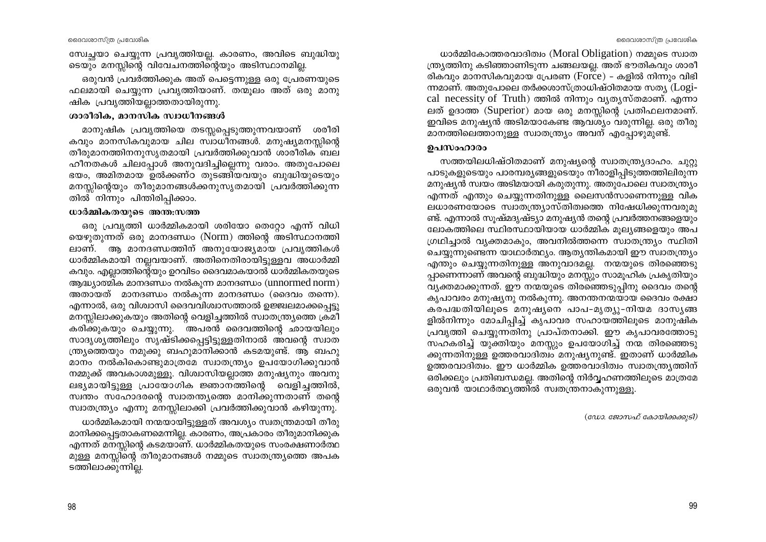സ്വേച്ചയാ ചെയ്യുന്ന പ്രവൃത്തിയല്ല. കാരണം, അവിടെ ബുദ്ധിയു ടെയും മനസ്സിന്റെ വിവേചനത്തിന്റെയും അടിസ്ഥാനമില്ല.

ഒരുവൻ പ്രവർത്തിക്കുക അത് പെട്ടെന്നുള്ള ഒരു പ്രേരണയുടെ ഫലമായി ചെയ്യുന്ന പ്രവൃത്തിയാണ്. തന്മുലം അത് ഒരു മാനു ഷിക പ്രവൃത്തിയല്ലാത്തതായിരുന്നു.

#### ശാരീരിക, മാനസിക സ്വാധീനങ്ങൾ

മാനുഷിക പ്രവൃത്തിയെ തടസ്സപ്പെടുത്തുന്നവയാണ് ശരീരി കവും മാനസികവുമായ ചില സ്ഥാധീനങ്ങൾ. മനുഷ്യമനസ്സിന്റെ തീരുമാനത്തിനനുസൃതമായി പ്രവർത്തിക്കുവാൻ ശാരീരിക ബല ഹീനതകൾ ചിലപ്പോൾ അനുവദിച്ചില്ലെന്നു വരാം. അതുപോലെ ഭയം, അമിതമായ ഉൽക്കണ്ഠ തുടങ്ങിയവയും ബുദ്ധിയുടെയും മനസ്സിന്റെയും തീരുമാനങ്ങൾക്കനുസൃതമായി പ്രവർത്തിക്കുന്ന തിൽ നിന്നും പിന്തിരിപ്പിക്കാം.

#### ധാർമ്മികതയുടെ അന്ത;സത്ത

ഒരു പ്രവൃത്തി ധാർമ്മികമായി ശരിയോ തെറ്റോ എന്ന് വിധി യെഴുതുന്നത് ഒരു മാനദണ്ഡം (Norm) ത്തിന്റെ അടിസ്ഥാനത്തി ലാണ്. ആ മാനദണ്ഡത്തിന് അനുയോജ്യമായ പ്രവൃത്തികൾ ധാർമ്മികമായി നല്ലവയാണ്. അതിനെതിരായിട്ടുള്ളവ അധാർമ്മി കവും. എല്ലാത്തിന്റെയും ഉറവിടം ദൈവമാകയാൽ ധാർമ്മികതയുടെ ആദ്ധ്യാത്മിക മാനദണ്ഡം നൽകുന്ന മാനദണ്ഡം (unnormed norm) അതായത് മാനദണ്ഡം നൽകുന്ന മാനദണ്ഡം (ദൈവം തന്നെ). എന്നാൽ, ഒരു വിശ്വാസി ദൈവവിശ്വാസത്താൽ ഉജ്ജ്വലമാക്കപ്പെട്ടു മനസ്സിലാക്കുകയും അതിന്റെ വെളിച്ചത്തിൽ സ്വാതന്ത്ര്യത്തെ ക്രമീ കരിക്കുകയും ചെയ്യുന്നു. അപരൻ ദൈവത്തിന്റെ ഛായയിലും സാദൃശ്യത്തിലും സൃഷ്ടിക്കപ്പെട്ടിട്ടുള്ളതിനാൽ അവന്റെ സ്വാത ന്ത്ര്യത്തെയും നമുക്കു ബഹുമാനിക്കാൻ കടമയുണ്ട്. ആ ബഹു മാനം നൽകികൊണ്ടുമാത്രമേ സ്വാതന്ത്ര്യം ഉപയോഗിക്കുവാൻ നമ്മുക്ക് അവകാശമുള്ളൂ. വിശ്വാസിയല്ലാത്ത മനുഷ്യനും അവനു ലഭ്യമായിട്ടുള്ള പ്രായോഗിക ജ്ഞാനത്തിന്റെ വെളിച്ചത്തിൽ, സ്വന്തം സഹോദരന്റെ സ്വാതന്ത്യത്തെ മാനിക്കുന്നതാണ് തന്റെ സ്വാതന്ത്ര്യം എന്നു മനസ്സിലാക്കി പ്രവർത്തിക്കുവാൻ കഴിയുന്നു.

ധാർമ്മികമായി നന്മയായിട്ടുള്ളത് അവശ്യം സ്വതന്ത്രമായി തീരു മാനിക്കപ്പെട്ടതാകണമെന്നില്ല. കാരണം, അപ്രകാരം തീരുമാനിക്കുക എന്നത് മനസ്സിന്റെ കടമയാണ്. ധാർമ്മികതയുടെ സംരക്ഷണാർത്ഥ മുള്ള മനസ്സിന്റെ തീരുമാനങ്ങൾ നമ്മുടെ സ്വാതന്ത്ര്യത്തെ അപക ടത്തിലാക്കുന്നില്ല.

ധാർമ്മികോത്തരവാദിത്വം (Moral Obligation) നമ്മുടെ സ്വാത ന്ത്ര്യത്തിനു കടിഞ്ഞാണിടുന്ന ചങ്ങലയല്ല. അത് ഭൗതികവും ശാരീ രികവും മാനസികവുമായ പ്രേരണ ( $\overline{\text{Force}}$ ) - കളിൽ നിന്നും വിഭി ന്നമാണ്. അതുപോലെ തർക്കശാസ്ത്രാധിഷ്ഠിതമായ സത്യ (Logical necessity of Truth) ത്തിൽ നിന്നും വ്യത്യസ്തമാണ്. എന്നാ ലത് ഉദാത്ത (Superior) മായ ഒരു മനസ്സിന്റെ പ്രതിഫലനമാണ്. ഇവിടെ മനുഷ്യൻ അടിമയാകേണ്ട ആവശ്യം വരുന്നില്ല. ഒരു തീരു മാനത്തിലെത്താനുള്ള സ്വാതന്ത്ര്യം അവന് എപ്പോഴുമുണ്ട്.

#### ഉപസംഹാരം

സത്തയിലധിഷ്ഠിതമാണ് മനുഷ്യന്റെ സ്വാതന്ത്ര്യദാഹം. ചുറ്റു പാടുകളുടെയും പാരമ്പര്യങ്ങളുടെയും നീരാളിപ്പിടുത്തത്തിലിരുന്ന മനുഷ്യൻ സ്വയം അടിമയായി കരുതുന്നു. അതുപോലെ സ്വാതന്ത്ര്യം എന്നത് എന്തും ചെയ്യുന്നതിനുള്ള ലൈസൻസാണെന്നുള്ള വിക ലധാരണയോടെ സ്വാതന്ത്ര്യാസ്തിത്വത്തെ നിഷേധിക്കുന്നവരുമു ണ്ട്. എന്നാൽ സുഷ്മദൃഷ്ട്യാ മനുഷ്യൻ തന്റെ പ്രവർത്തനങ്ങളെയും ലോകത്തിലെ സ്ഥിരസ്ഥായിയായ ധാർമ്മിക മൂല്യങ്ങളെയും അപ ഗ്രഥിച്ചാൽ വ്യക്തമാകും, അവനിൽത്തന്നെ സ്വാതന്ത്ര്യം സ്ഥിതി ചെയ്യുന്നുണ്ടെന്ന യാഥാർത്ഥ്യം. ആത്യന്തികമായി ഈ സ്വാതന്ത്ര്യം എന്തും ചെയ്യുന്നതിനുള്ള അനുവാദമല്ല. നന്മയുടെ തിരഞ്ഞെടു പ്പാണെന്നാണ് അവന്റെ ബുദ്ധിയും മനസ്സും സാമൂഹിക പ്രകൃതിയും വ്യക്തമാക്കുന്നത്. ഈ നന്മയുടെ തിരഞ്ഞെടുപ്പിനു ദൈവം തന്റെ കൃപാവരം മനുഷ്യനു നൽകുന്നു. അനന്തനന്മയായ ദൈവം രക്ഷാ കരപദ്ധതിയിലുടെ മനുഷ്യനെ പാപ-മൃത്യു-നിയമ ദാസ്യങ്ങ ളിൽനിന്നും മോചിപ്പിച്ച് കൃപാവര സഹായത്തിലൂടെ മാനുഷിക പ്രവൃത്തി ചെയ്യന്നതിനു പ്രാപ്തനാക്കി. ഈ കൃപാവരത്തോടു സഹകരിച്ച് യുക്തിയും മനസ്സും ഉപയോഗിച്ച് നന്മ തിരഞ്ഞെടു ക്കുന്നതിനുള്ള ഉത്തരവാദിത്വം മനുഷ്യനുണ്ട്. ഇതാണ് ധാർമ്മിക ഉത്തരവാദിത്വം. ഈ ധാർമ്മിക ഉത്തരവാദിത്വം സ്വാതന്ത്ര്യത്തിന് ഒരിക്കലും പ്രതിബന്ധമല്ല. അതിന്റെ നിർവ്വഹണത്തിലൂടെ മാത്രമേ ഒരുവൻ യാഥാർത്ഥ്യത്തിൽ സ്വതന്ത്രനാകുന്നുള്ളൂ.

(ഡോ. ജോസഫ് കോയിക്കക്കുടി)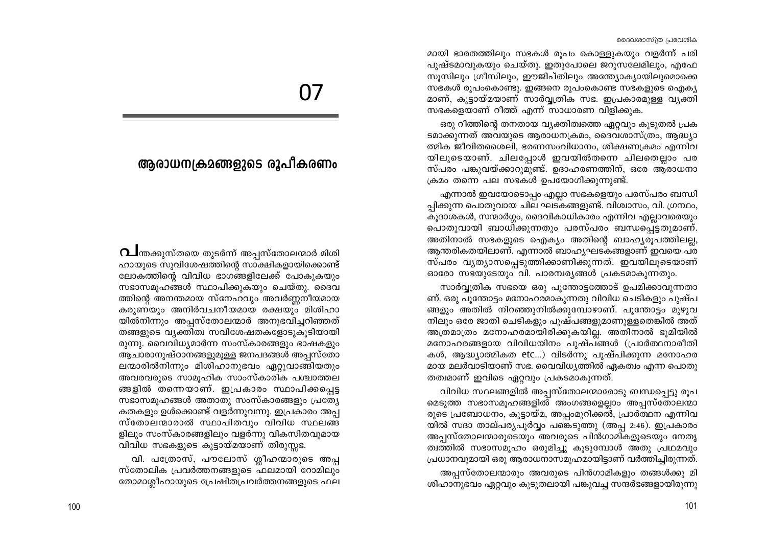മായി ഭാരതത്തിലും സഭകൾ രൂപം കൊള്ളുകയും വളർന്ന് പരി പുഷ്ടമാവുകയും ചെയ്തു. ഇതുപോലെ ജറുസലേമിലും, എഫേ സുസിലും ഗ്രീസിലും, ഈജിപ്തിലും അന്ത്യോക്യായിലുമൊക്കെ സഭകൾ രൂപംകൊണ്ടു. ഇങ്ങനെ രൂപംകൊണ്ട സഭകളുടെ ഐക്യ മാണ്, കൂട്ടായ്മയാണ് സാർവ്വത്രിക സഭ. ഇപ്രകാരമുള്ള വ്യക്തി സഭകളെയാണ് റീത്ത് എന്ന് സാധാരണ വിളിക്കുക.

ഒരു റീത്തിന്റെ തനതായ വ്യക്തിത്വത്തെ ഏറ്റവും കുടുതൽ പ്രക ടമാക്കുന്നത് അവയുടെ ആരാധനക്രമം, ദൈവശാസ്ത്രം, ആദ്ധ്യാ ത്മിക ജീവിതശൈലി, ഭരണസംവിധാനം, ശിക്ഷണക്രമം എന്നിവ യിലൂടെയാണ്. ചിലപ്പോൾ ഇവയിൽതന്നെ ചിലതെല്ലാം പര സ്പരം പങ്കുവയ്ക്കാറുമുണ്ട്. ഉദാഹരണത്തിന്, ഒരേ ആരാധനാ ക്രമം തന്നെ പല സഭകൾ ഉപയോഗിക്കുന്നുണ്ട്.

എന്നാൽ ഇവയോടൊപ്പം എല്ലാ സഭകളെയും പരസ്പരം ബന്ധി പ്പിക്കുന്ന പൊതുവായ ചില ഘട്കങ്ങളുണ്ട്. വിശ്വാസം, വി. ഗ്രന്ഥം, കുദാശകൾ, സന്മാർഗ്ഗം, ദൈവികാധികാരം എന്നിവ എല്ലാവരെയും പൊതുവായി ബാധിക്കുന്നതും പരസ്പരം ബന്ധപ്പെട്ടതുമാണ്. അതിനാൽ സഭകളുടെ ഐക്യം അതിന്റെ ബാഹ്യരുപത്തിലല്ല, ആന്തരികതയിലാണ്. എന്നാൽ ബാഹൃഘടകങ്ങളാണ് ഇവയെ പര സ്പരം വൃത്യാസപ്പെടുത്തിക്കാണിക്കുന്നത്. ഇവയിലൂടെയാണ് ഓരോ സഭയുടേയും വി. പാരമ്പര്യങ്ങൾ പ്രകടമാകുന്നതും.

സാർവ്വത്രിക സഭയെ ഒരു പുന്തോട്ടത്തോട് ഉപമിക്കാവുന്നതാ ണ്. ഒരു പൂന്തോട്ടം മനോഹരമാകുന്നതു വിവിധ ചെടികളും പുഷ്പ ങ്ങളും അതിൽ നിറഞ്ഞുനിൽക്കുമ്പോഴാണ്. പൂന്തോട്ടം മുഴുവ നിലും ഒരേ ജാതി ചെടികളും പുഷ്പങ്ങളുമാണുള്ളതെങ്കിൽ അത് അത്രമാത്രം മനോഹരമായിരിക്കുകയില്ല. അതിനാൽ ഭൂമിയിൽ മനോഹരങ്ങളായ വിവിധയിനം പുഷ്പങ്ങൾ (പ്രാർത്ഥനാരീതി കൾ, ആദ്ധ്യാത്മികത etc...) വിടർന്നു പുഷ്പിക്കുന്ന മനോഹര മായ മലർവാടിയാണ് സഭ. വൈവിധൃത്തിൽ ഏകത്വം എന്ന പൊതു തത്വമാണ് ഇവിടെ ഏറ്റവും പ്രകടമാകുന്നത്.

വിവിധ സ്ഥലങ്ങളിൽ അപ്പസ്തോലന്മാരോടു ബന്ധപ്പെട്ടു രൂപ മെടുത്ത സഭാസമൂഹങ്ങളിൽ അംഗങ്ങളെല്ലാം അപ്പസ്തോലന്മാ രുടെ പ്രബോധനം, കൂട്ടായ്മ, അപ്പംമുറിക്കൽ, പ്രാർത്ഥന എന്നിവ യിൽ സദാ താല്പര്യപൂർവ്വം പങ്കെടുത്തു (അപ്പ 2:46). ഇപ്രകാരം അപ്പസ്തോലന്മാരുടെയും അവരുടെ പിൻഗാമികളുടെയും നേതൃ ത്വത്തിൽ സഭാസമുഹം ഒരുമിച്ചു കുടുമ്പോൾ അതു പ്രഥമവും പ്രധാനവുമായി ഒരു ആരാധനാസമുഹമായിട്ടാണ് വർത്തിച്ചിരുന്നത്.

അപ്പസ്തോലന്മാരും അവരുടെ പിൻഗാമികളും തങ്ങൾക്കു മി ശിഹാനുഭവം ഏറ്റവും കൂടുതലായി പങ്കുവച്ച സന്ദർഭങ്ങളായിരുന്നു

# 07

# ആരാധന്വകമങ്ങളുടെ രൂപീകരണം

 $\Omega$ ിന്തക്കുസ്തയെ തുടർന്ന് അപ്പസ്തോലന്മാർ മിശി ഹായുടെ സുവിശേഷത്തിന്റെ സാക്ഷികളായിക്കൊണ്ട് ലോകത്തിന്റെ വിവിധ ഭാഗങ്ങളിലേക്ക് പോകുകയും സഭാസമൂഹങ്ങൾ സ്ഥാപിക്കുകയും ചെയ്തു. ദൈവ ത്തിന്റെ അനന്തമായ സ്നേഹവും അവർണ്ണനീയമായ കരുണയും അനിർവചനീയമായ രക്ഷയും മിശിഹാ യിൽനിന്നും അപ്പസ്തോലന്മാർ അനുഭവിച്ചറിഞ്ഞത് തങ്ങളുടെ വ്യക്തിത്വ സവിശേഷതകളോടുകൂടിയായി രുന്നു. വൈവിധ്യമാർന്ന സംസ്കാരങ്ങളും ഭാഷകളും ആചാരാനുഷ്ഠാനങ്ങളുമുള്ള ജനപദങ്ങൾ അപ്പസ്തോ ലന്മാരിൽനിന്നും മിശിഹാനുഭവം ഏറ്റുവാങ്ങിയതും അവരവരുടെ സാമുഹിക സാംസ്കാരിക പശ്ചാത്തല ങ്ങളിൽ തന്നെയാണ്. ഇപ്രകാരം സ്ഥാപിക്കപ്പെട്ട സഭാസമുഹങ്ങൾ അതാതു സംസ്കാരങ്ങളും പ്രത്യേ കതകളും ഉൾക്കൊണ്ട് വളർന്നുവന്നു. ഇപ്രകാരം അപ്പ സ്തോലന്മാരാൽ സ്ഥാപിതവും വിവിധ സ്ഥലങ്ങ ളിലും സംസ്കാരങ്ങളിലും വളർന്നു വികസിതവുമായ വിവിധ സഭകളുടെ കൂട്ടായ്മയാണ് തിരുസ്സഭ.

വി. പത്രോസ്, പൗലോസ് ശ്ലീഹന്മാരുടെ അപ്പ സ്തോലിക പ്രവർത്തനങ്ങളുടെ ഫലമായി റോമിലും തോമാശ്ലീഹായുടെ പ്രേഷിതപ്രവർത്തനങ്ങളുടെ ഫല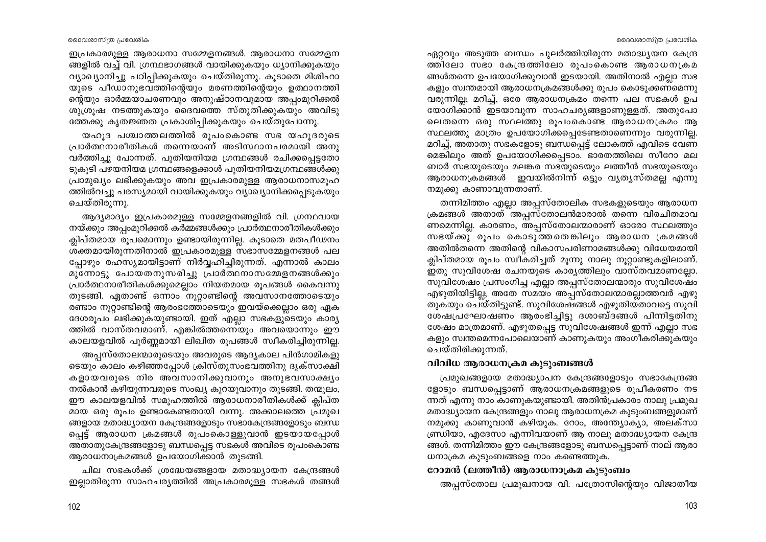ദൈവശാസ്ത്ര പ്രവേശിക

ഇപ്രകാരമുള്ള ആരാധനാ സമ്മേളനങ്ങൾ. ആരാധനാ സമ്മേളന ങ്ങളിൽ വച്ച് വി. ഗ്രന്ഥഭാഗങ്ങൾ വായിക്കുകയും ധ്യാനിക്കുകയും വ്യാഖ്യാനിച്ചു പഠിപ്പിക്കുകയും ചെയ്തിരുന്നു. കൂടാതെ മിശിഹാ യുടെ പീഡാനുഭവത്തിന്റെയും മരണത്തിന്റെയും ഉത്ഥാനത്തി ന്റെയും ഓർമ്മയാചരണവും അനുഷ്ഠാനവുമായ അപ്പംമുറിക്കൽ ശുശ്രൂഷ നടത്തുകയും ദൈവത്തെ സ്തുതിക്കുകയും അവിടു ത്തേക്കു കൃതജ്ഞത പ്രകാശിപ്പിക്കുകയും ചെയ്തുപോന്നു.

യഹുദ പശ്ചാത്തലത്തിൽ രൂപംകൊണ്ട സഭ യഹുദരുടെ പ്രാർത്ഥനാരീതികൾ തന്നെയാണ് അടിസ്ഥാനപരമായി അനു വർത്തിച്ചു പോന്നത്. പുതിയനിയമ ഗ്രന്ഥങ്ങൾ രചിക്കപ്പെട്ടതോ ടുകൂടി പഴയനിയമ ഗ്രന്ഥങ്ങളെക്കാൾ പുതിയനിയമഗ്രന്ഥങ്ങൾക്കു പ്രാമുഖ്യം ലഭിക്കുകയും അവ ഇപ്രകാരമുള്ള ആരാധനാസമൂഹ ത്തിൽവച്ചു പരസ്യമായി വായിക്കുകയും വ്യാഖ്യാനിക്കപ്പെടുകയും ചെയ്തിരുന്നു.

ആദ്യമാദ്യം ഇപ്രകാരമുള്ള സമ്മേളനങ്ങളിൽ വി. ഗ്രന്ഥവായ നയ്ക്കും അപ്പംമുറിക്കൽ കർമ്മങ്ങൾക്കും പ്രാർത്ഥനാരീതികൾക്കും ക്ലിപ്തമായ രൂപമൊന്നും ഉണ്ടായിരുന്നില്ല. കുടാതെ മതപീഢനം ശക്തമായിരുന്നതിനാൽ ഇപ്രകാരമുള്ള സഭാസമ്മേളനങ്ങൾ പല പ്പോഴും രഹസ്യമായിട്ടാണ് നിർവ്വഹിച്ചിരുന്നത്. എന്നാൽ കാലം മുന്നോട്ടു പോയതനുസരിച്ചു പ്രാർത്ഥനാസമ്മേളനങ്ങൾക്കും പ്രാർത്ഥനാരീതികൾക്കുമെല്ലാം നിയതമായ രൂപങ്ങൾ കൈവന്നു തുടങ്ങി. ഏതാണ്ട് ഒന്നാം നൂറ്റാണ്ടിന്റെ അവസാനത്തോടെയും രണ്ടാം നൂറ്റാണ്ടിന്റെ ആരംഭത്തോടെയും ഇവയ്ക്കെല്ലാം ഒരു ഏക ദേശരൂപം ലഭിക്കുകയുണ്ടായി. ഇത് എല്ലാ സഭകളുടെയും കാര്യ ത്തിൽ വാസ്തവമാണ്. എങ്കിൽത്തന്നെയും അവയൊന്നും ഈ കാലയളവിൽ പൂർണ്ണമായി ലിഖിത രൂപങ്ങൾ സ്വീകരിച്ചിരുന്നില്ല.

അപ്പസ്തോലന്മാരുടെയും അവരുടെ ആദ്യകാല പിൻഗാമികളു ടെയും കാലം കഴിഞ്ഞപ്പോൾ ക്രിസ്തുസംഭവത്തിനു ദൃക്സാക്ഷി കളായവരുടെ നിര അവസാനിക്കുവാനും അനുഭവസാക്ഷ്യം നൽകാൻ കഴിയുന്നവരുടെ സംഖ്യ കുറയുവാനും തുടങ്ങി. തന്മൂലം, ഈ കാലയളവിൽ സമുഹത്തിൽ ആരാധനാരീതികൾക്ക് ക്ലിപ്ത മായ ഒരു രൂപം ഉണ്ടാകേണ്ടതായി വന്നു. അക്കാലത്തെ പ്രമുഖ ങ്ങളായ മതാദ്ധ്യായന കേന്ദ്രങ്ങളോടും സഭാകേന്ദ്രങ്ങളോടും ബന്ധ പ്പെട്ട് ആരാധന ക്രമങ്ങൾ രൂപംകൊള്ളുവാൻ ഇടയായപ്പോൾ അതാതുകേന്ദ്രങ്ങളോടു ബന്ധപ്പെട്ട സഭകൾ അവിടെ രൂപംകൊണ്ട ആരാധനാക്രമങ്ങൾ ഉപയോഗിക്കാൻ തുടങ്ങി.

ചില സഭകൾക്ക് ശ്രദ്ധേയങ്ങളായ മതാദ്ധ്യായന കേന്ദ്രങ്ങൾ ഇല്ലാതിരുന്ന സാഹചര്യത്തിൽ അപ്രകാരമുള്ള സഭകൾ തങ്ങൾ ഏറ്റവും അടുത്ത ബന്ധം പുലർത്തിയിരുന്ന മതാദ്ധ്യയന കേന്ദ്ര ത്തിലോ സഭാ കേന്ദ്രത്തിലോ രൂപംകൊണ്ട ആരാധനക്രമ ങ്ങൾതന്നെ ഉപയോഗിക്കുവാൻ ഇടയായി. അതിനാൽ എല്ലാ സഭ കളും സ്വന്തമായി ആരാധനക്രമങ്ങൾക്കു രൂപം കൊടുക്കണമെന്നു വരുന്നില്ല; മറിച്ച്, ഒരേ ആരാധനക്രമം തന്നെ പല സഭകൾ ഉപ യോഗിക്കാൻ ഇടയാവുന്ന സാഹചര്യങ്ങളാണുള്ളത്. അതുപോ ലെതന്നെ ഒരു സ്ഥലത്തു രൂപംകൊണ്ട ആരാധനക്രമം ആ സ്ഥലത്തു മാത്രം ഉപയോഗിക്കപ്പെടേണ്ടതാണെന്നും വരുന്നില്ല. മറിച്ച്, അതാതു സഭകളോടു ബന്ധപ്പെട്ട് ലോകത്ത് എവിടെ വേണ മെങ്കിലും അത് ഉപയോഗിക്കപ്പെടാം. ഭാരതത്തിലെ സീറോ മല ബാർ സഭയുടെയും മലങ്കര സഭയുടെയും ലത്തീൻ സഭയുടെയും ആരാധനക്രമങ്ങൾ ഇവയിൽനിന്ന് ഒട്ടും വ്യത്യസ്തമല്ല എന്നു നമുക്കു കാണാവുന്നതാണ്.

തന്നിമിത്തം എല്ലാ അപ്പസ്തോലിക സഭകളുടെയും ആരാധന ക്രമങ്ങൾ അതാത്്അപ്പസ്തോലൻമാരാൽ തന്നെ വിരചിതമാവ ണമെന്നില്ല. കാരണം, അപ്പസ്തോലന്മാരാണ് ഓരോ സ്ഥലത്തും സഭയ്ക്കു രൂപം കൊടുത്തതെങ്കിലും ആരാധന ക്രമങ്ങൾ അതിൽതന്നെ അതിന്റെ വികാസപരിണാമങ്ങൾക്കു വിധേയമായി ക്ലിപ്തമായ രൂപം സ്വീകരിച്ചത് മൂന്നു നാലു നൂറ്റാണ്ടുകളിലാണ്. . ഇതു സുവിശേഷ രചനയുടെ കാര്യത്തിലും വാസ്തവമാണല്ലോ സുവിശേഷം പ്രസംഗിച്ച എല്ലാ അപ്പസ്തോലന്മാരും സുവിശേഷം എഴുതിയിട്ടില്ല; അതേ സമയം അപ്പസ്തോലന്മാരല്ലാത്തവർ എഴു തുകയും ചെയ്തിട്ടുണ്ട്. സുവിശേഷങ്ങൾ എഴുതിയതാവട്ടെ സുവി ശേഷപ്രഘോഷണം ആരംഭിച്ചിട്ടു ദശാബ്ദങ്ങൾ പിന്നിട്ടതിനു ശേഷം മാത്രമാണ്. എഴുതപ്പെട്ട സുവിശേഷങ്ങൾ ഇന്ന് എല്ലാ സഭ കളും സ്വന്തമെന്നപോലെയാണ് കാണുകയും അംഗീകരിക്കുകയും ചെയ്തിരിക്കുന്നത്.

# വിവിധ ആരാധനക്രമ കുടുംബങ്ങൾ

പ്രമുഖങ്ങളായ മതാദ്ധ്യാപന കേന്ദ്രങ്ങളോടും സഭാകേന്ദ്രങ്ങ ളോടും ബന്ധപ്പെട്ടാണ് ആരാധനക്രമങ്ങളുടെ രൂപീകരണം നട ന്നത് എന്നു നാം കാണുകയുണ്ടായി. അതിൻപ്രകാരം നാലു പ്രമുഖ മതാദ്ധ്യായന കേന്ദ്രങ്ങളും നാലു ആരാധനക്രമ കുടുംബങ്ങളുമാണ് നമുക്കു കാണുവാൻ കഴിയുക. റോം, അന്ത്യോക്യാ, അലക്സാ ണ്ഡ്രിയാ, എദേസാ എന്നിവയാണ് ആ നാലു മതാദ്ധ്യായന കേന്ദ്ര ങ്ങൾ. തന്നിമിത്തം ഈ കേന്ദ്രങ്ങളോടു ബന്ധപ്പെട്ടാണ് നാല് ആരാ ധനാക്രമ കുടുംബങ്ങളെ നാം കണ്ടെത്തുക.

# റോമൻ (ലത്തീൻ) ആരാധനാക്രമ കുടുംബം

അപ്പസ്തോല പ്രമുഖനായ വി. പത്രോസിന്റെയും വിജാതീയ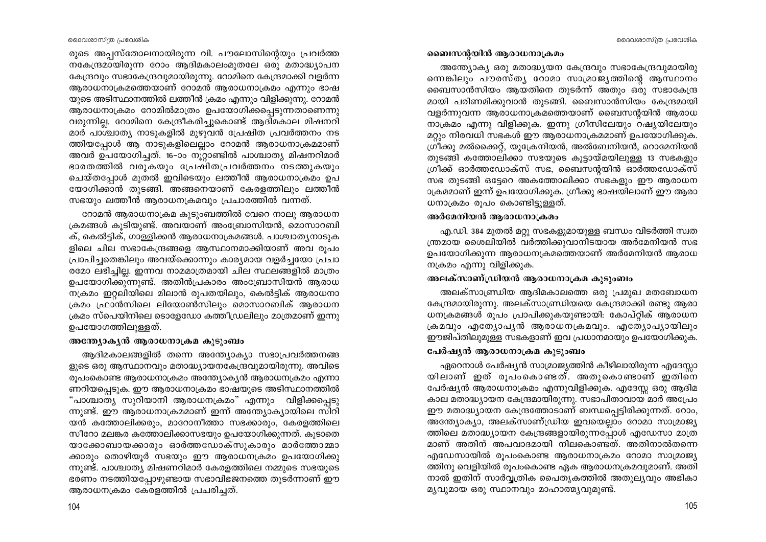രുടെ അപ്പസ്തോലനായിരുന്ന വി. പൗലോസിന്റെയും പ്രവർത്ത നകേന്ദ്രമായിരുന്ന റോം ആദിമകാലംമുതലേ ഒരു മതാദ്ധ്യാപന കേന്ദ്രവും സഭാകേന്ദ്രവുമായിരുന്നു. റോമിനെ കേന്ദ്രമാക്കി വളർന്ന ആരാധനാക്രമത്തെയാണ് റോമൻ ആരാധനാക്രമം എന്നും ഭാഷ യുടെ അടിസ്ഥാനത്തിൽ ലത്തീൻ ക്രമം എന്നും വിളിക്കുന്നു. റോമൻ ആരാധനാക്രമം റോമിൽമാത്രം ഉപയോഗിക്കപ്പെടുന്നതാണെന്നു വരുന്നില്ല. റോമിനെ കേന്ദ്രീകരിച്ചുകൊണ്ട് ആദിമകാല മിഷനറി മാർ പാശ്ചാത്യ നാടുകളിൽ മുഴുവൻ പ്രേഷിത പ്രവർത്തനം നട ത്തിയപ്പോൾ ആ നാടുകളിലെല്ലാം റോമൻ ആരാധനാക്രമമാണ് അവർ ഉപയോഗിച്ചത്. 16-ാം നൂറ്റാണ്ടിൽ പാശ്ചാത്യ മിഷനറിമാർ ഭാരതത്തിൽ വരുകയും പ്രേഷിതപ്രവർത്തനം നടത്തുകയും ചെയ്തപ്പോൾ മുതൽ ഇവിടെയും ലത്തീൻ ആരാധനാക്രമം ഉപ യോഗിക്കാൻ തുടങ്ങി. അങ്ങനെയാണ് കേരളത്തിലും ലത്തീൻ സഭയും ലത്തീൻ ആരാധനക്രമവും പ്രചാരത്തിൽ വന്നത്.

റോമൻ ആരാധനാക്രമ കുടുംബത്തിൽ വേറെ നാലു ആരാധന ക്രമങ്ങൾ കൂടിയുണ്ട്. അവയാണ് അംബ്രോസിയൻ, മൊസാറബി ക്, കെൽട്ടിക്, ഗാള്ളിക്കൻ ആരാധനാക്രമങ്ങൾ. പാശ്ചാതൃനാടുക ളിലെ ചില സഭാകേന്ദ്രങ്ങളെ ആസ്ഥാനമാക്കിയാണ് അവ രൂപം പ്രാപിച്ചതെങ്കിലും അവയ്ക്കൊന്നും കാര്യമായ വളർച്ചയോ പ്രചാ രമോ ലഭിച്ചില്ല. ഇന്നവ നാമമാത്രമായി ചില സ്ഥലങ്ങളിൽ മാത്രം ഉപയോഗിക്കുന്നുണ്ട്. അതിൻപ്രകാരം അംബ്രോസിയൻ ആരാധ നക്രമം ഇറ്റലിയിലെ മിലാൻ രുപതയിലും, കെൽട്ടിക് ആരാധനാ ക്രമം ഫ്രാൻസിലെ ലിയോൺസിലും മൊസാറബിക് ആരാധന ക്രമം സ്പെയിനിലെ ടൊളേഡോ കത്തീഡ്രലിലും മാത്രമാണ് ഇന്നു ഉപയോഗത്തിലുള്ളത്.

#### അന്ത്യോകൃൻ ആരാധനാക്രമ കുടുംബം

ആദിമകാലങ്ങളിൽ തന്നെ അന്ത്യോക്യാ സഭാപ്രവർത്തനങ്ങ ളുടെ ഒരു ആസ്ഥാനവും മതാദ്ധ്യായനകേന്ദ്രവുമായിരുന്നു. അവിടെ രുപംകൊണ്ട ആരാധനാക്രമം അന്ത്യോകൃൻ ആരാധനക്രമം എന്നാ ണറിയപ്പെടുക. ഈ ആരാധനാക്രമം ഭാഷയുടെ അടിസ്ഥാനത്തിൽ "പാശ്ചാത്യ സുറിയാനി ആരാധനക്രമം" എന്നും വിളിക്കപ്പെടു ന്നുണ്ട്. ഈ ആരാധനാക്രമമാണ് ഇന്ന് അന്ത്യോക്യായിലെ സിറി യൻ കത്തോലിക്കരും, മാറോനീത്താ സഭക്കാരും, കേരളത്തിലെ സീറോ മലങ്കര കത്തോലിക്കാസഭയും ഉപയോഗിക്കുന്നത്. കൂടാതെ യാക്കോബായക്കാരും ഓർത്തഡോക്സുകാരും മാർത്തോമ്മാ ക്കാരും തൊഴിയൂർ സഭയും ഈ ആരാധനക്രമം ഉപയോഗിക്കു ന്നുണ്ട്. പാശ്ചാത്യ മിഷണറിമാർ കേരളത്തിലെ നമ്മുടെ സഭയുടെ ഭരണം നടത്തിയപ്പോഴുണ്ടായ സഭാവിഭജനത്തെ തുടർന്നാണ് ഈ ആരാധനക്രമം കേരളത്തിൽ പ്രചരിച്ചത്.

#### ബൈസന്റയിൻ ആരാധനാക്രമം

അന്ത്യോക്യ ഒരു മതാദ്ധ്യയന കേന്ദ്രവും സഭാകേന്ദ്രവുമായിരു ന്നെങ്കിലും പൗരസ്ത്യ റോമാ സാമ്രാജ്യത്തിന്റെ ആസ്ഥാനം ബൈസാൻസിയം ആയതിനെ തുടർന്ന് അതും ഒരു സഭാകേന്ദ്ര മായി പരിണമിക്കുവാൻ തുടങ്ങി. ബൈസാൻസിയം കേന്ദ്രമായി വളർന്നുവന്ന ആരാധനാക്രമത്തെയാണ് ബൈസന്റയിൻ ആരാധ നാക്രമം എന്നു വിളിക്കുക. ഇന്നു ഗ്രീസിലേയും റഷ്യയിലേയും മറ്റും നിരവധി സഭകൾ ഈ ആരാധനാക്രമമാണ് ഉപയോഗിക്കുക. ഗ്രീക്കു മൽക്കൈറ്റ്, യുക്രേനിയൻ, അൽബേനിയൻ, റൊമേനിയൻ തുടങ്ങി കത്തോലിക്കാ സഭയുടെ കൂട്ടായ്മയിലുള്ള 13 സഭകളും ഗ്രീക്ക് ഓർത്തഡോക്സ് സഭ, ബൈസന്റയിൻ ഓർത്തഡോക്സ് സഭ തുടങ്ങി ഒട്ടേറെ അകത്തോലിക്കാ സഭകളും ഈ ആരാധന ാക്രമമാണ് ഇന്ന് ഉപയോഗിക്കുക. ഗ്രീക്കു ഭാഷയിലാണ് ഈ ആരാ ധനാക്രമം രൂപം കൊണ്ടിട്ടുള്ളത്.

#### അർമേനിയൻ ആരാധനാക്രമം

എ.ഡി. 384 മുതൽ മറ്റു സഭകളുമായുള്ള ബന്ധം വിടർത്തി സ്വത ന്ത്രമായ ശൈലിയിൽ വർത്തിക്കുവാനിടയായ അർമേനിയൻ സഭ ഉപയോഗിക്കുന്ന ആരാധനക്രമത്തെയാണ് അർമേനിയൻ ആരാധ നക്രമം എന്നു വിളിക്കുക.

#### അലക്സാണ്ഡ്രിയൻ ആരാധനാക്രമ കുടുംബം

അലക്സാണ്ഡ്രിയ ആദിമകാലത്തെ ഒരു പ്രമുഖ മതബോധന കേന്ദ്രമായിരുന്നു. അലക്സാണ്ഡ്രിയയെ കേന്ദ്രമാക്കി രണ്ടു ആരാ ധനക്രമങ്ങൾ രൂപം പ്രാപിക്കുകയുണ്ടായി. കോപ്റ്റിക് ആരാധന ക്രമവും എത്യോപൃൻ ആരാധനക്രമവും. എത്യോപ്യായിലും ഈജിപ്തിലുമുള്ള സഭകളാണ് ഇവ പ്രധാനമായും ഉപയോഗിക്കുക.

#### പേർഷ്യൻ ആരാധനാക്രമ കുടുംബം

ഏറെനാൾ പേർഷ്യൻ സാമ്രാജ്യത്തിൻ കീഴിലായിരുന്ന എദേസ്ലാ യിലാണ് ഇത് രൂപംകൊണ്ടത്. അതുകൊണ്ടാണ് ഇതിനെ പേർഷ്യൻ ആരാധനാക്രമം എന്നുവിളിക്കുക. എദേസ്സ ഒരു ആദിമ കാല മതാദ്ധ്യായന കേന്ദ്രമായിരുന്നു. സഭാപിതാവായ മാർ അപ്രേം ഈ മതാദ്ധ്യായന കേന്ദ്രത്തോടാണ് ബന്ധപ്പെട്ടിരിക്കുന്നത്. റോം, അന്ത്യോക്യാ, അലക്സാണ്ഡ്രിയ ഇവയെല്ലാം റോമാ സാമ്രാജ്യ ത്തിലെ മതാദ്ധ്യായന കേന്ദ്രങ്ങളായിരുന്നപ്പോൾ എഡേസാ മാത്ര മാണ് അതിന് അപവാദമായി നിലകൊണ്ടത്. അതിനാൽതന്നെ എഡേസായിൽ രൂപംകൊണ്ട ആരാധനാക്രമം റോമാ സാമ്രാജ്യ ത്തിനു വെളിയിൽ രൂപംകൊണ്ട ഏക ആരാധനക്രമവുമാണ്. അതി നാൽ ഇതിന് സാർവ്വത്രിക പൈതൃകത്തിൽ അതുല്യവും അഭികാ മൃവുമായ ഒരു സ്ഥാനവും മാഹാത്മൃവുമുണ്ട്.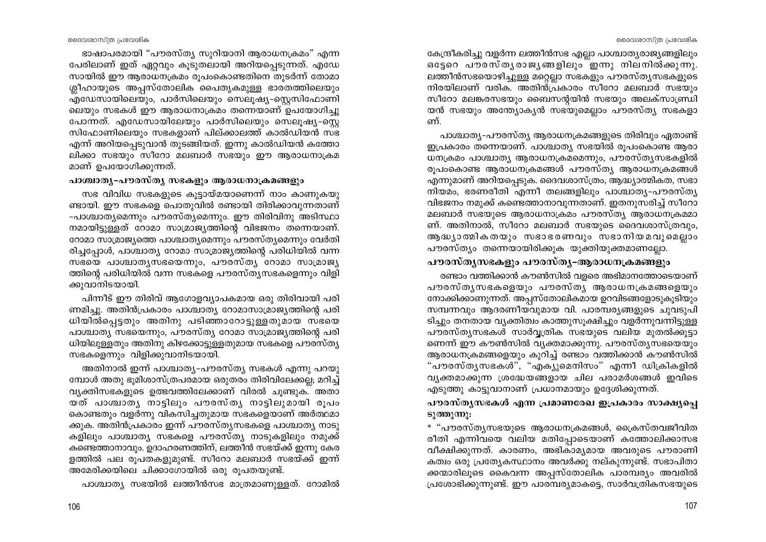ഭാഷാപരമായി "പൗരസ്ത്യ സുറിയാനി ആരാധനക്രമം" എന്ന പേരിലാണ് ഇത് ഏറ്റവും കൂടുതലായി അറിയപ്പെടുന്നത്. എഡേ സായിൽ ഈ ആരാധനക്രമം രൂപംകൊണ്ടതിനെ തുടർന്ന് തോമാ ശ്ലീഹായുടെ അപ്പസ്തോലിക പൈതൃകമുള്ള ഭാരതത്തിലെയും എഡേസായിലെയും, പാർസിലെയും സെലുഷ്യ-സ്റ്റെസിഫോണി ലെയും സഭകൾ ഈ ആരാധനാക്രമം തന്നെയാണ് ഉപയോഗിച്ചു പോന്നത്. എഡേസായിലേയും പാർസിലെയും സെലുഷ്യ–സ്കെ സിഫോണിലെയും സഭകളാണ് പില്ക്കാലത്ത് കാൽഡിയൻ സഭ എന്ന് അറിയപ്പെടുവാൻ തുടങ്ങിയത്. ഇന്നു കാൽഡിയൻ കത്തോ ലിക്കാ സഭയും സീറോ മലബാർ സഭയും ഈ ആരാധനാക്രമ മാണ് ഉപയോഗിക്കുന്നത്.

# പാശ്ചാതൃ-പൗരസ്തൃ സഭകളും ആരാധനാക്രമങ്ങളും

സഭ വിവിധ സഭകളുടെ കുട്ടായ്മയാണെന്ന് നാം കാണുകയു ണ്ടായി. ഈ സഭകളെ പൊതുവിൽ രണ്ടായി തിരിക്കാവുന്നതാണ് -പാശ്ചാത്യമെന്നും പൗരസ്ത്യമെന്നും. ഈ തിരിവിനു അടിസ്ഥാ നമായിട്ടുള്ളത് റോമാ സാമ്രാജ്യത്തിന്റെ വിഭജനം തന്നെയാണ്. റോമാ സാമ്രാജ്യത്തെ പാശ്ചാത്യമെന്നും പൗരസ്ത്യമെന്നും വേർതി രിച്ചപ്പോൾ, പാശ്ചാത്യ റോമാ സാമ്രാജ്യത്തിന്റെ പരിധിയിൽ വന്ന സഭയെ പാശ്ചാതൃസഭയെന്നും, പൗരസ്തൃ $\sim$ റോമാ സാമ്രാജ്യ ത്തിന്റെ പരിധിയിൽ വന്ന സഭകളെ പൗരസ്ത്യസഭകളെന്നും വിളി ക്കുവാനിടയായി.

പിന്നീട് ഈ തിരിവ് ആഗോളവ്യാപകമായ ഒരു തിരിവായി പരി ണമിച്ചു. അതിൻപ്രകാരം പാശ്ചാത്യ റോമാസാമ്രാജ്യത്തിന്റെ പരി ധിയിൽപ്പെട്ടതും അതിനു പടിഞ്ഞാറോട്ടുള്ളതുമായ സ്ഭയെ പാശ്ചാത്യ സഭയെന്നും, പൗരസ്ത്യ റോമാ സാമ്രാജ്യത്തിന്റെ പരി ധിയിലുള്ളതും അതിനു കിഴക്കോട്ടുള്ളതുമായ സഭകളെ പൗരസ്ത്യ സഭകളെന്നും വിളിക്കുവാനിടയായി.

അതിനാൽ ഇന്ന് പാശ്ചാത്യ-പൗരസ്ത്യ സഭകൾ എന്നു പറയു മ്പോൾ അതു ഭൂമിശാസ്ത്രപരമായ ഒരുതരം തിരിവിലേക്കല്ല; മറിച്ച് വ്യക്തിസഭകളുടെ ഉത്ഭവത്തിലേക്കാണ് വിരൽ ചുണ്ടുക. അതാ യത് പാശ്ചാതൃ നാട്ടിലും പൗരസ്തൃ നാട്ടിലുമായി രൂപം കൊണ്ടതും വളർന്നു വികസിച്ചതുമായ സഭകളെയാണ് അർത്ഥമാ ക്കുക. അതിൻപ്രകാരം ഇന്ന് പൗരസ്ത്യസഭകളെ പാശ്ചാത്യ നാടു കളിലും പാശ്ചാത്യ സഭകളെ പൗരസ്ത്യ നാടുകളിലും നമുക്ക് കണ്ടെത്താനാവും. ഉദാഹരണത്തിന്, ലത്തീൻ സഭയ്ക്ക് ഇന്നു കേര ളത്തിൽ പല രൂപതകളുമുണ്ട്. സീറോ മലബാർ സഭയ്ക്ക് ഇന്ന് അമേരിക്കയിലെ ചിക്കാഗോയിൽ ഒരു രുപതയുണ്ട്.

പാശ്ചാത്യ സഭയിൽ ലത്തീൻസഭ മാത്രമാണുള്ളത്. റോമിൽ

കേന്ദ്രീകരിച്ചു വളർന്ന ലത്തീൻസഭ എല്ലാ പാശ്ചാതൃരാജ്യങ്ങളിലും ഒട്ടേറെ പൗരസ്തുരാജുങ്ങളിലും്ഇന്നു നിലനിൽക്കുന്നു. ലത്തീൻസഭയൊഴിച്ചുള്ള മറ്റെല്ലാ സഭകളും പൗരസ്തൃസഭകളുടെ നിരയിലാണ് വരിക. അതിന്മപ്രകാരം സീറോ മലബാർ സഭയും സീറോ മലങ്കരസഭയും ബൈസന്റയിൻ സഭയും അലക്സാണ്ഡ്രി യൻ സഭയും അന്ത്യോകൃൻ സഭയുമെല്ലാം പൗരസ്ത്യ സഭകളാ ണ്

പാശ്ചാത്യ-പൗരസ്ത്യ ആരാധനക്രമങ്ങളുടെ തിരിവും ഏതാണ്ട് ഇപ്രകാരം തന്നെയാണ്. പാശ്ചാത്യ സഭയിൽ രുപംകൊണ്ട ആരാ ധനക്രമം പാശ്ചാത്യ ആരാധനക്രമമെന്നും, പൗരസ്ത്യസഭകളിൽ രുപംകൊണ്ട ആരാധനക്രമങ്ങൾ പൗരസ്ത്യ ആരാധനക്രമങ്ങൾ എന്നുമാണ് അറിയപ്പെടുക. ദൈവശാസ്ത്രം, ആദ്ധ്യാത്മികത, സഭാ നിയമം, ഭരണരീതി എന്നീ തലങ്ങളിലും പാശ്ചാതൃ-പൗരസ്തൃ വിഭജനം നമുക്ക് കണ്ടെത്താനാവുന്നതാണ്. ഇതനുസരിച്ച് സീറോ മലബാർ സഭയുടെ ആരാധനാക്രമം പൗരസ്ത്യ ആരാധനക്രമമാ ണ്. അതിനാൽ, സീറോ മലബാർ സഭയുടെ ദൈവശാസ്ത്രവും, ആദ്ധ്യാത്മികതയും സഭാഭരണവും സഭാനിയമവുമെല്ലാം പൗരസ്ത്യം തന്നെയായിരിക്കുക യുക്തിയുക്തമാണല്ലോ.

# പൗരസ്തൃസഭകളും പൗരസ്തൃ-ആരാധനക്രമങ്ങളും

രണ്ടാം വത്തിക്കാൻ കൗൺസിൽ വളരെ അഭിമാനത്തോടെയാണ് പൗരസ്തൃസഭകളെയും പൗരസ്തൃ ആരാധനക്രമങ്ങളെയും നോക്കിക്കാണുന്നത്. അപ്പസ്തോലികമായ ഉറവിടങ്ങളോടുകൂടിയും സമ്പന്നവും ആദരണീയവുമായ വി. പാരമ്പര്യങ്ങളുടെ ചുവടുപി ടിച്ചും തനതായ വ്യക്തിത്വം കാത്തുസൂക്ഷിച്ചും വളർന്നുവന്നിട്ടുള്ള പൗരസ്ത്യസഭകൾ സാർവ്വത്രിക സഭയുടെ വലിയ മുതൽക്കുട്ടാ ണെന്ന് ഈ കൗൺസിൽ വ്യക്തമാക്കുന്നു. പൗരസ്ത്യസഭയെയും ആരാധനക്രമങ്ങളെയും കുറിച്ച് രണ്ടാം വത്തിക്കാൻ കൗൺസിൽ "പൗരസ്തൃസഭകൾ", "എകൃുമെനിസം" എന്നീ ഡിക്രികളിൽ വ്യക്തമാക്കുന്ന ശ്രദ്ധേയങ്ങളായ ചില പരാമർശങ്ങൾ ഇവിടെ എടുത്തു കാട്ടുവാനാണ് പ്രധാനമായും ഉദ്ദേശിക്കുന്നത്.

പൗരസ്തൃസഭകൾ എന്ന പ്രമാണരേഖ ഇപ്രകാരം സാക്ഷ്യപ്പെ ടുത്തുന്നു:

\* "പൗരസ്തൃസഭയുടെ ആരാധനക്രമങ്ങൾ, ക്രൈസ്തവജീവിത രീതി എന്നിവയെ വലിയ മതിപ്പോടെയാണ് കത്തോലിക്കാസഭ വീക്ഷിക്കുന്നത്. കാരണം, അഭികാമൃമായ അവരുടെ പൗരാണി കത്വം ഒരു പ്രത്യേകസ്ഥാനം അവർക്കു നല്കുന്നുണ്ട്. സഭാപിതാ ക്കന്മാരിലൂടെ കൈവന്ന അപ്പസ്തോലിക പാരമ്പര്യം അവരിൽ പ്രശോഭിക്കുന്നുണ്ട്. ഈ പാരമ്പര്യമാകട്ടെ, സാർവത്രികസഭയുടെ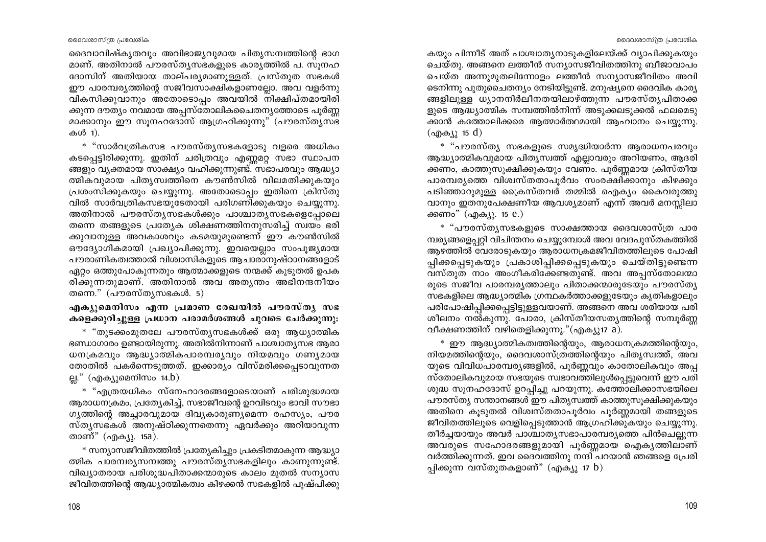ദൈവാവിഷ്കൃതവും അവിഭാജ്യവുമായ പിതൃസമ്പത്തിന്റെ ഭാഗ മാണ്. അതിനാൽ പൗരസ്തൃസഭകളുടെ കാര്യത്തിൽ പ. സുനഹ ദോസിന് അതിയായ താല്പര്യമാണുള്ളത്. പ്രസ്തുത സഭകൾ ഈ പാരമ്പര്യത്തിന്റെ സജീവസാക്ഷികളാണല്ലോ. അവ വളർന്നു വികസിക്കുവാനും അതോടൊപ്പം അവയിൽ നിക്ഷിപ്തമായിരി ക്കുന്ന ദൗത്യം നവമായ അപ്പസ്തോലികചൈതന്യത്തോടെ പൂർണ്ണ മാക്കാനും ഈ സുനഹദോസ് ആഗ്രഹിക്കുന്നു" (പൗരസ്തൃസഭ കൾ 1).

\* "സാർവത്രികസഭ പൗരസ്തൃസഭകളോടു വളരെ അധികം കടപ്പെട്ടിരിക്കുന്നു. ഇതിന് ചരിത്രവും എണ്ണമറ്റ സഭാ സ്ഥാപന ങ്ങളും വൃക്തമായ സാക്ഷ്യം വഹിക്കുന്നുണ്ട്. സഭാപരവും ആദ്ധ്യാ ത്മികവുമായ പിതൃസ്വത്തിനെ കൗൺസിൽ വിലമതിക്കുകയും പ്രശംസിക്കുകയും ചെയ്യുന്നു. അതോടൊപ്പം ഇതിനെ ക്രിസ്തു വിൽ സാർവത്രികസഭയുടേതായി പരിഗണിക്കുകയും ചെയ്യുന്നു. അതിനാൽ പൗരസ്തൃസഭകൾക്കും പാശ്ചാതൃസഭകളെപ്പോലെ തന്നെ തങ്ങളുടെ പ്രത്യേക ശിക്ഷണത്തിനനുസരിച്ച് സ്വയം ഭരി ക്കുവാനുള്ള അവകാശവും കടമയുമുണ്ടെന്ന് ഈ കൗൺസിൽ ഔദ്യോഗികമായി പ്രഖ്യാപിക്കുന്നു. ഇവയെല്ലാം സംപൂജ്യമായ പൗരാണികത്വത്താൽ വിശ്വാസികളുടെ ആചാരാനുഷ്ഠാനങ്ങളോട് ഏറ്റം ഒത്തുപോകുന്നതും ആത്മാക്കളുടെ നന്മക്ക് കൂടുതൽ ഉപക രിക്കുന്നതുമാണ്. അതിനാൽ അവ അത്യന്തം അഭിനന്ദനീയം തന്നെ."  $($ പൗരസ്തൃസഭകൾ. 5)

എക്യുമെനിസം എന്ന പ്രമാണ രേഖയിൽ പൗരസ്ത്യ സഭ കളെക്കുറിച്ചുള്ള പ്രധാന പരാമർശങ്ങൾ ചുവടെ ചേർക്കുന്നു:

\* "തുടക്കംമുതലേ പൗരസ്തൃസഭകൾക്ക് ഒരു ആധ്യാത്മിക ഭണ്ഡാഗാരം ഉണ്ടായിരുന്നു. അതിൽനിന്നാണ് പാശ്ചാതൃസഭ ആരാ ധനക്രമവും ആദ്ധ്യാത്മികപാരമ്പര്യവും നിയമവും ഗണ്യമായ തോതിൽ പകർന്നെടുത്തത്. ഇക്കാര്യം വിസ്മരിക്കപ്പെടാവുന്നത ല്ല." (എക്യുമെനിസം 14.b)

\* "എത്രയധികം സ്നേഹാദരങ്ങളോടെയാണ് പരിശുദ്ധമായ ആരാധനക്രമം, പ്രത്യേകിച്ച്, സഭാജീവന്റെ ഉറവിടവും ഭാവി സൗഭാ ഗൃത്തിന്റെ അച്ചാരവുമായ ദിവ്യകാരുണ്യമെന്ന രഹസ്യം, പൗര സ്ത്യസഭകൾ അനുഷ്ഠിക്കുന്നതെന്നു ഏവർക്കും അറിയാവുന്ന താണ്" (എക്യു. 15a).

\* സന്യാസജീവിതത്തിൽ പ്രത്യേകിച്ചും പ്രകടിതമാകുന്ന ആദ്ധ്യാ ത്മിക പാരമ്പര്യസമ്പത്തു പൗരസ്ത്യസഭകളിലും കാണുന്നുണ്ട്. വിഖ്യാതരായ പരിശുദ്ധപിതാക്കന്മാരുടെ കാലം മുതൽ സന്യാസ ജീവിതത്തിന്റെ ആദ്ധ്യാത്മികത്വം കിഴക്കൻ സഭകളിൽ പുഷ്പിക്കു

കയും പിന്നീട് അത് പാശ്ചാതൃനാടുകളിലേയ്ക്ക് വ്യാപിക്കുകയും ചെയ്തു. അങ്ങനെ ലത്തീൻ സന്യാസജീവിതത്തിനു ബീജാവാപം ചെയ്ത അന്നുമുതലിന്നോളം ലത്തീൻ സന്യാസജീവിതം അവി ടെനിന്നു പുതുചൈതന്യം നേടിയിട്ടുണ്ട്. മനുഷ്യനെ ദൈവിക കാര്യ ങ്ങളിലുള്ള ധ്യാനനിർലീനതയിലാഴ്ത്തുന്ന പൗരസ്തൃപിതാക്ക ളുടെ ആദ്ധ്യാത്മിക സമ്പത്തിൽനിന്ന് അടുക്കലടുക്കൽ ഫലമെടു ക്കാൻ കത്തോലിക്കരെ ആത്മാർത്ഥമായി ആഹ്വാനം ചെയ്യുന്നു. (എക്യു 15 d)

\* "പൗരസ്ത്യ സഭകളുടെ സമൃദ്ധിയാർന്ന ആരാധനപരവും ആദ്ധ്യാത്മികവുമായ പിതൃസ്വത്ത് എല്ലാവരും അറിയണം, ആദരി ക്കണം, കാത്തുസുക്ഷിക്കുകയും വേണം. പൂർണ്ണമായ ക്രിസ്തീയ പാരമ്പര്യത്തെ വിശ്വസ്തതാപൂർവം സംരക്ഷിക്കാനും കിഴക്കും പടിഞ്ഞാറുമുള്ള ക്രൈസ്തവർ തമ്മിൽ ഐക്യം കൈവരുത്തു വാനും ഇതനുപേക്ഷണീയ ആവശ്യമാണ് എന്ന് അവർ മനസ്സിലാ ക്കണം" (എക്യു. 15 e.)

\* "പൗരസ്ത്യസഭകളുടെ സാക്ഷത്തായ ദൈവശാസ്ത്ര പാര മ്പര്യങ്ങളെപ്പറ്റി വിചിന്തനം ചെയ്യുമ്പോൾ അവ വേദപുസ്തകത്തിൽ ആഴത്തിൽ വേരോടുകയും ആരാധനക്രമജീവിതത്തിലൂടെ പോഷി പ്പിക്കപ്പെടുകയും പ്രകാശിപ്പിക്കപ്പെടുകയും ചെയ്തിട്ടുണ്ടെന്ന വസ്തുത നാം അംഗീകരിക്കേണ്ടതുണ്ട്. അവ അപ്പസ്തോലന്മാ രുടെ സജീവ പാരമ്പര്യത്താലും പിതാക്കന്മാരുടേയും പൗരസ്ത്യ സഭകളിലെ ആദ്ധ്യാത്മിക ഗ്രന്ഥകർത്താക്കളുടേയും കൃതികളാലും പരിപോഷിപ്പിക്കപ്പെട്ടിട്ടുള്ളവയാണ്. അങ്ങനെ അവ ശരിയായ പരി ശീലനം നൽകുന്നു. പോരാ, ക്രിസ്തീയസത്യത്തിന്റെ സമ്പൂർണ്ണ വീക്ഷണത്തിന് വഴിതെളിക്കുന്നു."(എക്യു17 a).

\* ഈ ആദ്ധ്യാത്മികത്വത്തിന്റെയും, ആരാധനക്രമത്തിന്റെയും, നിയമത്തിന്റെയും, ദൈവശാസ്ത്രത്തിന്റെയും പിതൃസ്വത്ത്, അവ യുടെ വിവിധപാരമ്പര്യങ്ങളിൽ, പൂർണ്ണവും കാതോലികവും അപ്പ സ്തോലികവുമായ സഭയുടെ സ്വഭാവത്തിലുൾപ്പെട്ടുവെന്ന് ഈ പരി ശുദ്ധ സുനഹദോസ് ഉറപ്പിച്ചു പറയുന്നു. കത്തോലിക്കാസഭയിലെ പൗരസ്ത്യ സന്താനങ്ങൾ ഈ പിതൃസ്വത്ത് കാത്തുസുക്ഷിക്കുകയും അതിനെ കൂടുതൽ വിശ്വസ്തതാപൂർവം പൂർണ്ണമായി തങ്ങളുടെ ജീവിതത്തിലുടെ വെളിപ്പെടുത്താൻ ആഗ്രഹിക്കുകയും ചെയ്യുന്നു. തീർച്ചയായും അവർ പാശ്ചാതൃസഭാപാരമ്പര്യത്തെ പിൻചെല്ലുന്ന അവരുടെ സഹോദരങ്ങളുമായി പൂർണ്ണമായ ഐകൃത്തിലാണ് വർത്തിക്കുന്നത്. ഇവ ദൈവത്തിനു നന്ദി പറയാൻ ഞങ്ങളെ പ്രേരി പ്പിക്കുന്ന വസ്തുതകളാണ്" (എക്യു 17 b)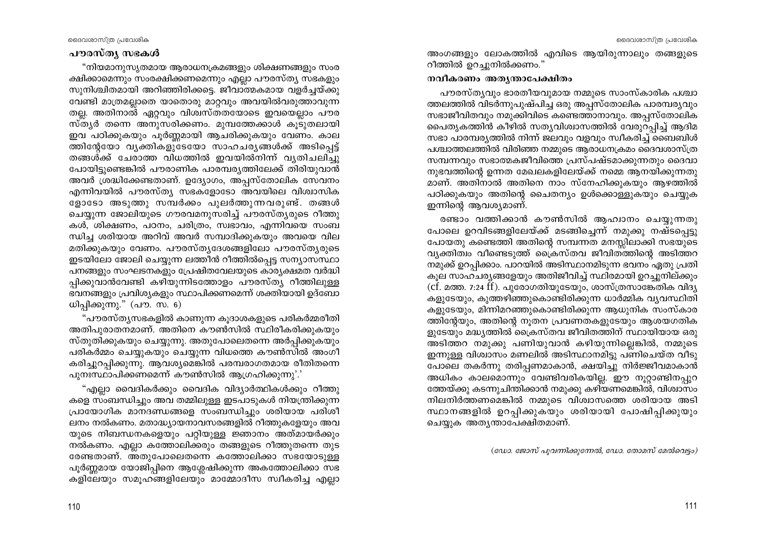#### പൗരസ്ത്യ സഭകൾ

"നിയമാനുസ്യതമായ ആരാധനക്രമങ്ങളും ശിക്ഷണങ്ങളും സംര ക്ഷിക്കാമെന്നും സംരക്ഷിക്കണമെന്നും എല്ലാ പൗരസ്ത്യ സഭകളും സുനിശ്ചിതമായി അറിഞ്ഞിരിക്കട്ടെ. ജീവാത്മകമായ വളർച്ചയ്ക്കു വേണ്ടി മാത്രമല്ലാതെ യാതൊരു മാറ്റവും അവയിൽവരുത്താവുന്ന തല്ല. അതിനാൽ ഏറ്റവും വിശ്വസ്തതയോടെ ഇവയെല്ലാം പൗര സ്ത്യർ തന്നെ അനുസരിക്കണം. മുമ്പത്തേക്കാൾ കുടുതലായി ഇവ പഠിക്കുകയും പൂർണ്ണമായി ആചരിക്കുകയും വേണം. കാല ത്തിന്റേയോ വൃക്തികളുടേയോ സാഹചര്യങ്ങൾക്ക് അടിപ്പെട്ട് തങ്ങൾക്ക് ചേരാത്ത വിധത്തിൽ ഇവയിൽനിന്ന് വൃതിചലിച്ചു പോയിട്ടുണ്ടെങ്കിൽ പൗരാണിക പാരമ്പര്യത്തിലേക്ക് തിരിയുവാൻ അവർ ശ്രദ്ധിക്കേണ്ടതാണ്. ഉദ്യോഗം, അപ്പസ്തോലിക സേവനം എന്നിവയിൽ പൗരസ്ത്യ സഭകളോടോ അവയിലെ വിശ്വാസിക ളോടോ അടുത്തു സമ്പർക്കം പുലർത്തുന്നവരുണ്ട്. തങ്ങൾ ചെയ്യുന്ന ജോലിയുടെ ഗൗരവമനുസരിച്ച് പൗരസ്ത്യരുടെ റീത്തു കൾ, ശിക്ഷണം, പഠനം, ചരിത്രം, സ്വഭാവം, എന്നിവയെ സംബ ന്ധിച്ച ശരിയായ അറിവ് അവർ സമ്പാദിക്കുകയും അവയെ വില മതിക്കുകയും വേണം. പൗരസ്തൃദേശങ്ങളിലോ പൗരസ്തൃരുടെ ഇടയിലോ ജോലി ചെയ്യുന്ന ലത്തീൻ റീത്തിൽപ്പെട്ട സന്യാസസ്ഥാ പനങ്ങളും സംഘടനകളും പ്രേഷിതവേലയുടെ കാര്യക്ഷമത വർദ്ധി പ്പിക്കുവാൻവേണ്ടി കഴിയുന്നിടത്തോളം പൗരസ്ത്യ റീത്തിലുള്ള ഭവനങ്ങളും പ്രവിശ്യകളും സ്ഥാപിക്കണമെന്ന് ശക്തിയായി ഉദ്ബോ ധിപ്പിക്കുന്നു." (പൗ. സ. 6)

"പൗരസ്ത്യസഭകളിൽ കാണുന്ന കൂദാശകളുടെ പരികർമ്മരീതി അതിപുരാതനമാണ്. അതിനെ കൗൺസിൽ സ്ഥിരീകരിക്കുകയും സ്തുതിക്കുകയും ചെയ്യുന്നു. അതുപോലെതന്നെ അർപ്പിക്കുകയും പരികർമ്മം ചെയ്യുകയും ചെയ്യുന്ന വിധത്തെ കൗൺസിൽ അംഗീ കരിച്ചുറപ്പിക്കുന്നു. ആവശ്യമെങ്കിൽ പരമ്പരാഗതമായ രീതിതന്നെ പുനഃസ്ഥാപിക്കണമെന്ന് കൗൺസിൽ ആഗ്രഹിക്കുന്നു'.'

"എല്ലാ വൈദികർക്കും വൈദിക വിദ്യാർത്ഥികൾക്കും റീത്തു കളെ സംബന്ധിച്ചും അവ തമ്മിലുള്ള ഇടപാടുകൾ നിയന്ത്രിക്കുന്ന പ്രായോഗിക മാനദണ്ഡങ്ങളെ സംബന്ധിച്ചും ശരിയായ പരിശീ ലനം നൽകണം. മതാദ്ധ്യായനാവസരങ്ങളിൽ റീത്തുകളേയും അവ യുടെ നിബന്ധനകളെയും പറ്റിയുള്ള ജ്ഞാനം അത്മായർക്കും നൽകണം. എല്ലാ കത്തോലിക്കരും തങ്ങളുടെ റീത്തുതന്നെ തുട രേണ്ടതാണ്. അതുപോലെതന്നെ കത്തോലിക്കാ സഭയോടുള്ള പൂർണ്ണമായ യോജിപ്പിനെ ആശ്ലേഷിക്കുന്ന അകത്തോലിക്കാ സഭ കളിലേയും സമൂഹങ്ങളിലേയും മാമ്മോദീസ സ്വീകരിച്ച എല്ലാ

അംഗങ്ങളും ലോകത്തിൽ എവിടെ ആയിരുന്നാലും തങ്ങളുടെ റീത്തിൽ ഉറച്ചുനിൽക്കണം."

#### നവീകരണം അതൃന്താപേക്ഷിതം

പൗരസ്തൃവും ഭാരതീയവുമായ നമ്മുടെ സാംസ്കാരിക പശ്ചാ ത്തലത്തിൽ വിടർന്നുപുഷ്പിച്ച ഒരു അപ്പസ്തോലിക പാരമ്പര്യവും സഭാജീവിതവും നമുക്കിവിടെ കണ്ടെത്താനാവും. അപ്പസ്തോലിക പൈതൃകത്തിൻ കീഴിൽ സത്യവിശ്വാസത്തിൽ വേരുറപ്പിച്ച് ആദിമ സഭാ പാരമ്പര്യത്തിൽ നിന്ന് ജലവും വളവും സ്വീകരിച്ച് ബൈബിൾ പശ്ചാത്തലത്തിൽ വിരിഞ്ഞ നമ്മുടെ ആരാധനക്രമം ദൈവശാസ്ത്ര സമ്പന്നവും സഭാത്മകജീവിത്തെ പ്രസ്പഷ്ടമാക്കുന്നതും ദൈവാ നുഭവത്തിന്റെ ഉന്നത മേഖലകളിലേയ്ക്ക് നമ്മെ ആനയിക്കുന്നതു മാണ്. അതിനാൽ അതിനെ നാം സ്നേഹിക്കുകയും ആഴത്തിൽ പഠിക്കുകയും അതിന്റെ ചൈതന്യം ഉൾക്കൊള്ളുകയും ചെയ്യുക ഇന്നിന്റെ ആവശ്യമാണ്.

രണ്ടാം വത്തിക്കാൻ കൗൺസിൽ ആഹ്വാനം ചെയ്യുന്നതു പോലെ ഉറവിടങ്ങളിലേയ്ക്ക് മടങ്ങിച്ചെന്ന് നമുക്കു നഷ്ടപ്പെട്ടു പോയതു കണ്ടെത്തി അതിന്റെ സമ്പന്നത മനസ്സിലാക്കി സഭയുടെ വ്യക്തിത്വം വീണ്ടെടുത്ത് ക്രൈസ്തവ ജീവിതത്തിന്റെ അടിത്തറ നമുക്ക് ഉറപ്പിക്കാം. പാറയിൽ അടിസ്ഥാനമിടുന്ന ഭവനം ഏതു പ്രതി കൂല സാഹചര്യങ്ങളേയും അതിജീവിച്ച് സ്ഥിരമായി ഉറച്ചുനില്ക്കും  $(cf.$  മത്ത. 7:24  $ff$ ). പുരോഗതിയുടേയും, ശാസ്ത്രസാങ്കേതിക വിദൃ കളുടേയും, കുത്തഴിഞ്ഞുകൊണ്ടിരിക്കുന്ന ധാർമ്മിക വ്യവസ്ഥിതി കളുടേയും, മിന്നിമറഞ്ഞുകൊണ്ടിരിക്കുന്ന ആധുനിക സംസ്കാര ത്തിന്റേയും, അതിന്റെ നൂതന പ്രവണതകളുടേയും ആശയഗതിക ളുടേയും മദ്ധ്യത്തിൽ ക്രൈസ്തവ ജീവിതത്തിന് സ്ഥായിയായ ഒരു അടിത്തറ നമുക്കു പണിയുവാൻ കഴിയുന്നില്ലെങ്കിൽ, നമ്മുടെ ഇന്നുള്ള വിശ്വാസം മണലിൽ അടിസ്ഥാനമിട്ടു പണിചെയ്ത വീടു പോലെ തകർന്നു തരിപ്പണമാകാൻ, ക്ഷയിച്ചു നിർജ്ജീവമാകാൻ അധികം കാലമൊന്നും വേണ്ടിവരികയില്ല. ഈ നുറ്റാണ്ടിനപ്പുറ ത്തേയ്ക്കു കടന്നുചിന്തിക്കാൻ നമുക്കു കഴിയണമെങ്കിൽ, വിശ്വാസം നിലനിർത്തണമെങ്കിൽ നമ്മുടെ വിശ്വാസത്തെ ശരിയായ അടി സ്ഥാനങ്ങളിൽ ഉറപ്പിക്കുകയും ശരിയായി പോഷിപ്പിക്കുയും ചെയ്യുക അതൃന്താപേക്ഷിതമാണ്.

 $(caw$ , ജോസ് പൂവന്നിക്കുന്നേൽ, ഡോ. തോമസ് മേൽവെട്ടം)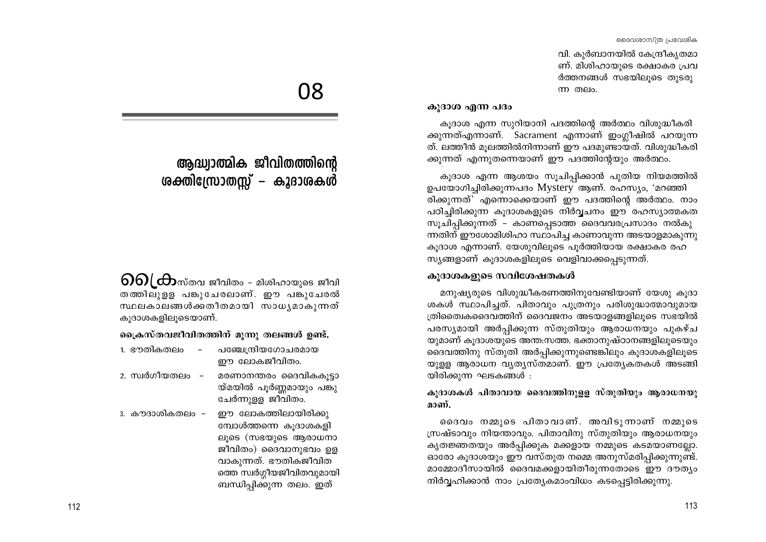വി. കുർബാനയിൽ കേന്ദ്രീകൃതമാ ണ്. മിശിഹായുടെ രക്ഷാകര പ്രവ ർത്തനങ്ങൾ സഭയിലൂടെ തൂടരു <u>ന്ന തലം.</u>

#### കുദാശ എന്ന പദം

കുദാശ എന്ന സുറിയാനി പദത്തിന്റെ അർത്ഥം വിശുദ്ധീകരി ക്കുന്നത്എന്നാണ്. Sacrament എന്നാണ് ഇംഗ്ലീഷിൽ പറയുന്ന ത്. ലത്തീൻ മുലത്തിൽനിന്നാണ് ഈ പദമുണ്ടായത്. വിശുദ്ധീകരി ക്കുന്നത് എന്നുതന്നെയാണ് ഈ പദത്തിന്റേയും അർത്ഥം.

കുദാശ എന്ന ആശയം സുചിപ്പിക്കാൻ പുതിയ നിയമത്തിൽ ഉപയോഗിച്ചിരിക്കുന്നപദം Mystery ആണ്. രഹസ്യം, 'മറഞ്ഞി രിക്കുന്നത്' എന്നൊക്കെയാണ് ഈ പദത്തിന്റെ അർത്ഥം. നാം പഠിച്ചിരിക്കുന്ന കുദാശകളുടെ നിർവ്വചനം ഈ രഹസ്യാത്മകത സൂചിപ്പിക്കുന്നത് – കാണപ്പെടാത്ത ദൈവവരപ്രസാദം നൽകു ന്നതിന് ഈശോമിശിഹാ സ്ഥാപിച്ച കാണാവുന്ന അടയാളമാകുന്നു കുദാശ എന്നാണ്. യേശുവിലുടെ പൂർത്തിയായ രക്ഷാകര രഹ സ്യങ്ങളാണ് കൂദാശകളിലൂടെ വെളിവാക്കപ്പെടുന്നത്.

#### കൂദാശകളുടെ സവിശേഷതകൾ

മനുഷ്യരുടെ വിശുദ്ധീകരണത്തിനുവേണ്ടിയാണ് യേശു കൂദാ ശകൾ സ്ഥാപിച്ചത്. പിതാവും പുത്രനും പരിശുദ്ധാത്മാവുമായ ത്രിത്വൈകദൈവത്തിന് ദൈവജനം അടയാളങ്ങളിലൂടെ സഭയിൽ പരസ്യമായി അർപ്പിക്കുന്ന സ്തുതിയും ആരാധനയും പുകഴ്ച യുമാണ് കുദാശയുടെ അന്ത:സത്ത. ഭക്താനുഷ്ഠാനങ്ങളിലൂടെയും ദൈവത്തിനു സ്തുതി അർപ്പിക്കുന്നുണ്ടെങ്കിലും കുദാശകളിലുടെ യുളള ആരാധന വ്യത്യസ്തമാണ്. ഈ പ്രത്യേകതകൾ അടങ്ങി യിരിക്കുന്ന ഘടകങ്ങൾ :

#### കൂദാശകൾ പിതാവായ ദൈവത്തിനുളള സ്തുതിയും ആരാധനയു മാണ്.

ദൈവം നമ്മുടെ പിതാവാണ്. അവിടുന്നാണ് നമ്മുടെ സ്രഷ്ടാവും നിയന്താവും. പിതാവിനു സ്തുതിയും ആരാധനയും കൃതജ്ഞതയും അർപ്പിക്കുക മക്കളായ നമ്മുടെ കടമയാണല്ലോ. ഓരോ കൂദാശയും ഈ വസ്തുത നമ്മെ അനുസ്മരിപ്പിക്കുന്നുണ്ട്. മാമ്മോദീസായിൽ ദൈവമക്കളായിതീരുന്നതോടെ ഈ ദൗത്യം നിർവ്വഹിക്കാൻ നാം പ്രത്യേകമാംവിധം കടപ്പെട്ടിരിക്കുന്നു.

# 08

# ആദ്ധ്വാത്മിക ജീവിതത്തിന്റെ ശക്തിന്രോതസ്സ് – കൂദാശകൾ

 $\sim 600$  ( $\Theta$ സ്തവ ജീവിതം - മിശിഹായുടെ ജീവി തത്തിലുളള പങ്കുചേരലാണ്. ഈ പങ്കുചേരൽ സ്ഥലകാലങ്ങൾക്കതീതമായി സാധ്യമാകുന്നത് കുദാശകളിലുടെയാണ്.

പ്രൈസ്തവജീവിതത്തിന് മൂന്നു തലങ്ങൾ ഉണ്ട്.

- 1. ഭൗതികതലം പഞ്ചേന്ദ്രിയഗോചരമായ ഈ ലോകജീവിതം.
- 2. സ്വർഗീയതലം മരണാനന്തരം ദൈവികകൂട്ടാ യ്മയിൽ പൂർണ്ണമായും പങ്കു ചേർന്നുള്ള ജീവിതം.
- ഈ ലോകത്തിലായിരിക്കു 3. കൗദാശികതലം – മ്പോൾത്തന്നെ കൂദാശകളി ലൂടെ (സഭയുടെ ആരാധനാ ജീവിതം) ദൈവാനുഭവം ഉള വാകുന്നത്. ഭൗതികജീവിത ത്തെ സ്വർഗ്ഗീയജീവിതവുമായി ബന്ധിപ്പിക്കുന്ന തലം. ഇത്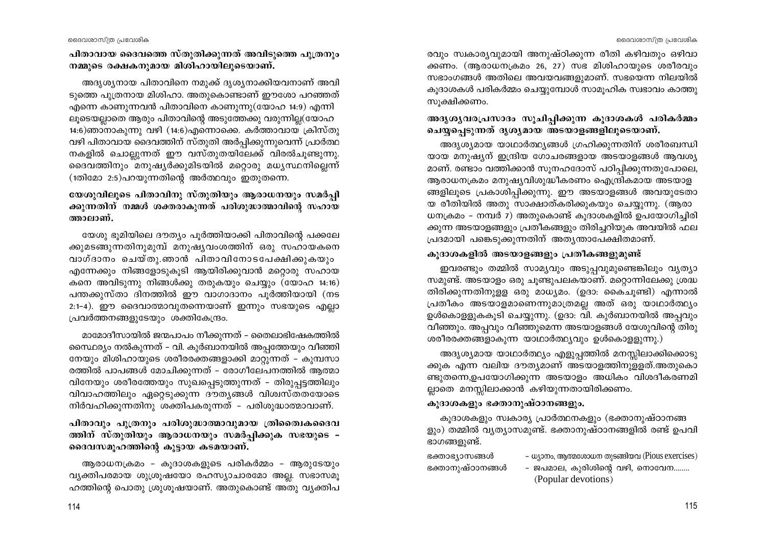പിതാവായ ദൈവത്തെ സ്തുതിക്കുന്നത് അവിടുത്തെ പുത്രനും നമ്മുടെ രക്ഷകനുമായ മിശിഹായിലുടെയാണ്.

അദൃശൃനായ പിതാവിനെ നമുക്ക് ദൃശൃനാക്കിയവനാണ് അവി ടുത്തെ പുത്രനായ മിശിഹാ. അതുകൊണ്ടാണ് ഈശോ പറഞ്ഞത് എന്നെ കാണുന്നവൻ പിതാവിനെ കാണുന്നു(യോഹ 14:9) എന്നി ലൂടെയല്ലാതെ ആരും പിതാവിന്റെ അടുത്തേക്കു വരുന്നില്ല(യോഹ 14:6)ഞാനാകുന്നു വഴി (14:6)എന്നൊക്കെ. കർത്താവായ ക്രിസ്തു വഴി പിതാവായ ദൈവത്തിന് സ്തുതി അർപ്പിക്കുന്നുവെന്ന് പ്രാർത്ഥ നകളിൽ ചൊല്ലുന്നത് ഈ വസ്തുതയിലേക്ക് വിരൽചുണ്ടുന്നു. ദൈവത്തിനും മനുഷ്യർക്കുമിടയിൽ മറ്റൊരു മധ്യസ്ഥനില്ലെന്ന്  $(100)$ മോ 2:5)പറയുന്നതിന്റെ അർത്ഥവും ഇതുതന്നെ.

യേശുവിലൂടെ പിതാവിനു സ്തുതിയും ആരാധനയും സമർപ്പി ക്കുന്നതിന് നമ്മൾ ശക്തരാകുന്നത് പരിശുദ്ധാത്മാവിന്റെ സഹായ ത്താലാണ്.

യേശു ഭുമിയിലെ ദൗത്യം പൂർത്തിയാക്കി പിതാവിന്റെ പക്കലേ ക്കുമടങ്ങുന്നതിനുമുമ്പ് മനുഷ്യവംശത്തിന് ഒരു സഹായകനെ വാഗ്ദാനം ചെയ്തു.ഞാൻ പിതാവിനോടപേക്ഷിക്കുകയും എന്നേക്കും നിങ്ങളോടുകൂടി ആയിരിക്കുവാൻ മറൊരു സഹായ കനെ അവിടുന്നു നിങ്ങൾക്കു തരുകയും ചെയ്യും (യോഹ 14:16) പന്തക്കുസ്താ ദിനത്തിൽ ഈ വാഗാദാനം പൂർത്തിയായി (നട 2:1-4). ഈ ദൈവാത്മാവുതന്നെയാണ് ഇന്നും സഭയുടെ എല്ലാ പ്രവർത്തനങ്ങളുടേയും ശക്തികേന്ദ്രം.

മാമോദീസായിൽ ജന്മപാപം നീക്കുന്നത് - തൈലാഭിഷേകത്തിൽ സൈഥര്യം നൽകുന്നത് – വി. കുർബാനയിൽ അപ്പത്തേയും വീഞ്ഞി നേയും മിശിഹായുടെ ശരീരരക്തങ്ങളാക്കി മാറ്റുന്നത് – കുമ്പസാ രത്തിൽ പാപങ്ങൾ മോചിക്കുന്നത് – രോഗീലേപനത്തിൽ ആത്മാ വിനേയും ശരീരത്തേയും സുഖപ്പെടുത്തുന്നത് - തിരുപ്പട്ടത്തിലും വിവാഹത്തിലും ഏറ്റെടുക്കുന്ന ദൗതൃങ്ങൾ വിശ്വസ്തതയോടെ നിർവഹിക്കുന്നതിനു ശക്തിപകരുന്നത് - പരിശുദ്ധാത്മാവാണ്.

പിതാവും പുത്രനും പരിശുദ്ധാത്മാവുമായ ത്രിതൈഥക്കെദവ ത്തിന് സ്തുതിയും ആരാധനയും സമർപ്പിക്കുക സഭയുടെ – ദൈവസമൂഹത്തിന്റെ കൂട്ടായ കടമയാണ്.

ആരാധനക്രമം - കൂദാശകളുടെ പരികർമ്മം - ആരുടേയും വ്യക്തിപരമായ ശുശ്രൂഷയോ രഹസ്യാചാരമോ അല്ല. സഭാസമൂ ഹത്തിന്റെ പൊതു ശ്രുശൂഷയാണ്. അതുകൊണ്ട് അതു വൃക്തിപ രവും സ്വകാര്യവുമായി അനുഷ്ഠിക്കുന്ന രീതി കഴിവതും ഒഴിവാ ക്കണം. (ആരാധനക്രമം 26, 27) സഭ മിശിഹായുടെ ശരീരവും സഭാംഗങ്ങൾ അതിലെ അവയവങ്ങളുമാണ്. സഭയെന്ന നിലയിൽ കൂദാശകൾ പരികർമ്മം ചെയ്യുമ്പോൾ സാമൂഹിക സ്വഭാവം കാത്തു സുക്ഷിക്കണം.

# അദൃശൃവരപ്രസാദം സൂചിപ്പിക്കുന്ന കൂദാശകൾ പരികർമ്മം ചെയ്യപെടുന്നത് ദൃശ്യമായ അടയാളങ്ങളിലൂടെയാണ്.

അദൃശ്യമായ യാഥാർത്ഥ്യങ്ങൾ ഗ്രഹിക്കുന്നതിന് ശരീരബന്ധി യായ മനുഷ്യന് ഇന്ദ്രിയ ഗോചരങ്ങളായ അടയാളങ്ങൾ ആവശ്യ മാണ്. രണ്ടാം വത്തിക്കാൻ സുനഹദോസ് പഠിപ്പിക്കുന്നതുപോലെ, ആരാധനക്രമം മനുഷ്യവിശുദ്ധീകരണം ഐന്ദ്രികമായ അടയാള ങ്ങളിലൂടെ പ്രകാശിപ്പിക്കുന്നു. ഈ അടയാളങ്ങൾ അവയുടേതാ യ രീതിയിൽ അതു സാക്ഷാത്കരിക്കുകയും ചെയ്യുന്നു. (ആരാ ധനക്രമം - നമ്പർ 7) അതുകൊണ്ട് കുദാശകളിൽ ഉപയോഗിച്ചിരി ക്കുന്ന അടയാളങ്ങളും പ്രതീകങ്ങളും തിരിച്ചറിയുക അവയിൽ ഫല പ്രദമായി പങ്കെടുക്കുന്നതിന് അത്യന്താപേക്ഷിതമാണ്.

#### കുദാശകളിൽ അടയാളങ്ങളും പ്രതീകങ്ങളുമുണ്ട്

ഇവരണ്ടും തമ്മിൽ സാമ്യവും അടുപ്പവുമുണ്ടെങ്കിലും വ്യത്യാ സമുണ്ട്. അടയാളം ഒരു ചുണ്ടുപലകയാണ്. മറ്റൊന്നിലേക്കു ശ്രദ്ധ തിരിക്കുന്നതിനുളള ഒരു മാധ്യമം. (ഉദാ: കൈചൂണ്ടി) എന്നാൽ പ്രതീകം അടയാളമാണെന്നുമാത്രമല്ല അത് ഒരു യാഥാർത്ഥ്യം ഉൾകൊളളുകകൂടി ചെയ്യുന്നു. (ഉദാ: വി. കുർബാനയിൽ അപ്പവും വീഞ്ഞും. അപ്പവും വീഞ്ഞുമെന്ന അടയാളങ്ങൾ യേശുവിന്റെ തിരു ശരീരരക്തങ്ങളാകുന്ന യാഥാർത്ഥ്യവും ഉൾകൊള്ളുന്നു.)

അദൃശ്യമായ യാഥാർത്ഥ്യം എളുപ്പത്തിൽ മനസ്സിലാക്കിക്കൊടു ക്കുക എന്ന വലിയ ദൗത്യമാണ് അടയാളത്തിനുള്ളത്.അതുകൊ ണ്ടുതന്നെ,ഉപയോഗിക്കുന്ന അടയാളം അധികം വിശദീകരണമി ല്ലാതെ മനസ്സിലാക്കാൻ കഴിയുന്നതായിരിക്കണം.

#### കുദാശകളും ഭക്താനുഷ്ഠാനങ്ങളും.

കൂദാശകളും സ്വകാര്യ പ്രാർത്ഥനകളും (ഭക്താനുഷ്ഠാനങ്ങ ളും) തമ്മിൽ വ്യത്യാസമുണ്ട്. ഭക്താനുഷ്ഠാനങ്ങളിൽ രണ്ട് ഉപവി ഭാഗങ്ങളുണ്ട്.

ഭക്താഭ്യാസങ്ങൾ ഭക്താനുഷ്ഠാനങ്ങൾ

– ധ്യാനം, ആത്മശോധന തുടങ്ങിയവ (Pious exercises)

- ജപമാല, കുരിശിന്റെ വഴി, നൊവേന........ (Popular devotions)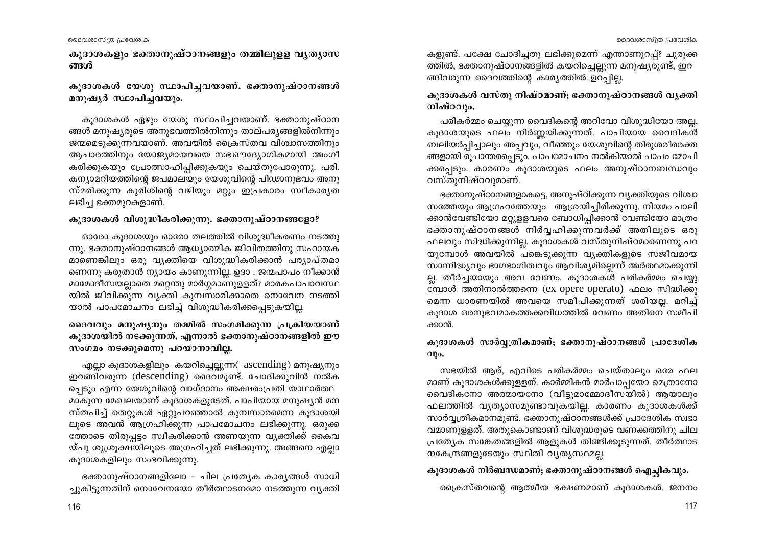കുദാശകളും ഭക്താനുഷ്ഠാനങ്ങളും തമ്മിലുള്ള വൃത്യാസ ങ്ങൾ

# കുദാശകൾ യേശു സ്ഥാപിച്ചവയാണ്. ഭക്താനുഷ്ഠാനങ്ങൾ മനുഷൃർ സ്ഥാപിച്ചവയും.

കുദാശകൾ ഏഴും യേശു സ്ഥാപിച്ചവയാണ്. ഭക്താനുഷ്ഠാന ങ്ങൾ മനുഷ്യരുടെ അനുഭവത്തിൽനിന്നും താല്പര്യങ്ങളിൽനിന്നും ജന്മമെടുക്കുന്നവയാണ്. അവയിൽ ക്രൈസ്തവ വിശ്വാസത്തിനും ആചാരത്തിനും യോജ്യമായവയെ സഭഔദ്യോഗികമായി അംഗീ കരിക്കുകയും പ്രോത്സാഹിപ്പിക്കുകയും ചെയ്തുപോരുന്നു. പരി. കന്യാമറിയത്തിന്റെ ജപമാലയും യേശുവിന്റെ പിഢാനുഭവം അനു സ്മരിക്കുന്ന കുരിശിന്റെ വഴിയും മറ്റും ഇപ്രകാരം സ്വീകാരൃത ലഭിച്ച ഭക്തമുറകളാണ്.

#### കൂദാശകൾ വിശുദ്ധീകരിക്കുന്നു. ഭക്താനുഷ്ഠാനങ്ങളോ?

ഓരോ കൂദാശയും ഓരോ തലത്തിൽ വിശുദ്ധീകരണം നടത്തു ന്നു. ഭക്താനുഷ്ഠാനങ്ങൾ ആധ്യാത്മിക ജീവിതത്തിനു സഹായക മാണെങ്കിലും ഒരു വ്യക്തിയെ വിശുദ്ധീകരിക്കാൻ പര്യാപ്തമാ ണെന്നു കരുതാൻ ന്യായം കാണുന്നില്ല. ഉദാ : ജന്മപാപം നീക്കാൻ മാമോദീസയല്ലാതെ മറ്റെന്തു മാർഗ്ഗമാണുളളത്? മാരകപാപാവസ്ഥ യിൽ ജീവിക്കുന്ന വ്യക്തി കുമ്പസാരിക്കാതെ നൊവേന നടത്തി യാൽ പാപമോചനം ലഭിച്ച് വിശുദ്ധീകരിക്കപ്പെടുകയില്ല.

# ദൈവവും മനുഷ്യനും തമ്മിൽ സംഗമിക്കുന്ന പ്രക്രിയയാണ് കൂദാശയിൽ നടക്കുന്നത്. എന്നാൽ ഭക്താനുഷ്ഠാനങ്ങളിൽ ഈ സംഗമം നടക്കുമെന്നു പറയാനാവില്ല.

എല്ലാ കൂദാശകളിലും കയറിച്ചെല്ലുന്ന( ascending) മനുഷ്യനും ഇറങ്ങിവരുന്ന (descending) ദൈവമുണ്ട്. ചോദിക്കുവിൻ നൽക പ്പെടും എന്ന യേശുവിന്റെ വാഗ്ദാനം അക്ഷരംപ്രതി യാഥാർത്ഥ മാകുന്ന മേഖലയാണ് കൂദാശകളുടേത്. പാപിയായ മനുഷ്യൻ മന സ്തപിച്ച് തെറ്റുകൾ ഏറ്റുപറഞ്ഞാൽ കുമ്പസാരമെന്ന കുദാശയി ലൂടെ അവൻ ആഗ്രഹിക്കുന്ന പാപമോചനം ലഭിക്കുന്നു. ഒരുക്ക ത്തോടെ തിരുപ്പട്ടം സ്വീകരിക്കാൻ അണയുന്ന വ്യക്തിക്ക് കൈവ യ്പു ശുശ്രുക്ഷയിലുടെ അഗ്രഹിച്ചത് ലഭിക്കുന്നു. അങ്ങനെ എല്ലാ കുദാശകളിലും സംഭവിക്കുന്നു.

ഭക്താനുഷ്ഠാനങ്ങളിലോ - ചില പ്രത്യേക കാര്യങ്ങൾ സാധി ച്ചുകിട്ടുന്നതിന് നൊവേനയോ തീർത്ഥാടനമോ നടത്തുന്ന വൃക്തി കളുണ്ട്. പക്ഷേ ചോദിച്ചതു ലഭിക്കുമെന്ന് എന്താണുറപ്പ്? ചുരുക്ക ത്തിൽ, ഭക്താനുഷ്ഠാനങ്ങളിൽ കയറിച്ചെല്ലുന്ന മനുഷ്യരുണ്ട്, ഇറ ങ്ങിവരുന്ന ദൈവത്തിന്റെ കാര്യത്തിൽ ഉറപ്പില്ല.

# കുദാശകൾ വസ്തു നിഷ്ഠമാണ്; ഭക്താനുഷ്ഠാനങ്ങൾ വൃക്തി നിഷ്ഠവും.

പരികർമ്മം ചെയ്യുന്ന വൈദികന്റെ അറിവോ വിശുദ്ധിയോ അല്ല, കൂദാശയുടെ ഫലം നിർണ്ണയിക്കുന്നത്. പാപിയായ വൈദികൻ ബലിയർപ്പിച്ചാലും അപ്പവും, വീഞ്ഞും യേശുവിന്റെ തിരുശരീരരക്ത ങ്ങളായി രൂപാന്തരപ്പെടും. പാപമോചനം നൽകിയാൽ പാപം മോചി ക്കപ്പെടും. കാരണം കൂദാശയുടെ ഫലം അനുഷ്ഠാനബന്ധവും വസ്തുനിഷ്ഠവുമാണ്.

ഭക്താനുഷ്ഠാനങ്ങളാകട്ടെ, അനുഷ്ഠിക്കുന്ന വ്യക്തിയുടെ വിശ്വാ സത്തേയും ആഗ്രഹത്തേയും ആശ്രയിച്ചിരിക്കുന്നു. നിയമം പാലി ക്കാൻവേണ്ടിയോ മറ്റുള്ളവരെ ബോധിപ്പിക്കാൻ വേണ്ടിയോ മാത്രം ഭക്താനുഷ്ഠാനങ്ങൾ നിർവ്വഹിക്കുന്നവർക്ക് അതിലൂടെ ഒരു ഫലവും സിദ്ധിക്കുന്നില്ല. കൂദാശകൾ വസ്തുനിഷ്ഠമാണെന്നു പറ യുമ്പോൾ അവയിൽ പങ്കെടുക്കുന്ന വ്യക്തികളുടെ സജീവമായ സാന്നിദ്ധ്യവും ഭാഗഭാഗിത്വവും ആവിശ്യമില്ലെന്ന് അർത്ഥമാക്കുന്നി ല്ല. തീർച്ചയായും അവ വേണം. കൂദാശകശ് പരികർമ്മം ചെയ്യു ബോൾ അതിനാൽത്തന്നെ (ex opere operato) ഫലം സിദ്ധിക്കു മെന്ന ധാരണയിൽ അവയെ സമീപിക്കുന്നത് ശരിയല്ല. മറിച്ച് കൂദാശ ഒരനുഭവമാകത്തക്കവിധത്തിൽ വേണം അതിനെ സമീപി ക്കാൻ.

# കൂദാശകൾ സാർവ്വത്രികമാണ്; ഭക്താനുഷ്ഠാനങ്ങൾ പ്രാദേശിക  $Q1$ ) $Q$ .

സഭയിൽ ആര്, എവിടെ പരികർമ്മം ചെയ്താലും ഒരേ ഫല മാണ് കൂദാശകൾക്കുളളത്. കാർമ്മികൻ മാർപാപ്പയോ മെത്രാനോ വൈദികനോ അത്മായനോ (വീട്ടുമാമ്മോദീസയിൽ) ആയാലും ഫലത്തിൽ വ്യത്യാസമുണ്ടാവുകയില്ല. കാരണം കൂദാശകൾക്ക് സാർവ്വത്രികമാനമുണ്ട്. ഭക്താനുഷ്ഠാനങ്ങൾക്ക് പ്രാദേശിക സ്വഭാ വമാണുള്ളത്. അതുകൊണ്ടാണ് വിശുദ്ധരുടെ വണക്കത്തിനു ചില പ്രത്യേക സങ്കേതങ്ങളിൽ ആളുകൾ തിങ്ങിക്കൂടുന്നത്. തീർത്ഥാട നകേന്ദ്രങ്ങളുടേയും സ്ഥിതി വ്യത്യസ്ഥമല്ല.

# കൂദാശകൾ നിർബന്ധമാണ്; ഭക്താനുഷ്ഠാനങ്ങൾ ഐച്ഛികവും.

പ്രൈസ്തവന്റെ ആത്മീയ ഭക്ഷണമാണ് കുദാശകൾ. ജനനം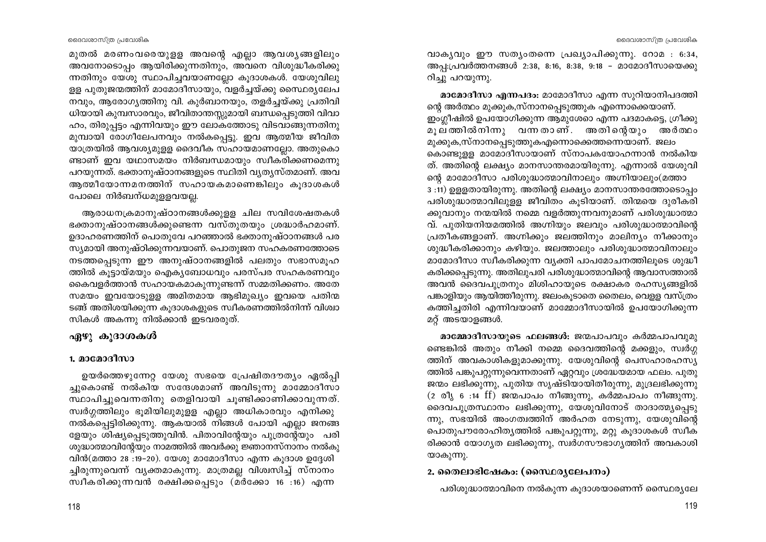മുതൽ മരണംവരെയുളള അവന്റെ എല്ലാ ആവശ്യങ്ങളിലും അവനോടൊപ്പം ആയിരിക്കുന്നതിനും, അവനെ വിശുദ്ധീകരിക്കു ന്നതിനും യേശു സ്ഥാപിച്ചവയാണല്ലോ കുദാശകൾ. യേശുവിലു ള്ള പുതുജന്മത്തിന് മാമോദീസായും, വളർച്ചയ്ക്കു സൈഥര്യലേപ നവും, ആരോഗ്യത്തിനു വി. കുർബാനയും, തളർച്ചയ്ക്കു പ്രതിവി ധിയായി കുമ്പസാരവും, ജീവിതാന്തസ്സുമായി ബന്ധപ്പെടുത്തി വിവാ ഹം, തിരുപ്പട്ടം എന്നിവയും ഈ ലോകത്തോടു വിടവാങ്ങുന്നതിനു മുമ്പായി രോഗീലേപനവും നൽകപ്പെട്ടു. ഇവ ആത്മീയ ജീവിത യാത്രയിൽ ആവശ്യമുള്ള ദൈവീക സഹായമാണല്ലോ. അതുകൊ ണ്ടാണ് ഇവ യഥാസമയം നിർബന്ധമായും സ്വീകരിക്കണമെന്നു പറയുന്നത്. ഭക്താനുഷ്ഠാനങ്ങളുടെ സ്ഥിതി വൃതൃസ്തമാണ്. അവ ആത്മീയോന്നമനത്തിന് സഹായകമാണെങ്കിലും കുദാശകൾ പോലെ നിർബന്ധമുള്ളവയല്ല.

ആരാധനക്രമാനുഷ്ഠാനങ്ങൾക്കുള്ള ചില സവിശേഷതകൾ ഭക്താനുഷ്ഠാനങ്ങൾക്കുണ്ടെന്ന വസ്തുതയും ശ്രദ്ധാർഹമാണ്. ഉദാഹരണത്തിന് പൊതുവേ പറഞ്ഞാൽ ഭക്താനുഷ്ഠാനങ്ങൾ പര സ്യമായി അനുഷ്ഠിക്കുന്നവയാണ്. പൊതുജന സഹകരണത്തോടെ നടത്തപ്പെടുന്ന ഈ അനുഷ്ഠാനങ്ങളിൽ പലതും സഭാസമൂഹ ത്തിൽ കുട്ടായ്മയും ഐകൃബോധവും പരസ്പര സഹകരണവും കൈവളർത്താൻ സഹായകമാകുന്നുണ്ടന്ന് സമ്മതിക്കണം. അതേ സമയം ഇവയോടുളള അമിതമായ ആഭിമുഖ്യം ഇവയെ പതിന്മ ടങ്ങ് അതിശയിക്കുന്ന കുദാശകളുടെ സ്വീകരണത്തിൽനിന്ന് വിശ്വാ സികൾ അകന്നു നിൽക്കാൻ ഇടവരരുത്.

# ഏഴു കുദാശകൾ

# 1. മാമോദീസാ

ഉയർത്തെഴുന്നേറ്റ യേശു സഭയെ പ്രേഷിതദൗത്യം ഏൽപ്പി ച്ചുകൊണ്ട് നൽകിയ സന്ദേശമാണ് അവിടുന്നു മാമ്മോദീസാ സ്ഥാപിച്ചുവെന്നതിനു തെളിവായി ചുണ്ടിക്കാണിക്കാവുന്നത്. സ്വർഗ്ഗത്തിലും ഭൂമിയിലുമുളള എല്ലാ അധികാരവും എനിക്കു നൽകപ്പെട്ടിരിക്കുന്നു. ആകയാൽ നിങ്ങൾ പോയി എല്ലാ ജനങ്ങ ളേയും ശിഷ്യപ്പെടുത്തുവിൻ. പിതാവിന്റേയും പുത്രന്റേയും പരി ശുദ്ധാത്മാവിന്റേയും നാമത്തിൽ അവർക്കു ജ്ഞാനസ്നാനം നൽകു വിൻ(മത്താ 28:19-20). യേശു മാമോദീസാ എന്ന കൂദാശ ഉദ്ദേശി ച്ചിരുന്നുവെന്ന് വ്യക്തമാകുന്നു. മാത്രമല്ല വിശ്വസിച്ച് സ്നാനം സ്വീകരിക്കുന്നവൻ രക്ഷിക്കപ്പെടും (മർക്കോ 16 :16) എന്ന

വാകൃവും ഈ സത്യംതന്നെ പ്രഖ്യാപിക്കുന്നു. റോമ : 6:34, അപ്പ:പ്രവർത്തനങ്ങൾ 2:38, 8:16, 8:38, 9:18 - മാമോദീസായെക്കു റിച്ചു പറയുന്നു.

മാമോദീസാ എന്നപദം: മാമോദീസാ എന്ന സുറിയാനിപദത്തി ന്റെ അർത്ഥം മുക്കുക,സ്നാനപ്പെടുത്തുക എന്നൊക്കെയാണ്. ഇംഗ്ലീഷിൽ ഉപയോഗിക്കുന്ന ആമുശേറെ എന്ന പദമാകട്ടെ, ഗ്രീക്കു മുല്ത്തിൽനിന്നു വന്നതാണ്. അതിന്റെയും അർത്ഥം മുക്കുക,സ്നാനപ്പെടുത്തുകഎന്നൊക്കെത്തന്നെയാണ്. ജലം കൊണ്ടുള്ള മാമോദീസായാണ് സ്നാപകയോഹന്നാൻ നൽകിയ ത്. അതിന്റെ ലക്ഷ്യം മാനസാന്തരമായിരുന്നു. എന്നാൽ യേശുവി

ന്റെ മാമോദീസാ പരിശുദ്ധാത്മാവിനാലും അഗ്നിയാലും(മത്താ 3:11) ഉളളതായിരുന്നു. അതിന്റെ ലക്ഷ്യം മാനസാന്തരത്തോടൊപ്പം പരിശുദ്ധാത്മാവിലുള്ള ജീവിതം കൂടിയാണ്. തിന്മയെ ദുരീകരി ക്കുവാനും നന്മയിൽ നമ്മെ വളർത്തുന്നവനുമാണ് പരിശുദ്ധാത്മാ വ്. പുതിയനിയമത്തിൽ അഗ്നിയും ജലവും പരിശുദ്ധാത്മാവിന്റെ പ്രതീകങ്ങളാണ്. അഗ്നിക്കും ജലത്തിനും മാലിന്യം നീക്കാനും ശുദ്ധീകരിക്കാനും കഴിയും. ജലത്താലും പരിശുദ്ധാത്മാവിനാലും മാമോദീസാ സ്വീകരിക്കുന്ന വ്യക്തി പാപമോചനത്തിലൂടെ ശുദ്ധീ കരിക്കപ്പെടുന്നു. അതിലുപരി പരിശുദ്ധാത്മാവിന്റെ ആവാസത്താൽ അവൻ ദൈവപുത്രനും മിശിഹായുടെ രക്ഷാകര രഹസ്യങ്ങളിൽ പങ്കാളിയും ആയിത്തീരുന്നു. ജലംകൂടാതെ തൈലം, വെളള വസ്ത്രം കത്തിച്ചതിരി എന്നിവയാണ് മാമ്മോദീസായിൽ ഉപയോഗിക്കുന്ന മറ്റ് അടയാളങ്ങൾ.

മാമ്മോദീസായുടെ ഫലങ്ങൾ: ജന്മപാപവും കർമ്മപാപവുമു ണ്ടെങ്കിൽ അതും നീക്കി നമ്മെ ദൈവത്തിന്റെ മക്കളും, സ്വർഗ്ഗ ത്തിന് അവകാശികളുമാക്കുന്നു. യേശുവിന്റെ പെസഹാരഹസ്യ ത്തിൽ പങ്കുപറ്റുന്നുവെന്നതാണ് ഏറ്റവും ശ്രദ്ധേയമായ ഫലം. പുതു ജന്മം ലഭിക്കുന്നു, പുതിയ സൃഷ്ടിയായിതീരുന്നു, മുദ്രലഭിക്കുന്നു  $(2 \circ 0)$ <sub>s</sub>  $6 \cdot 14$  ff) ജന്മപാപം നീങ്ങുന്നു, കർമ്മപാപം നീങ്ങുന്നു. ദൈവപുത്രസ്ഥാനം ലഭിക്കുന്നു, യേശുവിനോട് താദാത്മ്യപ്പെടു ന്നു, സഭയിൽ അംഗത്വത്തിന് അർഹത നേടുന്നു, യേശുവിന്റെ പൊതുപൗരോഹിതൃത്തിൽ പങ്കുപറ്റുന്നു, മറ്റു കൂദാശകൾ സ്വീക രിക്കാൻ യോഗ്യത ലഭിക്കുന്നു, സ്വർഗസൗഭാഗ്യത്തിന് അവകാശി യാകുന്നു.

# 2. തൈലാഭിഷേകം: (സൈ്ഥര്യലേപനം)

പരിശുദ്ധാത്മാവിനെ നൽകുന്ന കുദാശയാണെന്ന് സൈഥരൃലേ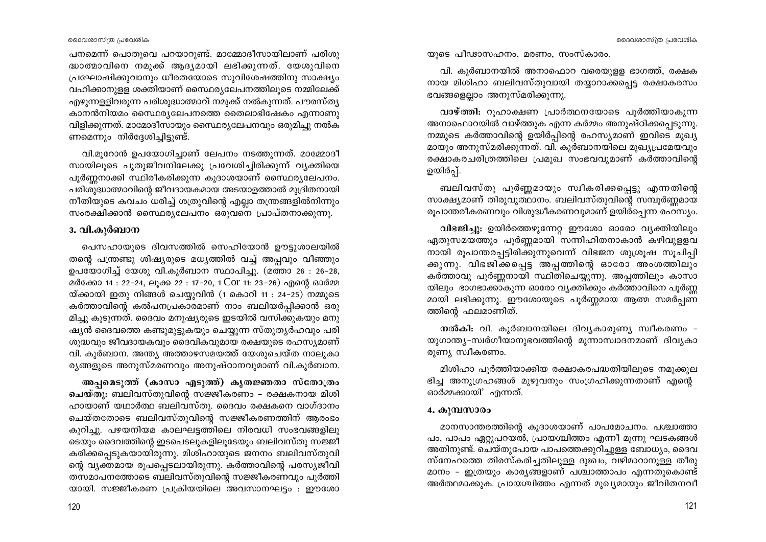പനമെന്ന് പൊതുവെ പറയാറുണ്ട്. മാമ്മോദീസായിലാണ് പരിശു ദ്ധാത്മാവിനെ നമുക്ക് ആദ്യമായി ലഭിക്കുന്നത്. യേശുവിനെ പ്രഘോഷിക്കുവാനും ധീരതയോടെ സുവിശേഷത്തിനു സാക്ഷ്യം വഹിക്കാനുള്ള ശക്തിയാണ് സൈഥരൃലേപനത്തിലൂടെ നമ്മിലേക്ക് എഴുന്നളളിവരുന്ന പരിശുദ്ധാത്മാവ് നമുക്ക് നൽകുന്നത്. പൗരസ്ത്യ കാനൻനിയമം സൈ്ഥര്യലേപനത്തെ തൈലാഭിഷേകം എന്നാണു വിളിക്കുന്നത്. മാമോദീസായും സൈഥര്യലേപനവും ഒരുമിച്ചു നൽക ണമെന്നും നിർദ്ദേശിച്ചിട്ടുണ്ട്.

വി.മൂറോൻ ഉപയോഗിച്ചാണ് ലേപനം നടത്തുന്നത്. മാമ്മോദീ സായിലൂടെ പുതുജീവനിലേക്കു പ്രവേശിച്ചിരിക്കുന്ന് വ്യക്തിയെ പൂർണ്ണനാക്കി സ്ഥിരീകരിക്കുന്ന കൂദാശയാണ് സൈഥര്യലേപനം. പരിശുദ്ധാത്മാവിന്റെ ജീവദായകമായ അടയാളത്താൽ മുദ്രിതനായി നീതിയുടെ കവചം ധരിച്ച് ശത്രുവിന്റെ എല്ലാ തന്ത്രങ്ങളിൽനിന്നും സംരക്ഷിക്കാൻ സൈ്ഥര്യലേപനം ഒരുവനെ പ്രാപ്തനാക്കുന്നു.

### 3. വി.കുർബാന

പെസഹായുടെ ദിവസത്തിൽ സെഹിയോൻ ഊട്ടുശാലയിൽ തന്റെ പന്ത്രണ്ടു ശിഷ്യരുടെ മധ്യത്തിൽ വച്ച് അപ്പവും വീഞ്ഞും ഉപയോഗിച്ച് യേശു വി.കുർബാന സ്ഥാപിച്ചു. (മത്താ 26: 26-28, മർക്കോ 14 : 22-24, ലുക്ക 22 : 17-20, 1 Cor 11: 23-26) എന്റെ ഓർമ്മ യ്ക്കായി ഇതു നിങ്ങൾ ചെയ്യുവിൻ (1 കൊറി 11 : 24–25) നമ്മുടെ കർത്താവിന്റെ കൽപനപ്രകാരമാണ് നാം ബലിയർപ്പിക്കാൻ ഒരു മിച്ചു കൂടുന്നത്. ദൈവം മനുഷ്യരുടെ ഇടയിൽ വസിക്കുകയും മനു ഷ്യൻ ദൈവത്തെ കണ്ടുമുട്ടുകയും ചെയ്യുന്ന സ്തുത്യർഹവും പരി ശുദ്ധവും ജീവദായകവും ദൈവികവുമായ രക്ഷയുടെ രഹസ്യമാണ് വി. കുർബാന. അന്ത്യ അത്താഴസമയത്ത് യേശുചെയ്ത നാലുകാ രൃങ്ങളുടെ അനുസ്മരണവും അനുഷ്ഠാനവുമാണ് വി.കുർബാന.

അപ്പമെടുത്ത് (കാസാ എടുത്ത്) കൃതജ്ഞതാ സ്തോത്രം ചെയ്തു: ബലിവസ്തുവിന്റെ സജ്ജീകരണം – രക്ഷകനായ മിശി ഹായാണ് യഥാർത്ഥ ബലിവസ്തു. ദൈവം രക്ഷകനെ വാഗ്ദാനം ചെയ്തതോടെ ബലിവസ്തുവിന്റെ സജ്ജീകരണത്തിന് ആരംഭം കൂറിച്ചു. പഴയനിയമ കാലഘട്ടത്തിലെ നിരവധി സംഭവങ്ങളിലു ടെയും ദൈവത്തിന്റെ ഇടപെടലുകളിലൂടേയും ബലിവസ്തു സജ്ജീ കരിക്കപ്പെടുകയായിരുന്നു. മിശിഹായുടെ ജനനം ബലിവസ്തുവി ന്റെ വ്യക്തമായ രൂപപ്പെടലായിരുന്നു. കർത്താവിന്റെ പരസ്യജീവി തസമാപനത്തോടെ ബലിവസ്തുവിന്റെ സജ്ജീകരണവും പൂർത്തി യായി. സജ്ജീകരണ പ്രക്രിയയിലെ അവസാനഘട്ടം : ഈശോ

യുടെ പീഢാസഹനം, മരണം, സംസ്കാരം.

വി. കുർബാനയിൽ അനാഫൊറ വരെയുളള ഭാഗത്ത്, രക്ഷക നായ മിശിഹാ ബലിവസ്തുവായി തയ്യാറാക്കപ്പെട്ട രക്ഷാകരസം ഭവങ്ങളെല്ലാം അനുസ്മരിക്കുന്നു.

വാഴ്ത്തി: റുഹാക്ഷണ പ്രാർത്ഥനയോടെ പൂർത്തിയാകുന്ന അനാഫൊറയിൽ വാഴ്ത്തുക എന്ന കർമ്മം അനുഷ്ഠിക്കപ്പെടുന്നു. നമ്മുടെ കർത്താവിന്റെ ഉയിർപ്പിന്റെ രഹസ്യമാണ് ഇവിടെ മുഖ്യ മായും അനുസ്മരിക്കുന്നത്. വി. കുർബാനയിലെ മുഖ്യപ്രമേയവും രക്ഷാകരചരിത്രത്തിലെ പ്രമുഖ സംഭവവുമാണ് കർത്താവിന്റെ ഉയിർപ്പ്.

ബലിവസ്തു പൂർണ്ണമായും സ്വീകരിക്കപ്പെട്ടു എന്നതിന്റെ സാക്ഷ്യമാണ് തിരുവുത്ഥാനം. ബലിവസ്തുവിന്റെ സമ്പൂർണ്ണമായ രുപാന്തരീകരണവും വിശുദ്ധീകരണവുമാണ് ഉയിര്പ്പെന്ന രഹസ്യം.

വിഭജിച്ചു: ഉയിർത്തെഴുന്നേറ്റ ഈശോ ഓരോ വ്യക്തിയിലും ഏതുസമയത്തും പൂർണ്ണമായി സന്നിഹിതനാകാൻ കഴിവുളളവ നായി രൂപാന്തരപ്പട്ടിരിക്കുന്നുവെന്ന് വിഭജന ശുശ്രൂഷ സൂചിപ്പി ക്കുന്നു. വിഭജിക്കപ്പെട്ട അപ്പത്തിന്റെ ഓരോ അംശത്തിലും കർത്താവു പൂർണ്ണനായി സ്ഥിതിചെയ്യുന്നു. അപ്പത്തിലും കാസാ യിലും ഭാഗഭാക്കാകുന്ന ഓരോ വ്യക്തിക്കും കർത്താവിനെ പൂർണ്ണ മായി ലഭിക്കുന്നു. ഈശോയുടെ പൂർണ്ണമായ ആത്മ സമർപ്പണ ത്തിന്റെ ഫലമാണിത്.

നൽകി: വി. കുർബാനയിലെ ദിവ്യകാരുണ്യ സ്വീകരണം -യുഗാന്ത്യ-സ്വർഗീയാനുഭവത്തിന്റെ മുന്നാസ്വാദനമാണ് ദിവ്യകാ രുണ്യ സ്വീകരണം.

മിശിഹാ പൂർത്തിയാക്കിയ രക്ഷാകരപദ്ധതിയിലൂടെ നമുക്കുല ഭിച്ച അനുഗ്രഹങ്ങൾ മുഴുവനും സംഗ്രഹിക്കുന്നതാണ് എന്റെ ഓർമ്മക്കായി' എന്നത്.

#### 4. കുമ്പസാരം

മാനസാന്തരത്തിന്റെ കുദാശയാണ് പാപമോചനം. പശ്ചാത്താ പം, പാപം ഏറ്റുപറയൽ, പ്രായശ്ചിത്തം എന്നീ മൂന്നു ഘടകങ്ങൾ അതിനുണ്ട്. ചെയ്തുപോയ പാപത്തെക്കുറിച്ചുള്ള ബോധ്യം, ദൈവ സ്നേഹത്തെ തിരസ്കരിച്ചതിലുള്ള ദുഃഖം, വഴിമാറാനുള്ള തീരു മാനം – ഇത്രയും കാര്യങ്ങളാണ് പശ്ചാത്താപം എന്നതുകൊണ്ട് അർത്ഥമാക്കുക. പ്രായശ്ചിത്തം എന്നത് മുഖ്യമായും ജീവിതനവീ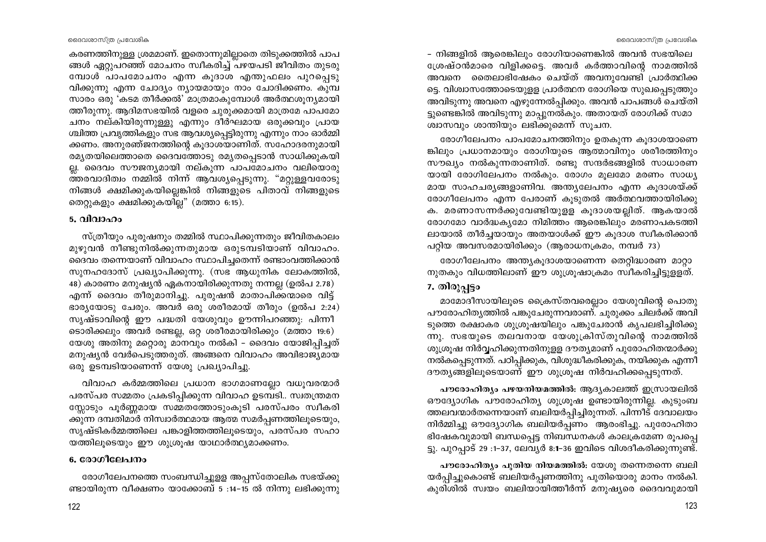ദൈവശാസ്ത്ര പ്രവേശിക

കരണത്തിനുള്ള ശ്രമമാണ്. ഇതൊന്നുമില്ലാതെ തിടുക്കത്തിൽ പാപ ങ്ങൾ ഏറുപറഞ്ഞ് മോചനം സ്വീകരിച്ച് പഴയപടി ജീവിതം തുടരു മ്പോൾ പാപമോചനം എന്ന കൂദാശ എന്തുഫലം പുറപ്പെടു വിക്കുന്നു എന്ന ചോദ്യം ന്യായമായും നാം ചോദിക്കണം. കുമ്പ സാരം ഒരു 'കടമ തീർക്കൽ' മാത്രമാകുമ്പോൾ അർത്ഥശൂന്യമായി ത്തീരുന്നു. ആദിമസഭയിൽ വളരെ ചുരുക്കമായി മാത്രമേ പാപമോ ചനം നല്കിയിരുന്നുള്ളു എന്നും ദീർഘമായ ഒരുക്കവും പ്രായ ശ്ചിത്ത പ്രവൃത്തികളും സഭ ആവശ്യപ്പെട്ടിരുന്നു എന്നും നാം ഓർമ്മി ക്കണം. അനുരഞ്ജനത്തിന്റെ കൂദാശയാണിത്. സഹോദരനുമായി രമൃതയിലെത്താതെ ദൈവത്തോടു രമൃതപ്പെടാൻ സാധിക്കുകയി ല്ല. ദൈവം സൗജന്യമായി നല്കുന്ന പാപ്മോചനം വലിയൊരു ത്തരവാദിത്വം നമ്മിൽ നിന്ന് ആവശ്യപ്പെടുന്നു. "മറ്റുള്ളവരോടു നിങ്ങൾ ക്ഷമിക്കുകയില്ലെങ്കിൽ നിങ്ങളുടെ പിതാവ് നിങ്ങളുടെ തെറ്റുകളും ക്ഷമിക്കുകയില്ല" (മത്താ 6:15).

#### 5. വിവാഹം

സ്ത്രീയും പുരുഷനും തമ്മിൽ സ്ഥാപിക്കുന്നതും ജീവിതകാലം മുഴുവൻ നീണ്ടുനിൽക്കുന്നതുമായ ഒരുടമ്പടിയാണ് വിവാഹം. ദൈവം തന്നെയാണ് വിവാഹം സ്ഥാപിച്ചതെന്ന് രണ്ടാംവത്തിക്കാൻ സുനഹദോസ് പ്രഖ്യാപിക്കുന്നു. (സഭ ആധുനിക ലോകത്തിൽ, 48) കാരണം മനുഷ്യൻ ഏകനായിരിക്കുന്നതു നന്നല്ല (ഉൽപ 2.78) എന്ന് ദൈവം തീരുമാനിച്ചു. പുരുഷൻ മാതാപിക്കന്മാരെ വിട്ട് ഭാര്യയോടു ചേരും. അവർ ഒരു ശരീരമായ് തീരും (ഉൽപ 2:24) സൃഷ്ടാവിന്റെ ഈ പദ്ധതി യേശുവും ഊന്നിപറഞ്ഞു: പിന്നീ ടൊരിക്കലും അവർ രണ്ടല്ല, ഒറ്റ ശരീരമായിരിക്കും (മത്താ 19:6) യേശു അതിനു മറ്റൊരു മാനവും നൽകി – ദൈവം യോജിപ്പിച്ചത് മനുഷ്യൻ വേർപെടുത്തരുത്. അങ്ങനെ വിവാഹം അവിഭാജ്യമായ ഒരു ഉടമ്പടിയാണെന്ന് യേശു പ്രഖ്യാപിച്ചു.

വിവാഹ കർമ്മത്തിലെ പ്രധാന ഭാഗമാണല്ലോ വധുവരന്മാർ പരസ്പര സമ്മതം പ്രകടിപ്പിക്കുന്ന വിവാഹ ഉടമ്പടി.. സ്വതന്ത്രമന സ്സോടും പൂർണ്ണമായ സമ്മതത്തോടുംകൂടി പരസ്പരം സ്വീകരി ക്കുന്ന ദമ്പതിമാർ നിസ്വാർത്ഥമായ ആത്മ സമർപ്പണത്തിലൂടെയും, സൃഷ്ടികർമ്മത്തിലെ പങ്കാളിത്തത്തിലൂടെയും, പരസ്പര സഹാ യത്തിലൂടെയും ഈ ശുശ്രൂഷ യാഥാർത്ഥ്യമാക്കണം.

# 6. രോഗീലേപനം

രോഗീലേപനത്തെ സംബന്ധിച്ചുളള അപ്പസ്തോലിക സഭയ്ക്കു ണ്ടായിരുന്ന വീക്ഷണം യാക്കോബ് 5 :14–15 ൽ നിന്നു ലഭിക്കുന്നു

- നിങ്ങളിൽ ആരെങ്കിലും രോഗിയാണെങ്കിൽ അവൻ സഭയിലെ ശ്രേഷ്ഠൻമാരെ വിളിക്കട്ടെ. അവർ കർത്താവിന്റെ നാമത്തിൽ അവനെ തൈലാഭിഷേകം ചെയ്ത് അവനുവേണ്ടി പ്രാർത്ഥിക്ക ട്ടെ. വിശ്വാസത്തോടെയുളള പ്രാർത്ഥന രോഗിയെ സുഖപ്പെടുത്തും അവിടുന്നു അവനെ എഴുന്നേൽപ്പിക്കും. അവൻ പാപങ്ങൾ ചെയ്തി ട്ടുണ്ടെങ്കിൽ അവിടുന്നു മാപ്പുനൽകും. അതായത് രോഗിക്ക് സമാ ശ്വാസവും ശാന്തിയും ലഭിക്കുമെന്ന് സൂചന.

രോഗീലേപനം പാപമോചനത്തിനും ഉതകുന്ന കൂദാശയാണെ ങ്കിലും പ്രധാനമായും രോഗിയുടെ ആത്മാവിനും ശരീരത്തിനും സൗഖ്യം നൽകുന്നതാണിത്. രണ്ടു സന്ദർഭങ്ങളിൽ സാധാരണ യായി രോഗിലേപനം നൽകും. രോഗം മൂലമോ മരണം സാധ്യ മായ സാഹചര്യങ്ങളാണിവ. അന്ത്യലേപനം എന്ന കുദാശയ്ക്ക് രോഗീലേപനം എന്ന പേരാണ് കുടുതൽ അർത്ഥവത്തായിരിക്കു ക. മരണാസന്നർക്കുവേണ്ടിയുളള കൂദാശയല്ലിത്. ആകയാൽ രോഗമോ വാർദ്ധകൃമോ നിമിത്തം ആരെങ്കിലും മരണാപകടത്തി ലായാൽ തീർച്ചയായും അതയാൾക്ക് ഈ കൂദാശ സ്ഥീകരിക്കാൻ പറ്റിയ അവസരമായിരിക്കും (ആരാധനക്രമം, നമ്പർ 73)

രോഗീലേപനം അന്ത്യകൂദാശയാണെന്ന തെറ്റിദ്ധാരണ മാറ്റാ നുതകും വിധത്തിലാണ് ഈ ശുശ്രുഷാക്രമം സ്വീകരിച്ചിട്ടുള്ളത്.

# 7. തിരുപ്പട്ടം

മാമോദീസായിലൂടെ ക്രൈസ്തവരെല്ലാം യേശുവിന്റെ പൊതു പൗരോഹിത്യത്തിൽ പങ്കുചേരുന്നവരാണ്. ചുരുക്കം ചിലർക്ക് അവി ടുത്തെ രക്ഷാകര ശുശ്രൂഷയിലും പങ്കുചേരാൻ കൃപലഭിച്ചിരിക്കു ന്നു. സഭയുടെ തലവനായ യേശുക്രിസ്തുവിന്റെ നാമത്തിൽ ശുശ്രൂഷ നിർവ്വഹിക്കുന്നതിനുളള ദൗത്യമാണ് പുരോഹിതന്മാർക്കു നൽകപ്പെടുന്നത്. പഠിപ്പിക്കുക, വിശുദ്ധീകരിക്കുക, നയിക്കുക എന്നീ ദൗത്യങ്ങളിലൂടെയാണ് ഈ ശുശ്രുഷ നിർവഹിക്കപ്പെടുന്നത്.

പൗരോഹിത്യം പഴയനിയമത്തിൽ: ആദ്യകാലത്ത് ഇസ്രായലിൽ ഔദ്യോഗിക പൗരോഹിത്യ ശുശ്രൂഷ ഉണ്ടായിരുന്നില്ല. കുടുംബ ത്തലവന്മാർതന്നെയാണ് ബലിയർപ്പിച്ചിരുന്നത്. പിന്നീട് ദേവാലയം നിർമ്മിച്ചു ഔദ്യോഗിക ബലിയർപ്പണം ആരംഭിച്ചു. പുരോഹിതാ ഭിഷേകവുമായി ബന്ധപ്പെട്ട നിബന്ധനകൾ കാലക്രമേണ രൂപപ്പെ ട്ടു. പുറപ്പാട് 29 :1-37, ലേവൃർ 8:1-36 ഇവിടെ വിശദീകരിക്കുന്നുണ്ട്.

പൗരോഹിത്യം പുതിയ നിയമത്തിൽ: യേശു തന്നെതന്നെ ബലി യർപ്പിച്ചുകൊണ്ട് ബലിയർപ്പണത്തിനു പുതിയൊരു മാനം നൽകി. കുരിശിൽ സ്വയം ബലിയായിത്തീർന്ന് മനുഷ്യരെ ദൈവവുമായി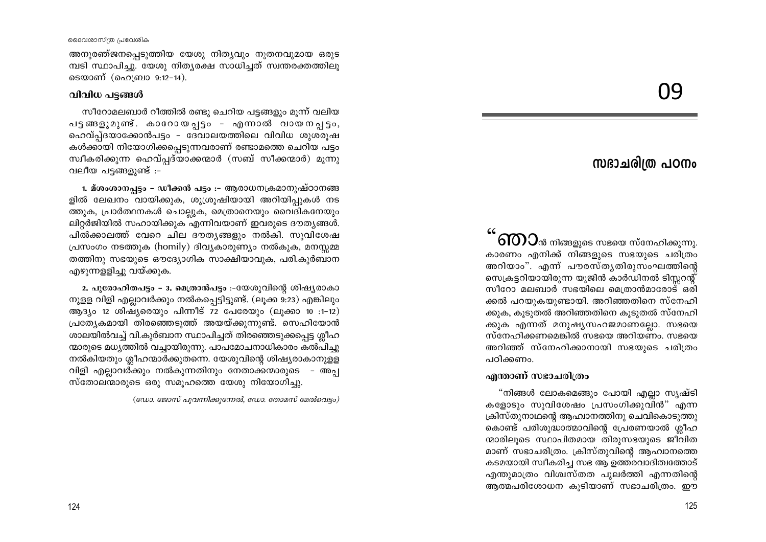അനുരഞ്ജനപ്പെടുത്തിയ യേശു നിത്യവും നൂതനവുമായ ഒരുട മ്പടി സ്ഥാപിച്ചു. യേശു നിതൃരക്ഷ സാധിച്ചത് സ്വന്തരക്തത്തിലു ടെയാണ് (ഹെബ്രാ 9:12-14).

#### വിവിധ പട്ടങ്ങൾ

സീറോമലബാർ റീത്തിൽ രണ്ടു ചെറിയ പട്ടങ്ങളും മുന്ന് വലിയ പട്ടങ്ങളുമുണ്ട്. കാറോയപ്പട്ടം - എന്നാൽ വായനപ്പട്ടം, ഹെവ്പ്ദയാക്കോൻപട്ടം - ദേവാലയത്തിലെ വിവിധ ശുശരൂഷ കൾക്കായി നിയോഗിക്കപ്പെടുന്നവരാണ് രണ്ടാമത്തെ ചെറിയ പട്ടം സ്ഥീകരിക്കുന്ന ഹെവ്പ്പദ്യാക്കന്മാർ (സബ് സീക്കന്മാർ) മൂന്നു വലീയ പട്ടങ്ങളുണ്ട് :-

1. മ്ശംശാനപ്പട്ടം - ഡീക്കൻ പട്ടം :- ആരാധനക്രമാനുഷ്ഠാനങ്ങ ളിൽ ലേഖനം വായിക്കുക, ശുശ്രുഷിയായി അറിയിപ്പുകൾ നട ത്തുക, പ്രാർത്ഥനകൾ ചൊല്ലുക, മെത്രാനെയും വൈദികനേയും ലിറ്റർജിയിൽ സഹായിക്കുക എന്നിവയാണ് ഇവരുടെ ദൗത്യങ്ങൾ. പിൽക്കാലത്ത് വേറെ ചില ദൗതൃങ്ങളും നൽകി. സുവിശേഷ പ്രസംഗം നടത്തുക (homily) ദിവ്യകാരുണ്യം നൽകുക, മനസ്സമ്മ തത്തിനു സഭയുടെ ഔദ്യോഗിക സാക്ഷിയാവുക, പരി.കുർബാന എഴുന്നളളിച്ചു വയ്ക്കുക.

2. പുരോഹിതപട്ടം - 3. മെത്രാൻപട്ടം :-യേശുവിന്റെ ശിഷ്യരാകാ നുള്ള വിളി എല്ലാവർക്കും നൽകപ്പെട്ടിട്ടുണ്ട്. (ലുക്ക 9:23) എങ്കിലും ആദ്യം 12 ശിഷ്യരെയും പിന്നീട് 72 പേരേയും (ലൂക്കാ 10 :1-12) പ്രത്യേകമായി തിരഞ്ഞെടുത്ത് അയയ്ക്കുന്നുണ്ട്. സെഹിയോൻ ശാലയിൽവച്ച് വി.കുർബാന സ്ഥാപിച്ചത് തിരഞ്ഞെടുക്കപ്പെട്ട ശ്ലീഹ ന്മാരുടെ മധ്യത്തിൽ വച്ചായിരുന്നു. പാപമോചനാധികാരം കൽപിച്ചു നൽകിയതും ശ്ലീഹന്മാർക്കുതന്നെ. യേശുവിന്റെ ശിഷ്യരാകാനുളള വിളി എല്ലാവർക്കും നൽകുന്നതിനും നേതാക്കന്മാരുടെ – അപ്പ സ്തോലന്മാരുടെ ഒരു സമൂഹത്തെ യേശു നിയോഗിച്ചു.

(ഡോ. ജോസ് പൂവന്നിക്കുന്നേൽ, ഡോ. തോമസ് മേൽവെട്ടം)

# ႶႳ

# സദാചരിത്ര പഠനം

 $\delta$ 10) $\cup$ ൻ നിങ്ങളുടെ സഭയെ സ്നേഹിക്കുന്നു. കാരണം എനിക്ക് നിങ്ങളുടെ സഭയുടെ ചരിത്രം അറിയാം". എന്ന് പൗരസ്തൃതിരുസംഘത്തിന്റെ സെക്രട്ടറിയായിരുന്ന യൂജിൻ കാർഡിനൽ ടിസ്സറന്റ് സീറോ മലബാർ സഭയിലെ മെത്രാൻമാരോട് ഒരി ക്കൽ പറയുകയുണ്ടായി. അറിഞ്ഞതിനെ സ്നേഹി ക്കുക, കൂടുതൽ അറിഞ്ഞതിനെ കൂടുതൽ സ്നേഹി ക്കുക എന്നത് മനുഷ്യസഹജമാണല്ലോ. സഭയെ സ്നേഹിക്കണമെങ്കിൽ സഭയെ അറിയണം. സഭയെ അറിഞ്ഞ് സ്നേഹിക്കാനായി സഭയുടെ ചരിത്രം പറിക്കണം.

#### എന്താണ് സഭാചരിത്രം

"നിങ്ങൾ ലോകമെങ്ങും പോയി എല്ലാ സൃഷ്ടി കളോടും സുവിശേഷം പ്രസംഗിക്കുവിൻ" എന്ന ക്രിസ്തുനാഥന്റെ ആഹ്വാനത്തിനു ചെവികൊടുത്തു കൊണ്ട് പരിശുദ്ധാത്മാവിന്റെ പ്രേരണയാൽ ശ്ലീഹ ന്മാരിലൂടെ സ്ഥാപിതമായ തിരുസഭയുടെ ജീവിത മാണ് സഭാചരിത്രം. ക്രിസ്തുവിന്റെ ആഹ്വാനത്തെ കടമയായി സ്വീകരിച്ച സഭ ആ ഉത്തരവാദിത്വത്തോട് എന്തുമാത്രം വിശ്വസ്തത പുലർത്തി എന്നതിന്റെ ആത്മപരിശോധന കുടിയാണ് സഭാചരിത്രം. ഈ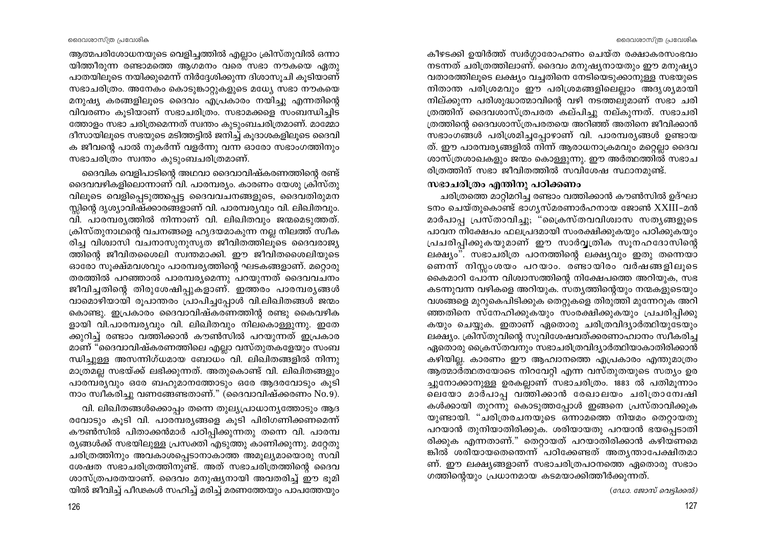കീഴടക്കി ഉയിർത്ത് സ്വർഗ്ഗാരോഹണം ചെയ്ത രക്ഷാകരസംഭവം നടന്നത് ചരിത്രത്തിലാണ്. ദൈവം മനുഷ്യനായതും ഈ മനുഷ്യാ വതാരത്തിലൂടെ ലക്ഷ്യം വച്ചതിനെ നേടിയെടുക്കാനുള്ള സഭയുടെ നിതാന്ത പരിശ്രമവും ഈ പരിശ്രമങ്ങളിലെല്ലാം അദൃശ്യമായി നില്ക്കുന്ന പരിശുദ്ധാത്മാവിന്റെ വഴി നടത്തലുമാണ് സഭാ ചരി ത്രത്തിന് ദൈവശാസ്ത്രപരത കല്പിച്ചു നല്കുന്നത്. സഭാചരി ത്രത്തിന്റെ ദൈവശാസ്ത്രപരതയെ അറിഞ്ഞ് അതിനെ ജീവിക്കാൻ സഭാംഗങ്ങൾ പരിശ്രമിച്ചപ്പോഴാണ് വി. പാരമ്പര്യങ്ങൾ ഉണ്ടായ ത്. ഈ പാരമ്പര്യങ്ങളിൽ നിന്ന് ആരാധനാക്രമവും മറ്റെല്ലാ ദൈവ ശാസ്ത്രശാഖകളും ജന്മം കൊള്ളുന്നു. ഈ അർത്ഥത്തിൽ സഭാച രിത്രത്തിന് സഭാ ജീവിതത്തിൽ സവിശേഷ സ്ഥാനമുണ്ട്.

# സഭാചരിത്രം എന്തിനു പഠിക്കണം

ചരിത്രത്തെ മാറ്റിമറിച്ച രണ്ടാം വത്തിക്കാൻ കൗൺസിൽ ഉദ്ഘാ ടനം ചെയ്തുകൊണ്ട് ഭാഗൃസ്മരണാർഹനായ ജോൺ XXIII-മൻ മാർപാപ്പ പ്രസ്താവിച്ചു; "ക്രൈസ്തവവിശ്വാസ സതൃങ്ങളുടെ പാവന നിക്ഷേപം ഫലപ്രദമായി സംരക്ഷിക്കുകയും പഠിക്കുകയും പ്രചരിപ്പിക്കുകയുമാണ് ഈ സാർവ്വത്രിക സൂനഹദോസിന്റെ ലക്ഷ്യം". സഭാചരിത്ര പഠനത്തിന്റെ ലക്ഷ്യവും ഇതു തന്നെയാ ണെന്ന് നിസ്സംശയം പറയാം. രണ്ടായിരം വർഷങ്ങളിലൂടെ കൈമാറി പോന്ന വിശ്വാസത്തിന്റെ നിക്ഷേപത്തെ അറിയുക, സഭ കടന്നുവന്ന വഴികളെ അറിയുക. സത്യത്തിന്റെയും നന്മകളുടെയും വശങ്ങളെ മുറുകെപിടിക്കുക തെറ്റുകളെ തിരുത്തി മുന്നേറുക അറി ഞ്ഞതിനെ സ്നേഹിക്കുകയും സംരക്ഷിക്കുകയും പ്രചരിപ്പിക്കു കയും ചെയ്യുക. ഇതാണ് ഏതൊരു ചരിത്രവിദ്യാർത്ഥിയുടേയും ലക്ഷ്യം. ക്രിസ്തുവിന്റെ സുവിശേഷവത്ക്കരണാഹ്വാനം സ്വീകരിച്ച ഏതൊരു ക്രൈസ്തവനും സഭാചരിത്രവിദ്യാർത്ഥിയാകാതിരിക്കാൻ കഴിയില്ല. കാരണം ഈ ആഹ്വാനത്തെ എപ്രകാരം എന്തുമാത്രം ആത്മാർത്ഥതയോടെ നിറവേറ്റി എന്ന വസ്തുതയുടെ സത്യം ഉര ച്ചുനോക്കാനുള്ള ഉരകല്ലാണ് സഭാചരിത്രം. 1883 ൽ പതിമൂന്നാം ലെയോ മാർപാപ്പ വത്തിക്കാൻ രേഖാലയം ചരിത്രാന്വേഷി കൾക്കായി തുറന്നു കൊടുത്തപ്പോൾ ഇങ്ങനെ പ്രസ്താവിക്കുക യുണ്ടായി. "ചരിത്രരചനയുടെ ഒന്നാമത്തെ നിയമം തെറ്റായതു പറയാൻ തുനിയാതിരിക്കുക. ശരിയായതു പറയാൻ ഭയപ്പെടാതി രിക്കുക എന്നതാണ്." തെറ്റായത് പറയാതിരിക്കാൻ കഴിയണമെ ങ്കിൽ ശരിയായതെന്തെന്ന് പഠിക്കേണ്ടത് അതൃന്താപേക്ഷിതമാ ണ്. ഈ ലക്ഷ്യങ്ങളാണ് സഭാചരിത്രപഠനത്തെ ഏതൊരു സഭാം ഗത്തിന്റെയും പ്രധാനമായ കടമയാക്കിത്തീർക്കുന്നത്.

(ഡോ. ജോസ് വെട്ടിക്കൽ)

ദൈവശാസ്ത്ര പ്രവേശിക

ആത്മപരിശോധനയുടെ വെളിച്ചത്തിൽ എല്ലാം ക്രിസ്തുവിൽ ഒന്നാ യിത്തീരുന്ന രണ്ടാമത്തെ ആഗമനം വരെ സഭാ നൗകയെ ഏതു പാതയിലൂടെ നയിക്കുമെന്ന് നിർദ്ദേശിക്കുന്ന ദിശാസൂചി കൂടിയാണ് സഭാചരിത്രം. അനേകം കൊടുങ്കാറ്റുകളുടെ മധ്യേ സഭാ നൗകയെ മനുഷ്യ കരങ്ങളിലൂടെ ദൈവം എപ്രകാരം നയിച്ചു എന്നതിന്റെ വിവരണം കൂടിയാണ് സഭാചരിത്രം. സഭാമക്കളെ സംബന്ധിച്ചിട ത്തോളം സഭാ ചരിത്രമെന്നത് സ്വന്തം കുടുംബചരിത്രമാണ്. മാമ്മോ ദീസായിലൂടെ സഭയുടെ മടിത്തട്ടിൽ ജനിച്ച് കൂദാശകളിലൂടെ ദൈവി ക ജീവന്റെ പാൽ നുകർന്ന് വളർന്നു വന്ന ഓരോ സഭാംഗത്തിനും സഭാചരിത്രം സ്വന്തം കൂടുംബചരിത്രമാണ്.

ദൈവിക വെളിപാടിന്റെ അഥവാ ദൈവാവിഷ്കരണത്തിന്റെ രണ്ട് ദൈവവഴികളിലൊന്നാണ് വി. പാരമ്പര്യം. കാരണം യേശു ക്രിസ്തു വിലൂടെ വെളിപ്പെടുത്തപ്പെട്ട ദൈവവചനങ്ങളുടെ, ദൈവതിരുമന സ്ലിന്റെ ദൃശ്യാവിഷ്ക്കാരങ്ങളാണ് വി. പാരമ്പര്യവും വി. ലിഖിതവും. വി. പാരമ്പര്യത്തിൽ നിന്നാണ് വി. ലിഖിതവും ജന്മമെടുത്തത്. ക്രിസ്തുനാഥന്റെ വചനങ്ങളെ ഹൃദയമാകുന്ന നല്ല നിലത്ത് സ്വീക രിച്ച വിശ്വാസി വചനാസുനുസൃത ജീവിതത്തിലൂടെ ദൈവരാജ്യ ത്തിന്റെ ജീവിതശൈലി സ്വന്തമാക്കി. ഈ ജീവിതശൈലിയുടെ ഓരോ സൂക്ഷ്മവശവും പാരമ്പര്യത്തിന്റെ ഘടകങ്ങളാണ്. മറ്റൊരു തരത്തിൽ പറഞ്ഞാൽ പാരമ്പര്യമെന്നു പറയുന്നത് ദൈവവചനം ജീവിച്ചതിന്റെ തിരുശേഷിപ്പുകളാണ്. ഇത്തരം പാരമ്പര്യങ്ങൾ വാമൊഴിയായി രൂപാന്തരം പ്രാപിച്ചപ്പോൾ വി.ലിഖിതങ്ങൾ ജന്മം കൊണ്ടു. ഇപ്രകാരം ദൈവാവിഷ്കരണത്തിന്റ രണ്ടു കൈവഴിക ളായി വി.പാരമ്പര്യവും വി. ലിഖിതവും നിലകൊള്ളുന്നു. ഇതേ ക്കുറിച്ച് രണ്ടാം വത്തിക്കാൻ കൗൺസിൽ പറയുന്നത് ഇപ്രകാര മാണ് "ദൈവാവിഷ്കരണത്തിലെ എല്ലാ വസ്തുതകളേയും സംബ ന്ധിച്ചുള്ള അസന്നിഗ്ധമായ ബോധം വി. ലിഖിതങ്ങളിൽ നിന്നു മാത്രമല്ല സഭയ്ക്ക് ലഭിക്കുന്നത്. അതുകൊണ്ട് വി. ലിഖിതങ്ങളും പാരമ്പര്യവും ഒരേ ബഹുമാനത്തോടും ഒരേ ആദരവോടും കൂടി നാം സ്വീകരിച്ചു വണങ്ങേണ്ടതാണ്." (ദൈവാവിഷ്ക്കരണം No.9).

വി. ലിഖിതങ്ങൾക്കൊപ്പം തന്നെ തുല്യപ്രാധാന്യത്തോടും ആദ രവോടും കൂടി വി. പാരമ്പര്യങ്ങളെ കൂടി പിരിഗണിക്കണമെന്ന് കൗൺസിൽ പിതാക്കൻമാർ പഠിപ്പിക്കുന്നതു തന്നെ വി. പാരമ്പ രുങ്ങൾക്ക് സഭയിലുള്ള പ്രസക്തി എടുത്തു കാണിക്കുന്നു. മറ്റേതു ചരിത്രത്തിനും അവകാശപ്പെടാനാകാത്ത അമുല്യമായൊരു സവി ശേഷത സഭാചരിത്രത്തിനുണ്ട്. അത് സഭാചരിത്രത്തിന്റെ ദൈവ ശാസ്ത്രപരതയാണ്. ദൈവം മനുഷ്യനായി അവതരിച്ച് ഈ ഭൂമി യിൽ ജീവിച്ച് പീഢകൾ സഹിച്ച് മരിച്ച് മരണത്തേയും പാപത്തേയും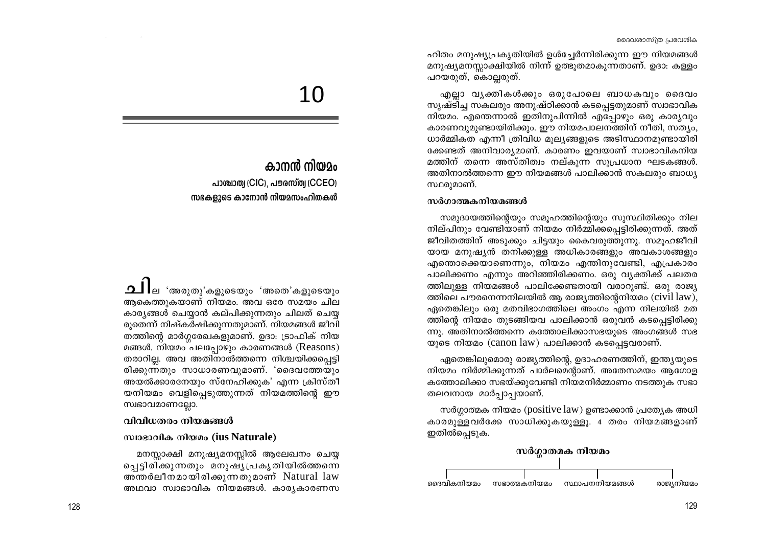ഹിതം മനുഷ്യപ്രകൃതിയിൽ ഉൾച്ചേർന്നിരിക്കുന്ന ഈ നിയമങ്ങൾ മനുഷ്യമനസ്സാക്ഷിയിൽ നിന്ന് ഉത്ഭൂതമാകുന്നതാണ്. ഉദാ: കള്ളം പറയരുത്, കൊല്ലരുത്.

എല്ലാ വൃക്തികൾക്കും ഒരുപോലെ ബാധകവും ദൈവം സൃഷ്ടിച്ച സകലരും അനുഷ്ഠിക്കാൻ കടപ്പെട്ടതുമാണ് സ്വാഭാവിക നിയമം. എന്തെന്നാൽ ഇതിനുപിന്നിൽ എപ്പോഴും ഒരു കാര്യവും കാരണവുമുണ്ടായിരിക്കും. ഈ നിയമപാലനത്തിന് നീതി, സത്യം, ധാർമ്മികത എന്നീ ത്രിവിധ മുല്യങ്ങളുടെ അടിസ്ഥാനമുണ്ടായിരി ക്കേണ്ടത് അനിവാര്യമാണ്. കാരണം ഇവയാണ് സ്വാഭാവികനിയ മത്തിന് തന്നെ അസ്തിത്വം നല്കുന്ന സുപ്രധാന ഘടകങ്ങൾ. അതിനാൽത്തന്നെ ഈ നിയമങ്ങൾ പാലിക്കാൻ സകലരും ബാധ്യ സ്ഥരുമാണ്.

#### സർഗാത്മകനിയമങ്ങൾ

സമുദായത്തിന്റെയും സമൂഹത്തിന്റെയും സുസ്ഥിതിക്കും നില നില്പിനും വേണ്ടിയാണ് നിയമം നിർമ്മിക്കപ്പെട്ടിരിക്കുന്നത്. അത് ജീവിതത്തിന് അടുക്കും ചിട്ടയും കൈവരുത്തുന്നു. സമൂഹജീവി യായ മനുഷ്യൻ തനിക്കുള്ള അധികാരങ്ങളും അവകാശങ്ങളും എന്തൊക്കെയാണെന്നും, നിയമം എന്തിനുവേണ്ടി, എപ്രകാരം പാലിക്കണം എന്നും അറിഞ്ഞിരിക്കണം. ഒരു വ്യക്തിക്ക് പലതര ത്തിലുള്ള നിയമങ്ങൾ പാലിക്കേണ്ടതായി വരാറുണ്ട്. ഒരു രാജ്യ ത്തിലെ പൗരനെന്നനിലയിൽ ആ രാജ്യത്തിന്റെനിയമം (civil law), ഏതെങ്കിലും ഒരു മതവിഭാഗത്തിലെ അംഗം എന്ന നിലയിൽ മത ത്തിന്റെ നിയമം തുടങ്ങിയവ പാലിക്കാൻ ഒരുവൻ കടപ്പെട്ടിരിക്കു ന്നു. അതിനാൽത്തന്നെ കത്തോലിക്കാസഭയുടെ അംഗങ്ങൾ സഭ യുടെ നിയമം (canon law) പാലിക്കാൻ കടപ്പെട്ടവരാണ്.

ഏതെങ്കിലുമൊരു രാജ്യത്തിന്റെ, ഉദാഹരണത്തിന്, ഇന്ത്യയുടെ നിയമം നിർമ്മിക്കുന്നത് പാർലമെന്റാണ്. അതേസമയം ആഗോള കത്തോലിക്കാ സഭയ്ക്കുവേണ്ടി നിയമനിർമ്മാണം നടത്തുക സഭാ തലവനായ മാർപ്പാപ്പയാണ്.

സർഗ്ഗാത്മക നിയമം (positive law) ഉണ്ടാക്കാൻ പ്രത്യേക അധി കാരമുള്ളവർക്കേ സാധിക്കുകയുള്ളൂ. 4 തരം നിയമങ്ങളാണ് ഇതിൽപ്പെടുക.



# 10

# കാനൻ നിയാം

പാത്രാത്വ (CIC), പൗരസ്ത്വ (CCEO) സഭകളുടെ കാനോൻ നിയമസംഹിതകൾ

ആകെത്തുകയാണ് നിയമം. അവ ഒരേ സമയം ചില കാര്യങ്ങൾ ചെയ്യാൻ കല്പിക്കുന്നതും ചിലത് ചെയ്യ രുതെന്ന് നിഷ്കർഷിക്കുന്നതുമാണ്. നിയമങ്ങൾ ജീവി തത്തിന്റെ മാർഗ്ഗരേഖകളുമാണ്. ഉദാ: ട്രാഫിക് നിയ മങ്ങൾ. നിയമം പലപ്പോഴും കാരണങ്ങൾ (Reasons) തരാറില്ല. അവ അതിനാൽത്തന്നെ നിശ്ചയിക്കപ്പെട്ടി രിക്കുന്നതും സാധാരണവുമാണ്. 'ദൈവത്തേയും അയൽക്കാരനേയും സ്നേഹിക്കുക' എന്ന ക്രിസ്തീ യനിയമം വെളിപ്പെടുത്തുന്നത് നിയമത്തിന്റെ ഈ സ്വഭാവമാണല്ലോ.

# വിവിധതരം നിയമങ്ങൾ

# സ്വാഭാവിക നിയമം (ius Naturale)

മനസ്സാക്ഷി മനുഷ്യമനസ്സിൽ ആലേഖനം ചെയ്യ ച്ചെട്ടിരിക്കുന്നതും മനുഷ്യപ്രകൃതിയിൽത്തന്നെ അന്തർലീനമായിരിക്കുന്നതുമാണ് Natural law അഥവാ സ്വാഭാവിക നിയമങ്ങൾ. കാര്യകാരണസ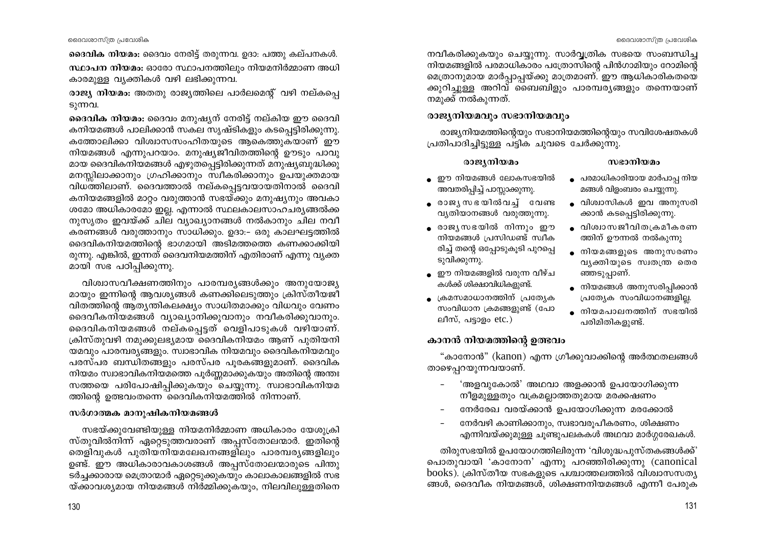ദൈവിക നിയമം: ദൈവം നേരിട്ട് തരുന്നവ. ഉദാ: പത്തു കല്പനകൾ.

സ്ഥാപന നിയമം: ഓരോ സ്ഥാപനത്തിലും നിയമനിർമ്മാണ അധി കാരമുള്ള വ്യക്തികൾ വഴി ലഭിക്കുന്നവ.

രാജ്യ നിയമം: അതതു രാജ്യത്തിലെ പാർലമെന്റ് വഴി നല്കപ്പെ ടുന്നവ.

ദൈവിക നിയമം: ദൈവം മനുഷ്യന് നേരിട്ട് നല്കിയ ഈ ദൈവി കനിയമങ്ങൾ പാലിക്കാൻ സകല സൃഷ്ടികളും കടപ്പെട്ടിരിക്കുന്നു. കത്തോലിക്കാ വിശ്വാസസംഹിതയുടെ ആകെത്തുകയാണ് ഈ നിയമങ്ങൾ എന്നുപറയാം. മനുഷ്യജീവിതത്തിന്റെ ഊടും പാവു മായ ദൈവികനിയമങ്ങൾ എഴുതപ്പെട്ടിരിക്കുന്നത് മനുഷ്യബുദ്ധിക്കു മനസ്സിലാക്കാനും ഗ്രഹിക്കാനും സ്വീകരിക്കാനും ഉപയുക്തമായ വിധത്തിലാണ്. ദൈവത്താൽ നല്കപ്പെട്ടവയായതിനാൽ ദൈവി കനിയമങ്ങളിൽ മാറ്റം വരുത്താൻ സഭയ്ക്കും മനുഷ്യനും അവകാ ശമോ അധികാരമോ ഇല്ല. എന്നാൽ സ്ഥലകാലസാഹചര്യങ്ങൽക്ക നുസൃതം ഇവയ്ക്ക് ചില വ്യാഖ്യാനങ്ങൾ നൽകാനും ചില നവീ കരണങ്ങൾ വരുത്താനും സാധിക്കും. ഉദാ:– ഒരു കാലഘട്ടത്തിൽ ദൈവികനിയമത്തിന്റെ ഭാഗമായി അടിമത്തത്തെ കണക്കാക്കിയി രുന്നു. എങ്കിൽ, ഇന്നത് ദൈവനിയമത്തിന് എതിരാണ് എന്നു വ്യക്ത മായി സഭ പഠിപ്പിക്കുന്നു.

വിശ്വാസവീക്ഷണത്തിനും പാരമ്പര്യങ്ങൾക്കും അനുയോജ്യ മായും ഇന്നിന്റെ ആവശ്യങ്ങൾ കണക്കിലെടുത്തും ക്രിസ്തീയജീ വിതത്തിന്റെ ആതൃന്തികലക്ഷ്യം സാധിതമാക്കും വിധവും വേണം ദൈവീകനിയമങ്ങൾ വ്യാഖ്യാനിക്കുവാനും നവീകരിക്കുവാനും. ദൈവികനിയമങ്ങൾ നല്കപ്പെട്ടത് വെളിപാടുകൾ വഴിയാണ്. ക്രിസ്തുവഴി നമുക്കുലഭ്യമായ ദൈവികനിയമം ആണ് പുതിയനി യമവും പാരമ്പര്യങ്ങളും. സ്വാഭാവിക നിയമവും ദൈവികനിയമവും പരസ്പര ബന്ധിതങ്ങളും പരസ്പര പുരകങ്ങളുമാണ്. ദൈവിക നിയമം സ്വാഭാവികനിയമത്തെ പൂർണ്ണമാക്കുകയും അതിന്റെ അന്തഃ സത്തയെ പരിപോഷിപ്പിക്കുകയും ചെയ്യുന്നു. സ്വാഭാവികനിയമ ത്തിന്റെ ഉത്ഭവംതന്നെ ദൈവികനിയമത്തിൽ നിന്നാണ്.

#### സർഗാത്മക മാനുഷികനിയമങ്ങൾ

സഭയ്ക്കുവേണ്ടിയുള്ള നിയമനിർമ്മാണ അധികാരം യേശുക്രി സ്തുവിൽനിന്ന് ഏറ്റെടുത്തവരാണ് അപ്പസ്തോലന്മാർ. ഇതിന്റെ തെളിവുകൾ പുതിയനിയമലേഖനങ്ങളിലും പാരമ്പര്യങ്ങളിലും ഉണ്ട്. ഈ അധികാരാവകാശങ്ങൾ അപ്പസ്തോലന്മാരുടെ പിന്തു ടർച്ചക്കാരായ മെത്രാന്മാർ ഏറ്റെടുക്കുകയും കാലാകാലങ്ങളിൽ സഭ യ്ക്കാവശ്യമായ നിയമങ്ങൾ നിർമ്മിക്കുകയും, നിലവിലുള്ളതിനെ

നവീകരിക്കുകയും ചെയ്യുന്നു. സാർവ്വത്രിക സഭയെ സംബന്ധിച നിയമങ്ങളിൽ പരമാധികാരം പത്രോസിന്റെ പിൻഗാമിയും റോമിന്റെ മെത്രാനുമായ മാർപ്പാപ്പയ്ക്കു മാത്രമാണ്. ഈ ആധികാരികതയെ ക്കുറിച്ചുള്ള അറിവ് ബൈബിളും പാരമ്പര്യങ്ങളും തന്നെയാണ് നമുക്ക് നൽകുന്നത്.

# രാജ്യനിയമവും സഭാനിയമവും

രാജ്യനിയമത്തിന്റെയും സഭാനിയമത്തിന്റെയും സവിശേഷതകൾ പ്രതിപാദിച്ചിട്ടുള്ള പട്ടിക ചുവടെ ചേർക്കുന്നു.

#### രാജ്യനിയമം

# സഭാനിയമം ● പരമാധികാരിയായ മാർപാപ്പ നിയ

മങ്ങൾ വിളംബരം ചെയ്യുന്നു.

ക്കാൻ കടപ്പെട്ടിരിക്കുന്നു.

• വിശ്വാസികൾ ഇവ അനുസരി

● വിശ്വാസജീവിതക്രമീകരണ

● നിയമങ്ങളുടെ അനുസരണം

• നിയമങ്ങൾ അനുസരിപ്പിക്കാൻ

പ്രത്യേക സംവിധാനങ്ങളില്ല.

⊕ നിയമപാലനത്തിന് സഭയിൽ

വ്യക്തിയുടെ സ്വതന്ത്ര തെര

ത്തിന് ഊന്നൽ നൽകുന്നു

ഞ്ഞടുപ്പാണ്.

പരിമിതികളുണ്ട്.

- $\bullet$  ഈ നിയമങ്ങൾ ലോകസഭയിൽ അവതരിപ്പിച്ച് പാസ്സാക്കുന്നു.
- രാജൃസഭയിൽവച്ച് വേണ്ട വൃതിയാനങ്ങൾ വരുത്തുന്നു.
- രാജ്യസഭയിൽ നിന്നും ഈ നിയമങ്ങൾ പ്രസിഡണ്ട് സ്വീക രിച്ച് തന്റെ ഒപ്പോടുകൂടി പുറപ്പെ ടുവിക്കുന്നു.
- ഈ നിയമങ്ങളിൽ വരുന്ന വീഴ്ച കൾക്ക് ശിക്ഷാവിധികളുണ്ട്.
- ≀കമസമാധാനത്തിന് ∶പതേ്യക സംവിധാന ക്രമങ്ങളുണ്ട് (പോ ലീസ്, പട്ടാളം  $etc.$ )

# കാനൻ നിയമത്തിന്റെ ഉത്ഭവം

"കാനോൻ" (kanon) എന്ന ഗ്രീക്കുവാക്കിന്റെ അർത്ഥതലങ്ങൾ താഴെപ്പറയുന്നവയാണ്.

- 'അളവുകോൽ' അഥവാ അളക്കാൻ ഉപയോഗിക്കുന്ന നീളമുള്ളതും വക്രമല്ലാത്തതുമായ മരക്കഷണം
- നേർരേഖ വരയ്ക്കാൻ ഉപയോഗിക്കുന്ന മരക്കോൽ
- നേർവഴി കാണിക്കാനും, സ്വഭാവരുപീകരണം, ശിക്ഷണം എന്നിവയ്ക്കുമുള്ള ചൂണ്ടുപലകകൾ അഥവാ മാർഗ്ഗരേഖകൾ.

തിരുസഭയിൽ ഉപയോഗത്തിലിരുന്ന 'വിശുദ്ധപുസ്തകങ്ങൾക്ക്' പൊതുവായി 'കാനോന' എന്നു പറഞ്ഞിരിക്കുന്നു (canonical  $books$ ). ക്രിസ്തീയ സഭകളുടെ പശ്ചാത്തലത്തിൽ വിശ്വാസസത്യ ങ്ങൾ, ദൈവീക നിയമങ്ങൾ, ശിക്ഷണനിയമങ്ങൾ എന്നീ പേരുക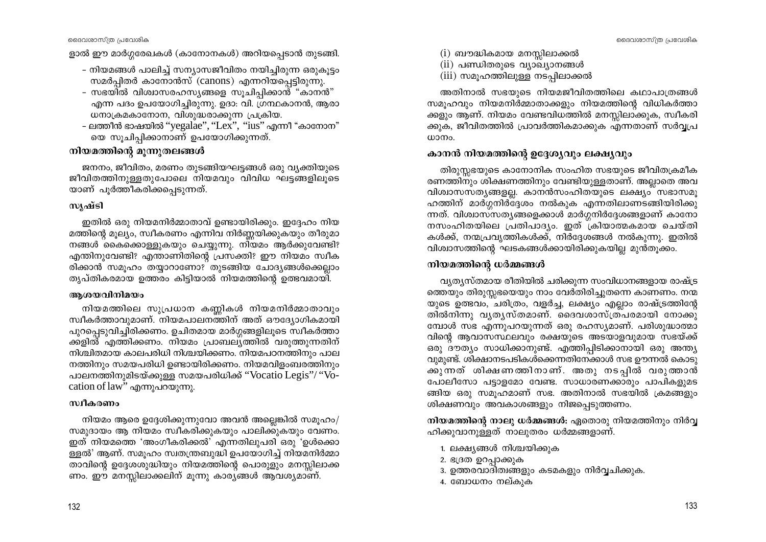ളാൽ ഈ മാർഗ്ഗരേഖകൾ (കാനോനകൾ) അറിയപ്പെടാൻ തുടങ്ങി.

- നിയമങ്ങൾ പാലിച്ച് സന്യാസജീവിതം നയിച്ചിരുന്ന ഒരുകൂട്ടം സമർപിതർ കാനോൻസ് (canons) എന്നറിയപ്പെട്ടിരുന്നു.
- സഭയിൽ വിശ്വാസരഹസ്യങ്ങളെ സൂചിപ്പിക്കാന്ത് "കാനൻ" എന്ന പദം ഉപയോഗിച്ചിരുന്നു. ഉദാ: വി. ഗ്രന്ഥകാനൻ, ആരാ ധനാക്രമകാനോന, വിശുദ്ധരാക്കുന്ന പ്രക്രിയ.
- ലത്തീൻ ഭാഷയിൽ ''yegalae'', ''Lex'', ''ius'' എന്നീ "കാനോന" യെ സൂചിപ്പിക്കാനാണ് ഉപയോഗിക്കുന്നത്.

# നിയമത്തിന്റെ മുന്നുതലങ്ങൾ

ജനനം, ജീവിതം, മരണം തുടങ്ങിയഘട്ടങ്ങൾ ഒരു വ്യക്തിയുടെ ജീവിതത്തിനുള്ളതുപോലെ നിയമവും വിവിധ ഘട്ടങ്ങളിലൂടെ യാണ് പുർത്തീകരിക്കപ്പെടുന്നത്.

#### സൃഷ്ടി

ഇതിൽ ഒരു നിയമനിർമ്മാതാവ് ഉണ്ടായിരിക്കും. ഇദ്ദേഹം നിയ മത്തിന്റെ മൂല്യം, സ്വീകരണം എന്നിവ നിർണ്ണയിക്കുകയും തീരുമാ നങ്ങൾ കൈക്കൊള്ളുകയും ചെയ്യുന്നു. നിയമം ആർക്കുവേണ്ടി? എന്തിനുവേണ്ടി? എന്താണിതിന്റെ പ്രസക്തി? ഈ നിയമം സ്വീക രിക്കാൻ സമൂഹം തയ്യാറാണോ? തുടങ്ങിയ ചോദ്യങ്ങൾക്കെല്ലാം തൃപ്തികരമായ ഉത്തരം കിട്ടിയാൽ നിയമത്തിന്റെ ഉത്ഭവമായി.

#### ആശയവിനിമയം

നിയമത്തിലെ സുപ്രധാന കണ്ണികൾ നിയമനിർമ്മാതാവും സ്വീകർത്താവുമാണ്. നിയമപാലനത്തിന് അത് ഔദ്യോഗികമായി പുറപ്പെടുവിച്ചിരിക്കണം. ഉചിതമായ മാർഗ്ഗങ്ങളിലൂടെ സ്വീകർത്താ ക്കളിൽ എത്തിക്കണം. നിയമം പ്രാബല്യത്തിൽ വരുത്തുന്നതിന് നിശ്ചിതമായ കാലപരിധി നിശ്ചയിക്കണം. നിയമപഠനത്തിനും പാല നത്തിനും സമയപരിധി ഉണ്ടായിരിക്കണം. നിയമവിളംബരത്തിനും പാലനത്തിനുമിടയ്ക്കുള്ള സമയപരിധിക്ക് ''Vocatio Legis''/ ''Vocation of law" എന്നുപറയുന്നു.

# സ്വീകരണം

നിയമം ആരെ ഉദ്ദേശിക്കുന്നുവോ അവൻ അല്ലെങ്കിൽ സമുഹം/ സമുദായം ആ നിയമം സ്വീകരിക്കുകയും പാലിക്കുകയും വേണം. ഇത് നിയമത്തെ 'അംഗീകരിക്കൽ' എന്നതിലുപരി ഒരു 'ഉൾക്കൊ ള്ളൽ' ആണ്. സമുഹം സ്വതന്ത്രബുദ്ധി ഉപയോഗിച്ച് നിയമനിർമ്മാ താവിന്റെ ഉദ്ദേശശുദ്ധിയും നിയമത്തിന്റെ പൊരുളും മനസ്സിലാക്ക ണം. ഈ മനസ്സിലാക്കലിന് മൂന്നു കാര്യങ്ങൾ ആവശ്യമാണ്.

- $(i)$  ബൗദ്ധികമായ മനസ്സിലാക്കൽ
- (ii) പണ്ഡിതരുടെ വ്യാഖ്യാനങ്ങൾ
- (iii) സമൂഹത്തിലുള്ള നടപ്പിലാക്കൽ

അതിനാൽ സഭയുടെ നിയമജീവിതത്തിലെ കഥാപാത്രങ്ങൾ സമുഹവും നിയമനിർമ്മാതാക്കളും നിയമത്തിന്റെ വിധികർത്താ ക്കളും ആണ്. നിയമം വേണ്ടവിധത്തിൽ മനസ്സിലാക്കുക, സ്വീകരി ക്കുക, ജീവിതത്തിൽ പ്രാവർത്തികമാക്കുക എന്നതാണ് സർവ്വപ്ര  $\omega$ 

# കാനൻ നിയമത്തിന്റെ ഉദ്ദേശ്യവും ലക്ഷ്യവും

തിരുസ്സഭയുടെ കാനോനിക സംഹിത സഭയുടെ ജീവിതക്രമീക രണത്തിനും ശിക്ഷണത്തിനും വേണ്ടിയുള്ളതാണ്. അല്ലാതെ അവ വിശ്വാസസത്യങ്ങളല്ല. കാനൻസംഹിതയുടെ ലക്ഷ്യം സഭാസമൂ ഹത്തിന് മാർഗ്ഗനിർദ്ദേശം നൽകുക എന്നതിലാണടങ്ങിയിരിക്കു ന്നത്. വിശ്വാസ്സത്യങ്ങളെക്കാൾ മാർഗ്ഗനിർദ്ദേശങ്ങളാണ് കാനോ നസംഹിതയിലെ പ്രതിപാദ്യം. ഇത് ക്രിയാത്മകമായ ചെയ്തി കൾക്ക്, നന്മപ്രവൃത്തികൾക്ക്, നിർദ്ദേശങ്ങൾ നൽകുന്നു. ഇതിൽ വിശ്വാസത്തിന്റെ ഘടകങ്ങൾക്കായിരിക്കുകയില്ല മുൻതുക്കം.

# നിയമത്തിന്റെ ധർമ്മങ്ങൾ

്വ്യത്യസ്തമായ രീതിയിൽ ചരിക്കുന്ന സംവിധാനങ്ങളായ രാഷ്ട്ര ത്തെയും തിരുസ്സഭയെയും നാം വേർതിരിച്ചുതന്നെ കാണണം. നന്മ യുടെ ഉത്ഭവം, ചരിത്രം, വളർച്ച, ലക്ഷ്യം എല്ലാം രാഷ്ട്രത്തിന്റേ തിൽനിന്നു വൃതൃസ്തമാണ്. ദൈവശാസ്ത്രപരമായി നോക്കു മ്പോൾ സഭ എന്നുപറയുന്നത് ഒരു രഹസ്യമാണ്. പരിശുദ്ധാത്മാ വിന്റെ ആവാസസ്ഥലവും രക്ഷയുടെ അടയാളവുമായ സഭയ്ക്ക് ഒരു ദൗത്യം സാധിക്കാനുണ്ട്. എത്തിപ്പിടിക്കാനായി ഒരു അന്ത്യ വുമുണ്ട്. ശിക്ഷാനടപടികൾക്കെന്നതിനേക്കാൾ സഭ ഊന്നൽ കൊടു ക്കുന്നത് ശിക്ഷണത്തിനാണ്. അതു നടപ്പിൽ വരുത്താൻ പോലീസോ പട്ടാളമോ വേണ്ട. സാധാരണക്കാരും പാപികളുമട ങ്ങിയ ഒരു സമൂഹമാണ് സഭ. അതിനാൽ സഭയിൽ ക്രമങ്ങളും ശിക്ഷണവും അവകാശങ്ങളും നിജപ്പെടുത്തണം.

നിയമത്തിന്റെ നാലു ധർമ്മങ്ങൾ: ഏതൊരു നിയമത്തിനും നിർവ്വ ഹിക്കുവാനുള്ളത് നാലുതരം ധർമ്മങ്ങളാണ്.

- 1. ലക്ഷ്യങ്ങൾ നിശ്ചയിക്കുക
- 2. ഭദ്രത ഉറപ്പാക്കുക
- 3. ഉത്തരവാദിത്വങ്ങളും കടമകളും നിർവ്വചിക്കുക.
- 4. ബോധനം നല്കുക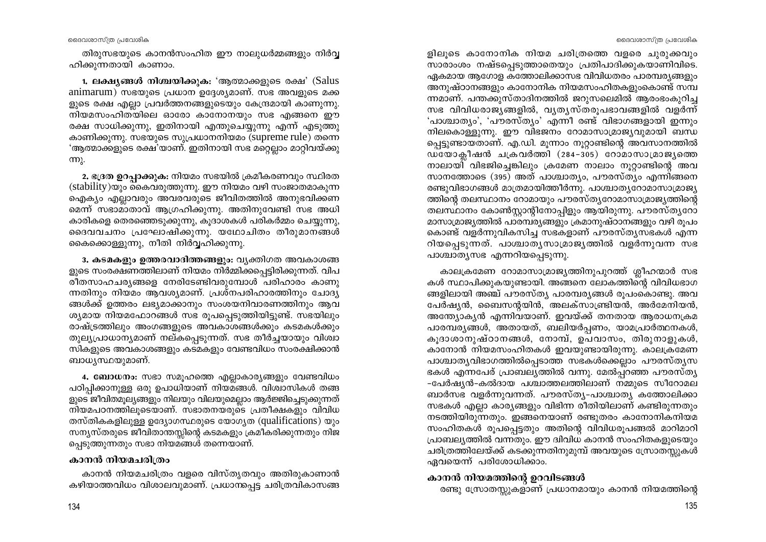ളിലൂടെ കാനോനിക നിയമ ചരിത്രത്തെ വളരെ ചുരുക്കവും സാരാംശം നഷ്ടപെടുത്താതെയും പ്രതിപാദിക്കുകയാണിവിടെ. ഏകമായ ആഗോള കത്തോലിക്കാസഭ വിവിധതരം പാരമ്പര്യങ്ങളും അനുഷ്ഠാനങ്ങളും കാനോനിക നിയമസംഹിതകളുംകൊണ്ട് സമ്പ ന്നമാണ്. പന്തക്കുസ്താദിനത്തിൽ ജറുസലെമിൽ ആരംഭംകൂറിച്ച സഭ വിവിധരാജ്യങ്ങളിൽ, വ്യത്യസ്തരുപഭാവങ്ങളിൽ വളർന്ന് 'പാശ്ചാത്യം', 'പൗരസ്ത്യം' എന്നീ രണ്ട് വിഭാഗങ്ങളായി ഇന്നും നിലകൊള്ളുന്നു. ഈ വിഭജനം റോമാസാമ്രാജ്യവുമായി ബന്ധ പ്പെട്ടുണ്ടായതാണ്. എ.ഡി. മുന്നാം നുറ്റാണ്ടിന്റെ അവസാനത്തിൽ  $\overline{0}$ യോകീഷൻ ചക്രവർത്തി (284-305) റോമാസാമ്രാജ്യത്തെ നാലായി് വിഭജിച്ചെങ്കിലും ക്രമേണ നാലാം നൂറ്റാണ്ടിന്റെ അവ സാനത്തോടെ (395) അത് പാശ്ചാത്യം, പൗരസ്ത്യം എന്നിങ്ങനെ രണ്ടുവിഭാഗങ്ങൾ മാത്രമായിത്തീർന്നു. പാശ്ചാതൃറോമാസാമ്രാജ്യ ത്തിന്റെ തലസ്ഥാനം റോമായും പൗരസ്തൃറോമാസാമ്രാജ്യത്തിന്റെ തലസ്ഥാനം കോൺസ്ലാന്റിനോപിളും ആയിരുന്നു. പൗരസ്ത്യറോ മാസാമ്രാജ്യത്തിൽ പാരമ്പര്യങ്ങളും ക്രമാനുഷ്ഠാനങ്ങളും വഴി രുപം കൊണ്ട് വളർന്നുവികസിച്ച സഭകളാണ് പൗരസ്തൃസഭകൾ എന്ന റിയപ്പെടുന്നത്. പാശ്ചാതൃസാമ്രാജ്യത്തിൽ വളർന്നുവന്ന സഭ പാശ്ചാതൃസഭ എന്നറിയപ്പെടുന്നു.

കാലക്രമേണ റോമാസാമ്രാജ്യത്തിനുപുറത്ത് ശ്ലീഹന്മാർ സഭ കൾ സ്ഥാപിക്കുകയുണ്ടായി. അങ്ങനെ ലോകത്തിന്റെ വിവിധഭാഗ ങ്ങളിലായി അഞ്ച് പൗരസ്ത്യ പാരമ്പര്യങ്ങൾ രൂപംകൊണ്ടു. അവ പേർഷ്യൻ, ബൈസന്റയിൻ, അലക്സാണ്ട്രിയൻ, അർമേനിയൻ, അന്ത്യോക്യൻ എന്നിവയാണ്. ഇവയ്ക്ക് തനതായ ആരാധനക്രമ പാരമ്പര്യങ്ങൾ, അതായത്, ബലിയർപ്പണം, യാമപ്രാർത്ഥനകൾ, കുദാശാനുഷ്ഠാനങ്ങൾ, നോമ്പ്, ഉപവാസം, തിരുനാളുകൾ, കാനോൻ നിയമസംഹിതകൾ ഇവയുണ്ടായിരുന്നു. കാലക്രമേണ പാശ്ചാതൃവിഭാഗത്തിൽപ്പെടാത്ത സഭകൾക്കെല്ലാം പൗരസ്തൃസ ഭകൾ എന്നപേര് പ്രാബല്യത്തിൽ വന്നു. മേൽപ്പറഞ്ഞ പൗരസ്ത്യ -പേർഷ്യൻ-കൽദായ പശ്ചാത്തലത്തിലാണ് നമ്മുടെ സീറോമല ്ബാർസഭ വളർന്നുവന്നത്. പൗരസ്ത്യ-പാശ്ചാത്യ കത്തോലിക്കാ സഭകൾ എല്ലാ കാര്യങ്ങളും വിഭിന്ന രീതിയിലാണ് കണ്ടിരുന്നതും നടത്തിയിരുന്നതും. ഇങ്ങനെയാണ് രണ്ടുതരം കാനോനികനിയമ സംഹിതകൾ രൂപപ്പെട്ടതും അതിന്റെ വിവിധരൂപങ്ങൽ മാറിമാറി പ്രാബല്യത്തിൽ വന്നതും. ഈ ദ്വിവിധ കാനൻ സംഹിതകളുടെയും ചരിത്രത്തിലേയ്ക്ക് കടക്കുന്നതിനുമുമ്പ് അവയുടെ സ്രോതസ്സുകൾ ഏവയെന്ന് പരിശോധിക്കാം.

# കാനൻ നിയമത്തിന്റെ ഉറവിടങ്ങൾ

രണ്ടു സ്രോതസ്സുകളാണ് പ്രധാനമായും കാനൻ നിയമത്തിന്റെ

ദൈവശാസ്ത്ര പ്രവേശിക

തിരുസഭയുടെ കാനൻസംഹിത ഈ നാലുധർമ്മങ്ങളും നിർവ്വ ഹിക്കുന്നതായി കാണാം.

1. ലക്ഷ്യങ്ങൾ നിശ്ചയിക്കുക: 'ആത്മാക്കളുടെ രക്ഷ' (Salus animarum) സഭയുടെ പ്രധാന ഉദ്ദേശ്യമാണ്. സഭ അവളുടെ മക്ക ളുടെ രക്ഷ എല്ലാ പ്രവർത്തനങ്ങളുടെയും കേന്ദ്രമായി കാണുന്നു. നിയമസംഹിതയിലെ ഓരോ കാനോനയും സഭ എങ്ങനെ ഈ രക്ഷ സാധിക്കുന്നു, ഇതിനായി എന്തുചെയ്യുന്നു എന്ന് എടുത്തു കാണിക്കുന്നു. സഭയുടെ സുപ്രധാനനിയമം (supreme rule) തന്നെ 'ആത്മാക്കളുടെ രക്ഷ'യാണ്. ഇതിനായി സഭ മറ്റെല്ലാം മാറ്റിവയ്ക്കു (m).

2. ഭദ്രത ഉറപ്പാക്കുക: നിയമം സഭയിൽ ക്രമീകരണവും സ്ഥിരത (stability)യും കൈവരുത്തുന്നു. ഈ നിയമം വഴി സംജാതമാകുന്ന ഐക്യം എല്ലാവരും അവരവരുടെ ജീവിതത്തിൽ അനുഭവിക്കണ മെന്ന് സഭാമാതാവ് ആഗ്രഹിക്കുന്നു. അതിനുവേണ്ടി സഭ അധി കാരികളെ തെരഞ്ഞെടുക്കുന്നു, കൂദാശകൾ പരികർമ്മം ചെയ്യുന്നു, ദൈവവചനം പ്രഘോഷിക്കുന്നു. യഥോചിതം തീരുമാനങ്ങൾ കൈക്കൊള്ളുന്നു, നീതി നിർവ്വഹിക്കുന്നു.

3. കടമകളും ഉത്തരവാദിത്തങ്ങളും: വൃക്തിഗത അവകാശങ്ങ ളുടെ സംരക്ഷണത്തിലാണ് നിയമം നിർമ്മിക്കപ്പെട്ടിരിക്കുന്നത്. വിപ രീതസാഹചര്യങ്ങളെ നേരിടേണ്ടിവരുമ്പോൾ പരിഹാരം കാണു ന്നതിനും നിയമം ആവശ്യമാണ്. പ്രശ്നപരിഹാരത്തിനും ചോദ്യ ങ്ങൾക്ക് ഉത്തരം ലഭ്യമാക്കാനും സംശയനിവാരണത്തിനും ആവ ശ്യമായ നിയമഫോറങ്ങൾ സഭ രൂപപ്പെടുത്തിയിട്ടുണ്ട്. സഭയിലും രാഷ്ട്രത്തിലും അംഗങ്ങളുടെ അവകാശങ്ങൾക്കും കടമകൾക്കും തുല്യപ്രാധാന്യമാണ് നല്കപ്പെടുന്നത്. സഭ തീർച്ചയായും വിശ്വാ സികളുടെ അവകാശങ്ങളും കടമകളും വേണ്ടവിധം സംരക്ഷിക്കാൻ ബാധൃസ്ഥയുമാണ്.

4. ബോധനം: സഭാ സമൂഹത്തെ എല്ലാകാര്യങ്ങളും വേണ്ടവിധം പഠിപ്പിക്കാനുള്ള ഒരു ഉപാധിയാണ് നിയമങ്ങൾ. വിശ്വാസികൾ തങ്ങ ളുടെ ജീവിതമൂല്യങ്ങളും നിലയും വിലയുമെല്ലാം ആർജ്ജിച്ചെടുക്കുന്നത് നിയമപഠനത്തിലൂടെയാണ്. സഭാതനയരുടെ പ്രതീക്ഷകളും വിവിധ തസ്തികകളിലുള്ള ഉദ്യോഗസ്ഥരുടെ യോഗൃത (qualifications) യും സന്യസ്തരുടെ ജീവിതാന്തസ്സിന്റെ കടമകളും ക്രമീകരിക്കുന്നതും നിജ പ്പെടുത്തുന്നതും സഭാ നിയമങ്ങൾ തന്നെയാണ്.

#### കാനൻ നിയമചരിത്രം

കാനൻ നിയമചരിത്രം വളരെ വിസ്തൃതവും അതിരുകാണാൻ കഴിയാത്തവിധം വിശാലവുമാണ്. പ്രധാന്തപ്പട്ട ചരിത്രവികാസങ്ങ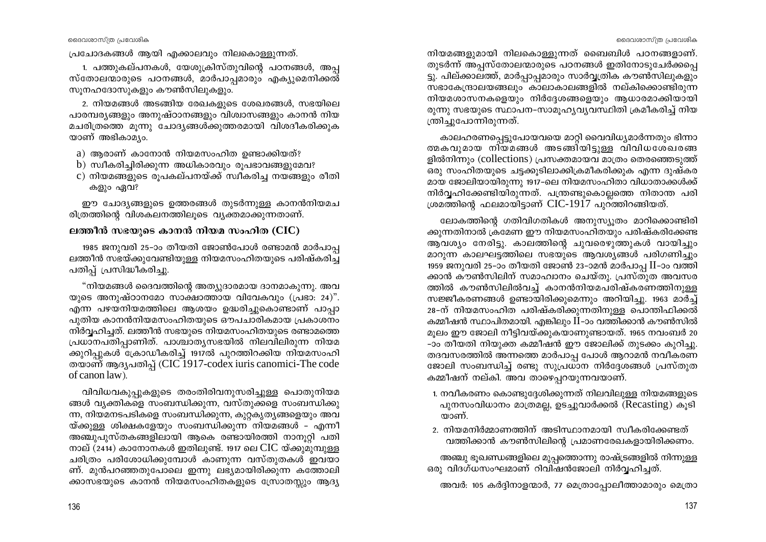പ്രചോദകങ്ങൾ ആയി എക്കാലവും നിലകൊള്ളുന്നത്.

1. പത്തുകല്പനകൾ, യേശുക്രിസ്തുവിന്റെ പഠനങ്ങൾ, അപ്പ സ്തോലന്മാരുടെ പഠനങ്ങൾ, മാർപാപ്പമാരും എക്യുമെനിക്കൽ് സുനഹദോസുകളും കൗൺസിലുകളും.

2. നിയമങ്ങൾ അടങ്ങിയ രേഖകളുടെ ശേഖരങ്ങൾ, സഭയിലെ പാരമ്പര്യങ്ങളും അനുഷ്ഠാനങ്ങളും വിശ്വാസങ്ങളും കാനൻ നിയ മചരിത്രത്തെ മൂന്നു ചോദ്യങ്ങൾക്കുത്തരമായി വിശദീകരിക്കുക യാണ് അഭികാമ്യം.

- a) ആരാണ് കാനോൻ നിയമസംഹിത ഉണ്ടാക്കിയത്?
- b) സ്വീകരിച്ചിരിക്കുന്ന അധികാരവും രൂപഭാവങ്ങളുമേവ?
- c) നിയമങ്ങളുടെ രുപകല്പനയ്ക്ക് സ്വീകരിച്ച നയങ്ങളും രീതി കളും ഏവ?

ഈ ചോദ്യങ്ങളുടെ ഉത്തരങ്ങൾ തുടർന്നുള്ള കാനൻനിയമച രിത്രത്തിന്റെ വിശകലനത്തിലൂടെ വ്യക്തമാക്കുന്നതാണ്.

#### ലത്തീൻ സഭയുടെ കാനൻ നിയമ സംഹിത (CIC)

1985 ജനുവരി 25-ാം തീയതി ജോൺപോൾ രണ്ടാമൻ മാർപാപ്പ ലത്തീൻ സഭയ്ക്കുവേണ്ടിയുള്ള നിയമസംഹിതയുടെ പരിഷ്കരിച്ച പതിപ്പ് പ്രസിദ്ധീകരിച്ചു.

"നിയമങ്ങൾ ദൈവത്തിന്റെ അത്യുദാരമായ ദാനമാകുന്നു. അവ യുടെ അനുഷ്ഠാനമോ സാക്ഷാത്തായ വിവേകവും (പ്രഭാ: 24)". എന്ന പഴയനിയമത്തിലെ ആശയം ഉദ്ധരിച്ചുകൊണ്ടാണ് പാപ്പാ പുതിയ കാനൻനിയമസംഹിതയുടെ ഔപചാരികമായ പ്രകാശനം നിർവ്വഹിച്ചത്. ലത്തീൻ സഭയുടെ നിയമസംഹിതയുടെ രണ്ടാമത്തെ പ്രധാനപതിപ്പാണിത്. പാശ്ചാതൃസഭയിൽ നിലവിലിരുന്ന നിയമ ക്കുറിപ്പുകൾ ക്രോഡീകരിച്ച് 1917ൽ പുറത്തിറക്കിയ നിയമസംഹി തയാണ് ആദ്യപതിപ്പ് (CIC 1917-codex iuris canomici-The code of canon law).

വിവിധവകുപ്പുകളുടെ തരംതിരിവനുസരിച്ചുള്ള പൊതുനിയമ ങ്ങൾ വ്യക്തികളെ സംബന്ധിക്കുന്ന, വസ്തുക്കളെ സംബന്ധിക്കു ന്ന, നിയമനടപടികളെ സംബന്ധിക്കുന്ന, കുറ്റകൃത്യങ്ങളെയും അവ യ്ക്കുള്ള ശിക്ഷകളേയും സംബന്ധിക്കുന്ന നിയമങ്ങൾ – എന്നീ അഞ്ചുപുസ്തകങ്ങളിലായി ആകെ രണ്ടായിരത്തി നാനുറ്റി പതി നാല് (2414) കാനോനകൾ ഇതിലുണ്ട്. 1917 ലെ  $\rm CIC$  യ്ക്കുമുമ്പുള്ള ചരിത്രം പരിശോധിക്കുമ്പോൾ കാണുന്ന വസ്തുതകൾ ഇവയാ ണ്. മുൻപറഞ്ഞതുപോലെ ഇന്നു ലഭ്യമായിരിക്കുന്ന കത്തോലി ക്കാസഭയുടെ കാനൻ നിയമസംഹിതകളുടെ സ്രോതസ്സും ആദ്യ

നിയമങ്ങളുമായി നിലകൊള്ളുന്നത് ബൈബിൾ പഠനങ്ങളാണ്. തുടർന്ന് അപസ്തോലന്മാരുടെ പഠനങ്ങൾ ഇതിനോടുചേർക്കപെ ട്ടു. പില്ക്കാലത്ത്, മാർപ്പാപ്പമാരും സാർവ്വത്രിക കൗൺസിലുകളും സഭാകേന്ദ്രാലയങ്ങലും കാലാകാലങ്ങളിൽ നല്കിക്കൊണ്ടിരുന്ന നിയമശാസനകളെയും നിർദ്ദേശങ്ങളെയും ആധാരമാക്കിയായി രുന്നു സഭയുടെ സ്ഥാപന-സാമുഹൃവ്യവസ്ഥിതി ക്രമീകരിച്ച് നിയ ന്ത്രിച്ചുപോന്നിരുന്നത്.

കാലഹരണപ്പെട്ടുപോയവയെ മാറ്റി വൈവിധ്യമാർന്നതും ഭിന്നാ ത്മകവുമായ നിയമങ്ങൾ അടങ്ങിയിട്ടുള്ള വിവിധശേഖരങ്ങ ളിൽനിന്നും (collections) പ്രസക്തമായവ മാത്രം തെരഞ്ഞെടുത്ത് ഒരു സംഹിതയുടെ ചട്ടക്കൂടിലാക്കിക്രമീകരിക്കുക എന്ന ദുഷ്കര മായ ജോലിയായിരുന്നു 1917–ലെ നിയമസംഹിതാ വിധാതാക്കൾക്ക് നിർവ്വഹിക്കേണ്ടിയിരുന്നത്. പന്ത്രണ്ടുകൊല്ലത്തെ നിതാന്ത പരി ശ്രമത്തിന്റെ ഫലമായിട്ടാണ് CIC-1917 പുറത്തിറങ്ങിയത്.

ലോകത്തിന്റെ ഗതിവിഗതികൾ അനുസ്യൂതം മാറിക്കൊണ്ടിരി ക്കുന്നതിനാൽ ക്രമേണ ഈ നിയമസംഹിതയും പരിഷ്കരിക്കേണ്ട ആവശ്യം നേരിട്ടു. കാലത്തിന്റെ ചുവരെഴുത്തുകൾ വായിച്ചും മാറുന്ന കാലഘട്ടത്തിലെ സഭയുടെ ആവശ്യങ്ങൾ പരിഗണിച്ചും 1959 ജനുവരി 25–ാം തീയതി ജോൺ 23–ാമൻ മാർപാപ്പ II–ാം വത്തി ക്കാൻ കൗൺസിലിന് സമാഹ്വാനം ചെയ്തു. പ്രസ്തുത അവസര ത്തിൽ കൗൺസിലിൽവച്ച് കാനൻനിയമപരിഷ്കരണത്തിനുള്ള സജ്ജീകരണങ്ങൾ ഉണ്ടായിരിക്കുമെന്നും അറിയിച്ചു. 1963 മാർച്ച് 28-ന് നിയമസംഹിത പരിഷ്കരിക്കുന്നതിനുള്ള പൊന്തിഫിക്കൽ കമ്മീഷൻ സ്ഥാപിതമായി. എങ്കിലും  $II$ -ാം വത്തിക്കാൻ കൗൺസിൽ മൂലം ഈ ജോലി നീട്ടിവയ്ക്കുകയാണുണ്ടായത്. 1965 നവംബർ 20 -ാം തീയതി നിയുക്ത കമ്മീഷൻ ഈ ജോലിക്ക് തുടക്കം കുറിച്ചു. തദവസരത്തിൽ അന്നത്തെ മാർപാപ്പ പോൾ ആറാമൻ നവീകരണ ജോലി സംബന്ധിച്ച് രണ്ടു സുപ്രധാന നിർദ്ദേശങ്ങൾ പ്രസ്തുത കമ്മീഷന് നല്കി. അവ താഴെപ്പറയുന്നവയാണ്.

- 1. നവീകരണം കൊണ്ടുദ്ദേശിക്കുന്നത് നിലവിലുള്ള നിയമങ്ങളുടെ പുനസംവിധാനം മാത്രമല്ല, ഉടച്ചുവാർക്കൽ (Recasting) കൂടി യാണ്.
- 2. നിയമനിർമ്മാണത്തിന് അടിസ്ഥാനമായി സ്വീകരിക്കേണ്ടത് വത്തിക്കാൻ കൗൺസിലിന്റെ പ്രമാണരേഖകളായിരിക്കണം.

അഞ്ചു ഭൂഖണ്ഡങ്ങളിലെ മുപ്പത്തൊന്നു രാഷ്ട്രങ്ങളിൽ നിന്നുള്ള ഒരു വിദഗ്ധസംഘമാണ് റിവിഷൻജോലി നിർവ്വഹിച്ചത്.

അവർ: 105 കർദ്ദിനാളന്മാർ, 77 മെത്രാപ്പോലീത്താമാരും മെത്രാ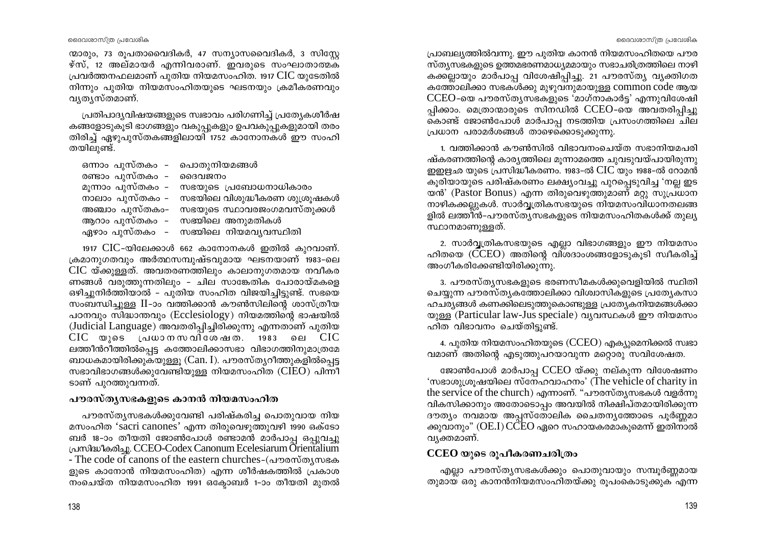ന്മാരും, 73 രൂപതാവൈദികർ, 47 സന്യാസവൈദികർ, 3 സിസ്റ്റേ ഴ്സ്, 12 അല്മായർ എന്നിവരാണ്. ഇവരുടെ സംഘാതാത്മക പ്രവർത്തനഫലമാണ് പുതിയ നിയമസംഹിത. 1917 CIC യുടേതിൽ നിന്നും പുതിയ നിയമസംഹിതയുടെ ഘടനയും ക്രമീകരണവും വൃതൃസ്തമാണ്.

പ്രതിപാദ്യവിഷയങ്ങളുടെ സ്വഭാവം പരിഗണിച്ച് പ്രത്യേകശീർഷ കങ്ങളോടുകൂടി ഭാഗങ്ങളും വകുപ്പുകളും ഉപവകുപ്പുകളുമായി തരം തിരിച്ച് ഏഴുപുസ്തകങ്ങളിലായി 1752 കാനോനകൾ ഈ സംഹി തയിലുണ്ട്.

| ഒന്നാം പുസ്തകം – പൊതുനിയമങ്ങൾ |                                              |
|-------------------------------|----------------------------------------------|
| രണ്ടാം പുസ്തകം – ദൈവജനം       |                                              |
|                               | മൂന്നാം പുസ്തകം – സഭയുടെ പ്രബോധനാധികാരം      |
|                               | നാലാം പുസ്തകം – സഭയിലെ വിശുദ്ധീകരണ ശുശ്രൂഷകൾ |
|                               | അഞ്ചാം പുസ്തകം– സഭയുടെ സ്ഥാവരജംഗമവസ്തുക്കൾ   |
|                               | ആറാം പുസ്തകം  -    സഭയിലെ  അനുമതികൾ          |
|                               | ഏഴാം പുസ്തകം  – സഭയിലെ നിയമവൃവസ്ഥിതി         |

1917 CIC-യിലേക്കാൾ 662 കാനോനകൾ ഇതിൽ കുറവാണ്. ക്രമാനുഗതവും അർത്ഥസമ്പുഷ്ടവുമായ ഘടനയാണ് 1983-ലെ CIC യ്ക്കുള്ളത്. അവതരണത്തിലും കാലാനുഗതമായ നവീകര ണങ്ങൾ വരുത്തുന്നതിലും - ചില സാങ്കേതിക പോരായ്മകളെ ഒഴിച്ചുനിർത്തിയാൽ – പുതിയ സംഹിത വിജയിച്ചിട്ടുണ്ട്. സഭയെ സംബന്ധിച്ചുള്ള II-ാം വത്തിക്കാൻ കൗൺസിലിന്റെ ശാസ്ത്രീയ പഠനവും സിദ്ധാന്തവും (Ecclesiology) നിയമത്തിന്റെ ഭാഷയിൽ (Judicial Language) അവതരിപ്പിച്ചിരിക്കുന്നു എന്നതാണ് പുതിയ  $\rm CIC$  യുടെ പ്രധാനസവിശേഷത. 1983 ലെ  $\rm CIC$ ലത്തീൻറീത്തിൽപ്പെട്ട കത്തോലിക്കാസഭാ വിഭാഗത്തിനുമാത്രമേ ബാധകമായിരിക്കുകയുള്ളൂ (Can. I). പൗരസ്തൃറീത്തുകളിൽപ്പെട്ട സഭാവിഭാഗങ്ങൾക്കുവേണ്ടിയുള്ള നിയമസംഹിത ( $CIEO$ ) പിന്നീ ടാണ് പുറത്തുവന്നത്.

#### പൗരസ്തൃസഭകളുടെ കാനൻ നിയമസംഹിത

പൗരസ്ത്യസഭകൾക്കുവേണ്ടി പരിഷ്കരിച്ച പൊതുവായ നിയ മസംഹിത 'sacri canones' എന്ന തിരുവെഴുത്തുവഴി 1990 ഒക്ടോ ബർ 18-ാം തീയതി ജോൺപോൾ രണ്ടാമൻ മാർപാപ്പ ഒപ്പുവച്ചു പ്രസിദ്ധീകരിച്ചു. CCEO-Codex Canonum Ecelesiarum Orientalium - The code of canons of the eastern churches-(പൗരസ്തൃസഭക ളുടെ കാനോൻ നിയമസംഹിത) എന്ന ശീർഷകത്തിൽ പ്രകാശ നംചെയ്ത നിയമസംഹിത 1991 ഒക്ടോബർ 1-ാം തീയതി മുതൽ

പ്രാബല്യത്തിൽവന്നു. ഈ പുതിയ കാനൻ നിയമസംഹിതയെ പൗര സ്ത്യസഭകളുടെ ഉത്തമഭരണമാധ്യമമായും സഭാചരിത്രത്തിലെ നാഴി കക്കല്ലായും മാർപാപ്പ വിശേഷിപ്പിച്ചു. 21 പൗരസ്ത്യ വ്യക്തിഗത കത്തോലിക്കാ സഭകൾക്കു മുഴുവനുമായുള്ള common code ആയ  $\text{CCEO-}$ യെ പൗരസ്തുസഭകളുടെ 'മാഗ്നാകാർട്ട' എന്നുവിശേഷി പ്പിക്കാം. മെത്രാന്മാരുടെ സിനഡിൽ CCEO-യെ അവതരിപ്പിച്ചു .<br>കൊണ്ട് ജോൺപോൾ മാർപാപ്പ നടത്തിയ പ്രസംഗത്തിലെ ചില പ്രധാന പരാമർശങ്ങൾ താഴെക്കൊടുക്കുന്നു.

1. വത്തിക്കാൻ കൗൺസിൽ വിഭാവനംചെയ്ത സഭാനിയമപരി ഷ്കരണത്തിന്റെ കാര്യത്തിലെ മുന്നാമത്തെ ചുവടുവയ്പായിരുന്നു ഇഇഋഛ യുടെ പ്രസിദ്ധീകരണം. 1983-ൽ CIC യും 1988-ൽ റോമൻ കൂരിയായുടെ പരിഷ്കരണം ലക്ഷ്യംവച്ചു പുറപ്പെടുവിച്ച 'നല്ല ഇട യൻ' (Pastor Bonus) എന്ന തിരുവെഴുത്തുമാണ് മറ്റു സുപ്രധാന നാഴികക്കല്ലുകൾ. സാർവ്വത്രികസഭയുടെ നിയമസംവിധാനതലങ്ങ ളിൽ ലത്തിൻ-പൗരസ്തൃസഭകളുടെ നിയമസംഹിതകൾക്ക് തുല്യ സ്ഥാനമാണുള്ളത്.

2. സാർവ്വത്രികസഭയുടെ എല്ലാ വിഭാഗങ്ങളും ഈ നിയമസം ഹിതയെ (CCEO) അതിന്റെ വിശദാംശങ്ങളോടുകൂടി സ്വീകരിച്ച് അംഗീകരിക്കേണ്ടിയിരിക്കുന്നു.

3. പൗരസ്ത്യസഭകളുടെ ഭരണസീമകൾക്കുവെളിയിൽ സ്ഥിതി 'ചെയ്യുന്ന പൗരസ്തൃകത്തോലിക്കാ വിശ്വാസികളുടെ പ്രത്യേകസാ ഹചര്യങ്ങൾ കണക്കിലെടുത്തുകൊണ്ടുള്ള പ്രത്യേകനിയമങ്ങൾക്കാ യുള്ള (Particular law-Jus speciale) വ്യവസ്ഥകൾ ഈ നിയമസം ഹിത വിഭാവനം ചെയ്തിട്ടുണ്ട്.

4. പുതിയ നിയമസംഹിതയുടെ (CCEO) എക്യുമെനിക്കൽ സ്വഭാ വമാണ് അതിന്റെ എടുത്തുപറയാവുന്ന മറ്റൊരു സവിശേഷത.

ജോൺപോൾ മാർപാപ്പ CCEO യ്ക്കു നല്കുന്ന വിശേഷണം 'സഭാശുശ്രൂഷയിലെ സ്നേഹവാഹനം' (The vehicle of charity in the service of the church) എന്നാണ്. "പൗരസ്തൃസഭകൾ വളർന്നു വികസിക്കാനും അതോടൊപ്പം അവയിൽ നിക്ഷിപ്തമായിരിക്കുന്ന ദൗത്യം നവമായ അപ്പസ്തോലിക ചൈതന്യത്തോടെ പൂർണ്ണമാ ക്കുവാനും" (OE.I) CCEO ഏറെ സഹായകരമാകുമെന്ന് ഇതിനാൽ വ്യക്തമാണ്.

# CCEO യുടെ രൂപീകരണചരിത്രം

എല്ലാ പൗരസ്തൃസഭകൾക്കും പൊതുവായും സമ്പൂർണ്ണമായ തുമായ ഒരു കാനൻനിയമസംഹിതയ്ക്കു രൂപംകൊടുക്കുക എന്ന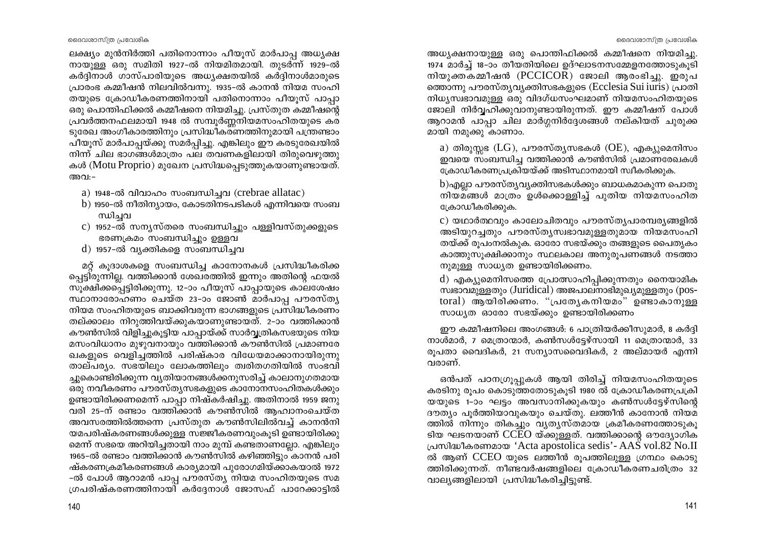ലക്ഷ്യം മുൻനിർത്തി പതിനൊന്നാം പീയൂസ് മാർപാപ്പ അധ്യക്ഷ നായുള്ള ഒരു സമിതി 1927-ൽ നിയമിതമായി. തുടർന്ന് 1929-ൽ കർദ്ദിനാൾ ഗാസ്പാരിയുടെ അധ്യക്ഷതയിൽ കർദ്ദിനാൾമാരുടെ പ്രാരംഭ കമ്മീഷൻ നിലവിൽവന്നു. 1935-ൽ കാനൻ നിയമ സംഹി തയുടെ ക്രോഡീകരണത്തിനായി പതിനൊന്നാം പീയുസ് പാപാ ഒരു പൊന്തിഫിക്കൽ കമ്മീഷനെ നിയമിച്ചു. പ്രസ്തുത കമ്മീഷന്റെ പ്രവർത്തനഫലമായി 1948 ൽ സമ്പൂർണ്ണനിയമസംഹിതയുടെ കര ടുരേഖ അംഗീകാരത്തിനും പ്രസിദ്ധീകരണത്തിനുമായി പന്ത്രണ്ടാം പീയൂസ് മാർപാപ്പയ്ക്കു സമർപ്പിച്ചു. എങ്കിലും ഈ കരടുരേഖയിൽ നിന്ന് ചില ഭാഗങ്ങൾമാത്രം പല തവണകളിലായി തിരുവെഴുത്തു കൾ (Motu Proprio) മുഖേന പ്രസിദ്ധപ്പെടുത്തുകയാണുണ്ടായത്. അവ:-

- a) 1948-ൽ വിവാഹം സംബന്ധിച്ചവ (crebrae allatac)
- b) 1950-ൽ നീതിന്യായം, കോടതിനടപടികൾ എന്നിവയെ സംബ ന്ധിച്ചവ
- c) 1952-ൽ സന്യസ്തരെ സംബന്ധിച്ചും പള്ളിവസ്തുക്കളുടെ ഭരണക്രമം സംബന്ധിച്ചും ഉള്ളവ
- d) 1957-ൽ വ്യക്തികളെ സംബന്ധിച്ചവ

മറ്റ് കുദാശകളെ സംബന്ധിച്ച കാനോനകൾ പ്രസിദ്ധീകരിക്ക പ്പെട്ടിരുന്നില്ല. വത്തിക്കാൻ ശേഖരത്തിൽ ഇന്നും അതിന്റെ ഫയൽ സൂക്ഷിക്കപ്പെട്ടിരിക്കുന്നു. 12-ാം പീയൂസ് പാപ്പായുടെ കാലശേഷം സ്ഥാനാരോഹണം ചെയ്ത 23-ാം ജോൺ മാർപാപ്പ പൗരസ്ത്യ നിയമ സംഹിതയുടെ ബാക്കിവരുന്ന ഭാഗങ്ങളുടെ പ്രസിദ്ധീകരണം തല്ക്കാലം നിറുത്തിവയ്ക്കുകയാണുണ്ടായത്. 2–ാം വത്തിക്കാൻ കൗൺസിൽ വിളിച്ചുകൂട്ടിയ പാപ്പായ്ക്ക് സാർവ്വത്രികസഭയുടെ നിയ മസംവിധാനം മുഴുവനായും വത്തിക്കാൻ കൗൺസിൽ പ്രമാണരേ ഖകളുടെ വെളിച്ചത്തിൽ പരിഷ്കാര വിധേയമാക്കാനായിരുന്നു താല്പര്യം. സഭയിലും ലോകത്തിലും ത്വരിതഗതിയിൽ സംഭവി ച്ചുകൊണ്ടിരിക്കുന്ന വ്യതിയാനങ്ങൾക്കനുസരിച്ച് കാലാനുഗതമായ ഒരു നവീകരണം പൗരസ്തൃസഭകളുടെ കാനോനസംഹിതകൾക്കും ഉണ്ടായിരിക്കണമെന്ന് പാപ്പാ നിഷ്കർഷിച്ചു. അതിനാൽ 1959 ജനു വരി 25-ന് രണ്ടാം വത്തിക്കാൻ കൗൺസിൽ ആഹ്വാനംചെയ്ത അവസരത്തിൽത്തന്നെ പ്രസ്തുത കൗൺസിലിൽവച്ച് കാനൻനി യമപരിഷ്കരണങ്ങൾക്കുള്ള സജ്ജീകരണവുംകൂടി ഉണ്ടായിരിക്കു മെന്ന് സഭയെ അറിയിച്ചതായി നാം മുമ്പ് കണ്ടതാണല്ലോ. എങ്കിലും 1965-ൽ രണ്ടാം വത്തിക്കാൻ കൗൺസിൽ കഴിഞ്ഞിട്ടും കാനൻ പരി ഷ്കരണക്രമീകരണങ്ങൾ കാര്യമായി പുരോഗമിയ്ക്കാകയാൽ 1972 -ൽ പോൾ ആറാമൻ പാപ്പ പൗരസ്ത്യ നിയമ സംഹിതയുടെ സമ ഗ്രപരിഷ്കരണത്തിനായി കർദ്ദേനാൾ ജോസഫ് പാറേക്കാട്ടിൽ

അധ്യക്ഷനായുള്ള ഒരു പൊന്തിഫിക്കൽ കമ്മീഷനെ നിയമിച്ചു. 1974 മാർച്ച് 18-ാം തീയതിയിലെ ഉദ്ഘാടനസമ്മേളനത്തോടുകൂടി നിയുക്തകമ്മീഷൻ (PCCICOR) ജോലി ആരംഭിച്ചു. ഇരുപ ത്തൊന്നു പൗരസ്ത്യവ്യക്തിസഭകളുടെ (Ecclesia Sui iuris) പ്രാതി നിധ്യസ്വഭാവമുള്ള ഒരു വിദഗ്ധസംഘമാണ് നിയമസംഹിതയുടെ ജോലി നിർവ്വഹിക്കുവാനുണ്ടായിരുന്നത്. ഈ കമ്മീഷന് പോൾ ആറാമൻ പാപ്പാ ചില മാർഗ്ഗനിർദ്ദേശങ്ങൾ നല്കിയത് ചുരുക്ക മായി നമുക്കു കാണാം.

a) തിരുസ്സഭ ( $LG$ ), പൗരസ്തൃസഭകൾ ( $OE$ ), എക്യുമെനിസം ഇവയെ സംബന്ധിച്ച വത്തിക്കാൻ കൗൺസിൽ പ്രമാണരേഖകൾ ക്രോഡീകരണപ്രക്രിയയ്ക്ക് അടിസ്ഥാനമായി സ്വീകരിക്കുക.

 $b$ )എല്ലാ പൗരസ്തൃവൃക്തിസഭകൾക്കും ബാധകമാകുന്ന പൊതു നിയമങ്ങൾ മാത്രം ഉൾക്കൊള്ളിച്ച് പുതിയ നിയമസംഹിത ക്രോഡീകരിക്കുക.

c) യഥാർത്ഥവും കാലോചിതവും പൗരസ്തൃപാരമ്പര്യങ്ങളിൽ അടിയുറച്ചതും പൗരസ്ത്യസ്വഭാവമുള്ളതുമായ നിയമസംഹി തയ്ക്ക് രൂപംനൽകുക. ഓരോ സഭയ്ക്കും തങ്ങളുടെ പൈതൃകം കാത്തുസൂക്ഷിക്കാനും സ്ഥലകാല അനുരൂപണങ്ങൾ നടത്താ നുമുള്ള സാധൃത ഉണ്ടായിരിക്കണം.

d) എക്യുമെനിസത്തെ പ്രോത്സാഹിപ്പിക്കുന്നതും നൈയാമിക -സ്വഭാവമുള്ളതും (Juridical) അജപാലനാഭിമുഖ്യമുള്ളതും (pos toral) ആയിരിക്കണം. "പ്രത്യേകനിയമം" ഉണ്ടാകാനുള്ള സാധ്യത ഓരോ സഭയ്ക്കും ഉണ്ടായിരിക്കണം

ഈ കമ്മീഷനിലെ അംഗങ്ങൾ: 6 പാത്രിയർക്കീസുമാർ, 8 കർദ്ദി നാൾമാർ, 7 മെത്രാന്മാർ, കൺസൾട്ടേഴ്സായി 11 മെത്രാന്മാർ, 33 രൂപതാ വൈദികർ, 21 സന്യാസവൈദികർ, 2 അല്മായർ എന്നി വരാണ്.

ഒൻപത് പഠനഗ്രൂപ്പുകൾ ആയി തിരിച്ച് നിയമസംഹിതയുടെ കരടിനു രൂപം കൊടുത്തതോടുകൂടി 1980 ൽ ക്രോഡീകരണപ്രക്രി യയുടെ 1-ാം ഘട്ടം അവസാനിക്കുകയും കൺസൾട്ടേഴ്സിന്റെ ദൗത്യം പൂർത്തിയാവുകയും ചെയ്തു. ലത്തീൻ കാനോൻ നിയമ ത്തിൽ നിന്നും തികച്ചും വ്യത്യസ്തമായ ക്രമീകരണത്തോടുകു ടിയ ഘടനയാണ് CCEO യ്ക്കുള്ളത്. വത്തിക്കാന്റെ ഔദ്യോഗിക പ്രസിദ്ധീകരണമായ 'Acta apostolica sedis' - AAS vol.82 No.II ൽ ആണ്  $\rm CCEO$  യുടെ ലത്തീൻ രൂപത്തിലുള്ള ഗ്രന്ഥം കൊടു ത്തിരിക്കുന്നത്. നീണ്ടവർഷങ്ങളിലെ ക്രോഡീകരണചരിത്രം 32 വാല്യങ്ങളിലായി പ്രസിദ്ധീകരിച്ചിട്ടുണ്ട്.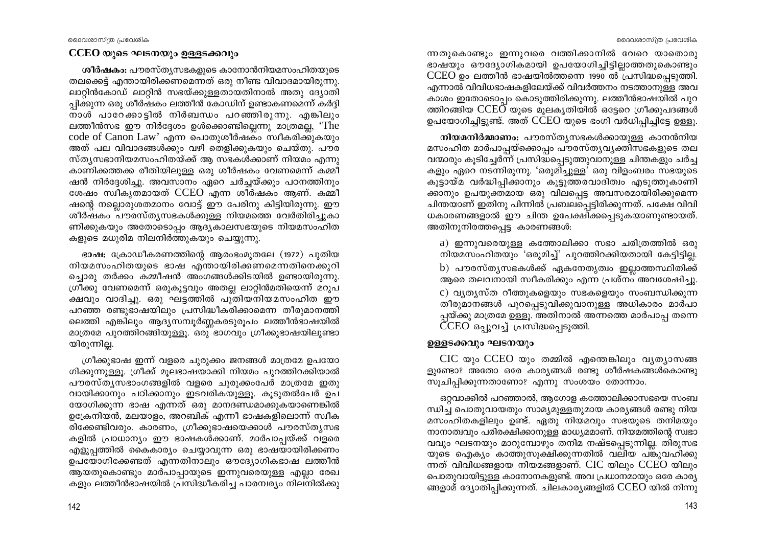ന്നതുകൊണ്ടും ഇന്നുവരെ വത്തിക്കാനിൽ വേറെ യാതൊരു ഭാഷയും ഔദ്യോഗികമായി ഉപയോഗിച്ചിട്ടില്ലാത്തതുകൊണ്ടും  $\text{CCEO}$  ഉം ലത്തീൻ ഭാഷയിൽത്തന്നെ 1990 ൽ പ്രസിദ്ധപ്പെടുത്തി. എന്നാൽ വിവിധഭാഷകളിലേയ്ക്ക് വിവർത്തനം നടത്താനുള്ള അവ കാശം ഇതോടൊപ്പം കൊടുത്തിരിക്കുന്നു. ലത്തീൻഭാഷയിൽ പുറ ത്തിറങ്ങിയ  $\text{CCEO}$  യുടെ മുലകൃതിയിൽ ഒട്ടേറെ ഗ്രീക്കുപദങ്ങൾ ഉപയോഗിച്ചിട്ടുണ്ട്. അത് CCEO യുടെ ഭംഗി വർധിപ്പിച്ചിട്ടേ ഉള്ളു.

നിയമനിർമ്മാണം: പൗരസ്ത്യസഭകൾക്കായുള്ള കാനൻനിയ മസംഹിത മാർപാപ്പയ്ക്കൊപ്പം പൗരസ്തൃവൃക്തിസഭകളുടെ തല വന്മാരും കൂടിച്ചേർന്ന് പ്രസിദ്ധപ്പെടുത്തുവാനുള്ള ചിന്തകളും ചർച്ച കളും ഏറെ നടന്നിരുന്നു. 'ഒരുമിച്ചുള്ള' ഒരു വിളംബരം സഭയുടെ കൂട്ടായ്മ വർദ്ധിപ്പിക്കാനും കൂട്ടുത്തരവാദിത്വം എടുത്തുകാണി ക്കാനും ഉപയുക്തമായ ഒരു വിലപ്പെട്ട അവസരമായിരിക്കുമെന്ന ചിന്തയാണ് ഇതിനു പിന്നിൽ പ്രബലപ്പെട്ടിരിക്കുന്നത്. പക്ഷേ വിവി ധകാരണങ്ങളാൽ ഈ ചിന്ത ഉപേക്ഷിക്കപ്പെടുകയാണുണ്ടായത്. അതിനുനിരത്തപെട്ട കാരണങ്ങൾ:

a) ഇന്നുവരെയുള്ള കത്തോലിക്കാ സഭാ ചരിത്രത്തിൽ ഒരു നിയമസംഹിതയും 'ഒരുമിച്ച്' പുറത്തിറക്കിയതായി കേട്ടിട്ടില്ല. b) പൗരസ്ത്യസഭകൾക്ക് ഏകനേതൃത്വം ഇല്ലാത്തസ്ഥിതിക്ക് ആരെ തലവനായി സ്വീകരിക്കും എന്ന പ്രശ്നം അവശേഷിച്ചു. c) വ്യത്യസ്ത റീത്തുകളെയും സഭകളെയും സംബന്ധിക്കുന്ന തീരുമാനങ്ങൾ പുറപ്പെടുവിക്കുവാനുള്ള അധികാരം മാർപാ പ്പയ്ക്കു മാത്രമേ ഉള്ളൂ. അതിനാൽ അന്നത്തെ മാർപാപ്പ തന്നെ  $\overline{C}$ CEO ഒപ്പുവച്ച് പ്രസിദ്ധപ്പെടുത്തി.

# ഉള്ളടക്കവും ഘടനയും

 $CIC$  യും  $CCEO$  യും തമ്മിൽ എന്തെങ്കിലും വ്യത്യാസങ്ങ ളുണ്ടോ? അതോ ഒരേ കാര്യങ്ങൾ രണ്ടു ശീർഷകങ്ങൾകൊണ്ടു സൂചിപ്പിക്കുന്നതാണോ? എന്നു സംശയം തോന്നാം.

ഒറ്റവാക്കിൽ പറഞ്ഞാൽ, ആഗോള കത്തോലിക്കാസഭയെ സംബ ന്ധിച്ച പൊതുവായതും സാമ്യമുള്ളതുമായ കാര്യങ്ങൾ രണ്ടു നിയ മസംഹിതകളിലും ഉണ്ട്. ഏതു നിയമവും സഭയുടെ തനിമയും നാനാത്വവും പരിരക്ഷിക്കാനുള്ള മാധ്യമമാണ്. നിയമത്തിന്റെ സ്വഭാ വവും ഘടനയും മാറുമ്പോഴും തനിമ നഷ്ടപ്പെടുന്നില്ല. തിരുസഭ യുടെ ഐക്യം കാത്തുസൂക്ഷിക്കുന്നതിൽ വലിയ പങ്കുവഹിക്കു ന്നത് വിവിധങ്ങളായ നിയമങ്ങളാണ്.  $CIC$  യിലും  $CCEO$  യിലും പൊതുവായിട്ടുള്ള കാനോനകളുണ്ട്. അവ പ്രധാനമായും ഒരേ കാര്യ ങ്ങളാമ് ദ്യോതിപ്പിക്കുന്നത്. ചിലകാര്യങ്ങളിൽ CCEO യിൽ നിന്നു

#### CCEO യുടെ ഘടനയും ഉള്ളടക്കവും

ശീർഷകം: പൗരസ്ത്യസഭകളുടെ കാനോൻനിയമസംഹിതയുടെ തലക്കെട്ട് എന്തായിരിക്കണമെന്നത് ഒരു നീണ്ട വിവാദമായിരുന്നു. ലാറ്റിൻകോഡ് ലാറ്റിൻ സഭയ്ക്കുള്ളതായതിനാൽ അതു ദ്യോതി പ്പിക്കുന്ന ഒരു ശീർഷകം ലത്തീൻ കോഡിന് ഉണ്ടാകണമെന്ന് കർദ്ദി നാൾ പാറേക്കാട്ടിൽ നിർബന്ധം പറഞ്ഞിരുന്നു. എങ്കിലും ലത്തീൻസഭ ഈ നിർദ്ദേശം ഉൾക്കൊണ്ടില്ലെന്നു മാത്രമല്ല, 'The code of Canon Law' എന്ന പൊതുശീർഷകം സ്വീകരിക്കുകയും അത് പല വിവാദങ്ങൾക്കും വഴി തെളിക്കുകയും ചെയ്തു. പൗര സ്ത്യസഭാനിയമസംഹിതയ്ക്ക് ആ സഭകൾക്കാണ് നിയമം എന്നു കാണിക്കത്തക്ക രീതിയിലുള്ള ഒരു ശീർഷകം വേണമെന്ന് കമ്മീ ഷൻ നിർദ്ദേശിച്ചു. അവസാനം ഏറെ ചർച്ചയ്ക്കും പഠനത്തിനും ശേഷം സ്വീകൃതമായത് CCEO എന്ന ശീർഷകം ആണ്. കമ്മീ ഷന്റെ നല്ലൊരുശതമാനം വോട്ട് ഈ പേരിനു കിട്ടിയിരുന്നു. ഈ ശീർഷകം പൗരസ്ത്യസഭകൾക്കുള്ള നിയമത്തെ വേർതിരിച്ചുകാ ണിക്കുകയും അതോടൊപ്പം ആദ്യകാലസഭയുടെ നിയമസംഹിത കളുടെ മധുരിമ നിലനിർത്തുകയും ചെയ്യുന്നു.

ഭാഷ: ക്രോഡീകരണത്തിന്റെ ആരംഭംമുതലേ (1972) പുതിയ നിയമസംഹിതയുടെ ഭാഷ എന്തായിരിക്കണമെന്നതിനെക്കുറി ച്ചൊരു തർക്കം കമ്മീഷൻ അംഗങ്ങൾക്കിടയിൽ ഉണ്ടായിരുന്നു. ഗ്രീക്കു വേണമെന്ന് ഒരുകൂട്ടവും അതല്ല ലാറ്റിൻമതിയെന്ന് മറുപ ക്ഷവും വാദിച്ചു. ഒരു ഘട്ടത്തിൽ പുതിയനിയമസംഹിത ഈ പറഞ്ഞ രണ്ടുഭാഷയിലും പ്രസിദ്ധീകരിക്കാമെന്ന തീരുമാനത്തി ലെത്തി എങ്കിലും ആദ്യസമ്പൂർണ്ണകരടുരൂപം ലത്തീൻഭാഷയിൽ മാത്രമേ പുറത്തിറങ്ങിയുള്ളൂ. ഒരു ഭാഗവും ഗ്രീക്കുഭാഷയിലുണ്ടാ യിരുന്നില്ല.

ഗ്രീക്കുഭാഷ ഇന്ന് വളരെ ചുരുക്കം ജനങ്ങൾ മാത്രമേ ഉപയോ ഗിക്കുന്നുള്ളൂ. ഗ്രീക്ക് മൂലഭാഷയാക്കി നിയമം പുറത്തിറക്കിയാൽ പൗരസ്ത്യസഭാംഗങ്ങളിൽ വളരെ ചുരുക്കംപേർ മാത്രമേ ഇതു വായിക്കാനും പഠിക്കാനും ഇടവരികയുള്ളു. കൂടുതൽപേർ ഉപ യോഗിക്കുന്ന ഭാഷ എന്നത് ഒരു മാനദണ്ഡമാക്കുകയാണെങ്കിൽ ഉക്രേനിയൻ, മലയാളം, അറബിക് എന്നീ ഭാഷകളിലൊന്ന് സ്വീക രിക്കേണ്ടിവരും. കാരണം, ഗ്രീക്കുഭാഷയെക്കാൾ പൗരസ്തൃസഭ കളിൽ പ്രാധാന്യം ഈ ഭാഷകൾക്കാണ്. മാർപാപ്പയ്ക്ക് വളരെ എളുപ്പത്തിൽ കൈകാര്യം ചെയ്യാവുന്ന ഒരു ഭാഷയായിരിക്കണം ഉപയോഗിക്കേണ്ടത് എന്നതിനാലും ഔദ്യോഗികഭാഷ ലത്തീൻ ആയതുകൊണ്ടും മാർപാപ്പായുടെ ഇന്നുവരെയുള്ള എല്ലാ രേഖ കളും ലത്തീൻഭാഷയിൽ പ്രസിദ്ധീകരിച്ച പാരമ്പര്യം നിലനിൽക്കു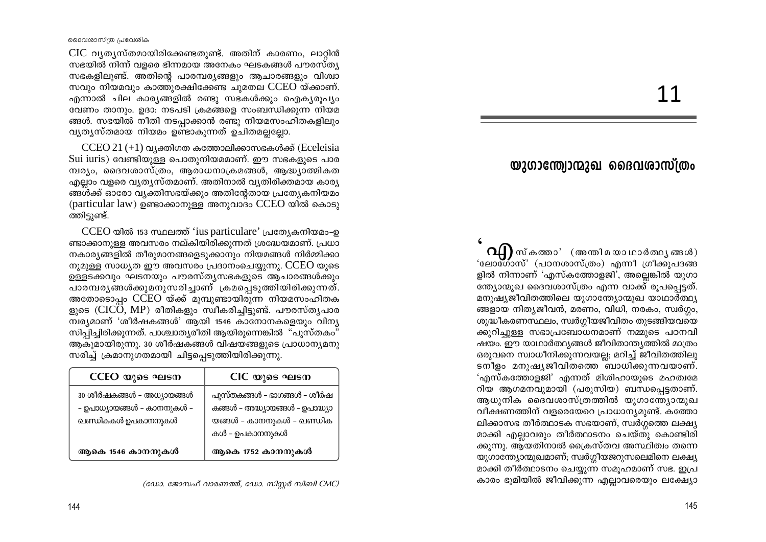CIC വ്യത്യസ്തമായിരിക്കേണ്ടതുണ്ട്. അതിന് കാരണം, ലാറ്റിൻ <u>സഭയിൽ നിന്ന് വളരെ ഭിന്നമായ അനേകം ഘടകങ്ങൾ പൗരസ്ത്യ</u> സഭകളിലുണ്ട്. അതിന്റെ പാരമ്പര്യങ്ങളും ആചാരങ്ങളും വിശ്വാ സവും നിയമവും കാത്തുരക്ഷിക്കേണ്ട ചുമതല CCEO യ്ക്കാണ്. <u>എന്നാൽ ചില കാര്യങ്ങളിൽ രണ്ടു സഭകൾക്കും ഐക്യരൂപ്യം</u> വേണം താനും. ഉദാ: നടപടി ക്രമങ്ങളെ സംബന്ധിക്കുന്ന നിയമ ങ്ങൾ. സഭയിൽ നീതി നടപ്പാക്കാൻ രണ്ടു നിയമസംഹിതകളിലും വ്യത്യസ്തമായ നിയമം ഉണ്ടാകുന്നത് ഉചിതമല്ലല്ലോ.

 $CCEO 21 (+1)$  വ്യക്തിഗത കത്തോലിക്കാസഭകൾക്ക് (Eceleisia Sui iuris) വേണ്ടിയുള്ള പൊതുനിയമമാണ്. ഈ സഭകളുടെ പാര മ്പര്യം, ദൈവശാസ്ത്രം, ആരാധനാക്രമങ്ങൾ, ആദ്ധ്യാത്മികത എല്ലാം വളരെ വ്യത്യസ്തമാണ്. അതിനാൽ വ്യതിരിക്തമായ കാര്യ ങ്ങൾക്ക് ഓരോ വ്യക്തിസഭയ്ക്കും അതിന്റേതായ പ്രത്യേകനിയമം (particular law) ഉണ്ടാക്കാനുള്ള അനുവാദം CCEO യിൽ കൊടു ത്തിട്ടുണ്ട്.

CCEO യിൽ 153 സ്ഥലത്ത് 'ius particulare' പ്രത്യേകനിയമം-ഉ ണ്ടാക്കാനുള്ള അവസരം നല്കിയിരിക്കുന്നത് ശ്രദ്ധേയമാണ്. പ്രധാ നകാര്യങ്ങളിൽ തീരുമാനങ്ങളെടുക്കാനും നിയമങ്ങൾ നിർമ്മിക്കാ നുമുള്ള സാധ്യത ഈ അവസരം പ്രദാനംചെയ്യുന്നു.  $\rm CCEO$  യുടെ ഉള്ളടക്കവും ഘടനയും പൗരസ്ത്യസഭകളുടെ ആചാരങ്ങൾക്കും പാരമ്പരൃങ്ങൾക്കുമനുസരിച്ചാണ് ക്രമപ്പെടുത്തിയിരിക്കുന്നത്. അതോടൊപ്പം CCEO യ്ക്ക് മുമ്പുണ്ടായിരുന്ന നിയമസംഹിതക ളുടെ (CICO, MP) രീതികളും സ്വീകരിച്ചിട്ടുണ്ട്. പൗരസ്തൃപാര മ്പര്യമാണ് 'ശീർഷകങ്ങൾ' ആയി 1546 കാനോനകളെയും വിന്യ സിപ്പിച്ചിരിക്കുന്നത്. പാശ്ചാതൃരീതി ആയിരുന്നെങ്കിൽ "പുസ്തകം" ആകുമായിരുന്നു. 30 ശീർഷകങ്ങൾ വിഷയങ്ങളുടെ പ്രാധാന്യമനു സരിച്ച് ക്രമാനുഗതമായി ചിട്ടപ്പെടുത്തിയിരിക്കുന്നു.

| CCEO യുടെ ഘടന                                                                 | CIC യുടെ ഘടന                                                                                                  |
|-------------------------------------------------------------------------------|---------------------------------------------------------------------------------------------------------------|
| 30 ശീർഷകങ്ങൾ – അധ്യായങ്ങൾ<br>- ഉപാധ്യായങ്ങൾ - കാനനുകൾ -<br>ഖണ്ഡികകൾ ഉപകാനനുകൾ | പുസ്തകങ്ങൾ – ഭാഗങ്ങൾ – ശീർഷ<br>കങ്ങൾ - അദ്ധ്യായങ്ങൾ - ഉപാദ്ധ്യാ<br>യങ്ങൾ - കാനനുകൾ - ഖണ്ഡിക<br>കൾ – ഉപകാനനുകൾ |
| ആകെ 1546 കാനനുകൾ                                                              | ആകെ 1752 കാനനുകൾ                                                                                              |

(ഡോ. ജോസഫ് വാരണത്ത്, ഡോ. സിസ്റ്റർ സിബി CMC)

# 11

# യുഗാന്ത്ര്വാന്മുഖ ദൈവശാസ്ത്രം

 $\Omega$ a) സ്കത്താ' (അന്തി മയാഥാർത്ഥ്യങ്ങൾ) 'ലോഗോസ്' (പഠനശാസ്ത്രം) എന്നീ ഗ്രീക്കുപദങ്ങ ളിൽ നിന്നാണ് 'എസ്കത്തോളജി', അല്ലെങ്കിൽ യുഗാ ത്ത്യോന്മുഖ ദൈവശാസ്ത്രം എന്ന വാക്ക് രുപപ്പെട്ടത്. മനുഷ്യജീവിതത്തിലെ യുഗാന്ത്യോന്മുഖ യാഥാർത്ഥ്യ ങ്ങളായ നിത്യജീവൻ, മരണം, വിധി, നരകം, സ്വർഗ്ഗം, ശുദ്ധീകരണസ്ഥലം, സ്വർഗ്ഗീയജീവിതം തുടങ്ങിയവയെ ക്കുറിച്ചുള്ള സഭാപ്രബോധനമാണ് നമ്മുടെ പഠനവി ഷയം. ഈ യാഥാർത്ഥ്യങ്ങൾ ജീവിതാന്ത്യത്തിൽ മാത്രം ഒരുവനെ സ്വാധീനിക്കുന്നവയല്ല; മറിച്ച് ജീവിതത്തിലു ടനീളം മനുഷൃജീവിതത്തെ ബാധിക്കുന്നവയാണ്. 'എസ്കത്തോളജി' എന്നത് മിശിഹായുടെ മഹത്വമേ റിയ ആഗമനവുമായി (പരുസിയ) ബന്ധപ്പെട്ടതാണ്. ആധുനിക ദൈവശാസ്ത്രത്തിൽ യുഗാന്ത്യോന്മുഖ വീക്ഷണത്തിന് വളരെയേറെ പ്രാധാന്യമുണ്ട്. കത്തോ ലിക്കാസഭ തീർത്ഥാടക സഭയാണ്, സ്വർഗ്ഗത്തെ ലക്ഷ്യ മാക്കി എല്ലാവരും തീർത്ഥാടനം ചെയ്തു കൊണ്ടിരി ക്കുന്നു. ആയതിനാൽ ക്രൈസ്തവ അസ്ഥിത്വം തന്നെ യുഗാന്ത്യോന്മുഖമാണ്; സ്വർഗ്ഗീയജറുസലെമിനെ ലക്ഷ്യ മാക്കി തീർത്ഥാടനം ചെയ്യുന്ന സമൂഹമാണ് സഭ. ഇപ്ര കാരം ഭുമിയിൽ ജീവിക്കുന്ന എല്ലാവരെയും ലക്ഷ്യോ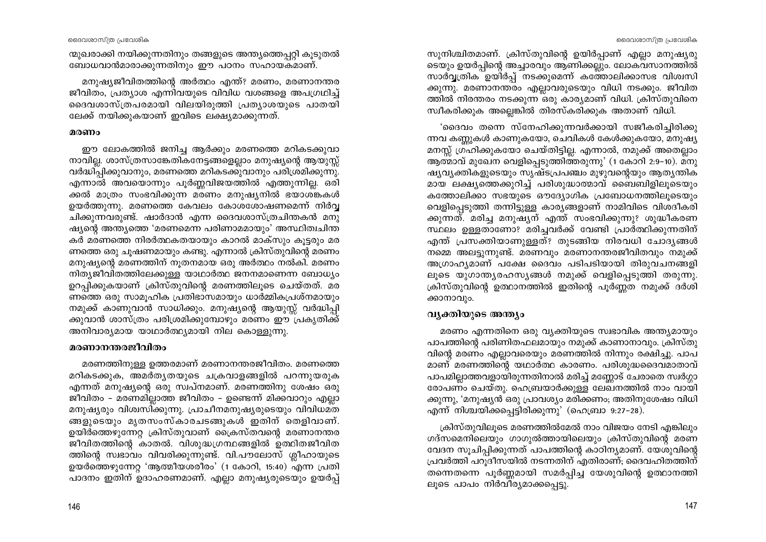സുനിശ്ചിതമാണ്. ക്രിസ്തുവിന്റെ ഉയിർപ്പാണ് എല്ലാ മനുഷ്യരു ടെയും ഉയർപ്പിന്റെ അച്ചാരവും ആണിക്കല്ലും. ലോകവസാനത്തിൽ സാർവ്വതിക ഉയിർപ്പ് നടക്കുമെന്ന് കത്തോലിക്കാസഭ വിശ്വസി ക്കുന്നു. മരണാനന്തരം എല്ലാവരുടെയും വിധി നടക്കും. ജീവിത ത്തിൽ നിരന്തരം നടക്കുന്ന ഒരു കാര്യമാണ് വിധി. ക്രിസ്തുവിനെ സ്ഥീകരിക്കുക അല്ലെങ്കിൽ തിരസ്കരിക്കുക അതാണ് വിധി.

്ദൈവം തന്നെ സ്നേഹിക്കുന്നവർക്കായി സജീകരിച്ചിരിക്കു ന്നവ കണ്ണുകൾ കാണുകയോ, ചെവികൾ കേൾക്കുകയോ, മനുഷ്യ മനസ്സ് ഗ്രഹിക്കുകയോ ചെയ്തിട്ടില്ല. എന്നാൽ, നമുക്ക് അതെല്ലാം ആത്മാവ് മുഖേന വെളിപ്പെടുത്തിത്തരുന്നു' (1 കോറി 2:9–10). മനു ഷ്യവൃക്തികളുടെയും സൃഷ്ടപ്രപഞ്ചം മുഴുവന്റെയും ആതൃന്തിക മായ ലക്ഷ്യത്തെക്കുറിച്ച് പരിശുദ്ധാത്മാവ് ബൈബിളിലുടെയും കത്തോലിക്കാ സഭയുടെ ഔദ്യോഗിക പ്രബോധനത്തിലൂടെയും വെളിപ്പെടുത്തി തന്നിട്ടുള്ള കാര്യങ്ങളാണ് നാമിവിടെ വിശദീകരി ക്കുന്നത്. മരിച്ച മനുഷ്യന് എന്ത് സംഭവിക്കുന്നു? ശുദ്ധീകരണ സ്ഥലം ഉള്ളതാണോ? മരിച്ചവർക്ക് വേണ്ടി പ്രാർത്ഥിക്കുന്നതിന് എന്ത് പ്രസക്തിയാണുള്ളത്? തുടങ്ങിയ നിരവധി ചോദ്യങ്ങൾ നമ്മെ അലട്ടുന്നുണ്ട്. മരണവും മരണാനന്തരജീവിതവും നമുക്ക് അഗ്രാഹ്യമാണ് പക്ഷേ ദൈവം പടിപടിയായി തിരുവചനങ്ങളി ലൂടെ യുഗാന്ത്യരഹസ്യങ്ങൾ നമുക്ക് വെളിപ്പെടുത്തി തരുന്നു. ക്രിസ്തുവിന്റെ ഉത്ഥാനത്തിൽ ഇതിന്റെ പൂർണ്ണത നമുക്ക് ദർശി ക്കാനാവും.

## വ്യക്തിയുടെ അന്ത്യം

മരണം എന്നതിനെ ഒരു വ്യക്തിയുടെ സ്വഭാവിക അന്ത്യമായും പാപത്തിന്റെ പരിണിതഫലമായും നമുക്ക് കാണാനാവും. ക്രിസ്തു വിന്റെ മരണം എല്ലാവരെയും മരണത്തിൽ നിന്നും രക്ഷിച്ചു. പാപ മാണ് മരണത്തിന്റെ യഥാർത്ഥ കാരണം. പരിശുദ്ധദൈവമാതാവ് പാപമില്ലാത്തവളായിരുന്നതിനാൽ മരിച്ച് മണ്ണോട് ചേരാതെ സ്വർഗ്ഗാ രോപണം ചെയ്തു. ഹെബ്രയാർക്കുള്ള ലേഖനത്തിൽ നാം വായി ക്കുന്നു, 'മനുഷ്യൻ ഒരു പ്രാവശ്യം മരിക്കണം; അതിനുശേഷം വിധി എന്ന് നിശ്ചയിക്കപ്പെട്ടിരിക്കുന്നു' (ഹെബ്രാ 9:27–28).

ക്രിസ്തുവിലൂടെ മരണത്തിൽമേൽ നാം വിജയം നേടി എങ്കിലും ഗദ്സമെനിലെയും ഗാഗുൽത്തായിലെയും ക്രിസ്തുവിന്റെ മരണ വേദന സൂചിപ്പിക്കുന്നത് പാപത്തിന്റെ കാഠിന്യമാണ്. യേശുവിന്റെ പ്രവർത്തി പറുദീസയിൽ നടന്നതിന് എതിരാണ്; ദൈവഹിതത്തിന് തന്നെതന്നെ പൂർണ്ണമായി സമർപ്പിച്ച യേശുവിന്റെ ഉത്ഥാനത്തി ലുടെ പാപം നിർവീര്യമാക്കപ്പെട്ടു.

ന്മുഖരാക്കി നയിക്കുന്നതിനും തങ്ങളുടെ അന്ത്യത്തെപ്പറ്റി കൂടുതൽ ബോധവാൻമാരാക്കുന്നതിനും ഈ പഠനം സഹായകമാണ്.

മനുഷ്യജീവിതത്തിന്റെ അർത്ഥം എന്ത്? മരണം, മരണാനന്തര ജീവിതം, പ്രത്യാശ എന്നിവയുടെ വിവിധ വശങ്ങളെ അപഗ്രഥിച്ച് ദൈവശാസ്ത്രപരമായി വിലയിരുത്തി പ്രത്യാശയുടെ പാതയി ലേക്ക് നയിക്കുകയാണ് ഇവിടെ ലക്ഷ്യമാക്കുന്നത്.

#### മരണം

ഈ ലോകത്തിൽ ജനിച്ച ആർക്കും മരണത്തെ മറികടക്കുവാ നാവില്ല. ശാസ്ത്രസാങ്കേതികനേട്ടങ്ങളെല്ലാം മനുഷ്യന്റെ ആയുസ്സ് വർദ്ധിപ്പിക്കുവാനും, മരണത്തെ മറികടക്കുവാനും പരിശ്രമിക്കുന്നു. എന്നാൽ അവയൊന്നും പൂർണ്ണവിജയത്തിൽ എത്തുന്നില്ല. ഒരി ക്കൽ മാത്രം സംഭവിക്കുന്ന മരണം മനുഷ്യനിൽ ഭയാശങ്കകൾ ഉയർത്തുന്നു. മരണത്തെ കേവലം കോശശോഷണമെന്ന് നിർവ്വ ചിക്കുന്നവരുണ്ട്. ഷാർദാൻ എന്ന ദൈവശാസ്ത്രചിന്തകൻ മനു ഷ്യന്റെ അന്ത്യത്തെ 'മരണമെന്ന പരിണാമമായും' അസ്ഥിത്വചിന്ത കർ മരണത്തെ നിരർത്ഥകതയായും കാറൽ മാക്സും കൂട്ടരും മര ണത്തെ ഒരു ചൂഷണമായും കണ്ടു. എന്നാൽ ക്രിസ്തുവിന്റെ മരണം മനുഷ്യന്റെ മരണത്തിന് നുതനമായ ഒരു അർത്ഥം നൽകി. മരണം നിത്യജീവിതത്തിലേക്കുള്ള യാഥാർത്ഥ ജനനമാണെന്ന ബോധ്യം ഉറപ്പിക്കുകയാണ് ക്രിസ്തുവിന്റെ മരണത്തിലുടെ ചെയ്തത്. മര ണത്തെ ഒരു സാമുഹിക പ്രതിഭാസമായും ധാർമ്മികപ്രശ്നമായും നമുക്ക് കാണുവാൻ സാധിക്കും. മനുഷ്യന്റെ ആയുസ്സ് വർദ്ധിപ്പി ക്കുവാൻ ശാസ്ത്രം പരിശ്രമിക്കുമ്പോഴും മരണം ഈ പ്രകൃതിക്ക് അനിവാര്യമായ യാഥാർത്ഥ്യമായി നില കൊള്ളുന്നു.

#### മരണാനന്തരജീവിതം

മരണത്തിനുള്ള ഉത്തരമാണ് മരണാനന്തരജീവിതം. മരണത്തെ മറികടക്കുക, അമർതൃതയുടെ ചക്രവാളങ്ങളിൽ പറന്നുയരുക എന്നത് മനുഷ്യന്റെ ഒരു സ്വപ്നമാണ്. മരണത്തിനു ശേഷം ഒരു ജീവിതം – മരണമില്ലാത്ത ജീവിതം – ഉണ്ടെന്ന് മിക്കവാറും എല്ലാ മനുഷ്യരും വിശ്വസിക്കുന്നു. പ്രാചീനമനുഷ്യരുടെയും വിവിധമത ങ്ങളുടെയും മൃതസംസ്കാരചടങ്ങുകൾ ഇതിന് തെളിവാണ്. ഉയിർത്തെഴുന്നേറ്റ ക്രിസ്തുവാണ് ക്രൈസ്തവന്റെ മരണാനന്തര ജീവിതത്തിന്റെ കാതൽ. വിശുദ്ധഗ്രന്ഥങ്ങളിൽ ഉത്ഥിതജീവിത ത്തിന്റെ സ്വഭാവം വിവരിക്കുന്നുണ്ട്. വി.പൗലോസ് ശ്ലീഹായുടെ ഉയർത്തെഴുന്നേറ്റ 'ആത്മീയശരീരം' (1 കോറി, 15:40) എന്ന പ്രതി പാദനം ഇതിന് ഉദാഹരണമാണ്. എല്ലാ മനുഷ്യരുടെയും ഉയർപ്പ്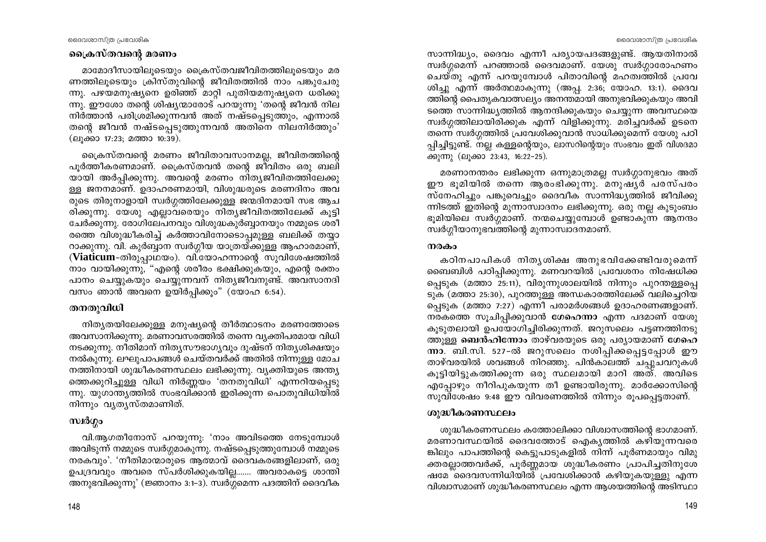#### ദൈവശാസ്ത്ര പ്രവേശിക

ദൈവശാസ്ത്ര പ്രവേശിക

# ക്രൈസ്തവന്റെ മരണം

മാമോദീസായിലൂടെയും ക്രൈസ്തവജീവിതത്തിലൂടെയും മര ണത്തിലൂടെയും ക്രിസ്തുവിന്റെ ജീവിതത്തിൽ നാം പങ്കുചേരു ന്നു. പഴയമനുഷ്യനെ ഉരിഞ്ഞ് മാറ്റി പുതിയമനുഷ്യനെ ധരിക്കു ന്നു. ഈശോ തന്റെ ശിഷ്യന്മാരോട് പറയുന്നു 'തന്റെ ജീവൻ നില നിർത്താൻ പരിശ്രമിക്കുന്നവൻ അത് നഷ്ടപ്പെടുത്തും, എന്നാൽ തന്റെ ജീവൻ നഷ്ടപ്പെടുത്തുന്നവൻ അതിനെ നിലനിർത്തും' (ലുക്കാ 17:23: മത്താ 10:39).

ക്രൈസ്തവന്റെ മരണം ജീവിതാവസാനമല്ല, ജീവിതത്തിന്റെ പൂർത്തീകരണമാണ്. ക്രൈസ്തവൻ തന്റെ ജീവിതം ഒരു ബലി യായി അർപ്പിക്കുന്നു. അവന്റെ മരണം നിത്യജീവിതത്തിലേക്കു ള്ള ജനനമാണ്. ഉദാഹരണമായി, വിശുദ്ധരുടെ മരണദിനം അവ രുടെ തിരുനാളായി സ്വർഗ്ഗത്തിലേക്കുള്ള ജന്മദിനമായി സഭ ആച രിക്കുന്നു. യേശു എല്ലാവരെയും നിതൃജീവിതത്തിലേക്ക് കുട്ടി ചേർക്കുന്നു. രോഗിലേപനവും വിശുദ്ധകുർബ്ബാനയും നമ്മുടെ ശരീ രത്തെ വിശുദ്ധീകരിച്ച് കർത്താവിനോടൊപ്പമുള്ള ബലിക്ക് തയ്യാ റാക്കുന്നു. വി. കുർബ്ബാന സ്വർഗ്ഗീയ യാത്രയ്ക്കുള്ള ആഹാരമാണ്, (Viaticum-തിരുപ്പാഥയം). വി.യോഹന്നാന്റെ സുവിശേഷത്തിൽ നാം വായിക്കുന്നു, "എന്റെ ശരീരം ഭക്ഷിക്കുകയും, എന്റെ രക്തം പാനം ചെയ്യുകയും ചെയ്യുന്നവന് നിത്യജീവനുണ്ട്. അവസാനദി വസം ഞാൻ അവനെ ഉയിർപ്പിക്കൂം" (യോഹ 6:54).

# തനതുവിധി

നിത്യതയിലേക്കുള്ള മനുഷ്യന്റെ തീർത്ഥാടനം മരണത്തോടെ അവസാനിക്കുന്നു. മരണാവസരത്തിൽ തന്നെ വ്യക്തിപരമായ വിധി നടക്കുന്നു. നീതിമാന് നിതൃസൗഭാഗൃവും ദുഷ്ടന് നിതൃശിക്ഷയും നൽകുന്നു. ലഘുപാപങ്ങൾ ചെയ്തവർക്ക് അതിൽ നിന്നുള്ള മോച നത്തിനായി ശുദ്ധീകരണസ്ഥലം ലഭിക്കുന്നു. വ്യക്തിയുടെ അന്ത്യ ത്തെക്കുറിച്ചുള്ള വിധി നിർണ്ണയം 'തനതുവിധി' എന്നറിയപ്പെടു ന്നു. യുഗാന്ത്യത്തിൽ സംഭവിക്കാൻ ഇരിക്കുന്ന പൊതുവിധിയിൽ നിന്നും വ്യത്യസ്തമാണിത്.

# സ്ഥർഗ്ഗം

വി.ആഗതീനോസ് പറയുന്നു: 'നാം അവിടത്തെ നേടുമ്പോൾ അവിടുന്ന് നമ്മുടെ സ്വർഗ്ഗമാകുന്നു. നഷ്ടപ്പെടുത്തുമ്പോൾ നമ്മുടെ നരകവും'. 'നീതിമാന്മാരുടെ ആത്മാവ് ദൈവകരങ്ങളിലാണ്, ഒരു ഉപദ്രവവും അവരെ സ്പർശിക്കുകയില്ല……. അവരാകട്ടെ ശാന്തി അനുഭവിക്കുന്നു' (ജ്ഞാനം 3:1-3). സ്വർഗ്ഗമെന്ന പദത്തിന് ദൈവീക

സാന്നിദ്ധ്യം, ദൈവം എന്നീ പര്യായപദങ്ങളുണ്ട്. ആയതിനാൽ സ്വർഗ്ഗമെന്ന് പറഞ്ഞാൽ ദൈവമാണ്. യേശു സ്വർഗ്ഗാരോഹണം . ചെയ്തു എന്ന് പറയുമ്പോൾ പിതാവിന്റെ മഹത്വത്തിൽ പ്രവേ ശിച്ചു എന്ന് അർത്ഥമാകുന്നു (അപ്പ. 2:36; യോഹ. 13:1). ദൈവ ത്തിന്റെ പൈതൃകവാത്സല്യം അനന്തമായി അനുഭവിക്കുകയും അവി ടത്തെ സാന്നിദ്ധ്യത്തിൽ ആനന്ദിക്കുകയും ചെയ്യുന്ന അവസ്ഥയെ സ്വർഗ്ഗത്തിലായിരിക്കുക എന്ന് വിളിക്കുന്നു. മരിച്ചവർക്ക് ഉടനെ തന്നെ സ്വർഗ്ഗത്തിൽ പ്രവേശിക്കുവാൻ സാധിക്കുമെന്ന് യേശു പഠി പ്പിച്ചിട്ടുണ്ട്. നല്ല കള്ളന്റെയും, ലാസറിന്റെയും സംഭവം ഇത് വിശദമാ ക്കുന്നു (ലുക്കാ 23:43, 16:22-25).

മരണാനന്തരം ലഭിക്കുന്ന ഒന്നുമാത്രമല്ല സ്വർഗ്ഗാനുഭവം അത് ഈ ഭൂമിയിൽ തന്നെ ആരംഭിക്കുന്നു. മനുഷൃർ പരസ്പരം സ്നേഹിച്ചും പങ്കുവെച്ചും ദൈവീക സാന്നിദ്ധ്യത്തിൽ ജീവിക്കു ന്നിടത്ത് ഇതിന്റെ മുന്നാസ്വാദനം ലഭിക്കുന്നു. ഒരു നല്ല കൂടുംബം ഭുമിയിലെ സ്വർഗ്ഗമാണ്. നന്മചെയ്യുമ്പോൾ ഉണ്ടാകുന്ന ആനന്ദം സ്വർഗ്ഗീയാനുഭവത്തിന്റെ മുന്നാസ്വാദനമാണ്.

### നരകം

കഠിനപാപികൾ നിതൃശിക്ഷ അനുഭവിക്കേണ്ടിവരുമെന്ന് ബൈബിൾ പഠിപ്പിക്കുന്നു. മണവറയിൽ പ്രവേശനം നിഷേധിക്ക പ്പെടുക (മത്താ 25:11), വിരുന്നുശാലയിൽ നിന്നും പുറന്തള്ളപ്പെ ടുക (മത്താ 25:30), പുറത്തുള്ള അന്ധകാരത്തിലേക്ക് വലിച്ചെറിയ പ്പെടുക (മത്താ 7:27) എന്നീ പരാമർശങ്ങൾ ഉദാഹരണങ്ങളാണ്. നരകത്തെ സൂചിപ്പിക്കുവാൻ ശേഹെന്നാ എന്ന പദമാണ് യേശു കുടുതലായി ഉപയോഗിച്ചിരിക്കുന്നത്. ജറുസലെം പട്ടണത്തിനടു ത്തുള്ള **ബെൻഹിന്നോം** താഴ്വരയുടെ ഒരു പര്യായമാണ് ശേഹെ ന്നാ. ബി.സി. 527-ൽ ജറുസലെം നശിപ്പിക്കപ്പെട്ടപ്പോൾ ഈ താഴ്വരയിൽ ശവങ്ങൾ നിറഞ്ഞു. പിൻകാലത്ത് ചപ്പുചവറുകൾ കൂട്ടിയിട്ടുകത്തിക്കുന്ന ഒരു സ്ഥലമായി മാറി അത്. അവിടെ എപ്പോഴും നീറിപുകയുന്ന തീ ഉണ്ടായിരുന്നു. മാർക്കോസിന്റെ സുവിശേഷം 9:48 ഈ വിവരണത്തിൽ നിന്നും രൂപപ്പെട്ടതാണ്.

### ശുദ്ധീകരണസ്ഥലം

ശുദ്ധീകരണസ്ഥലം കത്തോലിക്കാ വിശ്വാസത്തിന്റെ ഭാഗമാണ്. മരണാവസ്ഥയിൽ ദൈവത്തോട് ഐകൃത്തിൽ കഴിയുന്നവരെ ങ്കിലും പാപത്തിന്റെ കെട്ടുപാടുകളിൽ നിന്ന് പൂർണമായും വിമു ക്തരല്ലാത്തവർക്ക്, പൂർണ്ണമായ ശുദ്ധീകരണം പ്രാപിച്ചതിനുശേ ഷമേ ദൈവസന്നിധിയിൽ പ്രവേശിക്കാൻ കഴിയുകയുള്ളു എന്ന വിശ്വാസമാണ് ശുദ്ധീകരണസ്ഥലം എന്ന ആശയത്തിന്റെ അടിസ്ഥാ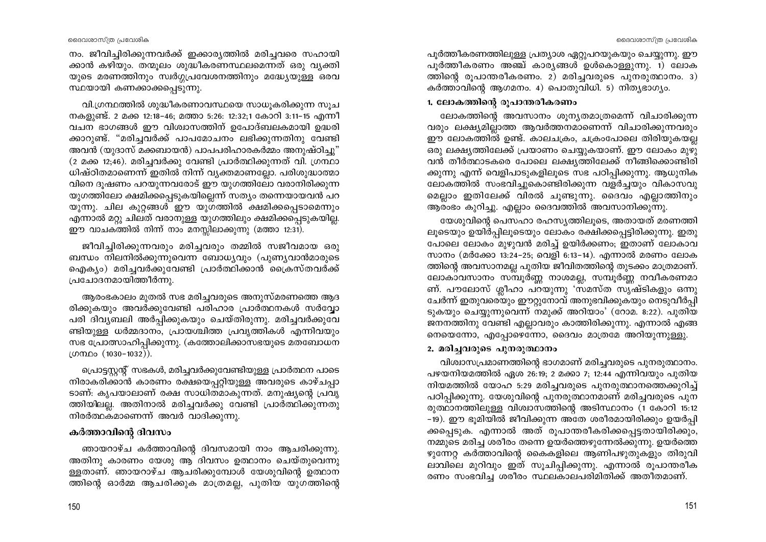നം. ജീവിച്ചിരിക്കുന്നവർക്ക് ഇക്കാര്യത്തിൽ മരിച്ചവരെ സഹായി ക്കാൻ കഴിയും. തന്മുലം ശുദ്ധീകരണസ്ഥലമെന്നത് ഒരു വ്യക്തി യുടെ മരണത്തിനും സ്വർഗ്ഗപ്രവേശനത്തിനും മദ്ധ്യേയുള്ള ഒരവ സ്ഥയായി കണക്കാക്കപ്പെടുന്നു.

വി.ഗ്രന്ഥത്തിൽ ശുദ്ധീകരണാവസ്ഥയെ സാധുകരിക്കുന്ന സൂച നകളുണ്ട്. 2 മക്ക 12:18-46; മത്താ 5:26: 12:32;1 കോറി 3:11-15 എന്നീ വചന ഭാഗങ്ങൾ ഈ വിശ്വാസത്തിന് ഉപോദ്ബലകമായി ഉദ്ധരി ക്കാറുണ്ട്. "മരിച്ചവർക്ക് പാപമോചനം ലഭിക്കുന്നതിനു വേണ്ടി അവൻ (യുദാസ് മക്കബായൻ) പാപപരിഹാരകർമ്മം അനുഷ്ഠിച്ചു" (2 മക്ക 12;46). മരിച്ചവർക്കു വേണ്ടി പ്രാർത്ഥിക്കുന്നത് വി. ഗ്രന്ഥാ ധിഷ്ഠിതമാണെന്ന് ഇതിൽ നിന്ന് വ്യക്തമാണല്ലോ. പരിശുദ്ധാത്മാ വിനെ ദുഷണം പറയുന്നവരോട് ഈ യുഗത്തിലോ വരാനിരിക്കുന്ന യുഗത്തിലോ ക്ഷമിക്കപ്പെടുകയില്ലെന്ന് സത്യം തന്നെയായവൻ പറ യുന്നു. ചില കുറ്റങ്ങൾ ഈ യുഗത്തിൽ ക്ഷമിക്കപ്പെടാമെന്നും എന്നാൽ മറ്റു ചിലത് വരാനുള്ള യുഗത്തിലും ക്ഷമിക്കപ്പെടുകയില്ല. ഈ വാചകത്തിൽ നിന്ന് നാം മനസ്സിലാക്കുന്നു (മത്താ 12:31).

ജീവിച്ചിരിക്കുന്നവരും മരിച്ചവരും തമ്മിൽ സജീവമായ ഒരു ബന്ധം നിലനിൽക്കുന്നുവെന്ന ബോധ്യവും (പുണ്യവാൻമാരുടെ ഐക്യം) മരിച്ചവർക്കുവേണ്ടി പ്രാർത്ഥിക്കാൻ ക്രൈസ്തവർക്ക് പ്രചോദനമായിത്തീർന്നു.

ആരംഭകാലം മുതൽ സഭ മരിച്ചവരുടെ അനുസ്മരണത്തെ ആദ രിക്കുകയും അവർക്കുവേണ്ടി പരിഹാര പ്രാർത്ഥനകൾ സർവ്വോ പരി ദിവ്യബലി അർപ്പിക്കുകയും ചെയ്തിരുന്നു. മരിച്ചവർക്കുവേ ണ്ടിയുള്ള ധർമ്മദാനം, പ്രായശ്ചിത്ത പ്രവൃത്തികൾ എന്നിവയും സഭ പ്രോത്സാഹിപ്പിക്കുന്നു. (കത്തോലിക്കാസഭയുടെ മതബോധന ഗ്രന്ഥം (1030–1032)).

പ്രൊട്ടസ്റ്റന്റ് സഭകൾ, മരിച്ചവർക്കുവേണ്ടിയുള്ള പ്രാർത്ഥന പാടെ നിരാകരിക്കാൻ കാരണം രക്ഷയെപ്പറ്റിയുള്ള അവരുടെ കാഴ്ചപ്പാ ടാണ്: കൃപയാലാണ് രക്ഷ സാധിതമാകുന്നത്. മനുഷ്യന്റെ പ്രവൃ ത്തിയിലല്ല. അതിനാൽ മരിച്ചവർക്കു വേണ്ടി പ്രാർത്ഥിക്കുന്നതു നിരർത്ഥകമാണെന്ന് അവർ വാദിക്കുന്നു.

# കർത്താവിന്റെ ദിവസം

ഞായറാഴ്ച കർത്താവിന്റെ ദിവസമായി നാം ആചരിക്കുന്നു. അതിനു കാരണം യേശു ആ ദിവസം ഉത്ഥാനം ചെയ്തുവെന്നു ള്ളതാണ്. ഞായറാഴ്ച ആചരിക്കുമ്പോൾ യേശുവിന്റെ ഉത്ഥാന ത്തിന്റെ ഓർമ്മ ആചരിക്കുക മാത്രമല്ല, പുതിയ യുഗത്തിന്റെ പൂർത്തീകരണത്തിലുള്ള പ്രത്യാശ ഏറ്റുപറയുകയും ചെയ്യുന്നു. ഈ പൂർത്തീകരണം അഞ്ച് കാര്യങ്ങൾ ഉൾകൊള്ളുന്നു. 1) ലോക ത്തിന്റെ രൂപാന്തരീകരണം. 2) മരിച്ചവരുടെ പുനരുത്ഥാനം. 3) കർത്താവിന്റെ ആഗമനം. 4) പൊതുവിധി. 5) നിത്യഭാഗ്യം.

## 1. ലോകത്തിന്റെ രൂപാന്തരീകരണം

ലോകത്തിന്റെ അവസാനം ശുന്യതമാത്രമെന്ന് വിചാരിക്കുന്ന വരും ലക്ഷ്യമില്ലാത്ത ആവർത്തനമാണെന്ന് വിചാരിക്കുന്നവരും ഈ ലോകത്തിൽ ഉണ്ട്. കാലചക്രം, ചക്രംപോലെ തിരിയുകയല്ല ഒരു ലക്ഷ്യത്തിലേക്ക് പ്രയാണം ചെയ്യുകയാണ്. ഈ ലോകം മുഴു വൻ തീർത്ഥാടകരെ പോലെ ലക്ഷ്യത്തിലേക്ക് നീങ്ങിക്കൊണ്ടിരി ക്കുന്നു എന്ന് വെളിപാടുകളിലൂടെ സഭ പഠിപ്പിക്കുന്നു. ആധുനിക ലോകത്തിൽ സംഭവിച്ചുകൊണ്ടിരിക്കുന്ന വളർച്ചയും വികാസവു മെല്ലാം ഇതിലേക്ക് വിരൽ ചൂണ്ടുന്നു. ദൈവം എല്ലാത്തിനും ആരംഭം കുറിച്ചു. എല്ലാം ദൈവത്തിൽ അവസാനിക്കുന്നു.

യേശുവിന്റെ പെസഹാ രഹസ്യത്തിലൂടെ, അതായത് മരണത്തി ലൂടെയും ഉയിർപ്പിലൂടെയും ലോകം രക്ഷിക്കപ്പെട്ടിരിക്കുന്നു. ഇതു പോലെ ലോകം മുഴുവൻ മരിച്ച് ഉയിർക്കണം; ഇതാണ് ലോകാവ സാനം (മർക്കോ 13:24-25; വെളി 6:13-14). എന്നാൽ മരണം ലോക ത്തിന്റെ അവസാനമല്ല പുതിയ ജീവിതത്തിന്റെ തുടക്കം മാത്രമാണ്. ലോകാവസാനം സമ്പൂർണ്ണ നാശമല്ല, സമ്പൂർണ്ണ നവീകരണമാ ണ്. പൗലോസ് ശ്ലീഹാ പറയുന്നു 'സമസ്ത സൃഷ്ടികളും ഒന്നു ചേർന്ന് ഇതുവരെയും ഈറ്റുനോവ് അനുഭവിക്കുകയും നെടുവീർപ്പി ടുകയും ചെയ്യുന്നുവെന്ന് നമുക്ക് അറിയാം' (റോമ. 8:22). പുതിയ ജനനത്തിനു വേണ്ടി എല്ലാവരും കാത്തിരിക്കുന്നു. എന്നാൽ എങ്ങ നെയെന്നോ, എപ്പോഴെന്നോ, ദൈവം മാത്രമേ അറിയുന്നുള്ളു.

## 2. മരിച്ചവരുടെ പുനരുത്ഥാനം

വിശ്വാസപ്രമാണത്തിന്റെ ഭാഗമാണ് മരിച്ചവരുടെ പുനരുത്ഥാനം. പഴയനിയമത്തിൽ ഏശ 26:19; 2 മക്കാ 7; 12:44 എന്നിവയും പുതിയ നിയമത്തിൽ യോഹ 5:29 മരിച്ചവരുടെ പുനരുത്ഥാനത്തെക്കുറിച്ച് പഠിപ്പിക്കുന്നു. യേശുവിന്റെ പുനരുത്ഥാനമാണ് മരിച്ചവരുടെ പുന രുത്ഥാനത്തിലുള്ള വിശ്വാസത്തിന്റെ അടിസ്ഥാനം (1 കോറി 15:12 -19). ഈ ഭൂമിയിൽ ജീവിക്കുന്ന അതേ ശരീരമായിരിക്കും ഉയർപ്പി ക്കപ്പെടുക. എന്നാൽ അത് രൂപാന്തരീകരിക്കപ്പെട്ടതായിരിക്കും, നമ്മുടെ മരിച്ച ശരീരം തന്നെ ഉയർത്തെഴുന്നേൽക്കുന്നു. ഉയർത്തെ ഴുന്നേറ്റ കർത്താവിന്റെ കൈകളിലെ ആണിപഴുതുകളും തിരുവി ലാവിലെ മുറിവും ഇത് സൂചിപ്പിക്കുന്നു. എന്നാൽ രൂപാന്തരീക രണം സംഭവിച്ച ശരീരം സ്ഥലകാലപരിമിതിക്ക് അതീതമാണ്.